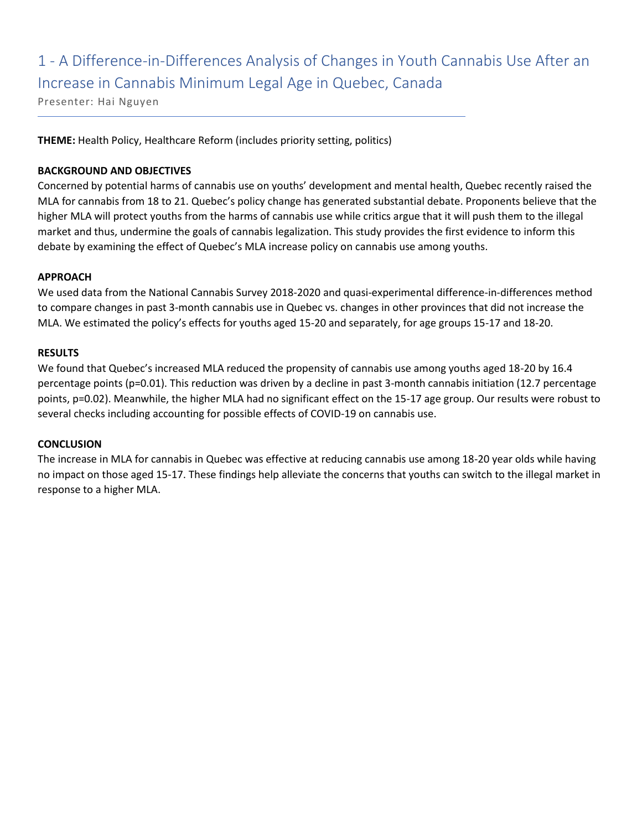## 1 - A Difference-in-Differences Analysis of Changes in Youth Cannabis Use After an Increase in Cannabis Minimum Legal Age in Quebec, Canada

Presenter: Hai Nguyen

**THEME:** Health Policy, Healthcare Reform (includes priority setting, politics)

### **BACKGROUND AND OBJECTIVES**

Concerned by potential harms of cannabis use on youths' development and mental health, Quebec recently raised the MLA for cannabis from 18 to 21. Quebec's policy change has generated substantial debate. Proponents believe that the higher MLA will protect youths from the harms of cannabis use while critics argue that it will push them to the illegal market and thus, undermine the goals of cannabis legalization. This study provides the first evidence to inform this debate by examining the effect of Quebec's MLA increase policy on cannabis use among youths.

### **APPROACH**

We used data from the National Cannabis Survey 2018-2020 and quasi-experimental difference-in-differences method to compare changes in past 3-month cannabis use in Quebec vs. changes in other provinces that did not increase the MLA. We estimated the policy's effects for youths aged 15-20 and separately, for age groups 15-17 and 18-20.

### **RESULTS**

We found that Quebec's increased MLA reduced the propensity of cannabis use among youths aged 18-20 by 16.4 percentage points (p=0.01). This reduction was driven by a decline in past 3-month cannabis initiation (12.7 percentage points, p=0.02). Meanwhile, the higher MLA had no significant effect on the 15-17 age group. Our results were robust to several checks including accounting for possible effects of COVID-19 on cannabis use.

### **CONCLUSION**

The increase in MLA for cannabis in Quebec was effective at reducing cannabis use among 18-20 year olds while having no impact on those aged 15-17. These findings help alleviate the concerns that youths can switch to the illegal market in response to a higher MLA.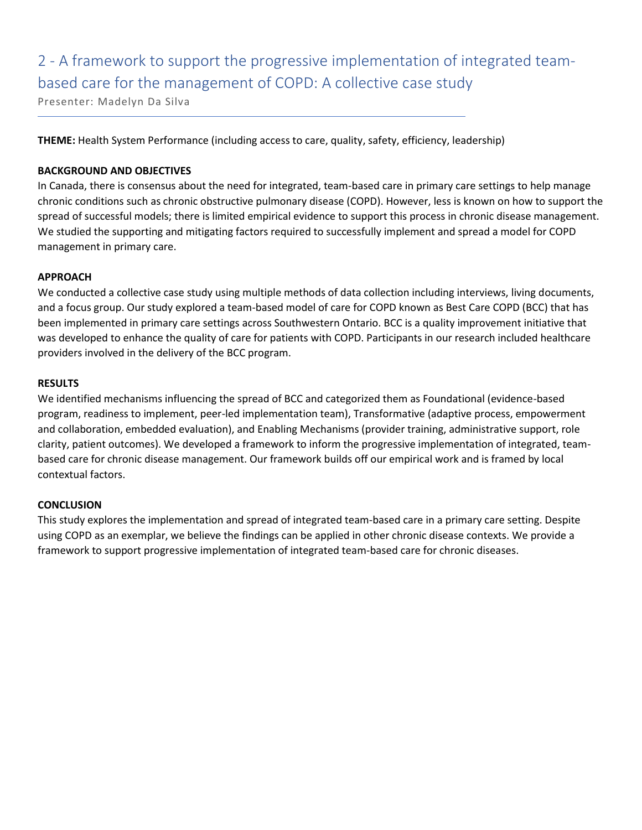# 2 - A framework to support the progressive implementation of integrated teambased care for the management of COPD: A collective case study

Presenter: Madelyn Da Silva

**THEME:** Health System Performance (including access to care, quality, safety, efficiency, leadership)

### **BACKGROUND AND OBJECTIVES**

In Canada, there is consensus about the need for integrated, team-based care in primary care settings to help manage chronic conditions such as chronic obstructive pulmonary disease (COPD). However, less is known on how to support the spread of successful models; there is limited empirical evidence to support this process in chronic disease management. We studied the supporting and mitigating factors required to successfully implement and spread a model for COPD management in primary care.

### **APPROACH**

We conducted a collective case study using multiple methods of data collection including interviews, living documents, and a focus group. Our study explored a team-based model of care for COPD known as Best Care COPD (BCC) that has been implemented in primary care settings across Southwestern Ontario. BCC is a quality improvement initiative that was developed to enhance the quality of care for patients with COPD. Participants in our research included healthcare providers involved in the delivery of the BCC program.

### **RESULTS**

We identified mechanisms influencing the spread of BCC and categorized them as Foundational (evidence-based program, readiness to implement, peer-led implementation team), Transformative (adaptive process, empowerment and collaboration, embedded evaluation), and Enabling Mechanisms (provider training, administrative support, role clarity, patient outcomes). We developed a framework to inform the progressive implementation of integrated, teambased care for chronic disease management. Our framework builds off our empirical work and is framed by local contextual factors.

### **CONCLUSION**

This study explores the implementation and spread of integrated team-based care in a primary care setting. Despite using COPD as an exemplar, we believe the findings can be applied in other chronic disease contexts. We provide a framework to support progressive implementation of integrated team-based care for chronic diseases.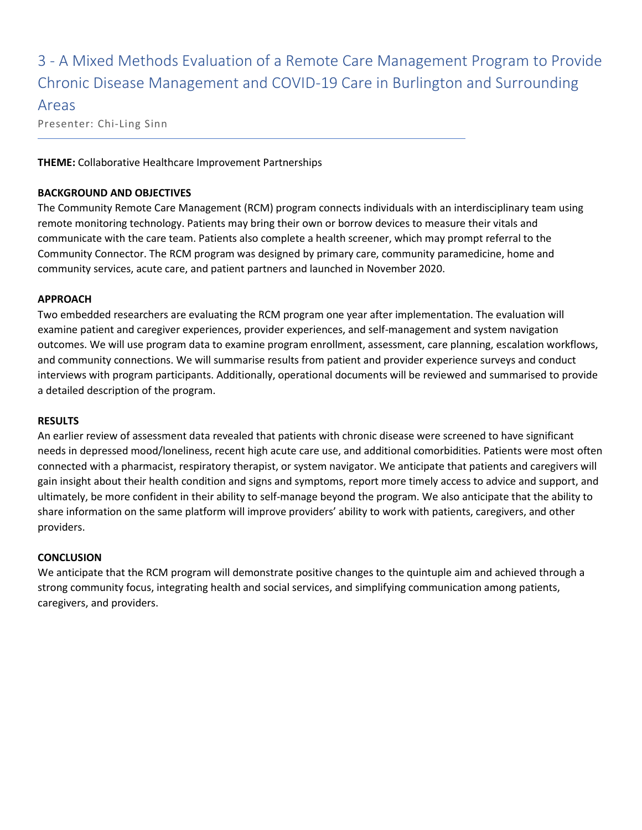## 3 - A Mixed Methods Evaluation of a Remote Care Management Program to Provide Chronic Disease Management and COVID-19 Care in Burlington and Surrounding

### Areas

Presenter: Chi-Ling Sinn

**THEME:** Collaborative Healthcare Improvement Partnerships

### **BACKGROUND AND OBJECTIVES**

The Community Remote Care Management (RCM) program connects individuals with an interdisciplinary team using remote monitoring technology. Patients may bring their own or borrow devices to measure their vitals and communicate with the care team. Patients also complete a health screener, which may prompt referral to the Community Connector. The RCM program was designed by primary care, community paramedicine, home and community services, acute care, and patient partners and launched in November 2020.

### **APPROACH**

Two embedded researchers are evaluating the RCM program one year after implementation. The evaluation will examine patient and caregiver experiences, provider experiences, and self-management and system navigation outcomes. We will use program data to examine program enrollment, assessment, care planning, escalation workflows, and community connections. We will summarise results from patient and provider experience surveys and conduct interviews with program participants. Additionally, operational documents will be reviewed and summarised to provide a detailed description of the program.

### **RESULTS**

An earlier review of assessment data revealed that patients with chronic disease were screened to have significant needs in depressed mood/loneliness, recent high acute care use, and additional comorbidities. Patients were most often connected with a pharmacist, respiratory therapist, or system navigator. We anticipate that patients and caregivers will gain insight about their health condition and signs and symptoms, report more timely access to advice and support, and ultimately, be more confident in their ability to self-manage beyond the program. We also anticipate that the ability to share information on the same platform will improve providers' ability to work with patients, caregivers, and other providers.

### **CONCLUSION**

We anticipate that the RCM program will demonstrate positive changes to the quintuple aim and achieved through a strong community focus, integrating health and social services, and simplifying communication among patients, caregivers, and providers.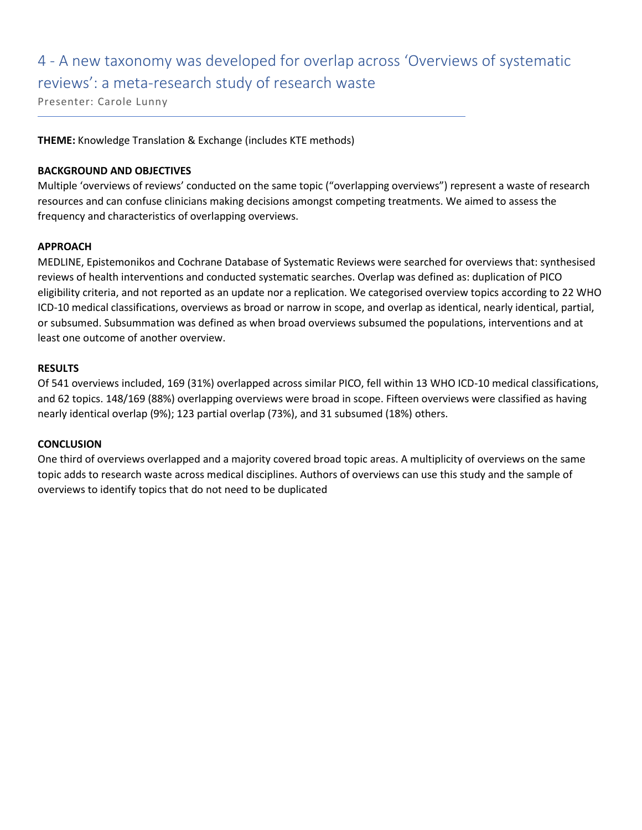## 4 - A new taxonomy was developed for overlap across 'Overviews of systematic reviews': a meta-research study of research waste

Presenter: Carole Lunny

**THEME:** Knowledge Translation & Exchange (includes KTE methods)

### **BACKGROUND AND OBJECTIVES**

Multiple 'overviews of reviews' conducted on the same topic ("overlapping overviews") represent a waste of research resources and can confuse clinicians making decisions amongst competing treatments. We aimed to assess the frequency and characteristics of overlapping overviews.

### **APPROACH**

MEDLINE, Epistemonikos and Cochrane Database of Systematic Reviews were searched for overviews that: synthesised reviews of health interventions and conducted systematic searches. Overlap was defined as: duplication of PICO eligibility criteria, and not reported as an update nor a replication. We categorised overview topics according to 22 WHO ICD-10 medical classifications, overviews as broad or narrow in scope, and overlap as identical, nearly identical, partial, or subsumed. Subsummation was defined as when broad overviews subsumed the populations, interventions and at least one outcome of another overview.

### **RESULTS**

Of 541 overviews included, 169 (31%) overlapped across similar PICO, fell within 13 WHO ICD-10 medical classifications, and 62 topics. 148/169 (88%) overlapping overviews were broad in scope. Fifteen overviews were classified as having nearly identical overlap (9%); 123 partial overlap (73%), and 31 subsumed (18%) others.

### **CONCLUSION**

One third of overviews overlapped and a majority covered broad topic areas. A multiplicity of overviews on the same topic adds to research waste across medical disciplines. Authors of overviews can use this study and the sample of overviews to identify topics that do not need to be duplicated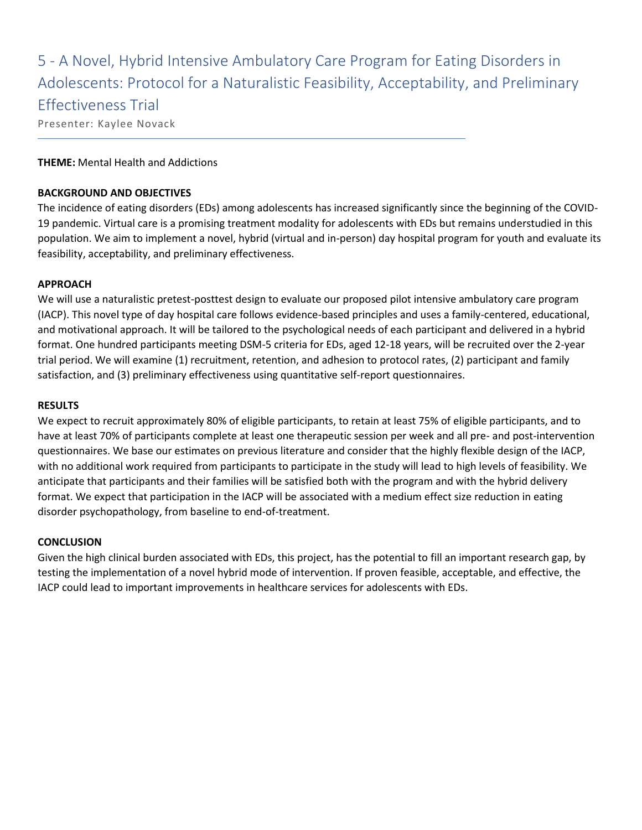5 - A Novel, Hybrid Intensive Ambulatory Care Program for Eating Disorders in Adolescents: Protocol for a Naturalistic Feasibility, Acceptability, and Preliminary Effectiveness Trial

Presenter: Kaylee Novack

### **THEME:** Mental Health and Addictions

### **BACKGROUND AND OBJECTIVES**

The incidence of eating disorders (EDs) among adolescents has increased significantly since the beginning of the COVID-19 pandemic. Virtual care is a promising treatment modality for adolescents with EDs but remains understudied in this population. We aim to implement a novel, hybrid (virtual and in-person) day hospital program for youth and evaluate its feasibility, acceptability, and preliminary effectiveness.

### **APPROACH**

We will use a naturalistic pretest-posttest design to evaluate our proposed pilot intensive ambulatory care program (IACP). This novel type of day hospital care follows evidence-based principles and uses a family-centered, educational, and motivational approach. It will be tailored to the psychological needs of each participant and delivered in a hybrid format. One hundred participants meeting DSM-5 criteria for EDs, aged 12-18 years, will be recruited over the 2-year trial period. We will examine (1) recruitment, retention, and adhesion to protocol rates, (2) participant and family satisfaction, and (3) preliminary effectiveness using quantitative self-report questionnaires.

### **RESULTS**

We expect to recruit approximately 80% of eligible participants, to retain at least 75% of eligible participants, and to have at least 70% of participants complete at least one therapeutic session per week and all pre- and post-intervention questionnaires. We base our estimates on previous literature and consider that the highly flexible design of the IACP, with no additional work required from participants to participate in the study will lead to high levels of feasibility. We anticipate that participants and their families will be satisfied both with the program and with the hybrid delivery format. We expect that participation in the IACP will be associated with a medium effect size reduction in eating disorder psychopathology, from baseline to end-of-treatment.

### **CONCLUSION**

Given the high clinical burden associated with EDs, this project, has the potential to fill an important research gap, by testing the implementation of a novel hybrid mode of intervention. If proven feasible, acceptable, and effective, the IACP could lead to important improvements in healthcare services for adolescents with EDs.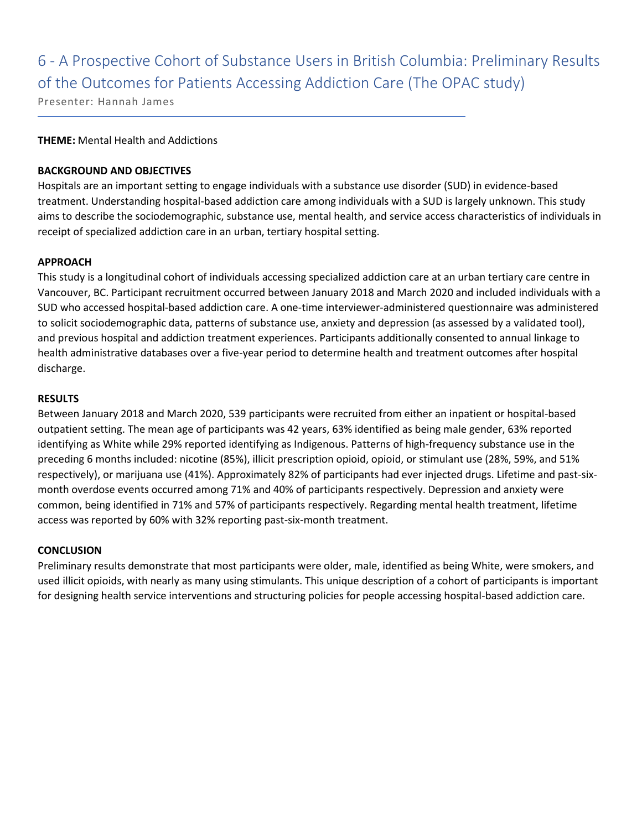## 6 - A Prospective Cohort of Substance Users in British Columbia: Preliminary Results of the Outcomes for Patients Accessing Addiction Care (The OPAC study)

Presenter: Hannah James

### **THEME:** Mental Health and Addictions

### **BACKGROUND AND OBJECTIVES**

Hospitals are an important setting to engage individuals with a substance use disorder (SUD) in evidence-based treatment. Understanding hospital-based addiction care among individuals with a SUD is largely unknown. This study aims to describe the sociodemographic, substance use, mental health, and service access characteristics of individuals in receipt of specialized addiction care in an urban, tertiary hospital setting.

### **APPROACH**

This study is a longitudinal cohort of individuals accessing specialized addiction care at an urban tertiary care centre in Vancouver, BC. Participant recruitment occurred between January 2018 and March 2020 and included individuals with a SUD who accessed hospital-based addiction care. A one-time interviewer-administered questionnaire was administered to solicit sociodemographic data, patterns of substance use, anxiety and depression (as assessed by a validated tool), and previous hospital and addiction treatment experiences. Participants additionally consented to annual linkage to health administrative databases over a five-year period to determine health and treatment outcomes after hospital discharge.

### **RESULTS**

Between January 2018 and March 2020, 539 participants were recruited from either an inpatient or hospital-based outpatient setting. The mean age of participants was 42 years, 63% identified as being male gender, 63% reported identifying as White while 29% reported identifying as Indigenous. Patterns of high-frequency substance use in the preceding 6 months included: nicotine (85%), illicit prescription opioid, opioid, or stimulant use (28%, 59%, and 51% respectively), or marijuana use (41%). Approximately 82% of participants had ever injected drugs. Lifetime and past-sixmonth overdose events occurred among 71% and 40% of participants respectively. Depression and anxiety were common, being identified in 71% and 57% of participants respectively. Regarding mental health treatment, lifetime access was reported by 60% with 32% reporting past-six-month treatment.

### **CONCLUSION**

Preliminary results demonstrate that most participants were older, male, identified as being White, were smokers, and used illicit opioids, with nearly as many using stimulants. This unique description of a cohort of participants is important for designing health service interventions and structuring policies for people accessing hospital-based addiction care.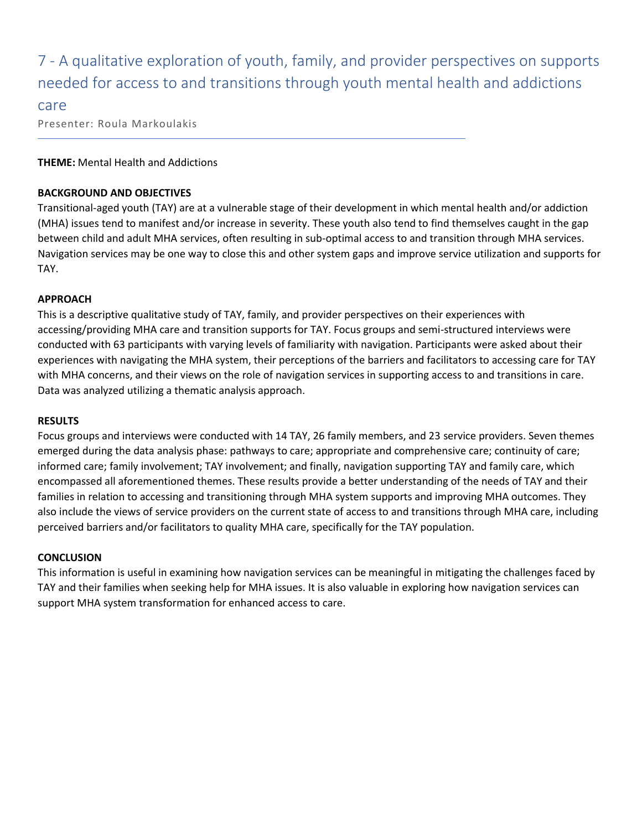### 7 - A qualitative exploration of youth, family, and provider perspectives on supports needed for access to and transitions through youth mental health and addictions

### care

Presenter: Roula Markoulakis

### **THEME:** Mental Health and Addictions

### **BACKGROUND AND OBJECTIVES**

Transitional-aged youth (TAY) are at a vulnerable stage of their development in which mental health and/or addiction (MHA) issues tend to manifest and/or increase in severity. These youth also tend to find themselves caught in the gap between child and adult MHA services, often resulting in sub-optimal access to and transition through MHA services. Navigation services may be one way to close this and other system gaps and improve service utilization and supports for TAY.

### **APPROACH**

This is a descriptive qualitative study of TAY, family, and provider perspectives on their experiences with accessing/providing MHA care and transition supports for TAY. Focus groups and semi-structured interviews were conducted with 63 participants with varying levels of familiarity with navigation. Participants were asked about their experiences with navigating the MHA system, their perceptions of the barriers and facilitators to accessing care for TAY with MHA concerns, and their views on the role of navigation services in supporting access to and transitions in care. Data was analyzed utilizing a thematic analysis approach.

### **RESULTS**

Focus groups and interviews were conducted with 14 TAY, 26 family members, and 23 service providers. Seven themes emerged during the data analysis phase: pathways to care; appropriate and comprehensive care; continuity of care; informed care; family involvement; TAY involvement; and finally, navigation supporting TAY and family care, which encompassed all aforementioned themes. These results provide a better understanding of the needs of TAY and their families in relation to accessing and transitioning through MHA system supports and improving MHA outcomes. They also include the views of service providers on the current state of access to and transitions through MHA care, including perceived barriers and/or facilitators to quality MHA care, specifically for the TAY population.

### **CONCLUSION**

This information is useful in examining how navigation services can be meaningful in mitigating the challenges faced by TAY and their families when seeking help for MHA issues. It is also valuable in exploring how navigation services can support MHA system transformation for enhanced access to care.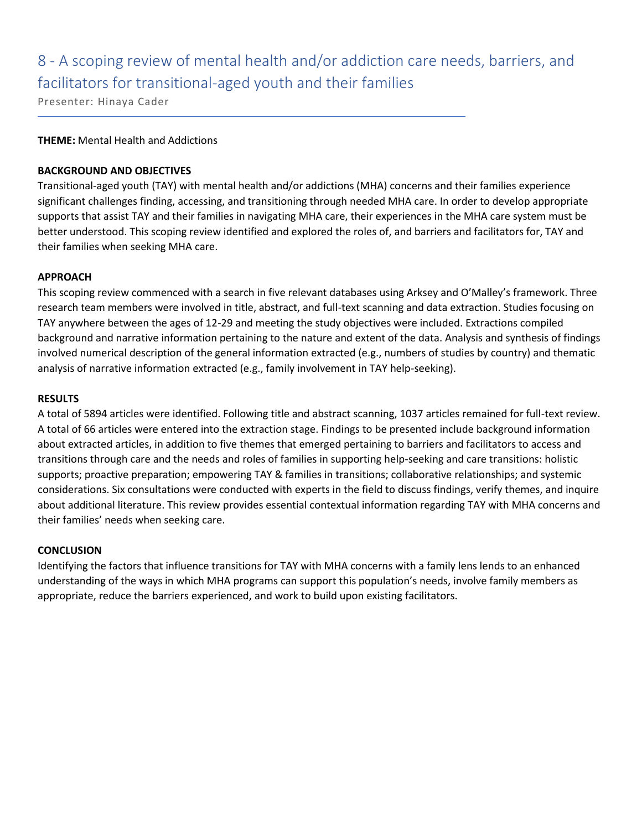## 8 - A scoping review of mental health and/or addiction care needs, barriers, and facilitators for transitional-aged youth and their families

Presenter: Hinaya Cader

### **THEME:** Mental Health and Addictions

### **BACKGROUND AND OBJECTIVES**

Transitional-aged youth (TAY) with mental health and/or addictions (MHA) concerns and their families experience significant challenges finding, accessing, and transitioning through needed MHA care. In order to develop appropriate supports that assist TAY and their families in navigating MHA care, their experiences in the MHA care system must be better understood. This scoping review identified and explored the roles of, and barriers and facilitators for, TAY and their families when seeking MHA care.

### **APPROACH**

This scoping review commenced with a search in five relevant databases using Arksey and O'Malley's framework. Three research team members were involved in title, abstract, and full-text scanning and data extraction. Studies focusing on TAY anywhere between the ages of 12-29 and meeting the study objectives were included. Extractions compiled background and narrative information pertaining to the nature and extent of the data. Analysis and synthesis of findings involved numerical description of the general information extracted (e.g., numbers of studies by country) and thematic analysis of narrative information extracted (e.g., family involvement in TAY help-seeking).

### **RESULTS**

A total of 5894 articles were identified. Following title and abstract scanning, 1037 articles remained for full-text review. A total of 66 articles were entered into the extraction stage. Findings to be presented include background information about extracted articles, in addition to five themes that emerged pertaining to barriers and facilitators to access and transitions through care and the needs and roles of families in supporting help-seeking and care transitions: holistic supports; proactive preparation; empowering TAY & families in transitions; collaborative relationships; and systemic considerations. Six consultations were conducted with experts in the field to discuss findings, verify themes, and inquire about additional literature. This review provides essential contextual information regarding TAY with MHA concerns and their families' needs when seeking care.

### **CONCLUSION**

Identifying the factors that influence transitions for TAY with MHA concerns with a family lens lends to an enhanced understanding of the ways in which MHA programs can support this population's needs, involve family members as appropriate, reduce the barriers experienced, and work to build upon existing facilitators.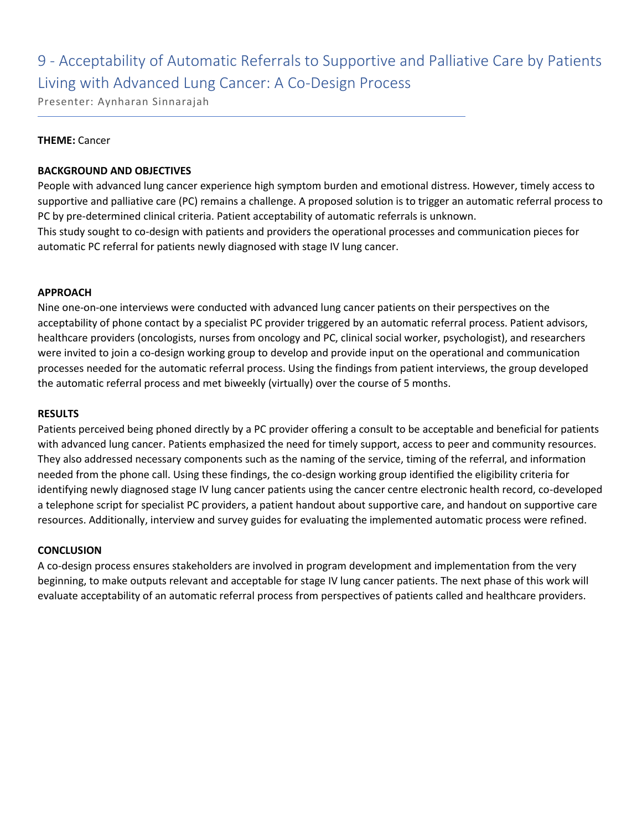## 9 - Acceptability of Automatic Referrals to Supportive and Palliative Care by Patients Living with Advanced Lung Cancer: A Co-Design Process

Presenter: Aynharan Sinnarajah

### **THEME:** Cancer

### **BACKGROUND AND OBJECTIVES**

People with advanced lung cancer experience high symptom burden and emotional distress. However, timely access to supportive and palliative care (PC) remains a challenge. A proposed solution is to trigger an automatic referral process to PC by pre-determined clinical criteria. Patient acceptability of automatic referrals is unknown. This study sought to co-design with patients and providers the operational processes and communication pieces for automatic PC referral for patients newly diagnosed with stage IV lung cancer.

### **APPROACH**

Nine one-on-one interviews were conducted with advanced lung cancer patients on their perspectives on the acceptability of phone contact by a specialist PC provider triggered by an automatic referral process. Patient advisors, healthcare providers (oncologists, nurses from oncology and PC, clinical social worker, psychologist), and researchers were invited to join a co-design working group to develop and provide input on the operational and communication processes needed for the automatic referral process. Using the findings from patient interviews, the group developed the automatic referral process and met biweekly (virtually) over the course of 5 months.

### **RESULTS**

Patients perceived being phoned directly by a PC provider offering a consult to be acceptable and beneficial for patients with advanced lung cancer. Patients emphasized the need for timely support, access to peer and community resources. They also addressed necessary components such as the naming of the service, timing of the referral, and information needed from the phone call. Using these findings, the co-design working group identified the eligibility criteria for identifying newly diagnosed stage IV lung cancer patients using the cancer centre electronic health record, co-developed a telephone script for specialist PC providers, a patient handout about supportive care, and handout on supportive care resources. Additionally, interview and survey guides for evaluating the implemented automatic process were refined.

### **CONCLUSION**

A co-design process ensures stakeholders are involved in program development and implementation from the very beginning, to make outputs relevant and acceptable for stage IV lung cancer patients. The next phase of this work will evaluate acceptability of an automatic referral process from perspectives of patients called and healthcare providers.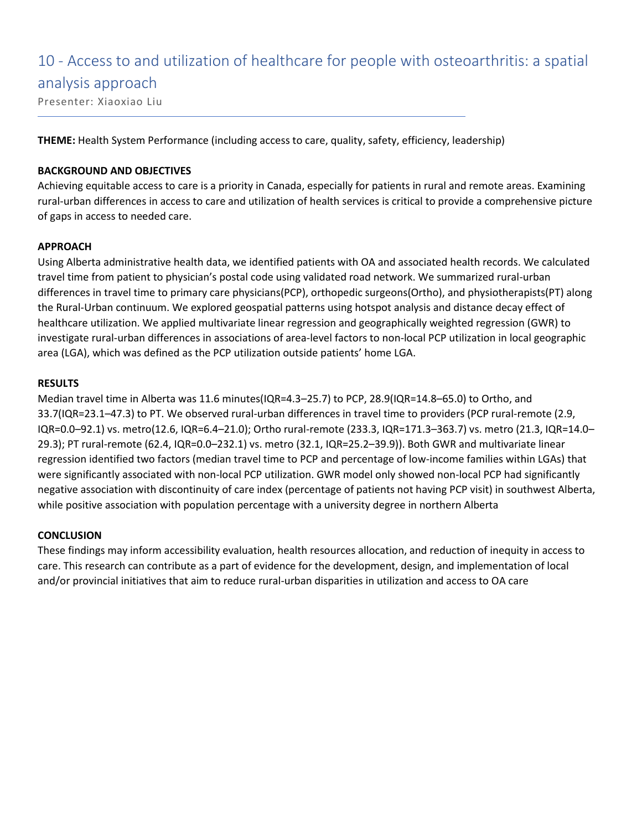# 10 - Access to and utilization of healthcare for people with osteoarthritis: a spatial analysis approach

Presenter: Xiaoxiao Liu

**THEME:** Health System Performance (including access to care, quality, safety, efficiency, leadership)

### **BACKGROUND AND OBJECTIVES**

Achieving equitable access to care is a priority in Canada, especially for patients in rural and remote areas. Examining rural-urban differences in access to care and utilization of health services is critical to provide a comprehensive picture of gaps in access to needed care.

### **APPROACH**

Using Alberta administrative health data, we identified patients with OA and associated health records. We calculated travel time from patient to physician's postal code using validated road network. We summarized rural-urban differences in travel time to primary care physicians(PCP), orthopedic surgeons(Ortho), and physiotherapists(PT) along the Rural-Urban continuum. We explored geospatial patterns using hotspot analysis and distance decay effect of healthcare utilization. We applied multivariate linear regression and geographically weighted regression (GWR) to investigate rural-urban differences in associations of area-level factors to non-local PCP utilization in local geographic area (LGA), which was defined as the PCP utilization outside patients' home LGA.

### **RESULTS**

Median travel time in Alberta was 11.6 minutes(IQR=4.3–25.7) to PCP, 28.9(IQR=14.8–65.0) to Ortho, and 33.7(IQR=23.1–47.3) to PT. We observed rural-urban differences in travel time to providers (PCP rural-remote (2.9, IQR=0.0–92.1) vs. metro(12.6, IQR=6.4–21.0); Ortho rural-remote (233.3, IQR=171.3–363.7) vs. metro (21.3, IQR=14.0– 29.3); PT rural-remote (62.4, IQR=0.0–232.1) vs. metro (32.1, IQR=25.2–39.9)). Both GWR and multivariate linear regression identified two factors (median travel time to PCP and percentage of low-income families within LGAs) that were significantly associated with non-local PCP utilization. GWR model only showed non-local PCP had significantly negative association with discontinuity of care index (percentage of patients not having PCP visit) in southwest Alberta, while positive association with population percentage with a university degree in northern Alberta

### **CONCLUSION**

These findings may inform accessibility evaluation, health resources allocation, and reduction of inequity in access to care. This research can contribute as a part of evidence for the development, design, and implementation of local and/or provincial initiatives that aim to reduce rural-urban disparities in utilization and access to OA care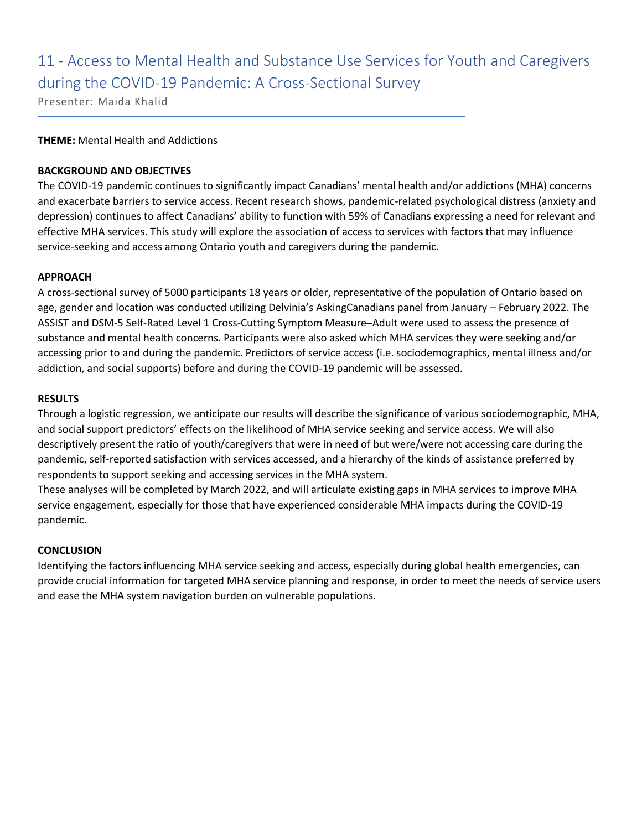## 11 - Access to Mental Health and Substance Use Services for Youth and Caregivers during the COVID-19 Pandemic: A Cross-Sectional Survey

Presenter: Maida Khalid

### **THEME:** Mental Health and Addictions

### **BACKGROUND AND OBJECTIVES**

The COVID-19 pandemic continues to significantly impact Canadians' mental health and/or addictions (MHA) concerns and exacerbate barriers to service access. Recent research shows, pandemic-related psychological distress (anxiety and depression) continues to affect Canadians' ability to function with 59% of Canadians expressing a need for relevant and effective MHA services. This study will explore the association of access to services with factors that may influence service-seeking and access among Ontario youth and caregivers during the pandemic.

### **APPROACH**

A cross-sectional survey of 5000 participants 18 years or older, representative of the population of Ontario based on age, gender and location was conducted utilizing Delvinia's AskingCanadians panel from January – February 2022. The ASSIST and DSM-5 Self-Rated Level 1 Cross-Cutting Symptom Measure–Adult were used to assess the presence of substance and mental health concerns. Participants were also asked which MHA services they were seeking and/or accessing prior to and during the pandemic. Predictors of service access (i.e. sociodemographics, mental illness and/or addiction, and social supports) before and during the COVID-19 pandemic will be assessed.

### **RESULTS**

Through a logistic regression, we anticipate our results will describe the significance of various sociodemographic, MHA, and social support predictors' effects on the likelihood of MHA service seeking and service access. We will also descriptively present the ratio of youth/caregivers that were in need of but were/were not accessing care during the pandemic, self-reported satisfaction with services accessed, and a hierarchy of the kinds of assistance preferred by respondents to support seeking and accessing services in the MHA system.

These analyses will be completed by March 2022, and will articulate existing gaps in MHA services to improve MHA service engagement, especially for those that have experienced considerable MHA impacts during the COVID-19 pandemic.

### **CONCLUSION**

Identifying the factors influencing MHA service seeking and access, especially during global health emergencies, can provide crucial information for targeted MHA service planning and response, in order to meet the needs of service users and ease the MHA system navigation burden on vulnerable populations.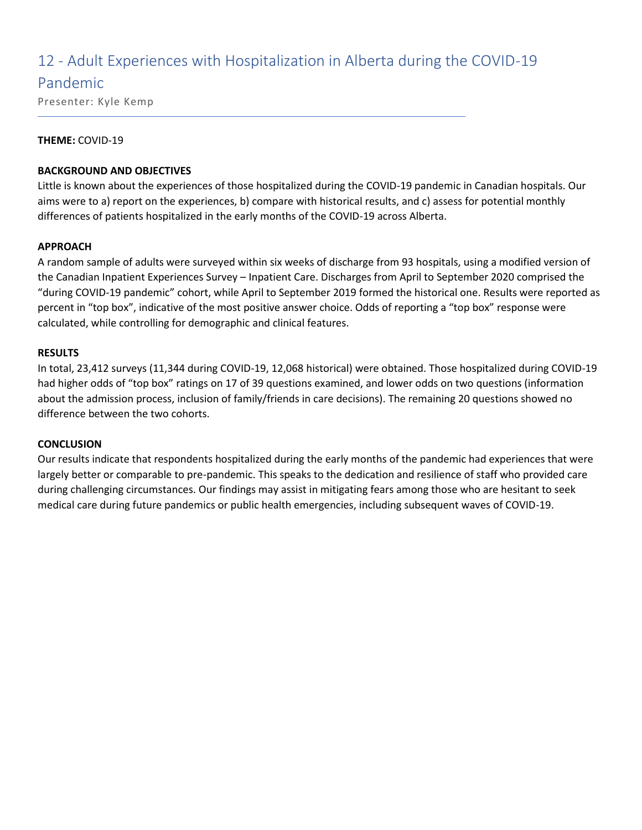### 12 - Adult Experiences with Hospitalization in Alberta during the COVID-19

### Pandemic

Presenter: Kyle Kemp

### **THEME:** COVID-19

### **BACKGROUND AND OBJECTIVES**

Little is known about the experiences of those hospitalized during the COVID-19 pandemic in Canadian hospitals. Our aims were to a) report on the experiences, b) compare with historical results, and c) assess for potential monthly differences of patients hospitalized in the early months of the COVID-19 across Alberta.

### **APPROACH**

A random sample of adults were surveyed within six weeks of discharge from 93 hospitals, using a modified version of the Canadian Inpatient Experiences Survey – Inpatient Care. Discharges from April to September 2020 comprised the "during COVID-19 pandemic" cohort, while April to September 2019 formed the historical one. Results were reported as percent in "top box", indicative of the most positive answer choice. Odds of reporting a "top box" response were calculated, while controlling for demographic and clinical features.

### **RESULTS**

In total, 23,412 surveys (11,344 during COVID-19, 12,068 historical) were obtained. Those hospitalized during COVID-19 had higher odds of "top box" ratings on 17 of 39 questions examined, and lower odds on two questions (information about the admission process, inclusion of family/friends in care decisions). The remaining 20 questions showed no difference between the two cohorts.

### **CONCLUSION**

Our results indicate that respondents hospitalized during the early months of the pandemic had experiences that were largely better or comparable to pre-pandemic. This speaks to the dedication and resilience of staff who provided care during challenging circumstances. Our findings may assist in mitigating fears among those who are hesitant to seek medical care during future pandemics or public health emergencies, including subsequent waves of COVID-19.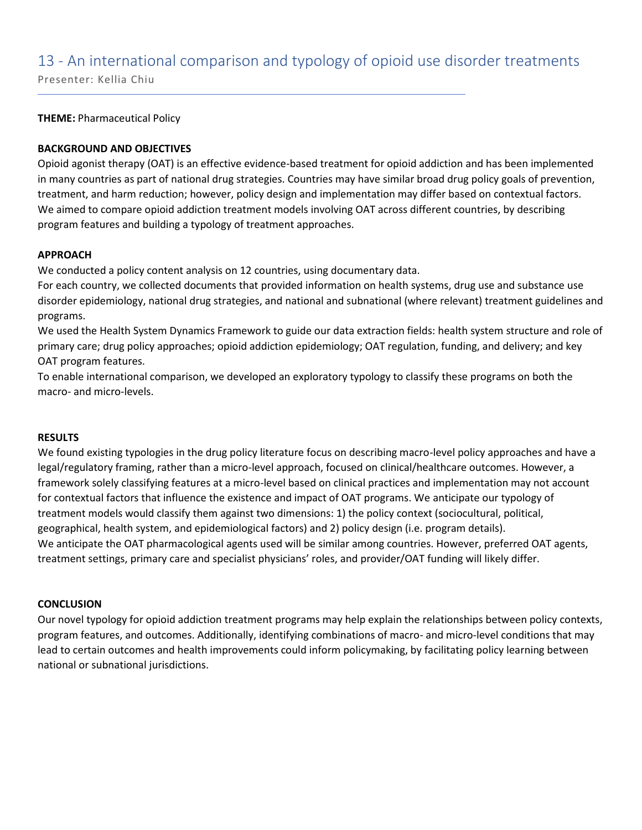### 13 - An international comparison and typology of opioid use disorder treatments

Presenter: Kellia Chiu

**THEME:** Pharmaceutical Policy

### **BACKGROUND AND OBJECTIVES**

Opioid agonist therapy (OAT) is an effective evidence-based treatment for opioid addiction and has been implemented in many countries as part of national drug strategies. Countries may have similar broad drug policy goals of prevention, treatment, and harm reduction; however, policy design and implementation may differ based on contextual factors. We aimed to compare opioid addiction treatment models involving OAT across different countries, by describing program features and building a typology of treatment approaches.

### **APPROACH**

We conducted a policy content analysis on 12 countries, using documentary data.

For each country, we collected documents that provided information on health systems, drug use and substance use disorder epidemiology, national drug strategies, and national and subnational (where relevant) treatment guidelines and programs.

We used the Health System Dynamics Framework to guide our data extraction fields: health system structure and role of primary care; drug policy approaches; opioid addiction epidemiology; OAT regulation, funding, and delivery; and key OAT program features.

To enable international comparison, we developed an exploratory typology to classify these programs on both the macro- and micro-levels.

### **RESULTS**

We found existing typologies in the drug policy literature focus on describing macro-level policy approaches and have a legal/regulatory framing, rather than a micro-level approach, focused on clinical/healthcare outcomes. However, a framework solely classifying features at a micro-level based on clinical practices and implementation may not account for contextual factors that influence the existence and impact of OAT programs. We anticipate our typology of treatment models would classify them against two dimensions: 1) the policy context (sociocultural, political, geographical, health system, and epidemiological factors) and 2) policy design (i.e. program details). We anticipate the OAT pharmacological agents used will be similar among countries. However, preferred OAT agents, treatment settings, primary care and specialist physicians' roles, and provider/OAT funding will likely differ.

### **CONCLUSION**

Our novel typology for opioid addiction treatment programs may help explain the relationships between policy contexts, program features, and outcomes. Additionally, identifying combinations of macro- and micro-level conditions that may lead to certain outcomes and health improvements could inform policymaking, by facilitating policy learning between national or subnational jurisdictions.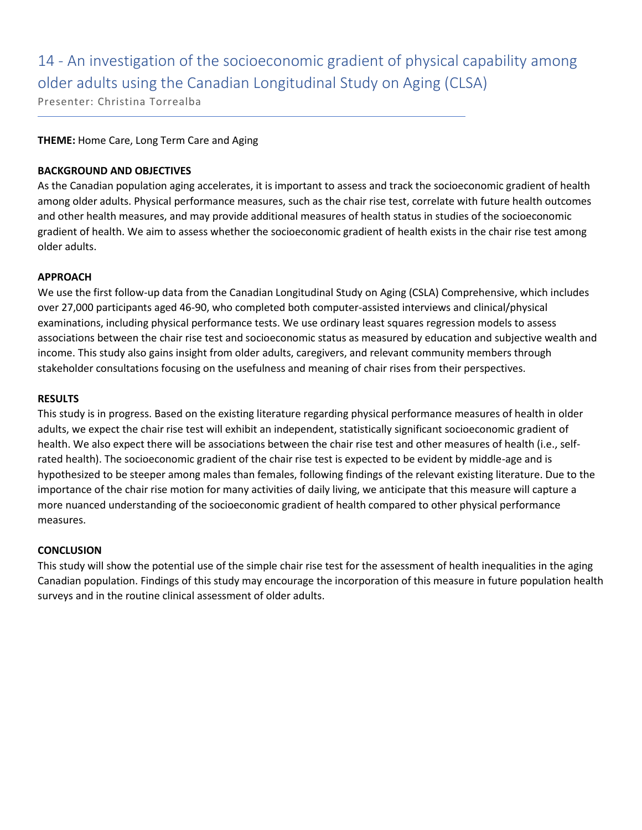## 14 - An investigation of the socioeconomic gradient of physical capability among older adults using the Canadian Longitudinal Study on Aging (CLSA)

Presenter: Christina Torrealba

### **THEME:** Home Care, Long Term Care and Aging

### **BACKGROUND AND OBJECTIVES**

As the Canadian population aging accelerates, it is important to assess and track the socioeconomic gradient of health among older adults. Physical performance measures, such as the chair rise test, correlate with future health outcomes and other health measures, and may provide additional measures of health status in studies of the socioeconomic gradient of health. We aim to assess whether the socioeconomic gradient of health exists in the chair rise test among older adults.

### **APPROACH**

We use the first follow-up data from the Canadian Longitudinal Study on Aging (CSLA) Comprehensive, which includes over 27,000 participants aged 46-90, who completed both computer-assisted interviews and clinical/physical examinations, including physical performance tests. We use ordinary least squares regression models to assess associations between the chair rise test and socioeconomic status as measured by education and subjective wealth and income. This study also gains insight from older adults, caregivers, and relevant community members through stakeholder consultations focusing on the usefulness and meaning of chair rises from their perspectives.

### **RESULTS**

This study is in progress. Based on the existing literature regarding physical performance measures of health in older adults, we expect the chair rise test will exhibit an independent, statistically significant socioeconomic gradient of health. We also expect there will be associations between the chair rise test and other measures of health (i.e., selfrated health). The socioeconomic gradient of the chair rise test is expected to be evident by middle-age and is hypothesized to be steeper among males than females, following findings of the relevant existing literature. Due to the importance of the chair rise motion for many activities of daily living, we anticipate that this measure will capture a more nuanced understanding of the socioeconomic gradient of health compared to other physical performance measures.

### **CONCLUSION**

This study will show the potential use of the simple chair rise test for the assessment of health inequalities in the aging Canadian population. Findings of this study may encourage the incorporation of this measure in future population health surveys and in the routine clinical assessment of older adults.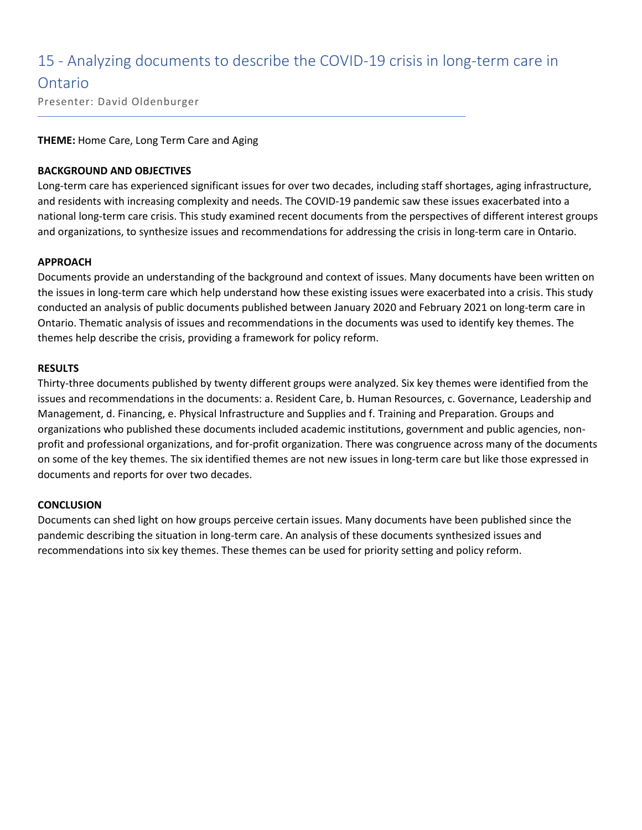### 15 - Analyzing documents to describe the COVID-19 crisis in long-term care in

### Ontario

Presenter: David Oldenburger

### **THEME:** Home Care, Long Term Care and Aging

### **BACKGROUND AND OBJECTIVES**

Long-term care has experienced significant issues for over two decades, including staff shortages, aging infrastructure, and residents with increasing complexity and needs. The COVID-19 pandemic saw these issues exacerbated into a national long-term care crisis. This study examined recent documents from the perspectives of different interest groups and organizations, to synthesize issues and recommendations for addressing the crisis in long-term care in Ontario.

### **APPROACH**

Documents provide an understanding of the background and context of issues. Many documents have been written on the issues in long-term care which help understand how these existing issues were exacerbated into a crisis. This study conducted an analysis of public documents published between January 2020 and February 2021 on long-term care in Ontario. Thematic analysis of issues and recommendations in the documents was used to identify key themes. The themes help describe the crisis, providing a framework for policy reform.

### **RESULTS**

Thirty-three documents published by twenty different groups were analyzed. Six key themes were identified from the issues and recommendations in the documents: a. Resident Care, b. Human Resources, c. Governance, Leadership and Management, d. Financing, e. Physical Infrastructure and Supplies and f. Training and Preparation. Groups and organizations who published these documents included academic institutions, government and public agencies, nonprofit and professional organizations, and for-profit organization. There was congruence across many of the documents on some of the key themes. The six identified themes are not new issues in long-term care but like those expressed in documents and reports for over two decades.

### **CONCLUSION**

Documents can shed light on how groups perceive certain issues. Many documents have been published since the pandemic describing the situation in long-term care. An analysis of these documents synthesized issues and recommendations into six key themes. These themes can be used for priority setting and policy reform.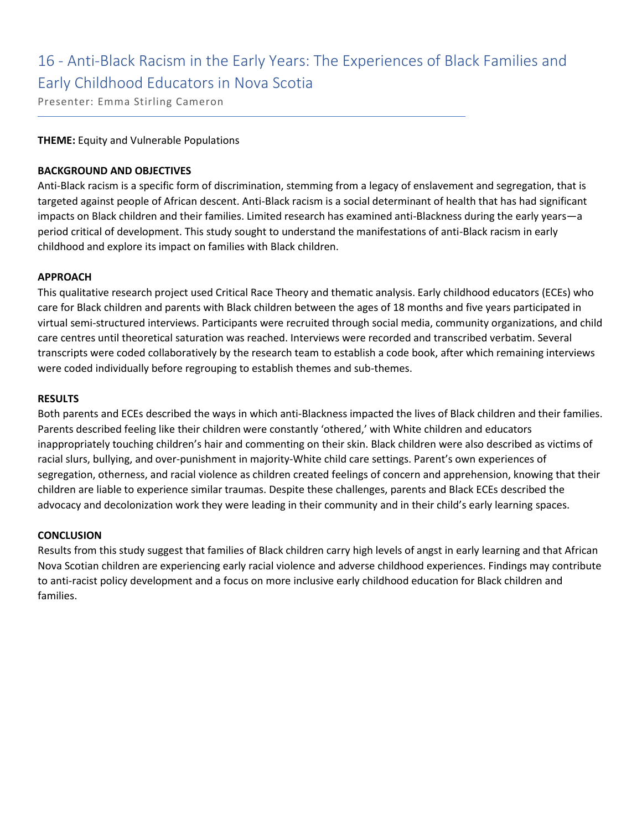## 16 - Anti-Black Racism in the Early Years: The Experiences of Black Families and Early Childhood Educators in Nova Scotia

Presenter: Emma Stirling Cameron

### **THEME:** Equity and Vulnerable Populations

### **BACKGROUND AND OBJECTIVES**

Anti-Black racism is a specific form of discrimination, stemming from a legacy of enslavement and segregation, that is targeted against people of African descent. Anti-Black racism is a social determinant of health that has had significant impacts on Black children and their families. Limited research has examined anti-Blackness during the early years—a period critical of development. This study sought to understand the manifestations of anti-Black racism in early childhood and explore its impact on families with Black children.

### **APPROACH**

This qualitative research project used Critical Race Theory and thematic analysis. Early childhood educators (ECEs) who care for Black children and parents with Black children between the ages of 18 months and five years participated in virtual semi-structured interviews. Participants were recruited through social media, community organizations, and child care centres until theoretical saturation was reached. Interviews were recorded and transcribed verbatim. Several transcripts were coded collaboratively by the research team to establish a code book, after which remaining interviews were coded individually before regrouping to establish themes and sub-themes.

### **RESULTS**

Both parents and ECEs described the ways in which anti-Blackness impacted the lives of Black children and their families. Parents described feeling like their children were constantly 'othered,' with White children and educators inappropriately touching children's hair and commenting on their skin. Black children were also described as victims of racial slurs, bullying, and over-punishment in majority-White child care settings. Parent's own experiences of segregation, otherness, and racial violence as children created feelings of concern and apprehension, knowing that their children are liable to experience similar traumas. Despite these challenges, parents and Black ECEs described the advocacy and decolonization work they were leading in their community and in their child's early learning spaces.

### **CONCLUSION**

Results from this study suggest that families of Black children carry high levels of angst in early learning and that African Nova Scotian children are experiencing early racial violence and adverse childhood experiences. Findings may contribute to anti-racist policy development and a focus on more inclusive early childhood education for Black children and families.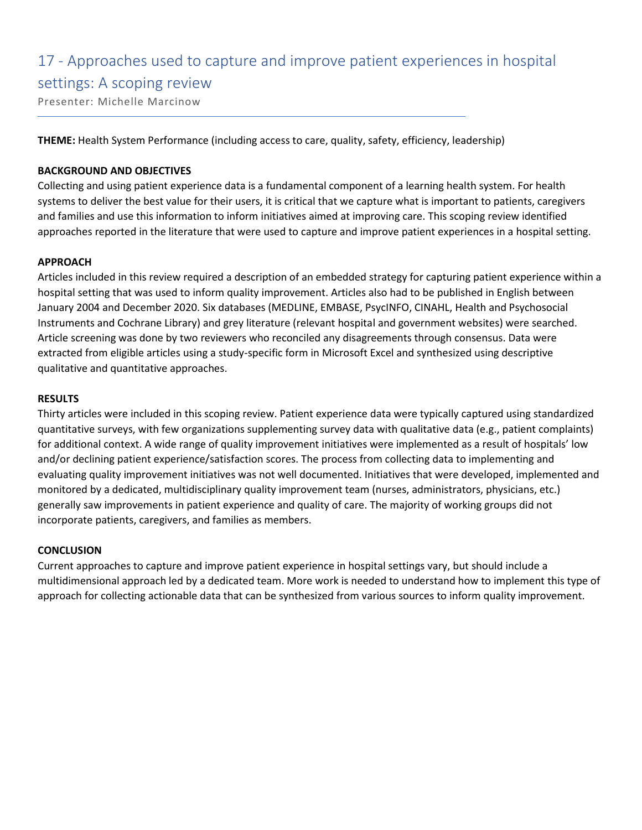# 17 - Approaches used to capture and improve patient experiences in hospital settings: A scoping review

Presenter: Michelle Marcinow

**THEME:** Health System Performance (including access to care, quality, safety, efficiency, leadership)

### **BACKGROUND AND OBJECTIVES**

Collecting and using patient experience data is a fundamental component of a learning health system. For health systems to deliver the best value for their users, it is critical that we capture what is important to patients, caregivers and families and use this information to inform initiatives aimed at improving care. This scoping review identified approaches reported in the literature that were used to capture and improve patient experiences in a hospital setting.

### **APPROACH**

Articles included in this review required a description of an embedded strategy for capturing patient experience within a hospital setting that was used to inform quality improvement. Articles also had to be published in English between January 2004 and December 2020. Six databases (MEDLINE, EMBASE, PsycINFO, CINAHL, Health and Psychosocial Instruments and Cochrane Library) and grey literature (relevant hospital and government websites) were searched. Article screening was done by two reviewers who reconciled any disagreements through consensus. Data were extracted from eligible articles using a study-specific form in Microsoft Excel and synthesized using descriptive qualitative and quantitative approaches.

### **RESULTS**

Thirty articles were included in this scoping review. Patient experience data were typically captured using standardized quantitative surveys, with few organizations supplementing survey data with qualitative data (e.g., patient complaints) for additional context. A wide range of quality improvement initiatives were implemented as a result of hospitals' low and/or declining patient experience/satisfaction scores. The process from collecting data to implementing and evaluating quality improvement initiatives was not well documented. Initiatives that were developed, implemented and monitored by a dedicated, multidisciplinary quality improvement team (nurses, administrators, physicians, etc.) generally saw improvements in patient experience and quality of care. The majority of working groups did not incorporate patients, caregivers, and families as members.

### **CONCLUSION**

Current approaches to capture and improve patient experience in hospital settings vary, but should include a multidimensional approach led by a dedicated team. More work is needed to understand how to implement this type of approach for collecting actionable data that can be synthesized from various sources to inform quality improvement.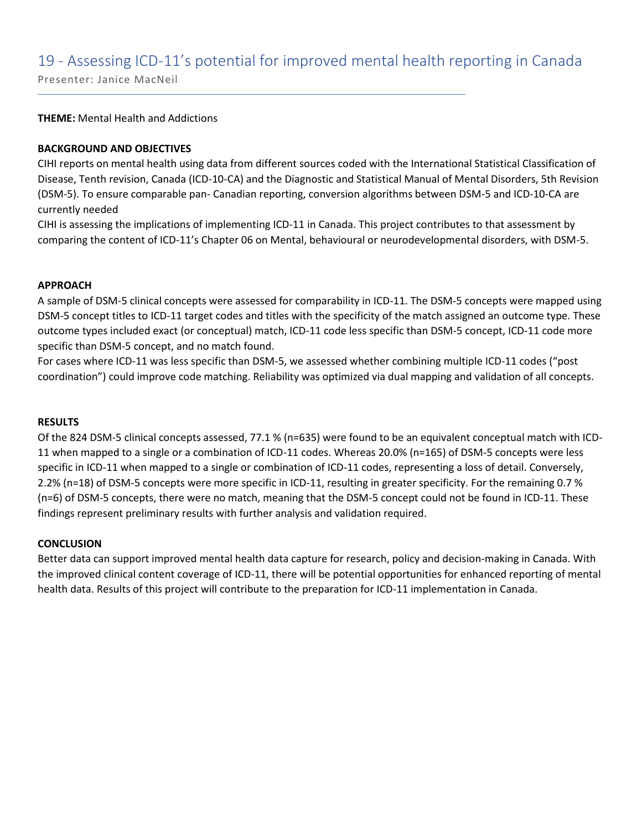### 19 - Assessing ICD-11's potential for improved mental health reporting in Canada

Presenter: Janice MacNeil

**THEME:** Mental Health and Addictions

### **BACKGROUND AND OBJECTIVES**

CIHI reports on mental health using data from different sources coded with the International Statistical Classification of Disease, Tenth revision, Canada (ICD-10-CA) and the Diagnostic and Statistical Manual of Mental Disorders, 5th Revision (DSM-5). To ensure comparable pan- Canadian reporting, conversion algorithms between DSM-5 and ICD-10-CA are currently needed

CIHI is assessing the implications of implementing ICD-11 in Canada. This project contributes to that assessment by comparing the content of ICD-11's Chapter 06 on Mental, behavioural or neurodevelopmental disorders, with DSM-5.

### **APPROACH**

A sample of DSM-5 clinical concepts were assessed for comparability in ICD-11. The DSM-5 concepts were mapped using DSM-5 concept titles to ICD-11 target codes and titles with the specificity of the match assigned an outcome type. These outcome types included exact (or conceptual) match, ICD-11 code less specific than DSM-5 concept, ICD-11 code more specific than DSM-5 concept, and no match found.

For cases where ICD-11 was less specific than DSM-5, we assessed whether combining multiple ICD-11 codes ("post coordination") could improve code matching. Reliability was optimized via dual mapping and validation of all concepts.

### **RESULTS**

Of the 824 DSM-5 clinical concepts assessed, 77.1 % (n=635) were found to be an equivalent conceptual match with ICD-11 when mapped to a single or a combination of ICD-11 codes. Whereas 20.0% (n=165) of DSM-5 concepts were less specific in ICD-11 when mapped to a single or combination of ICD-11 codes, representing a loss of detail. Conversely, 2.2% (n=18) of DSM-5 concepts were more specific in ICD-11, resulting in greater specificity. For the remaining 0.7 % (n=6) of DSM-5 concepts, there were no match, meaning that the DSM-5 concept could not be found in ICD-11. These findings represent preliminary results with further analysis and validation required.

### **CONCLUSION**

Better data can support improved mental health data capture for research, policy and decision-making in Canada. With the improved clinical content coverage of ICD-11, there will be potential opportunities for enhanced reporting of mental health data. Results of this project will contribute to the preparation for ICD-11 implementation in Canada.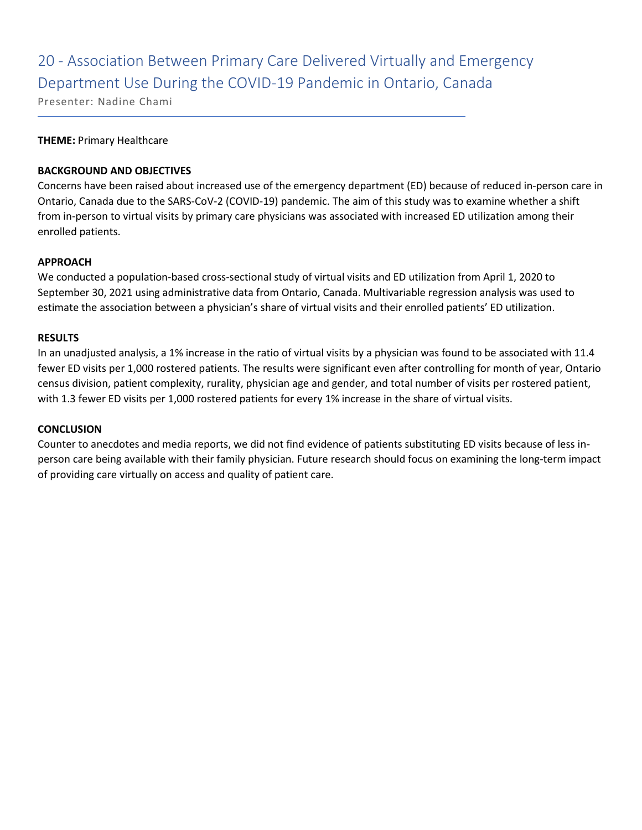### 20 - Association Between Primary Care Delivered Virtually and Emergency Department Use During the COVID-19 Pandemic in Ontario, Canada

Presenter: Nadine Chami

### **THEME:** Primary Healthcare

### **BACKGROUND AND OBJECTIVES**

Concerns have been raised about increased use of the emergency department (ED) because of reduced in-person care in Ontario, Canada due to the SARS-CoV-2 (COVID-19) pandemic. The aim of this study was to examine whether a shift from in-person to virtual visits by primary care physicians was associated with increased ED utilization among their enrolled patients.

### **APPROACH**

We conducted a population-based cross-sectional study of virtual visits and ED utilization from April 1, 2020 to September 30, 2021 using administrative data from Ontario, Canada. Multivariable regression analysis was used to estimate the association between a physician's share of virtual visits and their enrolled patients' ED utilization.

#### **RESULTS**

In an unadjusted analysis, a 1% increase in the ratio of virtual visits by a physician was found to be associated with 11.4 fewer ED visits per 1,000 rostered patients. The results were significant even after controlling for month of year, Ontario census division, patient complexity, rurality, physician age and gender, and total number of visits per rostered patient, with 1.3 fewer ED visits per 1,000 rostered patients for every 1% increase in the share of virtual visits.

### **CONCLUSION**

Counter to anecdotes and media reports, we did not find evidence of patients substituting ED visits because of less inperson care being available with their family physician. Future research should focus on examining the long-term impact of providing care virtually on access and quality of patient care.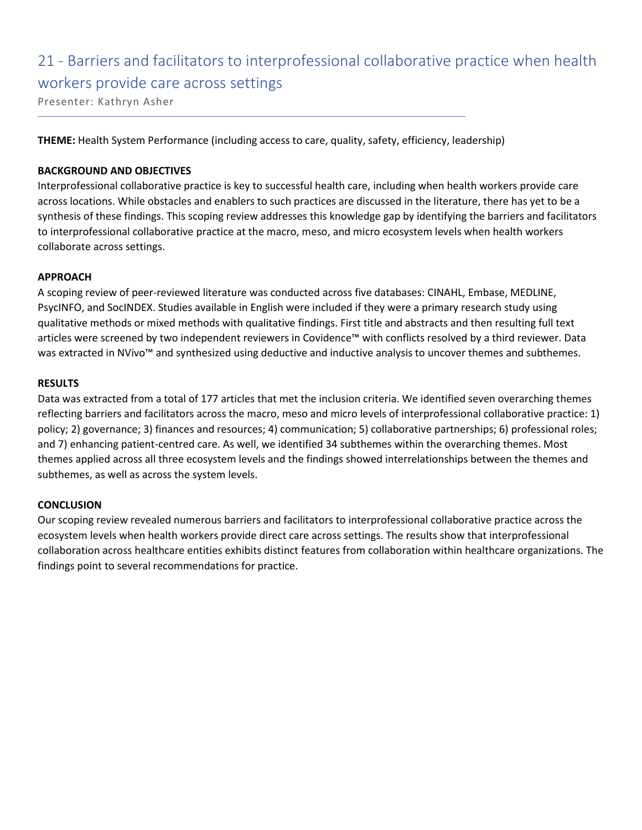# 21 - Barriers and facilitators to interprofessional collaborative practice when health workers provide care across settings

Presenter: Kathryn Asher

**THEME:** Health System Performance (including access to care, quality, safety, efficiency, leadership)

### **BACKGROUND AND OBJECTIVES**

Interprofessional collaborative practice is key to successful health care, including when health workers provide care across locations. While obstacles and enablers to such practices are discussed in the literature, there has yet to be a synthesis of these findings. This scoping review addresses this knowledge gap by identifying the barriers and facilitators to interprofessional collaborative practice at the macro, meso, and micro ecosystem levels when health workers collaborate across settings.

### **APPROACH**

A scoping review of peer-reviewed literature was conducted across five databases: CINAHL, Embase, MEDLINE, PsycINFO, and SocINDEX. Studies available in English were included if they were a primary research study using qualitative methods or mixed methods with qualitative findings. First title and abstracts and then resulting full text articles were screened by two independent reviewers in Covidence™ with conflicts resolved by a third reviewer. Data was extracted in NVivo™ and synthesized using deductive and inductive analysis to uncover themes and subthemes.

### **RESULTS**

Data was extracted from a total of 177 articles that met the inclusion criteria. We identified seven overarching themes reflecting barriers and facilitators across the macro, meso and micro levels of interprofessional collaborative practice: 1) policy; 2) governance; 3) finances and resources; 4) communication; 5) collaborative partnerships; 6) professional roles; and 7) enhancing patient-centred care. As well, we identified 34 subthemes within the overarching themes. Most themes applied across all three ecosystem levels and the findings showed interrelationships between the themes and subthemes, as well as across the system levels.

### **CONCLUSION**

Our scoping review revealed numerous barriers and facilitators to interprofessional collaborative practice across the ecosystem levels when health workers provide direct care across settings. The results show that interprofessional collaboration across healthcare entities exhibits distinct features from collaboration within healthcare organizations. The findings point to several recommendations for practice.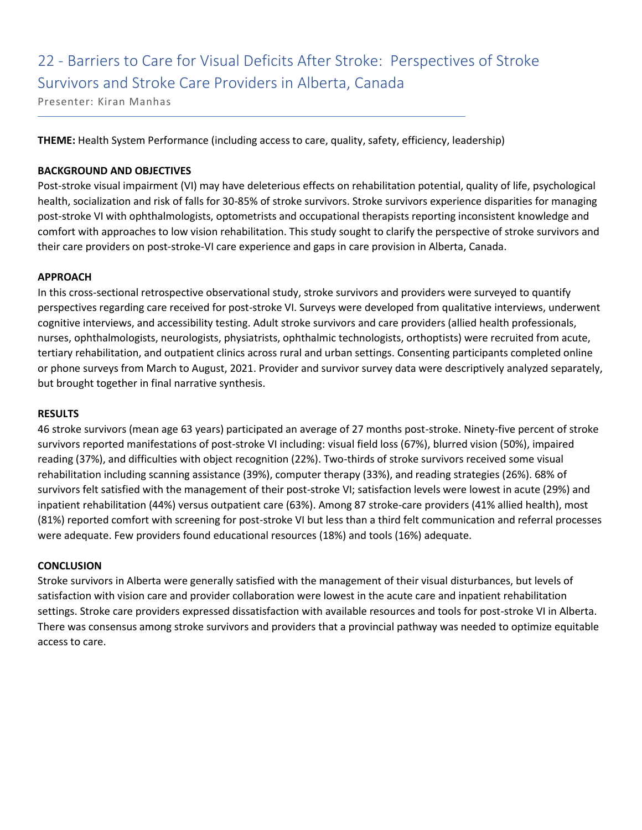## 22 - Barriers to Care for Visual Deficits After Stroke: Perspectives of Stroke Survivors and Stroke Care Providers in Alberta, Canada

Presenter: Kiran Manhas

**THEME:** Health System Performance (including access to care, quality, safety, efficiency, leadership)

### **BACKGROUND AND OBJECTIVES**

Post-stroke visual impairment (VI) may have deleterious effects on rehabilitation potential, quality of life, psychological health, socialization and risk of falls for 30-85% of stroke survivors. Stroke survivors experience disparities for managing post-stroke VI with ophthalmologists, optometrists and occupational therapists reporting inconsistent knowledge and comfort with approaches to low vision rehabilitation. This study sought to clarify the perspective of stroke survivors and their care providers on post-stroke-VI care experience and gaps in care provision in Alberta, Canada.

### **APPROACH**

In this cross-sectional retrospective observational study, stroke survivors and providers were surveyed to quantify perspectives regarding care received for post-stroke VI. Surveys were developed from qualitative interviews, underwent cognitive interviews, and accessibility testing. Adult stroke survivors and care providers (allied health professionals, nurses, ophthalmologists, neurologists, physiatrists, ophthalmic technologists, orthoptists) were recruited from acute, tertiary rehabilitation, and outpatient clinics across rural and urban settings. Consenting participants completed online or phone surveys from March to August, 2021. Provider and survivor survey data were descriptively analyzed separately, but brought together in final narrative synthesis.

### **RESULTS**

46 stroke survivors (mean age 63 years) participated an average of 27 months post-stroke. Ninety-five percent of stroke survivors reported manifestations of post-stroke VI including: visual field loss (67%), blurred vision (50%), impaired reading (37%), and difficulties with object recognition (22%). Two-thirds of stroke survivors received some visual rehabilitation including scanning assistance (39%), computer therapy (33%), and reading strategies (26%). 68% of survivors felt satisfied with the management of their post-stroke VI; satisfaction levels were lowest in acute (29%) and inpatient rehabilitation (44%) versus outpatient care (63%). Among 87 stroke-care providers (41% allied health), most (81%) reported comfort with screening for post-stroke VI but less than a third felt communication and referral processes were adequate. Few providers found educational resources (18%) and tools (16%) adequate.

### **CONCLUSION**

Stroke survivors in Alberta were generally satisfied with the management of their visual disturbances, but levels of satisfaction with vision care and provider collaboration were lowest in the acute care and inpatient rehabilitation settings. Stroke care providers expressed dissatisfaction with available resources and tools for post-stroke VI in Alberta. There was consensus among stroke survivors and providers that a provincial pathway was needed to optimize equitable access to care.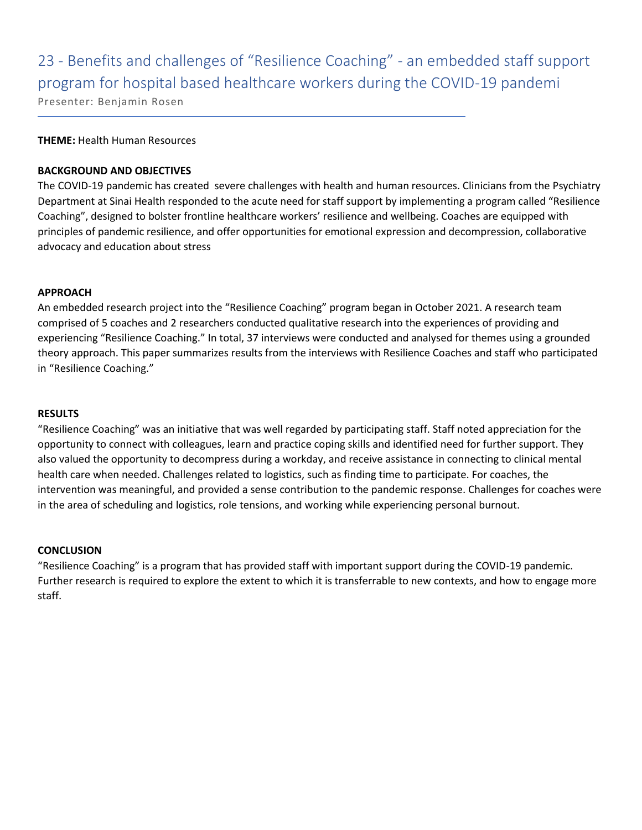# 23 - Benefits and challenges of "Resilience Coaching" - an embedded staff support program for hospital based healthcare workers during the COVID-19 pandemi

Presenter: Benjamin Rosen

### **THEME:** Health Human Resources

### **BACKGROUND AND OBJECTIVES**

The COVID-19 pandemic has created severe challenges with health and human resources. Clinicians from the Psychiatry Department at Sinai Health responded to the acute need for staff support by implementing a program called "Resilience Coaching", designed to bolster frontline healthcare workers' resilience and wellbeing. Coaches are equipped with principles of pandemic resilience, and offer opportunities for emotional expression and decompression, collaborative advocacy and education about stress

### **APPROACH**

An embedded research project into the "Resilience Coaching" program began in October 2021. A research team comprised of 5 coaches and 2 researchers conducted qualitative research into the experiences of providing and experiencing "Resilience Coaching." In total, 37 interviews were conducted and analysed for themes using a grounded theory approach. This paper summarizes results from the interviews with Resilience Coaches and staff who participated in "Resilience Coaching."

### **RESULTS**

"Resilience Coaching" was an initiative that was well regarded by participating staff. Staff noted appreciation for the opportunity to connect with colleagues, learn and practice coping skills and identified need for further support. They also valued the opportunity to decompress during a workday, and receive assistance in connecting to clinical mental health care when needed. Challenges related to logistics, such as finding time to participate. For coaches, the intervention was meaningful, and provided a sense contribution to the pandemic response. Challenges for coaches were in the area of scheduling and logistics, role tensions, and working while experiencing personal burnout.

### **CONCLUSION**

"Resilience Coaching" is a program that has provided staff with important support during the COVID-19 pandemic. Further research is required to explore the extent to which it is transferrable to new contexts, and how to engage more staff.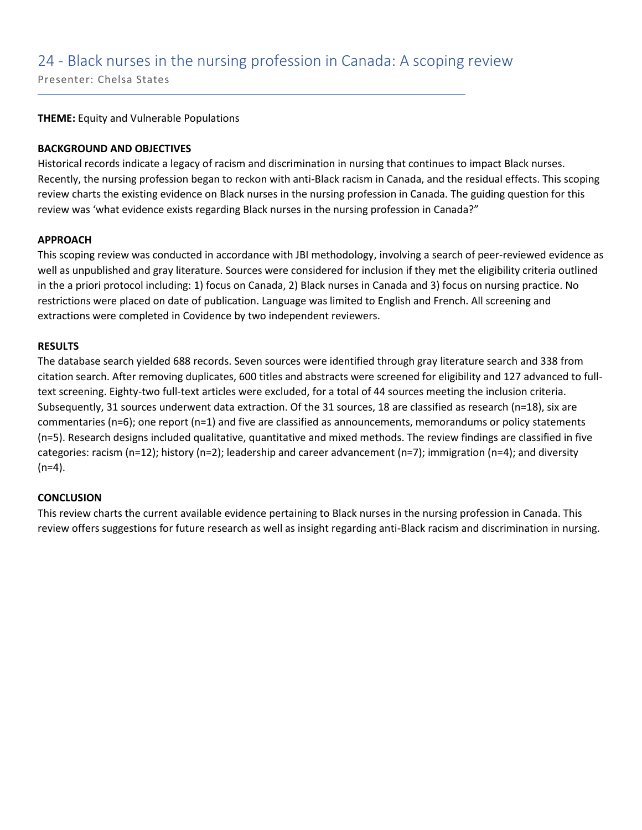### 24 - Black nurses in the nursing profession in Canada: A scoping review

Presenter: Chelsa States

**THEME:** Equity and Vulnerable Populations

### **BACKGROUND AND OBJECTIVES**

Historical records indicate a legacy of racism and discrimination in nursing that continues to impact Black nurses. Recently, the nursing profession began to reckon with anti-Black racism in Canada, and the residual effects. This scoping review charts the existing evidence on Black nurses in the nursing profession in Canada. The guiding question for this review was 'what evidence exists regarding Black nurses in the nursing profession in Canada?"

### **APPROACH**

This scoping review was conducted in accordance with JBI methodology, involving a search of peer-reviewed evidence as well as unpublished and gray literature. Sources were considered for inclusion if they met the eligibility criteria outlined in the a priori protocol including: 1) focus on Canada, 2) Black nurses in Canada and 3) focus on nursing practice. No restrictions were placed on date of publication. Language was limited to English and French. All screening and extractions were completed in Covidence by two independent reviewers.

### **RESULTS**

The database search yielded 688 records. Seven sources were identified through gray literature search and 338 from citation search. After removing duplicates, 600 titles and abstracts were screened for eligibility and 127 advanced to fulltext screening. Eighty-two full-text articles were excluded, for a total of 44 sources meeting the inclusion criteria. Subsequently, 31 sources underwent data extraction. Of the 31 sources, 18 are classified as research (n=18), six are commentaries (n=6); one report (n=1) and five are classified as announcements, memorandums or policy statements (n=5). Research designs included qualitative, quantitative and mixed methods. The review findings are classified in five categories: racism (n=12); history (n=2); leadership and career advancement (n=7); immigration (n=4); and diversity  $(n=4)$ .

### **CONCLUSION**

This review charts the current available evidence pertaining to Black nurses in the nursing profession in Canada. This review offers suggestions for future research as well as insight regarding anti-Black racism and discrimination in nursing.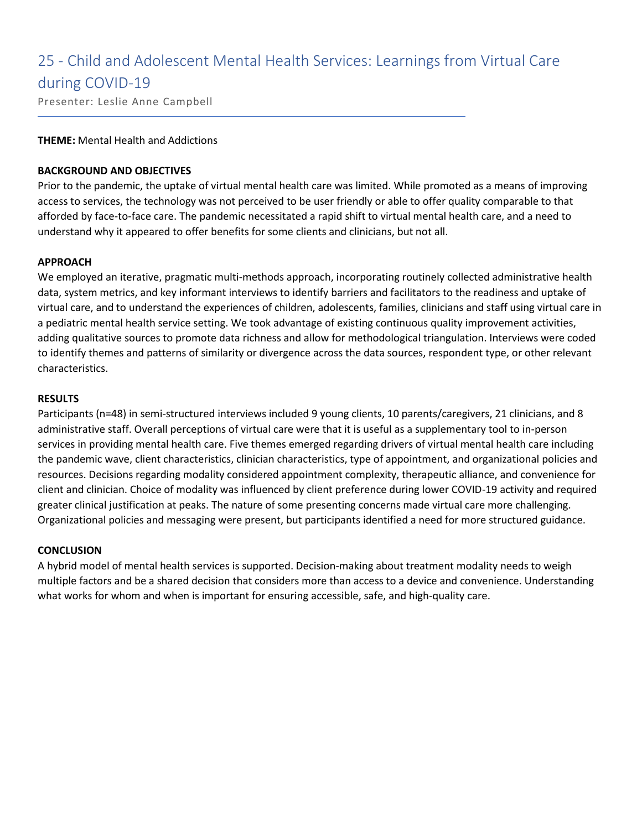## 25 - Child and Adolescent Mental Health Services: Learnings from Virtual Care during COVID-19

Presenter: Leslie Anne Campbell

### **THEME:** Mental Health and Addictions

### **BACKGROUND AND OBJECTIVES**

Prior to the pandemic, the uptake of virtual mental health care was limited. While promoted as a means of improving access to services, the technology was not perceived to be user friendly or able to offer quality comparable to that afforded by face-to-face care. The pandemic necessitated a rapid shift to virtual mental health care, and a need to understand why it appeared to offer benefits for some clients and clinicians, but not all.

### **APPROACH**

We employed an iterative, pragmatic multi-methods approach, incorporating routinely collected administrative health data, system metrics, and key informant interviews to identify barriers and facilitators to the readiness and uptake of virtual care, and to understand the experiences of children, adolescents, families, clinicians and staff using virtual care in a pediatric mental health service setting. We took advantage of existing continuous quality improvement activities, adding qualitative sources to promote data richness and allow for methodological triangulation. Interviews were coded to identify themes and patterns of similarity or divergence across the data sources, respondent type, or other relevant characteristics.

### **RESULTS**

Participants (n=48) in semi-structured interviews included 9 young clients, 10 parents/caregivers, 21 clinicians, and 8 administrative staff. Overall perceptions of virtual care were that it is useful as a supplementary tool to in-person services in providing mental health care. Five themes emerged regarding drivers of virtual mental health care including the pandemic wave, client characteristics, clinician characteristics, type of appointment, and organizational policies and resources. Decisions regarding modality considered appointment complexity, therapeutic alliance, and convenience for client and clinician. Choice of modality was influenced by client preference during lower COVID-19 activity and required greater clinical justification at peaks. The nature of some presenting concerns made virtual care more challenging. Organizational policies and messaging were present, but participants identified a need for more structured guidance.

### **CONCLUSION**

A hybrid model of mental health services is supported. Decision-making about treatment modality needs to weigh multiple factors and be a shared decision that considers more than access to a device and convenience. Understanding what works for whom and when is important for ensuring accessible, safe, and high-quality care.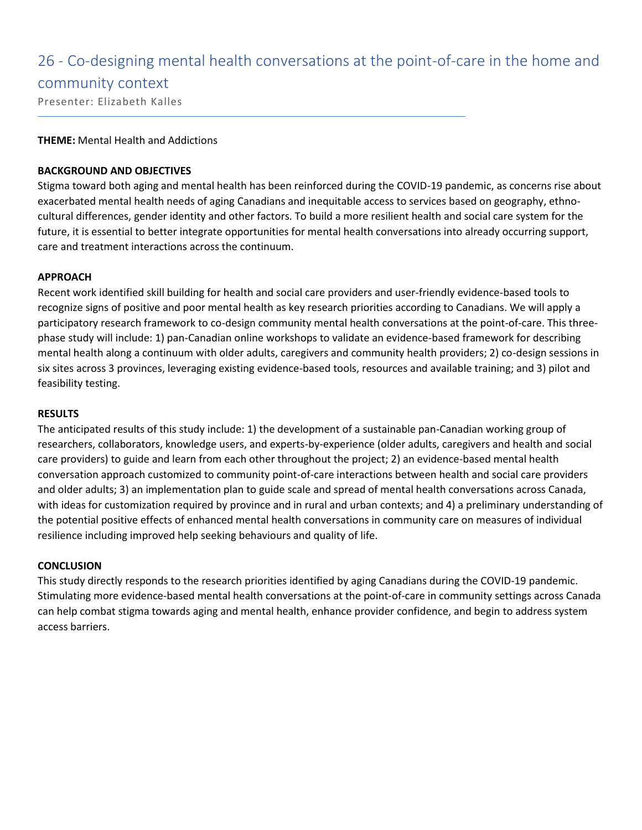### 26 - Co-designing mental health conversations at the point-of-care in the home and

### community context

Presenter: Elizabeth Kalles

### **THEME:** Mental Health and Addictions

### **BACKGROUND AND OBJECTIVES**

Stigma toward both aging and mental health has been reinforced during the COVID-19 pandemic, as concerns rise about exacerbated mental health needs of aging Canadians and inequitable access to services based on geography, ethnocultural differences, gender identity and other factors. To build a more resilient health and social care system for the future, it is essential to better integrate opportunities for mental health conversations into already occurring support, care and treatment interactions across the continuum.

### **APPROACH**

Recent work identified skill building for health and social care providers and user-friendly evidence-based tools to recognize signs of positive and poor mental health as key research priorities according to Canadians. We will apply a participatory research framework to co-design community mental health conversations at the point-of-care. This threephase study will include: 1) pan-Canadian online workshops to validate an evidence-based framework for describing mental health along a continuum with older adults, caregivers and community health providers; 2) co-design sessions in six sites across 3 provinces, leveraging existing evidence-based tools, resources and available training; and 3) pilot and feasibility testing.

#### **RESULTS**

The anticipated results of this study include: 1) the development of a sustainable pan-Canadian working group of researchers, collaborators, knowledge users, and experts-by-experience (older adults, caregivers and health and social care providers) to guide and learn from each other throughout the project; 2) an evidence-based mental health conversation approach customized to community point-of-care interactions between health and social care providers and older adults; 3) an implementation plan to guide scale and spread of mental health conversations across Canada, with ideas for customization required by province and in rural and urban contexts; and 4) a preliminary understanding of the potential positive effects of enhanced mental health conversations in community care on measures of individual resilience including improved help seeking behaviours and quality of life.

### **CONCLUSION**

This study directly responds to the research priorities identified by aging Canadians during the COVID-19 pandemic. Stimulating more evidence-based mental health conversations at the point-of-care in community settings across Canada can help combat stigma towards aging and mental health, enhance provider confidence, and begin to address system access barriers.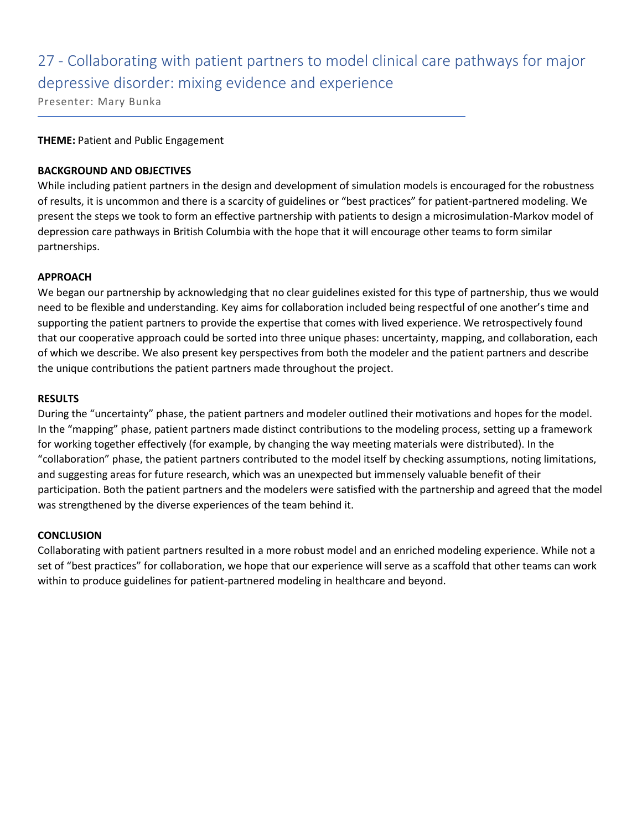## 27 - Collaborating with patient partners to model clinical care pathways for major depressive disorder: mixing evidence and experience

Presenter: Mary Bunka

### **THEME:** Patient and Public Engagement

### **BACKGROUND AND OBJECTIVES**

While including patient partners in the design and development of simulation models is encouraged for the robustness of results, it is uncommon and there is a scarcity of guidelines or "best practices" for patient-partnered modeling. We present the steps we took to form an effective partnership with patients to design a microsimulation-Markov model of depression care pathways in British Columbia with the hope that it will encourage other teams to form similar partnerships.

### **APPROACH**

We began our partnership by acknowledging that no clear guidelines existed for this type of partnership, thus we would need to be flexible and understanding. Key aims for collaboration included being respectful of one another's time and supporting the patient partners to provide the expertise that comes with lived experience. We retrospectively found that our cooperative approach could be sorted into three unique phases: uncertainty, mapping, and collaboration, each of which we describe. We also present key perspectives from both the modeler and the patient partners and describe the unique contributions the patient partners made throughout the project.

### **RESULTS**

During the "uncertainty" phase, the patient partners and modeler outlined their motivations and hopes for the model. In the "mapping" phase, patient partners made distinct contributions to the modeling process, setting up a framework for working together effectively (for example, by changing the way meeting materials were distributed). In the "collaboration" phase, the patient partners contributed to the model itself by checking assumptions, noting limitations, and suggesting areas for future research, which was an unexpected but immensely valuable benefit of their participation. Both the patient partners and the modelers were satisfied with the partnership and agreed that the model was strengthened by the diverse experiences of the team behind it.

### **CONCLUSION**

Collaborating with patient partners resulted in a more robust model and an enriched modeling experience. While not a set of "best practices" for collaboration, we hope that our experience will serve as a scaffold that other teams can work within to produce guidelines for patient-partnered modeling in healthcare and beyond.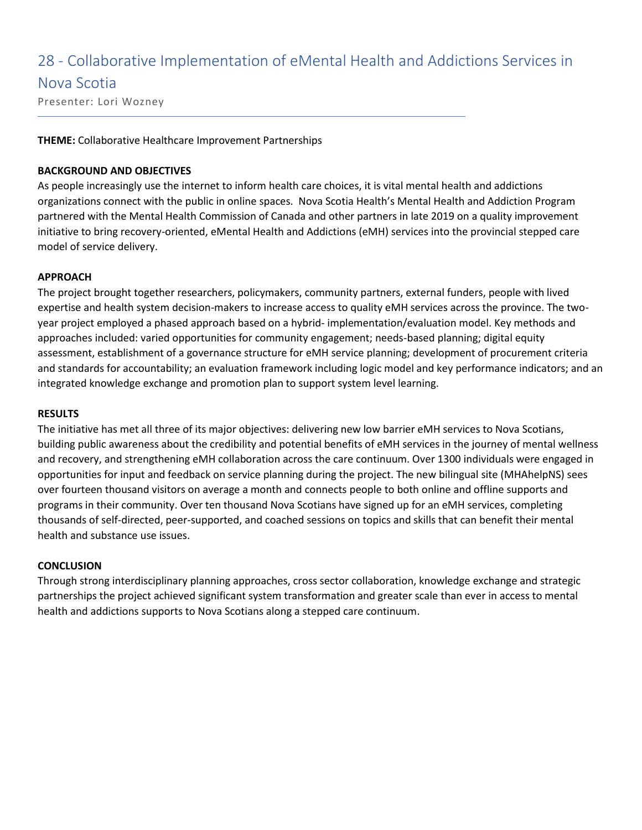### 28 - Collaborative Implementation of eMental Health and Addictions Services in

### Nova Scotia

Presenter: Lori Wozney

### **THEME:** Collaborative Healthcare Improvement Partnerships

### **BACKGROUND AND OBJECTIVES**

As people increasingly use the internet to inform health care choices, it is vital mental health and addictions organizations connect with the public in online spaces. Nova Scotia Health's Mental Health and Addiction Program partnered with the Mental Health Commission of Canada and other partners in late 2019 on a quality improvement initiative to bring recovery-oriented, eMental Health and Addictions (eMH) services into the provincial stepped care model of service delivery.

### **APPROACH**

The project brought together researchers, policymakers, community partners, external funders, people with lived expertise and health system decision-makers to increase access to quality eMH services across the province. The twoyear project employed a phased approach based on a hybrid- implementation/evaluation model. Key methods and approaches included: varied opportunities for community engagement; needs-based planning; digital equity assessment, establishment of a governance structure for eMH service planning; development of procurement criteria and standards for accountability; an evaluation framework including logic model and key performance indicators; and an integrated knowledge exchange and promotion plan to support system level learning.

#### **RESULTS**

The initiative has met all three of its major objectives: delivering new low barrier eMH services to Nova Scotians, building public awareness about the credibility and potential benefits of eMH services in the journey of mental wellness and recovery, and strengthening eMH collaboration across the care continuum. Over 1300 individuals were engaged in opportunities for input and feedback on service planning during the project. The new bilingual site (MHAhelpNS) sees over fourteen thousand visitors on average a month and connects people to both online and offline supports and programs in their community. Over ten thousand Nova Scotians have signed up for an eMH services, completing thousands of self-directed, peer-supported, and coached sessions on topics and skills that can benefit their mental health and substance use issues.

### **CONCLUSION**

Through strong interdisciplinary planning approaches, cross sector collaboration, knowledge exchange and strategic partnerships the project achieved significant system transformation and greater scale than ever in access to mental health and addictions supports to Nova Scotians along a stepped care continuum.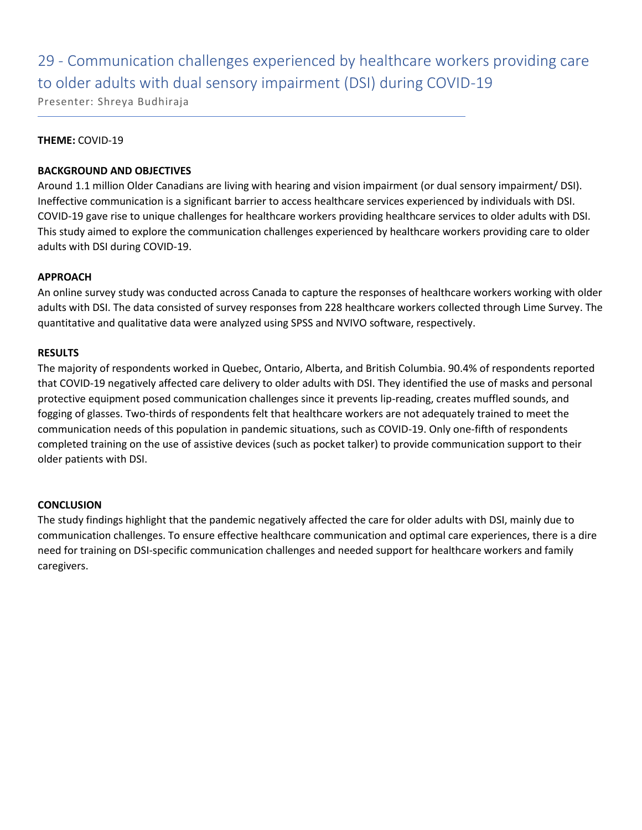## 29 - Communication challenges experienced by healthcare workers providing care to older adults with dual sensory impairment (DSI) during COVID-19

Presenter: Shreya Budhiraja

### **THEME:** COVID-19

### **BACKGROUND AND OBJECTIVES**

Around 1.1 million Older Canadians are living with hearing and vision impairment (or dual sensory impairment/ DSI). Ineffective communication is a significant barrier to access healthcare services experienced by individuals with DSI. COVID-19 gave rise to unique challenges for healthcare workers providing healthcare services to older adults with DSI. This study aimed to explore the communication challenges experienced by healthcare workers providing care to older adults with DSI during COVID-19.

### **APPROACH**

An online survey study was conducted across Canada to capture the responses of healthcare workers working with older adults with DSI. The data consisted of survey responses from 228 healthcare workers collected through Lime Survey. The quantitative and qualitative data were analyzed using SPSS and NVIVO software, respectively.

### **RESULTS**

The majority of respondents worked in Quebec, Ontario, Alberta, and British Columbia. 90.4% of respondents reported that COVID-19 negatively affected care delivery to older adults with DSI. They identified the use of masks and personal protective equipment posed communication challenges since it prevents lip-reading, creates muffled sounds, and fogging of glasses. Two-thirds of respondents felt that healthcare workers are not adequately trained to meet the communication needs of this population in pandemic situations, such as COVID-19. Only one-fifth of respondents completed training on the use of assistive devices (such as pocket talker) to provide communication support to their older patients with DSI.

### **CONCLUSION**

The study findings highlight that the pandemic negatively affected the care for older adults with DSI, mainly due to communication challenges. To ensure effective healthcare communication and optimal care experiences, there is a dire need for training on DSI-specific communication challenges and needed support for healthcare workers and family caregivers.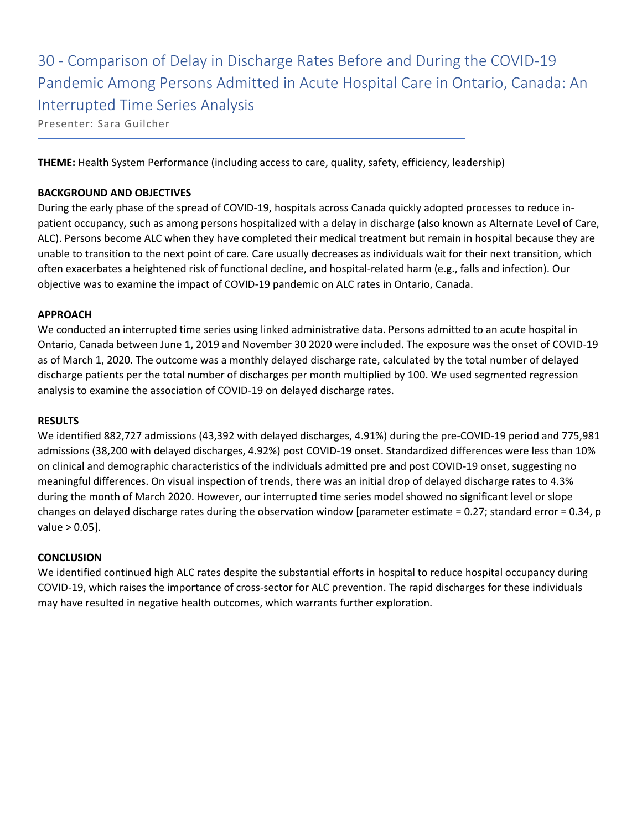## 30 - Comparison of Delay in Discharge Rates Before and During the COVID-19 Pandemic Among Persons Admitted in Acute Hospital Care in Ontario, Canada: An Interrupted Time Series Analysis

Presenter: Sara Guilcher

**THEME:** Health System Performance (including access to care, quality, safety, efficiency, leadership)

### **BACKGROUND AND OBJECTIVES**

During the early phase of the spread of COVID-19, hospitals across Canada quickly adopted processes to reduce inpatient occupancy, such as among persons hospitalized with a delay in discharge (also known as Alternate Level of Care, ALC). Persons become ALC when they have completed their medical treatment but remain in hospital because they are unable to transition to the next point of care. Care usually decreases as individuals wait for their next transition, which often exacerbates a heightened risk of functional decline, and hospital-related harm (e.g., falls and infection). Our objective was to examine the impact of COVID-19 pandemic on ALC rates in Ontario, Canada.

### **APPROACH**

We conducted an interrupted time series using linked administrative data. Persons admitted to an acute hospital in Ontario, Canada between June 1, 2019 and November 30 2020 were included. The exposure was the onset of COVID-19 as of March 1, 2020. The outcome was a monthly delayed discharge rate, calculated by the total number of delayed discharge patients per the total number of discharges per month multiplied by 100. We used segmented regression analysis to examine the association of COVID-19 on delayed discharge rates.

### **RESULTS**

We identified 882,727 admissions (43,392 with delayed discharges, 4.91%) during the pre-COVID-19 period and 775,981 admissions (38,200 with delayed discharges, 4.92%) post COVID-19 onset. Standardized differences were less than 10% on clinical and demographic characteristics of the individuals admitted pre and post COVID-19 onset, suggesting no meaningful differences. On visual inspection of trends, there was an initial drop of delayed discharge rates to 4.3% during the month of March 2020. However, our interrupted time series model showed no significant level or slope changes on delayed discharge rates during the observation window [parameter estimate = 0.27; standard error = 0.34, p value > 0.05].

### **CONCLUSION**

We identified continued high ALC rates despite the substantial efforts in hospital to reduce hospital occupancy during COVID-19, which raises the importance of cross-sector for ALC prevention. The rapid discharges for these individuals may have resulted in negative health outcomes, which warrants further exploration.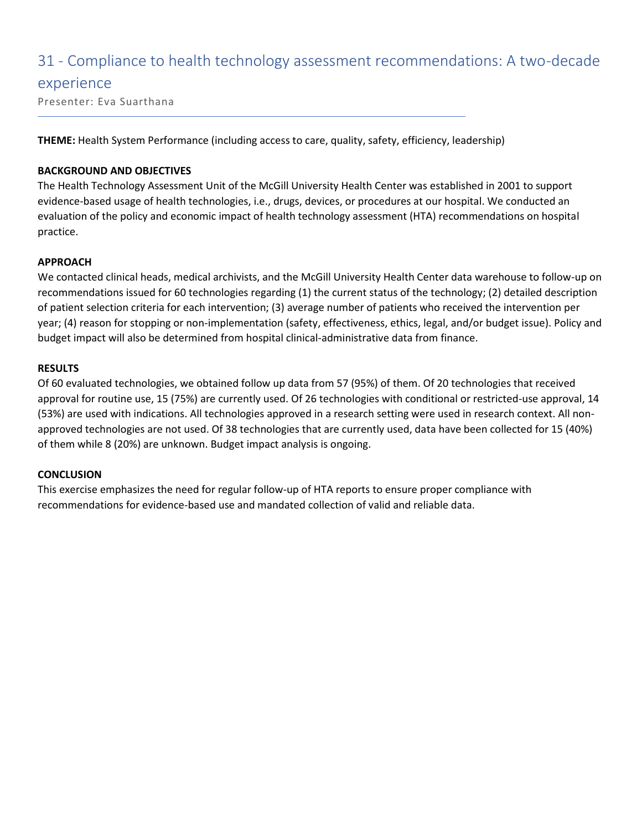### 31 - Compliance to health technology assessment recommendations: A two-decade

### experience

Presenter: Eva Suarthana

**THEME:** Health System Performance (including access to care, quality, safety, efficiency, leadership)

### **BACKGROUND AND OBJECTIVES**

The Health Technology Assessment Unit of the McGill University Health Center was established in 2001 to support evidence-based usage of health technologies, i.e., drugs, devices, or procedures at our hospital. We conducted an evaluation of the policy and economic impact of health technology assessment (HTA) recommendations on hospital practice.

### **APPROACH**

We contacted clinical heads, medical archivists, and the McGill University Health Center data warehouse to follow-up on recommendations issued for 60 technologies regarding (1) the current status of the technology; (2) detailed description of patient selection criteria for each intervention; (3) average number of patients who received the intervention per year; (4) reason for stopping or non-implementation (safety, effectiveness, ethics, legal, and/or budget issue). Policy and budget impact will also be determined from hospital clinical-administrative data from finance.

### **RESULTS**

Of 60 evaluated technologies, we obtained follow up data from 57 (95%) of them. Of 20 technologies that received approval for routine use, 15 (75%) are currently used. Of 26 technologies with conditional or restricted-use approval, 14 (53%) are used with indications. All technologies approved in a research setting were used in research context. All nonapproved technologies are not used. Of 38 technologies that are currently used, data have been collected for 15 (40%) of them while 8 (20%) are unknown. Budget impact analysis is ongoing.

### **CONCLUSION**

This exercise emphasizes the need for regular follow-up of HTA reports to ensure proper compliance with recommendations for evidence-based use and mandated collection of valid and reliable data.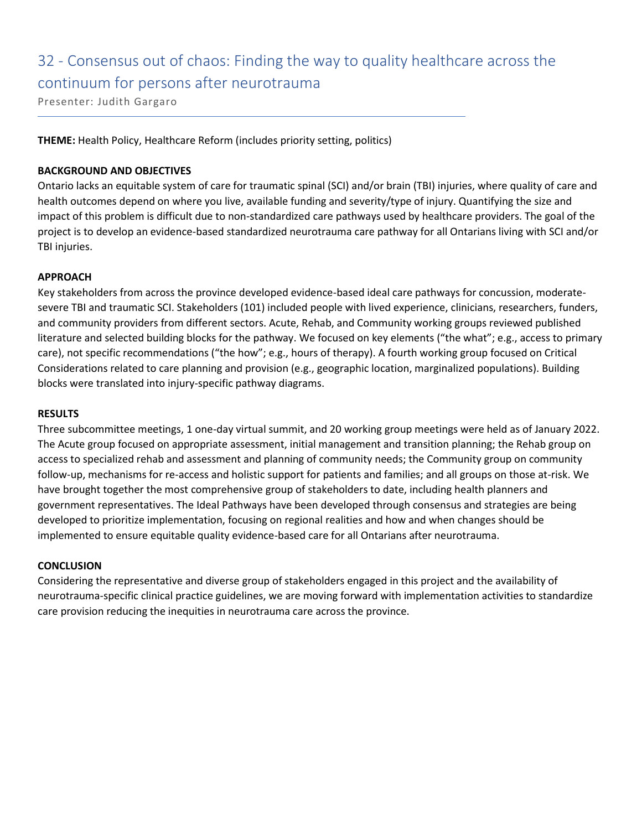# 32 - Consensus out of chaos: Finding the way to quality healthcare across the continuum for persons after neurotrauma

Presenter: Judith Gargaro

**THEME:** Health Policy, Healthcare Reform (includes priority setting, politics)

### **BACKGROUND AND OBJECTIVES**

Ontario lacks an equitable system of care for traumatic spinal (SCI) and/or brain (TBI) injuries, where quality of care and health outcomes depend on where you live, available funding and severity/type of injury. Quantifying the size and impact of this problem is difficult due to non-standardized care pathways used by healthcare providers. The goal of the project is to develop an evidence-based standardized neurotrauma care pathway for all Ontarians living with SCI and/or TBI injuries.

### **APPROACH**

Key stakeholders from across the province developed evidence-based ideal care pathways for concussion, moderatesevere TBI and traumatic SCI. Stakeholders (101) included people with lived experience, clinicians, researchers, funders, and community providers from different sectors. Acute, Rehab, and Community working groups reviewed published literature and selected building blocks for the pathway. We focused on key elements ("the what"; e.g., access to primary care), not specific recommendations ("the how"; e.g., hours of therapy). A fourth working group focused on Critical Considerations related to care planning and provision (e.g., geographic location, marginalized populations). Building blocks were translated into injury-specific pathway diagrams.

### **RESULTS**

Three subcommittee meetings, 1 one-day virtual summit, and 20 working group meetings were held as of January 2022. The Acute group focused on appropriate assessment, initial management and transition planning; the Rehab group on access to specialized rehab and assessment and planning of community needs; the Community group on community follow-up, mechanisms for re-access and holistic support for patients and families; and all groups on those at-risk. We have brought together the most comprehensive group of stakeholders to date, including health planners and government representatives. The Ideal Pathways have been developed through consensus and strategies are being developed to prioritize implementation, focusing on regional realities and how and when changes should be implemented to ensure equitable quality evidence-based care for all Ontarians after neurotrauma.

### **CONCLUSION**

Considering the representative and diverse group of stakeholders engaged in this project and the availability of neurotrauma-specific clinical practice guidelines, we are moving forward with implementation activities to standardize care provision reducing the inequities in neurotrauma care across the province.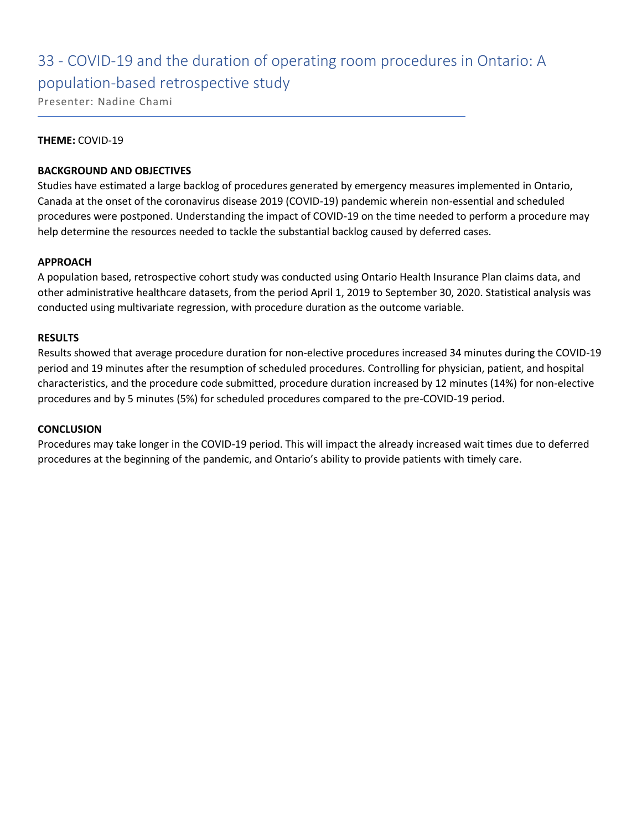# 33 - COVID-19 and the duration of operating room procedures in Ontario: A

### population-based retrospective study

Presenter: Nadine Chami

### **THEME:** COVID-19

### **BACKGROUND AND OBJECTIVES**

Studies have estimated a large backlog of procedures generated by emergency measures implemented in Ontario, Canada at the onset of the coronavirus disease 2019 (COVID-19) pandemic wherein non-essential and scheduled procedures were postponed. Understanding the impact of COVID-19 on the time needed to perform a procedure may help determine the resources needed to tackle the substantial backlog caused by deferred cases.

### **APPROACH**

A population based, retrospective cohort study was conducted using Ontario Health Insurance Plan claims data, and other administrative healthcare datasets, from the period April 1, 2019 to September 30, 2020. Statistical analysis was conducted using multivariate regression, with procedure duration as the outcome variable.

### **RESULTS**

Results showed that average procedure duration for non-elective procedures increased 34 minutes during the COVID-19 period and 19 minutes after the resumption of scheduled procedures. Controlling for physician, patient, and hospital characteristics, and the procedure code submitted, procedure duration increased by 12 minutes (14%) for non-elective procedures and by 5 minutes (5%) for scheduled procedures compared to the pre-COVID-19 period.

### **CONCLUSION**

Procedures may take longer in the COVID-19 period. This will impact the already increased wait times due to deferred procedures at the beginning of the pandemic, and Ontario's ability to provide patients with timely care.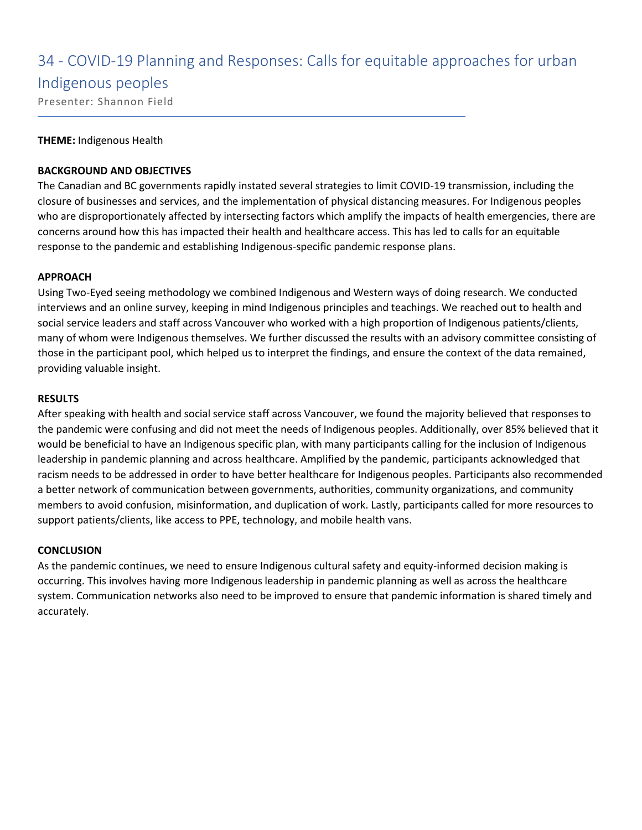### 34 - COVID-19 Planning and Responses: Calls for equitable approaches for urban

### Indigenous peoples

Presenter: Shannon Field

### **THEME:** Indigenous Health

### **BACKGROUND AND OBJECTIVES**

The Canadian and BC governments rapidly instated several strategies to limit COVID-19 transmission, including the closure of businesses and services, and the implementation of physical distancing measures. For Indigenous peoples who are disproportionately affected by intersecting factors which amplify the impacts of health emergencies, there are concerns around how this has impacted their health and healthcare access. This has led to calls for an equitable response to the pandemic and establishing Indigenous-specific pandemic response plans.

### **APPROACH**

Using Two-Eyed seeing methodology we combined Indigenous and Western ways of doing research. We conducted interviews and an online survey, keeping in mind Indigenous principles and teachings. We reached out to health and social service leaders and staff across Vancouver who worked with a high proportion of Indigenous patients/clients, many of whom were Indigenous themselves. We further discussed the results with an advisory committee consisting of those in the participant pool, which helped us to interpret the findings, and ensure the context of the data remained, providing valuable insight.

### **RESULTS**

After speaking with health and social service staff across Vancouver, we found the majority believed that responses to the pandemic were confusing and did not meet the needs of Indigenous peoples. Additionally, over 85% believed that it would be beneficial to have an Indigenous specific plan, with many participants calling for the inclusion of Indigenous leadership in pandemic planning and across healthcare. Amplified by the pandemic, participants acknowledged that racism needs to be addressed in order to have better healthcare for Indigenous peoples. Participants also recommended a better network of communication between governments, authorities, community organizations, and community members to avoid confusion, misinformation, and duplication of work. Lastly, participants called for more resources to support patients/clients, like access to PPE, technology, and mobile health vans.

### **CONCLUSION**

As the pandemic continues, we need to ensure Indigenous cultural safety and equity-informed decision making is occurring. This involves having more Indigenous leadership in pandemic planning as well as across the healthcare system. Communication networks also need to be improved to ensure that pandemic information is shared timely and accurately.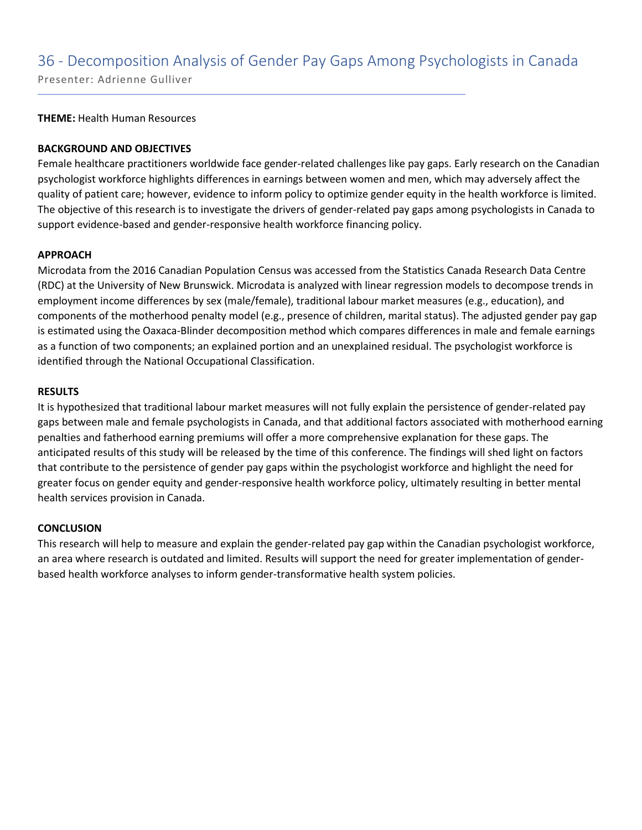### 36 - Decomposition Analysis of Gender Pay Gaps Among Psychologists in Canada

Presenter: Adrienne Gulliver

**THEME:** Health Human Resources

### **BACKGROUND AND OBJECTIVES**

Female healthcare practitioners worldwide face gender-related challenges like pay gaps. Early research on the Canadian psychologist workforce highlights differences in earnings between women and men, which may adversely affect the quality of patient care; however, evidence to inform policy to optimize gender equity in the health workforce is limited. The objective of this research is to investigate the drivers of gender-related pay gaps among psychologists in Canada to support evidence-based and gender-responsive health workforce financing policy.

### **APPROACH**

Microdata from the 2016 Canadian Population Census was accessed from the Statistics Canada Research Data Centre (RDC) at the University of New Brunswick. Microdata is analyzed with linear regression models to decompose trends in employment income differences by sex (male/female), traditional labour market measures (e.g., education), and components of the motherhood penalty model (e.g., presence of children, marital status). The adjusted gender pay gap is estimated using the Oaxaca-Blinder decomposition method which compares differences in male and female earnings as a function of two components; an explained portion and an unexplained residual. The psychologist workforce is identified through the National Occupational Classification.

### **RESULTS**

It is hypothesized that traditional labour market measures will not fully explain the persistence of gender-related pay gaps between male and female psychologists in Canada, and that additional factors associated with motherhood earning penalties and fatherhood earning premiums will offer a more comprehensive explanation for these gaps. The anticipated results of this study will be released by the time of this conference. The findings will shed light on factors that contribute to the persistence of gender pay gaps within the psychologist workforce and highlight the need for greater focus on gender equity and gender-responsive health workforce policy, ultimately resulting in better mental health services provision in Canada.

### **CONCLUSION**

This research will help to measure and explain the gender-related pay gap within the Canadian psychologist workforce, an area where research is outdated and limited. Results will support the need for greater implementation of genderbased health workforce analyses to inform gender-transformative health system policies.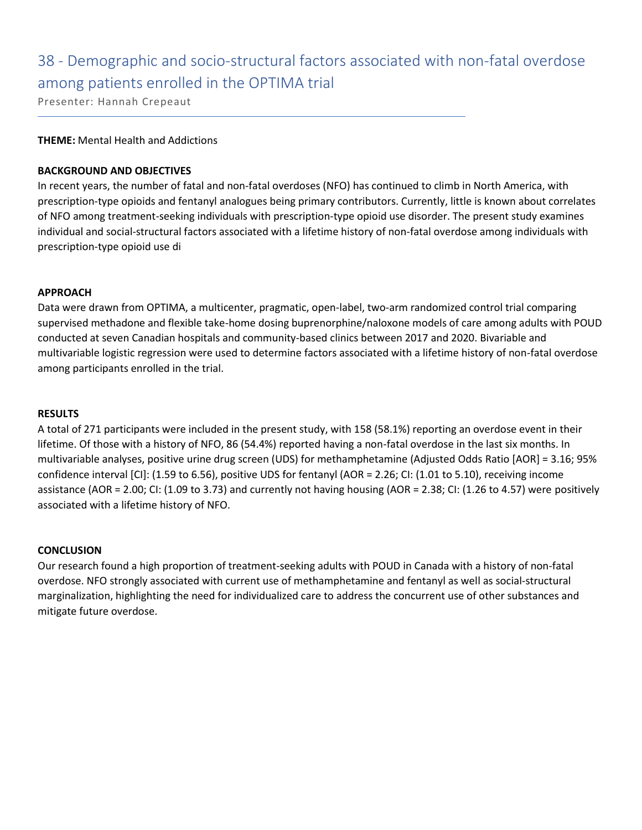### 38 - Demographic and socio-structural factors associated with non-fatal overdose among patients enrolled in the OPTIMA trial

Presenter: Hannah Crepeaut

### **THEME:** Mental Health and Addictions

### **BACKGROUND AND OBJECTIVES**

In recent years, the number of fatal and non-fatal overdoses (NFO) has continued to climb in North America, with prescription-type opioids and fentanyl analogues being primary contributors. Currently, little is known about correlates of NFO among treatment-seeking individuals with prescription-type opioid use disorder. The present study examines individual and social-structural factors associated with a lifetime history of non-fatal overdose among individuals with prescription-type opioid use di

### **APPROACH**

Data were drawn from OPTIMA, a multicenter, pragmatic, open-label, two-arm randomized control trial comparing supervised methadone and flexible take-home dosing buprenorphine/naloxone models of care among adults with POUD conducted at seven Canadian hospitals and community-based clinics between 2017 and 2020. Bivariable and multivariable logistic regression were used to determine factors associated with a lifetime history of non-fatal overdose among participants enrolled in the trial.

#### **RESULTS**

A total of 271 participants were included in the present study, with 158 (58.1%) reporting an overdose event in their lifetime. Of those with a history of NFO, 86 (54.4%) reported having a non-fatal overdose in the last six months. In multivariable analyses, positive urine drug screen (UDS) for methamphetamine (Adjusted Odds Ratio [AOR] = 3.16; 95% confidence interval [CI]: (1.59 to 6.56), positive UDS for fentanyl (AOR = 2.26; CI: (1.01 to 5.10), receiving income assistance (AOR = 2.00; CI: (1.09 to 3.73) and currently not having housing (AOR = 2.38; CI: (1.26 to 4.57) were positively associated with a lifetime history of NFO.

### **CONCLUSION**

Our research found a high proportion of treatment-seeking adults with POUD in Canada with a history of non-fatal overdose. NFO strongly associated with current use of methamphetamine and fentanyl as well as social-structural marginalization, highlighting the need for individualized care to address the concurrent use of other substances and mitigate future overdose.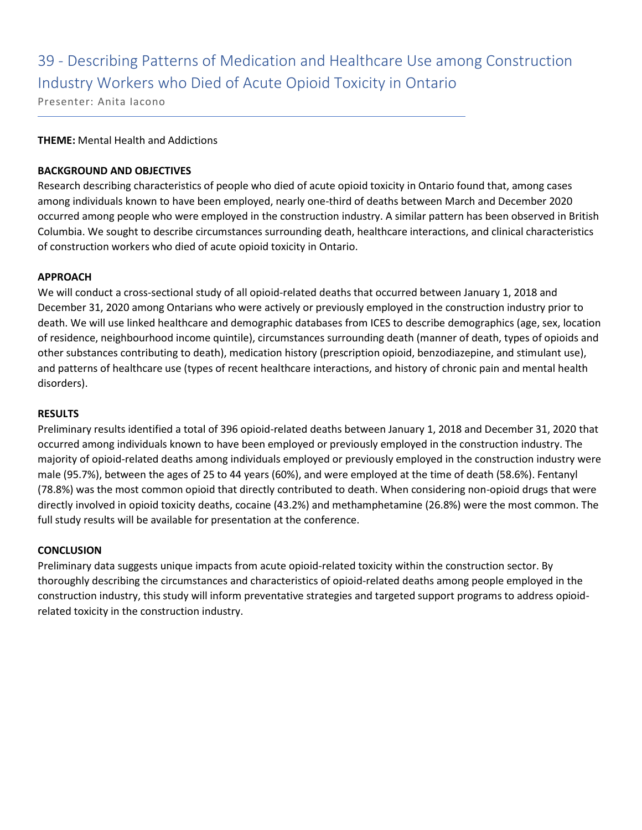## 39 - Describing Patterns of Medication and Healthcare Use among Construction Industry Workers who Died of Acute Opioid Toxicity in Ontario

Presenter: Anita Iacono

### **THEME:** Mental Health and Addictions

### **BACKGROUND AND OBJECTIVES**

Research describing characteristics of people who died of acute opioid toxicity in Ontario found that, among cases among individuals known to have been employed, nearly one-third of deaths between March and December 2020 occurred among people who were employed in the construction industry. A similar pattern has been observed in British Columbia. We sought to describe circumstances surrounding death, healthcare interactions, and clinical characteristics of construction workers who died of acute opioid toxicity in Ontario.

### **APPROACH**

We will conduct a cross-sectional study of all opioid-related deaths that occurred between January 1, 2018 and December 31, 2020 among Ontarians who were actively or previously employed in the construction industry prior to death. We will use linked healthcare and demographic databases from ICES to describe demographics (age, sex, location of residence, neighbourhood income quintile), circumstances surrounding death (manner of death, types of opioids and other substances contributing to death), medication history (prescription opioid, benzodiazepine, and stimulant use), and patterns of healthcare use (types of recent healthcare interactions, and history of chronic pain and mental health disorders).

### **RESULTS**

Preliminary results identified a total of 396 opioid-related deaths between January 1, 2018 and December 31, 2020 that occurred among individuals known to have been employed or previously employed in the construction industry. The majority of opioid-related deaths among individuals employed or previously employed in the construction industry were male (95.7%), between the ages of 25 to 44 years (60%), and were employed at the time of death (58.6%). Fentanyl (78.8%) was the most common opioid that directly contributed to death. When considering non-opioid drugs that were directly involved in opioid toxicity deaths, cocaine (43.2%) and methamphetamine (26.8%) were the most common. The full study results will be available for presentation at the conference.

### **CONCLUSION**

Preliminary data suggests unique impacts from acute opioid-related toxicity within the construction sector. By thoroughly describing the circumstances and characteristics of opioid-related deaths among people employed in the construction industry, this study will inform preventative strategies and targeted support programs to address opioidrelated toxicity in the construction industry.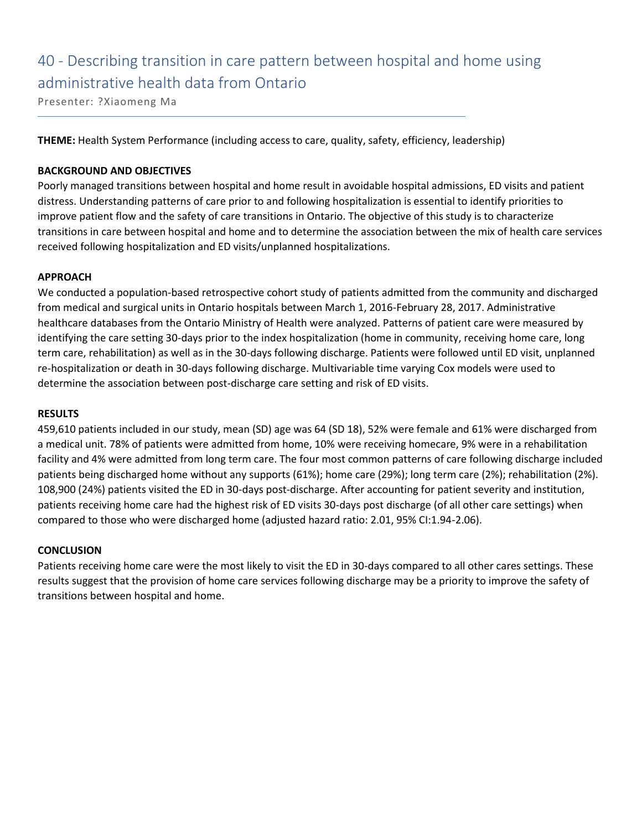# 40 - Describing transition in care pattern between hospital and home using administrative health data from Ontario

Presenter: ?Xiaomeng Ma

**THEME:** Health System Performance (including access to care, quality, safety, efficiency, leadership)

### **BACKGROUND AND OBJECTIVES**

Poorly managed transitions between hospital and home result in avoidable hospital admissions, ED visits and patient distress. Understanding patterns of care prior to and following hospitalization is essential to identify priorities to improve patient flow and the safety of care transitions in Ontario. The objective of this study is to characterize transitions in care between hospital and home and to determine the association between the mix of health care services received following hospitalization and ED visits/unplanned hospitalizations.

### **APPROACH**

We conducted a population-based retrospective cohort study of patients admitted from the community and discharged from medical and surgical units in Ontario hospitals between March 1, 2016-February 28, 2017. Administrative healthcare databases from the Ontario Ministry of Health were analyzed. Patterns of patient care were measured by identifying the care setting 30-days prior to the index hospitalization (home in community, receiving home care, long term care, rehabilitation) as well as in the 30-days following discharge. Patients were followed until ED visit, unplanned re-hospitalization or death in 30-days following discharge. Multivariable time varying Cox models were used to determine the association between post-discharge care setting and risk of ED visits.

### **RESULTS**

459,610 patients included in our study, mean (SD) age was 64 (SD 18), 52% were female and 61% were discharged from a medical unit. 78% of patients were admitted from home, 10% were receiving homecare, 9% were in a rehabilitation facility and 4% were admitted from long term care. The four most common patterns of care following discharge included patients being discharged home without any supports (61%); home care (29%); long term care (2%); rehabilitation (2%). 108,900 (24%) patients visited the ED in 30-days post-discharge. After accounting for patient severity and institution, patients receiving home care had the highest risk of ED visits 30-days post discharge (of all other care settings) when compared to those who were discharged home (adjusted hazard ratio: 2.01, 95% CI:1.94-2.06).

### **CONCLUSION**

Patients receiving home care were the most likely to visit the ED in 30-days compared to all other cares settings. These results suggest that the provision of home care services following discharge may be a priority to improve the safety of transitions between hospital and home.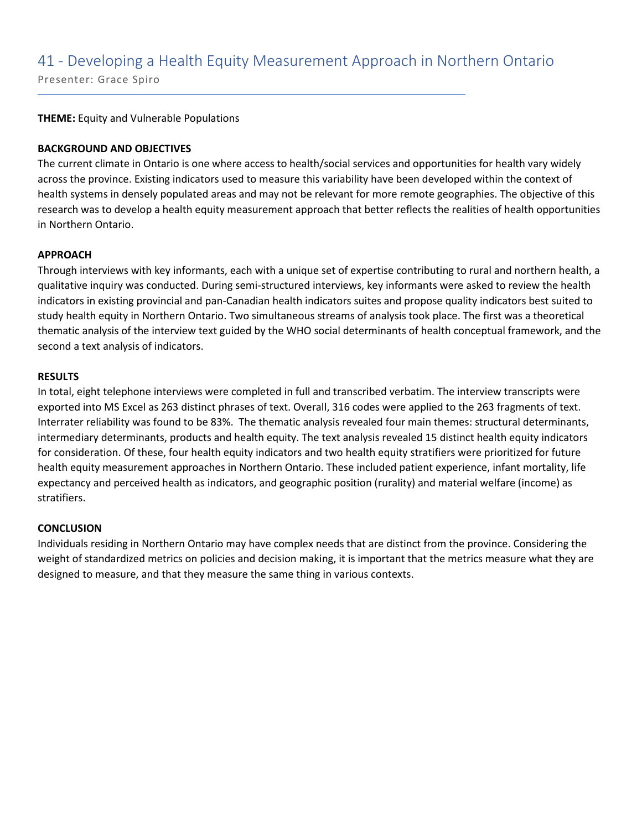### 41 - Developing a Health Equity Measurement Approach in Northern Ontario

Presenter: Grace Spiro

**THEME:** Equity and Vulnerable Populations

### **BACKGROUND AND OBJECTIVES**

The current climate in Ontario is one where access to health/social services and opportunities for health vary widely across the province. Existing indicators used to measure this variability have been developed within the context of health systems in densely populated areas and may not be relevant for more remote geographies. The objective of this research was to develop a health equity measurement approach that better reflects the realities of health opportunities in Northern Ontario.

### **APPROACH**

Through interviews with key informants, each with a unique set of expertise contributing to rural and northern health, a qualitative inquiry was conducted. During semi-structured interviews, key informants were asked to review the health indicators in existing provincial and pan-Canadian health indicators suites and propose quality indicators best suited to study health equity in Northern Ontario. Two simultaneous streams of analysis took place. The first was a theoretical thematic analysis of the interview text guided by the WHO social determinants of health conceptual framework, and the second a text analysis of indicators.

### **RESULTS**

In total, eight telephone interviews were completed in full and transcribed verbatim. The interview transcripts were exported into MS Excel as 263 distinct phrases of text. Overall, 316 codes were applied to the 263 fragments of text. Interrater reliability was found to be 83%. The thematic analysis revealed four main themes: structural determinants, intermediary determinants, products and health equity. The text analysis revealed 15 distinct health equity indicators for consideration. Of these, four health equity indicators and two health equity stratifiers were prioritized for future health equity measurement approaches in Northern Ontario. These included patient experience, infant mortality, life expectancy and perceived health as indicators, and geographic position (rurality) and material welfare (income) as stratifiers.

### **CONCLUSION**

Individuals residing in Northern Ontario may have complex needs that are distinct from the province. Considering the weight of standardized metrics on policies and decision making, it is important that the metrics measure what they are designed to measure, and that they measure the same thing in various contexts.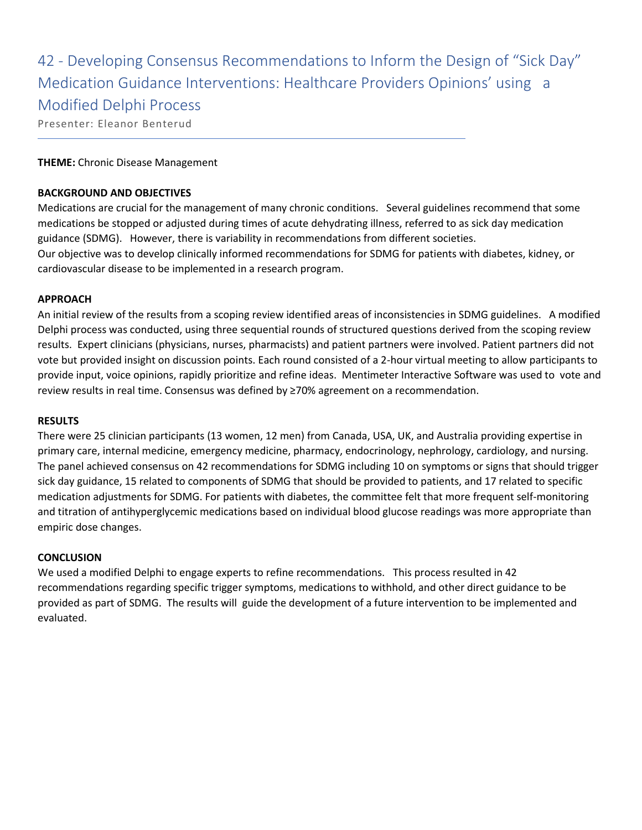42 - Developing Consensus Recommendations to Inform the Design of "Sick Day" Medication Guidance Interventions: Healthcare Providers Opinions' using a Modified Delphi Process

Presenter: Eleanor Benterud

### **THEME:** Chronic Disease Management

### **BACKGROUND AND OBJECTIVES**

Medications are crucial for the management of many chronic conditions. Several guidelines recommend that some medications be stopped or adjusted during times of acute dehydrating illness, referred to as sick day medication guidance (SDMG). However, there is variability in recommendations from different societies. Our objective was to develop clinically informed recommendations for SDMG for patients with diabetes, kidney, or cardiovascular disease to be implemented in a research program.

### **APPROACH**

An initial review of the results from a scoping review identified areas of inconsistencies in SDMG guidelines. A modified Delphi process was conducted, using three sequential rounds of structured questions derived from the scoping review results. Expert clinicians (physicians, nurses, pharmacists) and patient partners were involved. Patient partners did not vote but provided insight on discussion points. Each round consisted of a 2-hour virtual meeting to allow participants to provide input, voice opinions, rapidly prioritize and refine ideas. Mentimeter Interactive Software was used to vote and review results in real time. Consensus was defined by ≥70% agreement on a recommendation.

### **RESULTS**

There were 25 clinician participants (13 women, 12 men) from Canada, USA, UK, and Australia providing expertise in primary care, internal medicine, emergency medicine, pharmacy, endocrinology, nephrology, cardiology, and nursing. The panel achieved consensus on 42 recommendations for SDMG including 10 on symptoms or signs that should trigger sick day guidance, 15 related to components of SDMG that should be provided to patients, and 17 related to specific medication adjustments for SDMG. For patients with diabetes, the committee felt that more frequent self-monitoring and titration of antihyperglycemic medications based on individual blood glucose readings was more appropriate than empiric dose changes.

### **CONCLUSION**

We used a modified Delphi to engage experts to refine recommendations. This process resulted in 42 recommendations regarding specific trigger symptoms, medications to withhold, and other direct guidance to be provided as part of SDMG. The results will guide the development of a future intervention to be implemented and evaluated.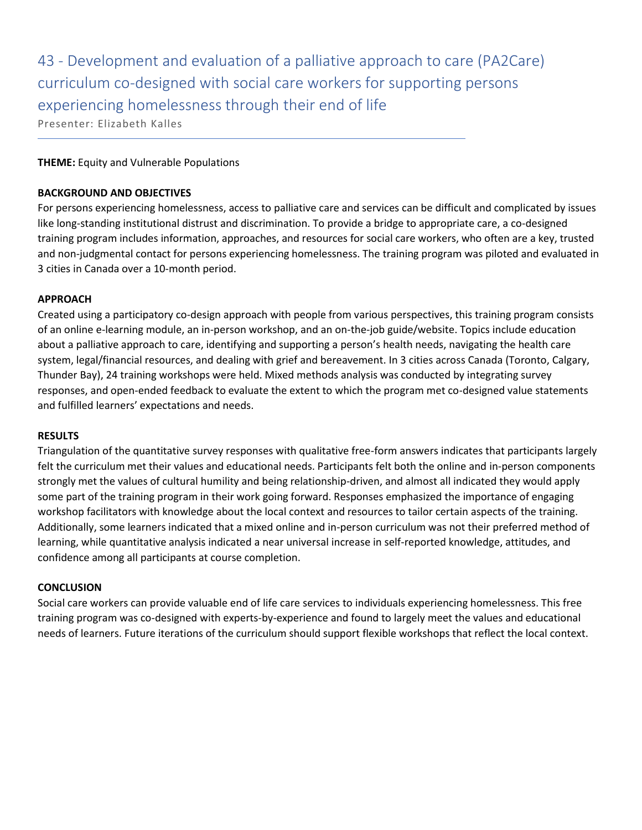43 - Development and evaluation of a palliative approach to care (PA2Care) curriculum co-designed with social care workers for supporting persons experiencing homelessness through their end of life

Presenter: Elizabeth Kalles

### **THEME:** Equity and Vulnerable Populations

### **BACKGROUND AND OBJECTIVES**

For persons experiencing homelessness, access to palliative care and services can be difficult and complicated by issues like long-standing institutional distrust and discrimination. To provide a bridge to appropriate care, a co-designed training program includes information, approaches, and resources for social care workers, who often are a key, trusted and non-judgmental contact for persons experiencing homelessness. The training program was piloted and evaluated in 3 cities in Canada over a 10-month period.

### **APPROACH**

Created using a participatory co-design approach with people from various perspectives, this training program consists of an online e-learning module, an in-person workshop, and an on-the-job guide/website. Topics include education about a palliative approach to care, identifying and supporting a person's health needs, navigating the health care system, legal/financial resources, and dealing with grief and bereavement. In 3 cities across Canada (Toronto, Calgary, Thunder Bay), 24 training workshops were held. Mixed methods analysis was conducted by integrating survey responses, and open-ended feedback to evaluate the extent to which the program met co-designed value statements and fulfilled learners' expectations and needs.

### **RESULTS**

Triangulation of the quantitative survey responses with qualitative free-form answers indicates that participants largely felt the curriculum met their values and educational needs. Participants felt both the online and in-person components strongly met the values of cultural humility and being relationship-driven, and almost all indicated they would apply some part of the training program in their work going forward. Responses emphasized the importance of engaging workshop facilitators with knowledge about the local context and resources to tailor certain aspects of the training. Additionally, some learners indicated that a mixed online and in-person curriculum was not their preferred method of learning, while quantitative analysis indicated a near universal increase in self-reported knowledge, attitudes, and confidence among all participants at course completion.

### **CONCLUSION**

Social care workers can provide valuable end of life care services to individuals experiencing homelessness. This free training program was co-designed with experts-by-experience and found to largely meet the values and educational needs of learners. Future iterations of the curriculum should support flexible workshops that reflect the local context.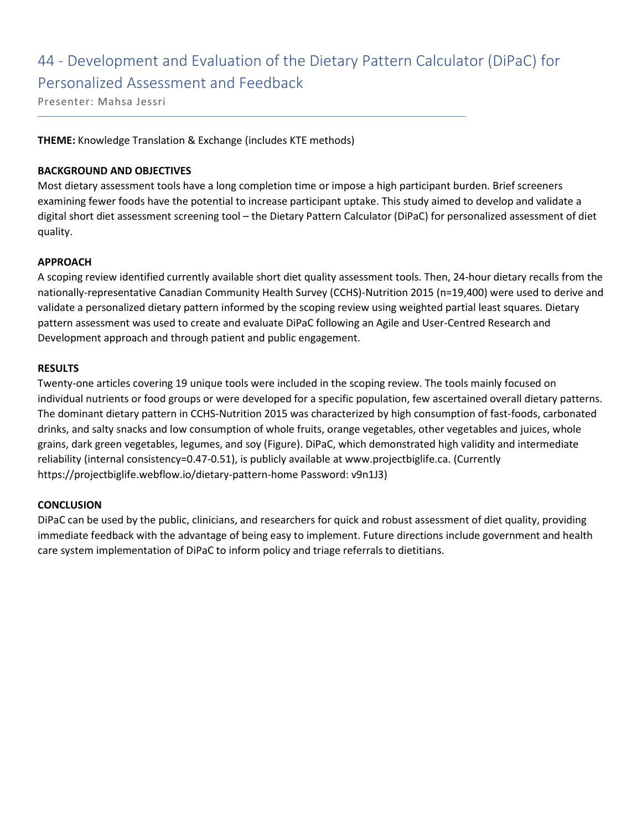### 44 - Development and Evaluation of the Dietary Pattern Calculator (DiPaC) for Personalized Assessment and Feedback

Presenter: Mahsa Jessri

**THEME:** Knowledge Translation & Exchange (includes KTE methods)

### **BACKGROUND AND OBJECTIVES**

Most dietary assessment tools have a long completion time or impose a high participant burden. Brief screeners examining fewer foods have the potential to increase participant uptake. This study aimed to develop and validate a digital short diet assessment screening tool – the Dietary Pattern Calculator (DiPaC) for personalized assessment of diet quality.

### **APPROACH**

A scoping review identified currently available short diet quality assessment tools. Then, 24-hour dietary recalls from the nationally-representative Canadian Community Health Survey (CCHS)-Nutrition 2015 (n=19,400) were used to derive and validate a personalized dietary pattern informed by the scoping review using weighted partial least squares. Dietary pattern assessment was used to create and evaluate DiPaC following an Agile and User-Centred Research and Development approach and through patient and public engagement.

### **RESULTS**

Twenty-one articles covering 19 unique tools were included in the scoping review. The tools mainly focused on individual nutrients or food groups or were developed for a specific population, few ascertained overall dietary patterns. The dominant dietary pattern in CCHS-Nutrition 2015 was characterized by high consumption of fast-foods, carbonated drinks, and salty snacks and low consumption of whole fruits, orange vegetables, other vegetables and juices, whole grains, dark green vegetables, legumes, and soy (Figure). DiPaC, which demonstrated high validity and intermediate reliability (internal consistency=0.47-0.51), is publicly available at www.projectbiglife.ca. (Currently https://projectbiglife.webflow.io/dietary-pattern-home Password: v9n1J3)

### **CONCLUSION**

DiPaC can be used by the public, clinicians, and researchers for quick and robust assessment of diet quality, providing immediate feedback with the advantage of being easy to implement. Future directions include government and health care system implementation of DiPaC to inform policy and triage referrals to dietitians.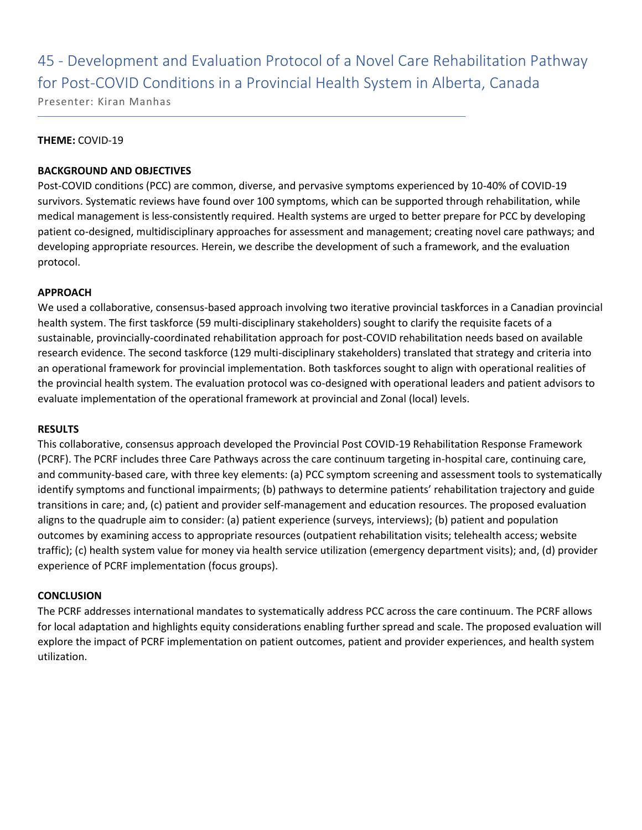45 - Development and Evaluation Protocol of a Novel Care Rehabilitation Pathway for Post-COVID Conditions in a Provincial Health System in Alberta, Canada

Presenter: Kiran Manhas

### **THEME:** COVID-19

### **BACKGROUND AND OBJECTIVES**

Post-COVID conditions (PCC) are common, diverse, and pervasive symptoms experienced by 10-40% of COVID-19 survivors. Systematic reviews have found over 100 symptoms, which can be supported through rehabilitation, while medical management is less-consistently required. Health systems are urged to better prepare for PCC by developing patient co-designed, multidisciplinary approaches for assessment and management; creating novel care pathways; and developing appropriate resources. Herein, we describe the development of such a framework, and the evaluation protocol.

### **APPROACH**

We used a collaborative, consensus-based approach involving two iterative provincial taskforces in a Canadian provincial health system. The first taskforce (59 multi-disciplinary stakeholders) sought to clarify the requisite facets of a sustainable, provincially-coordinated rehabilitation approach for post-COVID rehabilitation needs based on available research evidence. The second taskforce (129 multi-disciplinary stakeholders) translated that strategy and criteria into an operational framework for provincial implementation. Both taskforces sought to align with operational realities of the provincial health system. The evaluation protocol was co-designed with operational leaders and patient advisors to evaluate implementation of the operational framework at provincial and Zonal (local) levels.

### **RESULTS**

This collaborative, consensus approach developed the Provincial Post COVID-19 Rehabilitation Response Framework (PCRF). The PCRF includes three Care Pathways across the care continuum targeting in-hospital care, continuing care, and community-based care, with three key elements: (a) PCC symptom screening and assessment tools to systematically identify symptoms and functional impairments; (b) pathways to determine patients' rehabilitation trajectory and guide transitions in care; and, (c) patient and provider self-management and education resources. The proposed evaluation aligns to the quadruple aim to consider: (a) patient experience (surveys, interviews); (b) patient and population outcomes by examining access to appropriate resources (outpatient rehabilitation visits; telehealth access; website traffic); (c) health system value for money via health service utilization (emergency department visits); and, (d) provider experience of PCRF implementation (focus groups).

### **CONCLUSION**

The PCRF addresses international mandates to systematically address PCC across the care continuum. The PCRF allows for local adaptation and highlights equity considerations enabling further spread and scale. The proposed evaluation will explore the impact of PCRF implementation on patient outcomes, patient and provider experiences, and health system utilization.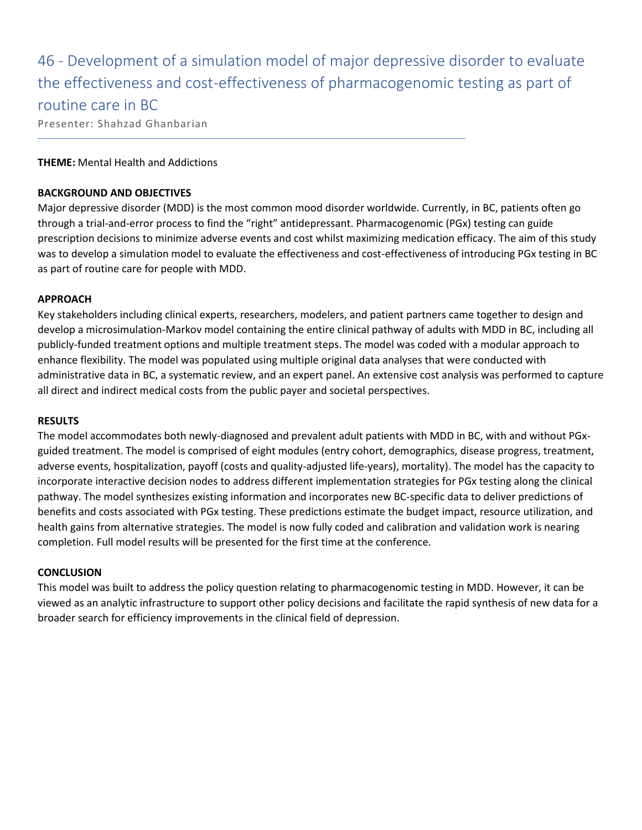46 - Development of a simulation model of major depressive disorder to evaluate the effectiveness and cost-effectiveness of pharmacogenomic testing as part of routine care in BC

Presenter: Shahzad Ghanbarian

### **THEME:** Mental Health and Addictions

### **BACKGROUND AND OBJECTIVES**

Major depressive disorder (MDD) is the most common mood disorder worldwide. Currently, in BC, patients often go through a trial-and-error process to find the "right" antidepressant. Pharmacogenomic (PGx) testing can guide prescription decisions to minimize adverse events and cost whilst maximizing medication efficacy. The aim of this study was to develop a simulation model to evaluate the effectiveness and cost-effectiveness of introducing PGx testing in BC as part of routine care for people with MDD.

### **APPROACH**

Key stakeholders including clinical experts, researchers, modelers, and patient partners came together to design and develop a microsimulation-Markov model containing the entire clinical pathway of adults with MDD in BC, including all publicly-funded treatment options and multiple treatment steps. The model was coded with a modular approach to enhance flexibility. The model was populated using multiple original data analyses that were conducted with administrative data in BC, a systematic review, and an expert panel. An extensive cost analysis was performed to capture all direct and indirect medical costs from the public payer and societal perspectives.

### **RESULTS**

The model accommodates both newly-diagnosed and prevalent adult patients with MDD in BC, with and without PGxguided treatment. The model is comprised of eight modules (entry cohort, demographics, disease progress, treatment, adverse events, hospitalization, payoff (costs and quality-adjusted life-years), mortality). The model has the capacity to incorporate interactive decision nodes to address different implementation strategies for PGx testing along the clinical pathway. The model synthesizes existing information and incorporates new BC-specific data to deliver predictions of benefits and costs associated with PGx testing. These predictions estimate the budget impact, resource utilization, and health gains from alternative strategies. The model is now fully coded and calibration and validation work is nearing completion. Full model results will be presented for the first time at the conference.

### **CONCLUSION**

This model was built to address the policy question relating to pharmacogenomic testing in MDD. However, it can be viewed as an analytic infrastructure to support other policy decisions and facilitate the rapid synthesis of new data for a broader search for efficiency improvements in the clinical field of depression.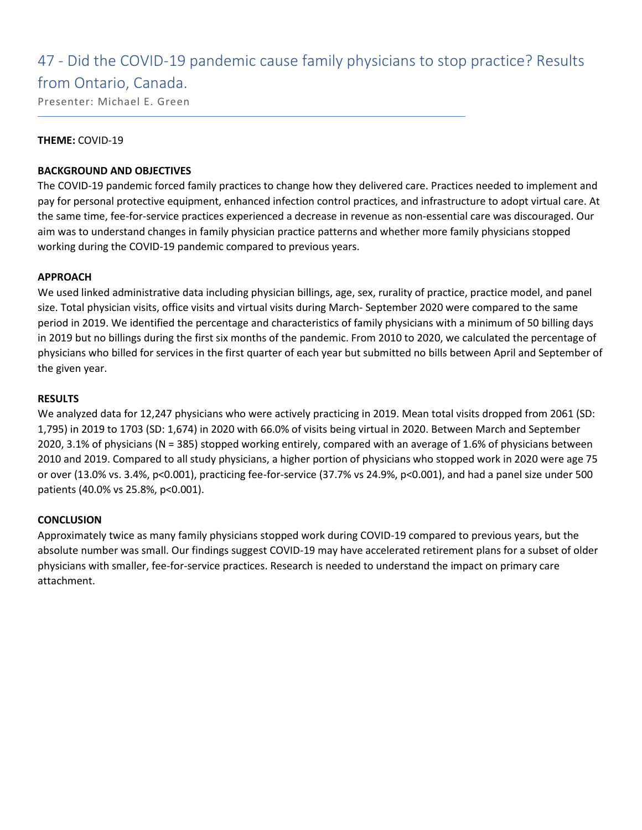### 47 - Did the COVID-19 pandemic cause family physicians to stop practice? Results

### from Ontario, Canada.

Presenter: Michael E. Green

### **THEME:** COVID-19

### **BACKGROUND AND OBJECTIVES**

The COVID-19 pandemic forced family practices to change how they delivered care. Practices needed to implement and pay for personal protective equipment, enhanced infection control practices, and infrastructure to adopt virtual care. At the same time, fee-for-service practices experienced a decrease in revenue as non-essential care was discouraged. Our aim was to understand changes in family physician practice patterns and whether more family physicians stopped working during the COVID-19 pandemic compared to previous years.

### **APPROACH**

We used linked administrative data including physician billings, age, sex, rurality of practice, practice model, and panel size. Total physician visits, office visits and virtual visits during March- September 2020 were compared to the same period in 2019. We identified the percentage and characteristics of family physicians with a minimum of 50 billing days in 2019 but no billings during the first six months of the pandemic. From 2010 to 2020, we calculated the percentage of physicians who billed for services in the first quarter of each year but submitted no bills between April and September of the given year.

### **RESULTS**

We analyzed data for 12,247 physicians who were actively practicing in 2019. Mean total visits dropped from 2061 (SD: 1,795) in 2019 to 1703 (SD: 1,674) in 2020 with 66.0% of visits being virtual in 2020. Between March and September 2020, 3.1% of physicians (N = 385) stopped working entirely, compared with an average of 1.6% of physicians between 2010 and 2019. Compared to all study physicians, a higher portion of physicians who stopped work in 2020 were age 75 or over (13.0% vs. 3.4%, p<0.001), practicing fee-for-service (37.7% vs 24.9%, p<0.001), and had a panel size under 500 patients (40.0% vs 25.8%, p<0.001).

### **CONCLUSION**

Approximately twice as many family physicians stopped work during COVID-19 compared to previous years, but the absolute number was small. Our findings suggest COVID-19 may have accelerated retirement plans for a subset of older physicians with smaller, fee-for-service practices. Research is needed to understand the impact on primary care attachment.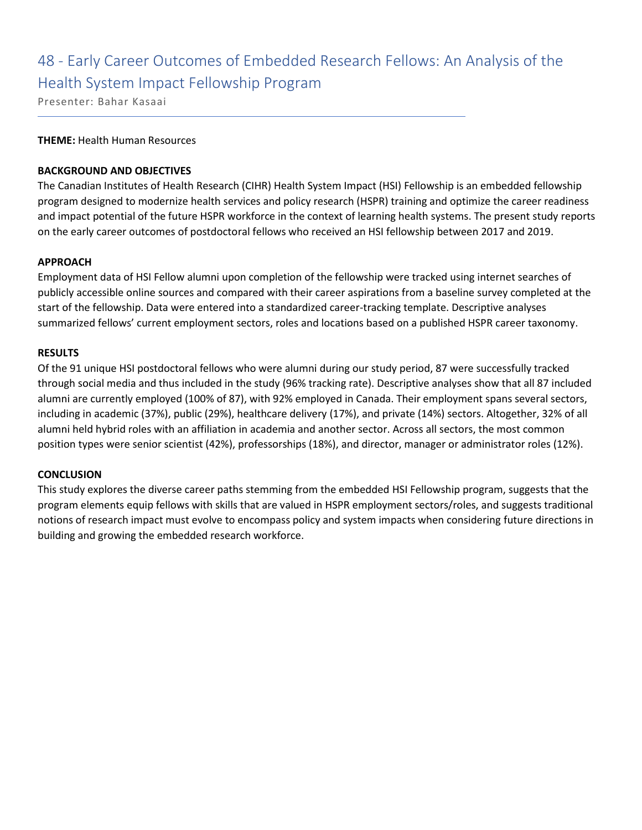### 48 - Early Career Outcomes of Embedded Research Fellows: An Analysis of the Health System Impact Fellowship Program

Presenter: Bahar Kasaai

### **THEME:** Health Human Resources

### **BACKGROUND AND OBJECTIVES**

The Canadian Institutes of Health Research (CIHR) Health System Impact (HSI) Fellowship is an embedded fellowship program designed to modernize health services and policy research (HSPR) training and optimize the career readiness and impact potential of the future HSPR workforce in the context of learning health systems. The present study reports on the early career outcomes of postdoctoral fellows who received an HSI fellowship between 2017 and 2019.

### **APPROACH**

Employment data of HSI Fellow alumni upon completion of the fellowship were tracked using internet searches of publicly accessible online sources and compared with their career aspirations from a baseline survey completed at the start of the fellowship. Data were entered into a standardized career-tracking template. Descriptive analyses summarized fellows' current employment sectors, roles and locations based on a published HSPR career taxonomy.

### **RESULTS**

Of the 91 unique HSI postdoctoral fellows who were alumni during our study period, 87 were successfully tracked through social media and thus included in the study (96% tracking rate). Descriptive analyses show that all 87 included alumni are currently employed (100% of 87), with 92% employed in Canada. Their employment spans several sectors, including in academic (37%), public (29%), healthcare delivery (17%), and private (14%) sectors. Altogether, 32% of all alumni held hybrid roles with an affiliation in academia and another sector. Across all sectors, the most common position types were senior scientist (42%), professorships (18%), and director, manager or administrator roles (12%).

### **CONCLUSION**

This study explores the diverse career paths stemming from the embedded HSI Fellowship program, suggests that the program elements equip fellows with skills that are valued in HSPR employment sectors/roles, and suggests traditional notions of research impact must evolve to encompass policy and system impacts when considering future directions in building and growing the embedded research workforce.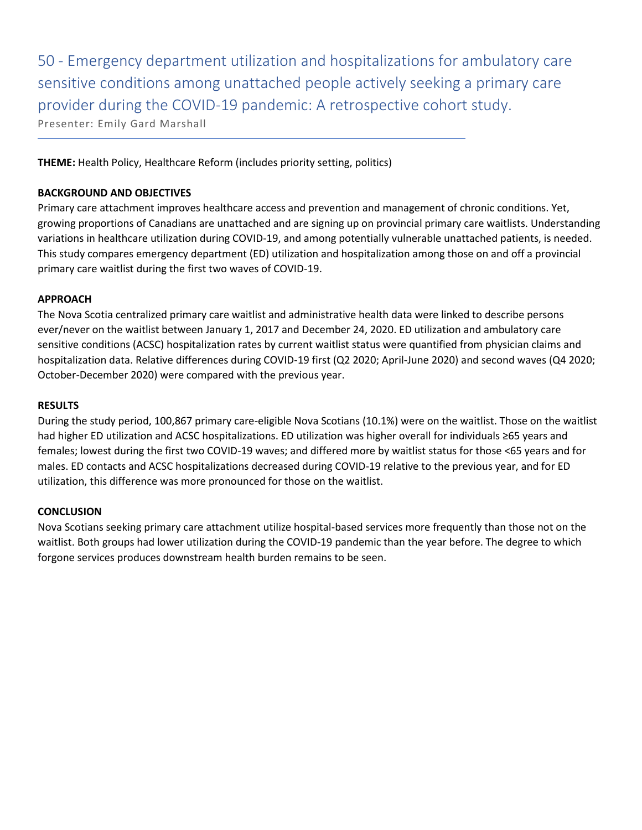50 - Emergency department utilization and hospitalizations for ambulatory care sensitive conditions among unattached people actively seeking a primary care provider during the COVID-19 pandemic: A retrospective cohort study. Presenter: Emily Gard Marshall

**THEME:** Health Policy, Healthcare Reform (includes priority setting, politics)

### **BACKGROUND AND OBJECTIVES**

Primary care attachment improves healthcare access and prevention and management of chronic conditions. Yet, growing proportions of Canadians are unattached and are signing up on provincial primary care waitlists. Understanding variations in healthcare utilization during COVID-19, and among potentially vulnerable unattached patients, is needed. This study compares emergency department (ED) utilization and hospitalization among those on and off a provincial primary care waitlist during the first two waves of COVID-19.

### **APPROACH**

The Nova Scotia centralized primary care waitlist and administrative health data were linked to describe persons ever/never on the waitlist between January 1, 2017 and December 24, 2020. ED utilization and ambulatory care sensitive conditions (ACSC) hospitalization rates by current waitlist status were quantified from physician claims and hospitalization data. Relative differences during COVID-19 first (Q2 2020; April-June 2020) and second waves (Q4 2020; October-December 2020) were compared with the previous year.

### **RESULTS**

During the study period, 100,867 primary care-eligible Nova Scotians (10.1%) were on the waitlist. Those on the waitlist had higher ED utilization and ACSC hospitalizations. ED utilization was higher overall for individuals ≥65 years and females; lowest during the first two COVID-19 waves; and differed more by waitlist status for those <65 years and for males. ED contacts and ACSC hospitalizations decreased during COVID-19 relative to the previous year, and for ED utilization, this difference was more pronounced for those on the waitlist.

### **CONCLUSION**

Nova Scotians seeking primary care attachment utilize hospital-based services more frequently than those not on the waitlist. Both groups had lower utilization during the COVID-19 pandemic than the year before. The degree to which forgone services produces downstream health burden remains to be seen.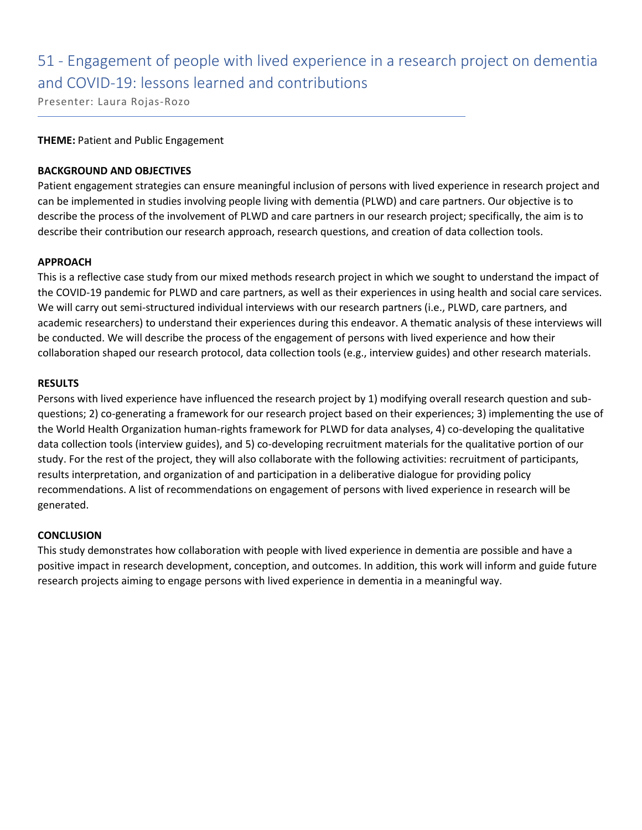### 51 - Engagement of people with lived experience in a research project on dementia and COVID-19: lessons learned and contributions

Presenter: Laura Rojas-Rozo

### **THEME:** Patient and Public Engagement

### **BACKGROUND AND OBJECTIVES**

Patient engagement strategies can ensure meaningful inclusion of persons with lived experience in research project and can be implemented in studies involving people living with dementia (PLWD) and care partners. Our objective is to describe the process of the involvement of PLWD and care partners in our research project; specifically, the aim is to describe their contribution our research approach, research questions, and creation of data collection tools.

### **APPROACH**

This is a reflective case study from our mixed methods research project in which we sought to understand the impact of the COVID-19 pandemic for PLWD and care partners, as well as their experiences in using health and social care services. We will carry out semi-structured individual interviews with our research partners (i.e., PLWD, care partners, and academic researchers) to understand their experiences during this endeavor. A thematic analysis of these interviews will be conducted. We will describe the process of the engagement of persons with lived experience and how their collaboration shaped our research protocol, data collection tools (e.g., interview guides) and other research materials.

### **RESULTS**

Persons with lived experience have influenced the research project by 1) modifying overall research question and subquestions; 2) co-generating a framework for our research project based on their experiences; 3) implementing the use of the World Health Organization human-rights framework for PLWD for data analyses, 4) co-developing the qualitative data collection tools (interview guides), and 5) co-developing recruitment materials for the qualitative portion of our study. For the rest of the project, they will also collaborate with the following activities: recruitment of participants, results interpretation, and organization of and participation in a deliberative dialogue for providing policy recommendations. A list of recommendations on engagement of persons with lived experience in research will be generated.

### **CONCLUSION**

This study demonstrates how collaboration with people with lived experience in dementia are possible and have a positive impact in research development, conception, and outcomes. In addition, this work will inform and guide future research projects aiming to engage persons with lived experience in dementia in a meaningful way.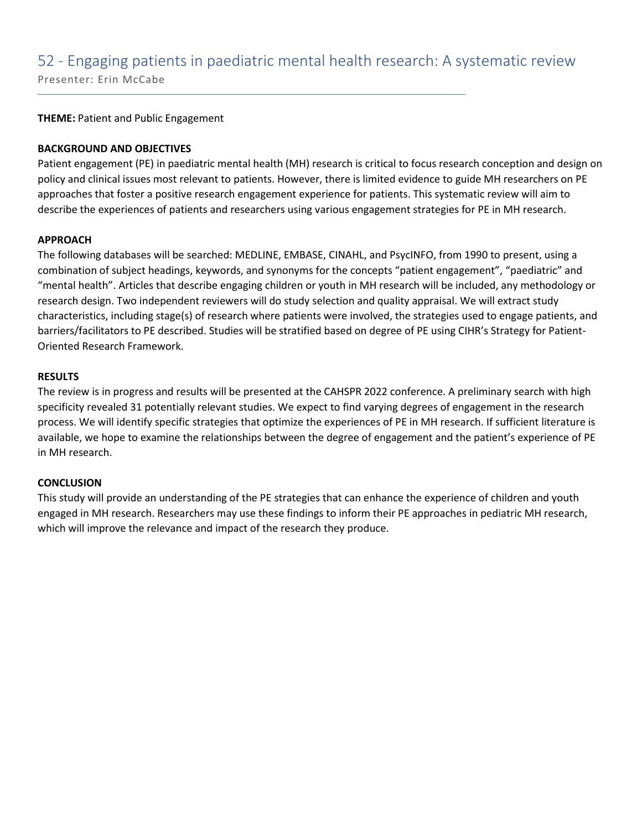### 52 - Engaging patients in paediatric mental health research: A systematic review

Presenter: Erin McCabe

**THEME:** Patient and Public Engagement

### **BACKGROUND AND OBJECTIVES**

Patient engagement (PE) in paediatric mental health (MH) research is critical to focus research conception and design on policy and clinical issues most relevant to patients. However, there is limited evidence to guide MH researchers on PE approaches that foster a positive research engagement experience for patients. This systematic review will aim to describe the experiences of patients and researchers using various engagement strategies for PE in MH research.

### **APPROACH**

The following databases will be searched: MEDLINE, EMBASE, CINAHL, and PsycINFO, from 1990 to present, using a combination of subject headings, keywords, and synonyms for the concepts "patient engagement", "paediatric" and "mental health". Articles that describe engaging children or youth in MH research will be included, any methodology or research design. Two independent reviewers will do study selection and quality appraisal. We will extract study characteristics, including stage(s) of research where patients were involved, the strategies used to engage patients, and barriers/facilitators to PE described. Studies will be stratified based on degree of PE using CIHR's Strategy for Patient-Oriented Research Framework.

### **RESULTS**

The review is in progress and results will be presented at the CAHSPR 2022 conference. A preliminary search with high specificity revealed 31 potentially relevant studies. We expect to find varying degrees of engagement in the research process. We will identify specific strategies that optimize the experiences of PE in MH research. If sufficient literature is available, we hope to examine the relationships between the degree of engagement and the patient's experience of PE in MH research.

### **CONCLUSION**

This study will provide an understanding of the PE strategies that can enhance the experience of children and youth engaged in MH research. Researchers may use these findings to inform their PE approaches in pediatric MH research, which will improve the relevance and impact of the research they produce.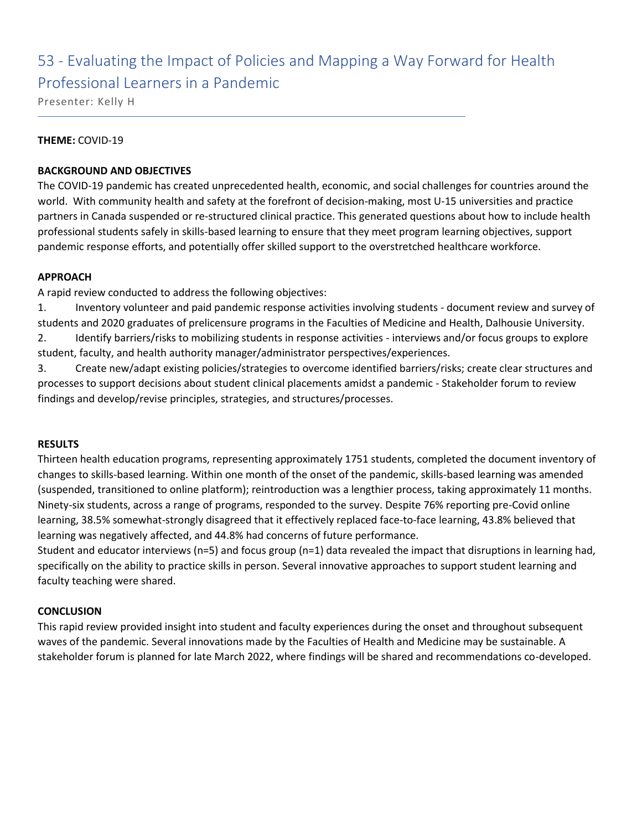### 53 - Evaluating the Impact of Policies and Mapping a Way Forward for Health Professional Learners in a Pandemic

Presenter: Kelly H

### **THEME:** COVID-19

### **BACKGROUND AND OBJECTIVES**

The COVID-19 pandemic has created unprecedented health, economic, and social challenges for countries around the world. With community health and safety at the forefront of decision-making, most U-15 universities and practice partners in Canada suspended or re-structured clinical practice. This generated questions about how to include health professional students safely in skills-based learning to ensure that they meet program learning objectives, support pandemic response efforts, and potentially offer skilled support to the overstretched healthcare workforce.

### **APPROACH**

A rapid review conducted to address the following objectives:

1. Inventory volunteer and paid pandemic response activities involving students - document review and survey of students and 2020 graduates of prelicensure programs in the Faculties of Medicine and Health, Dalhousie University. 2. Identify barriers/risks to mobilizing students in response activities - interviews and/or focus groups to explore student, faculty, and health authority manager/administrator perspectives/experiences.

3. Create new/adapt existing policies/strategies to overcome identified barriers/risks; create clear structures and processes to support decisions about student clinical placements amidst a pandemic - Stakeholder forum to review findings and develop/revise principles, strategies, and structures/processes.

### **RESULTS**

Thirteen health education programs, representing approximately 1751 students, completed the document inventory of changes to skills-based learning. Within one month of the onset of the pandemic, skills-based learning was amended (suspended, transitioned to online platform); reintroduction was a lengthier process, taking approximately 11 months. Ninety-six students, across a range of programs, responded to the survey. Despite 76% reporting pre-Covid online learning, 38.5% somewhat-strongly disagreed that it effectively replaced face-to-face learning, 43.8% believed that learning was negatively affected, and 44.8% had concerns of future performance.

Student and educator interviews (n=5) and focus group (n=1) data revealed the impact that disruptions in learning had, specifically on the ability to practice skills in person. Several innovative approaches to support student learning and faculty teaching were shared.

### **CONCLUSION**

This rapid review provided insight into student and faculty experiences during the onset and throughout subsequent waves of the pandemic. Several innovations made by the Faculties of Health and Medicine may be sustainable. A stakeholder forum is planned for late March 2022, where findings will be shared and recommendations co-developed.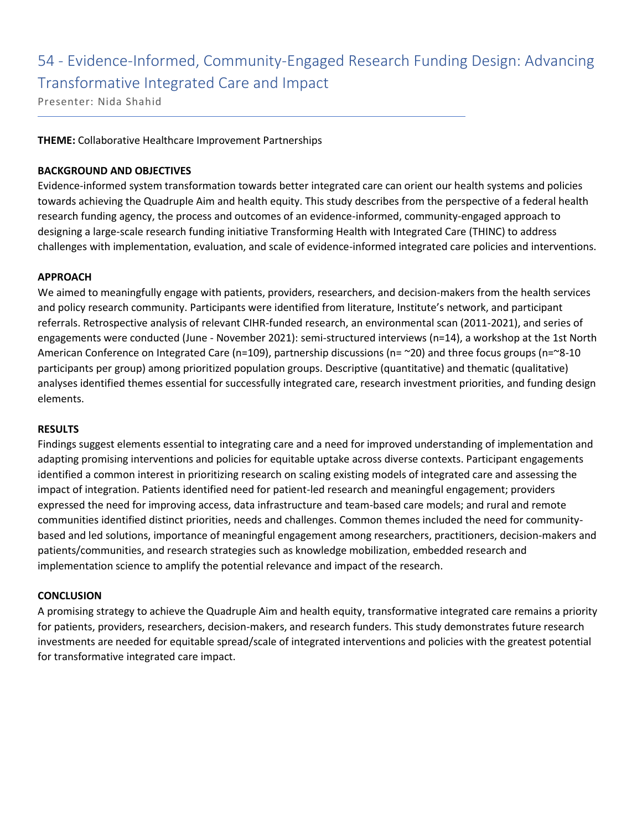### 54 - Evidence-Informed, Community-Engaged Research Funding Design: Advancing Transformative Integrated Care and Impact

Presenter: Nida Shahid

### **THEME:** Collaborative Healthcare Improvement Partnerships

### **BACKGROUND AND OBJECTIVES**

Evidence-informed system transformation towards better integrated care can orient our health systems and policies towards achieving the Quadruple Aim and health equity. This study describes from the perspective of a federal health research funding agency, the process and outcomes of an evidence-informed, community-engaged approach to designing a large-scale research funding initiative Transforming Health with Integrated Care (THINC) to address challenges with implementation, evaluation, and scale of evidence-informed integrated care policies and interventions.

### **APPROACH**

We aimed to meaningfully engage with patients, providers, researchers, and decision-makers from the health services and policy research community. Participants were identified from literature, Institute's network, and participant referrals. Retrospective analysis of relevant CIHR-funded research, an environmental scan (2011-2021), and series of engagements were conducted (June - November 2021): semi-structured interviews (n=14), a workshop at the 1st North American Conference on Integrated Care (n=109), partnership discussions (n= ~20) and three focus groups (n=~8-10 participants per group) among prioritized population groups. Descriptive (quantitative) and thematic (qualitative) analyses identified themes essential for successfully integrated care, research investment priorities, and funding design elements.

### **RESULTS**

Findings suggest elements essential to integrating care and a need for improved understanding of implementation and adapting promising interventions and policies for equitable uptake across diverse contexts. Participant engagements identified a common interest in prioritizing research on scaling existing models of integrated care and assessing the impact of integration. Patients identified need for patient-led research and meaningful engagement; providers expressed the need for improving access, data infrastructure and team-based care models; and rural and remote communities identified distinct priorities, needs and challenges. Common themes included the need for communitybased and led solutions, importance of meaningful engagement among researchers, practitioners, decision-makers and patients/communities, and research strategies such as knowledge mobilization, embedded research and implementation science to amplify the potential relevance and impact of the research.

### **CONCLUSION**

A promising strategy to achieve the Quadruple Aim and health equity, transformative integrated care remains a priority for patients, providers, researchers, decision-makers, and research funders. This study demonstrates future research investments are needed for equitable spread/scale of integrated interventions and policies with the greatest potential for transformative integrated care impact.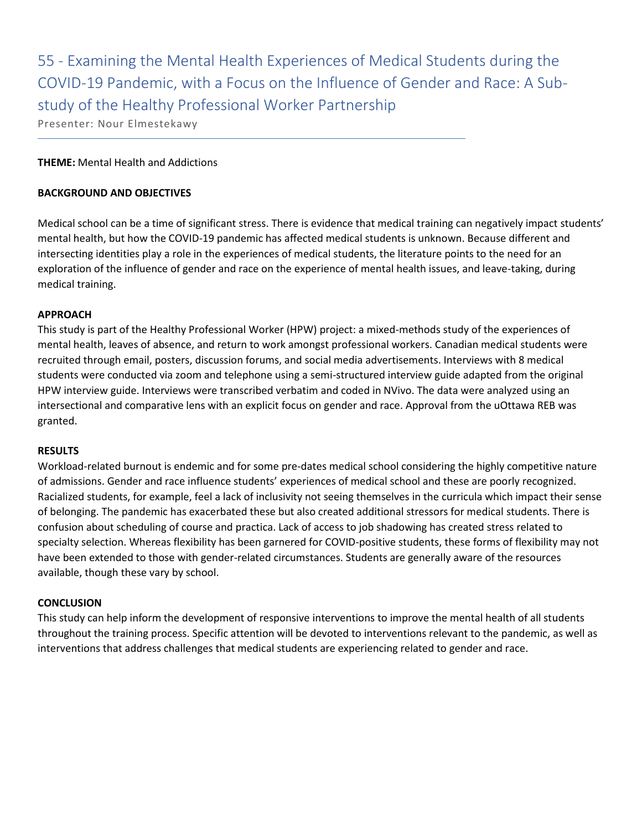55 - Examining the Mental Health Experiences of Medical Students during the COVID-19 Pandemic, with a Focus on the Influence of Gender and Race: A Substudy of the Healthy Professional Worker Partnership

Presenter: Nour Elmestekawy

### **THEME:** Mental Health and Addictions

### **BACKGROUND AND OBJECTIVES**

Medical school can be a time of significant stress. There is evidence that medical training can negatively impact students' mental health, but how the COVID-19 pandemic has affected medical students is unknown. Because different and intersecting identities play a role in the experiences of medical students, the literature points to the need for an exploration of the influence of gender and race on the experience of mental health issues, and leave-taking, during medical training.

### **APPROACH**

This study is part of the Healthy Professional Worker (HPW) project: a mixed-methods study of the experiences of mental health, leaves of absence, and return to work amongst professional workers. Canadian medical students were recruited through email, posters, discussion forums, and social media advertisements. Interviews with 8 medical students were conducted via zoom and telephone using a semi-structured interview guide adapted from the original HPW interview guide. Interviews were transcribed verbatim and coded in NVivo. The data were analyzed using an intersectional and comparative lens with an explicit focus on gender and race. Approval from the uOttawa REB was granted.

### **RESULTS**

Workload-related burnout is endemic and for some pre-dates medical school considering the highly competitive nature of admissions. Gender and race influence students' experiences of medical school and these are poorly recognized. Racialized students, for example, feel a lack of inclusivity not seeing themselves in the curricula which impact their sense of belonging. The pandemic has exacerbated these but also created additional stressors for medical students. There is confusion about scheduling of course and practica. Lack of access to job shadowing has created stress related to specialty selection. Whereas flexibility has been garnered for COVID-positive students, these forms of flexibility may not have been extended to those with gender-related circumstances. Students are generally aware of the resources available, though these vary by school.

### **CONCLUSION**

This study can help inform the development of responsive interventions to improve the mental health of all students throughout the training process. Specific attention will be devoted to interventions relevant to the pandemic, as well as interventions that address challenges that medical students are experiencing related to gender and race.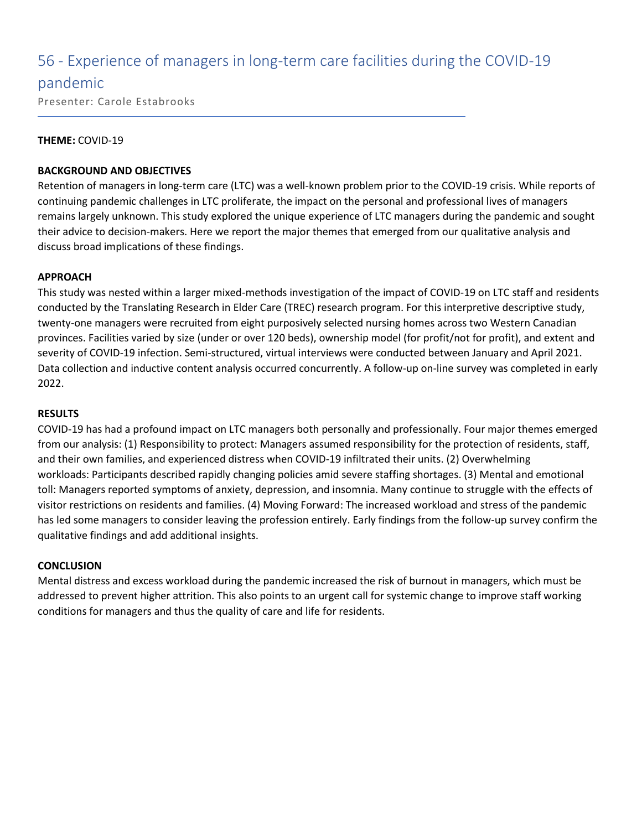### 56 - Experience of managers in long-term care facilities during the COVID-19

### pandemic

Presenter: Carole Estabrooks

### **THEME:** COVID-19

### **BACKGROUND AND OBJECTIVES**

Retention of managers in long-term care (LTC) was a well-known problem prior to the COVID-19 crisis. While reports of continuing pandemic challenges in LTC proliferate, the impact on the personal and professional lives of managers remains largely unknown. This study explored the unique experience of LTC managers during the pandemic and sought their advice to decision-makers. Here we report the major themes that emerged from our qualitative analysis and discuss broad implications of these findings.

### **APPROACH**

This study was nested within a larger mixed-methods investigation of the impact of COVID-19 on LTC staff and residents conducted by the Translating Research in Elder Care (TREC) research program. For this interpretive descriptive study, twenty-one managers were recruited from eight purposively selected nursing homes across two Western Canadian provinces. Facilities varied by size (under or over 120 beds), ownership model (for profit/not for profit), and extent and severity of COVID-19 infection. Semi-structured, virtual interviews were conducted between January and April 2021. Data collection and inductive content analysis occurred concurrently. A follow-up on-line survey was completed in early 2022.

### **RESULTS**

COVID-19 has had a profound impact on LTC managers both personally and professionally. Four major themes emerged from our analysis: (1) Responsibility to protect: Managers assumed responsibility for the protection of residents, staff, and their own families, and experienced distress when COVID-19 infiltrated their units. (2) Overwhelming workloads: Participants described rapidly changing policies amid severe staffing shortages. (3) Mental and emotional toll: Managers reported symptoms of anxiety, depression, and insomnia. Many continue to struggle with the effects of visitor restrictions on residents and families. (4) Moving Forward: The increased workload and stress of the pandemic has led some managers to consider leaving the profession entirely. Early findings from the follow-up survey confirm the qualitative findings and add additional insights.

### **CONCLUSION**

Mental distress and excess workload during the pandemic increased the risk of burnout in managers, which must be addressed to prevent higher attrition. This also points to an urgent call for systemic change to improve staff working conditions for managers and thus the quality of care and life for residents.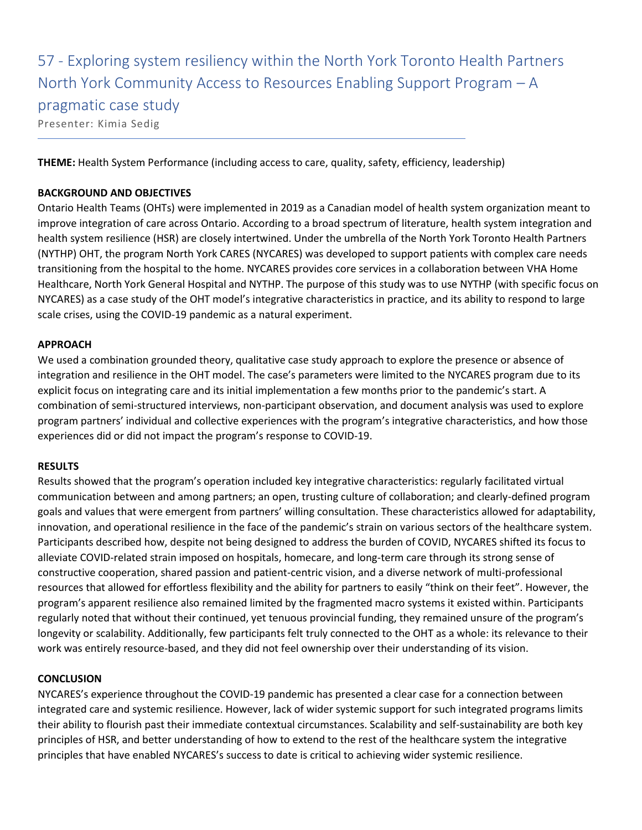### 57 - Exploring system resiliency within the North York Toronto Health Partners North York Community Access to Resources Enabling Support Program – A pragmatic case study Presenter: Kimia Sedig

**THEME:** Health System Performance (including access to care, quality, safety, efficiency, leadership)

### **BACKGROUND AND OBJECTIVES**

Ontario Health Teams (OHTs) were implemented in 2019 as a Canadian model of health system organization meant to improve integration of care across Ontario. According to a broad spectrum of literature, health system integration and health system resilience (HSR) are closely intertwined. Under the umbrella of the North York Toronto Health Partners (NYTHP) OHT, the program North York CARES (NYCARES) was developed to support patients with complex care needs transitioning from the hospital to the home. NYCARES provides core services in a collaboration between VHA Home Healthcare, North York General Hospital and NYTHP. The purpose of this study was to use NYTHP (with specific focus on NYCARES) as a case study of the OHT model's integrative characteristics in practice, and its ability to respond to large scale crises, using the COVID-19 pandemic as a natural experiment.

### **APPROACH**

We used a combination grounded theory, qualitative case study approach to explore the presence or absence of integration and resilience in the OHT model. The case's parameters were limited to the NYCARES program due to its explicit focus on integrating care and its initial implementation a few months prior to the pandemic's start. A combination of semi-structured interviews, non-participant observation, and document analysis was used to explore program partners' individual and collective experiences with the program's integrative characteristics, and how those experiences did or did not impact the program's response to COVID-19.

### **RESULTS**

Results showed that the program's operation included key integrative characteristics: regularly facilitated virtual communication between and among partners; an open, trusting culture of collaboration; and clearly-defined program goals and values that were emergent from partners' willing consultation. These characteristics allowed for adaptability, innovation, and operational resilience in the face of the pandemic's strain on various sectors of the healthcare system. Participants described how, despite not being designed to address the burden of COVID, NYCARES shifted its focus to alleviate COVID-related strain imposed on hospitals, homecare, and long-term care through its strong sense of constructive cooperation, shared passion and patient-centric vision, and a diverse network of multi-professional resources that allowed for effortless flexibility and the ability for partners to easily "think on their feet". However, the program's apparent resilience also remained limited by the fragmented macro systems it existed within. Participants regularly noted that without their continued, yet tenuous provincial funding, they remained unsure of the program's longevity or scalability. Additionally, few participants felt truly connected to the OHT as a whole: its relevance to their work was entirely resource-based, and they did not feel ownership over their understanding of its vision.

### **CONCLUSION**

NYCARES's experience throughout the COVID-19 pandemic has presented a clear case for a connection between integrated care and systemic resilience. However, lack of wider systemic support for such integrated programs limits their ability to flourish past their immediate contextual circumstances. Scalability and self-sustainability are both key principles of HSR, and better understanding of how to extend to the rest of the healthcare system the integrative principles that have enabled NYCARES's success to date is critical to achieving wider systemic resilience.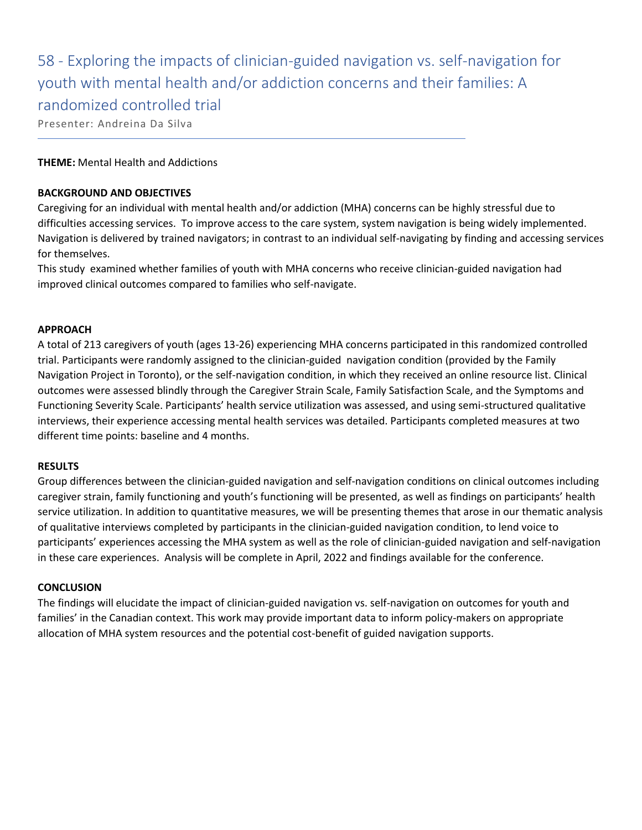58 - Exploring the impacts of clinician-guided navigation vs. self-navigation for youth with mental health and/or addiction concerns and their families: A randomized controlled trial

Presenter: Andreina Da Silva

### **THEME:** Mental Health and Addictions

### **BACKGROUND AND OBJECTIVES**

Caregiving for an individual with mental health and/or addiction (MHA) concerns can be highly stressful due to difficulties accessing services. To improve access to the care system, system navigation is being widely implemented. Navigation is delivered by trained navigators; in contrast to an individual self-navigating by finding and accessing services for themselves.

This study examined whether families of youth with MHA concerns who receive clinician-guided navigation had improved clinical outcomes compared to families who self-navigate.

### **APPROACH**

A total of 213 caregivers of youth (ages 13-26) experiencing MHA concerns participated in this randomized controlled trial. Participants were randomly assigned to the clinician-guided navigation condition (provided by the Family Navigation Project in Toronto), or the self-navigation condition, in which they received an online resource list. Clinical outcomes were assessed blindly through the Caregiver Strain Scale, Family Satisfaction Scale, and the Symptoms and Functioning Severity Scale. Participants' health service utilization was assessed, and using semi-structured qualitative interviews, their experience accessing mental health services was detailed. Participants completed measures at two different time points: baseline and 4 months.

### **RESULTS**

Group differences between the clinician-guided navigation and self-navigation conditions on clinical outcomes including caregiver strain, family functioning and youth's functioning will be presented, as well as findings on participants' health service utilization. In addition to quantitative measures, we will be presenting themes that arose in our thematic analysis of qualitative interviews completed by participants in the clinician-guided navigation condition, to lend voice to participants' experiences accessing the MHA system as well as the role of clinician-guided navigation and self-navigation in these care experiences. Analysis will be complete in April, 2022 and findings available for the conference.

### **CONCLUSION**

The findings will elucidate the impact of clinician-guided navigation vs. self-navigation on outcomes for youth and families' in the Canadian context. This work may provide important data to inform policy-makers on appropriate allocation of MHA system resources and the potential cost-benefit of guided navigation supports.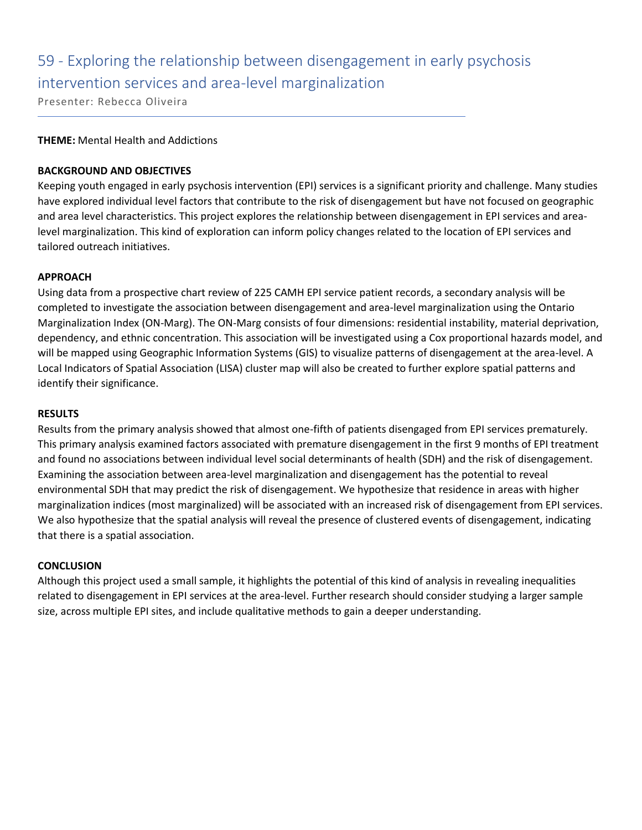### 59 - Exploring the relationship between disengagement in early psychosis intervention services and area-level marginalization

Presenter: Rebecca Oliveira

### **THEME:** Mental Health and Addictions

### **BACKGROUND AND OBJECTIVES**

Keeping youth engaged in early psychosis intervention (EPI) services is a significant priority and challenge. Many studies have explored individual level factors that contribute to the risk of disengagement but have not focused on geographic and area level characteristics. This project explores the relationship between disengagement in EPI services and arealevel marginalization. This kind of exploration can inform policy changes related to the location of EPI services and tailored outreach initiatives.

### **APPROACH**

Using data from a prospective chart review of 225 CAMH EPI service patient records, a secondary analysis will be completed to investigate the association between disengagement and area-level marginalization using the Ontario Marginalization Index (ON-Marg). The ON-Marg consists of four dimensions: residential instability, material deprivation, dependency, and ethnic concentration. This association will be investigated using a Cox proportional hazards model, and will be mapped using Geographic Information Systems (GIS) to visualize patterns of disengagement at the area-level. A Local Indicators of Spatial Association (LISA) cluster map will also be created to further explore spatial patterns and identify their significance.

### **RESULTS**

Results from the primary analysis showed that almost one-fifth of patients disengaged from EPI services prematurely. This primary analysis examined factors associated with premature disengagement in the first 9 months of EPI treatment and found no associations between individual level social determinants of health (SDH) and the risk of disengagement. Examining the association between area-level marginalization and disengagement has the potential to reveal environmental SDH that may predict the risk of disengagement. We hypothesize that residence in areas with higher marginalization indices (most marginalized) will be associated with an increased risk of disengagement from EPI services. We also hypothesize that the spatial analysis will reveal the presence of clustered events of disengagement, indicating that there is a spatial association.

### **CONCLUSION**

Although this project used a small sample, it highlights the potential of this kind of analysis in revealing inequalities related to disengagement in EPI services at the area-level. Further research should consider studying a larger sample size, across multiple EPI sites, and include qualitative methods to gain a deeper understanding.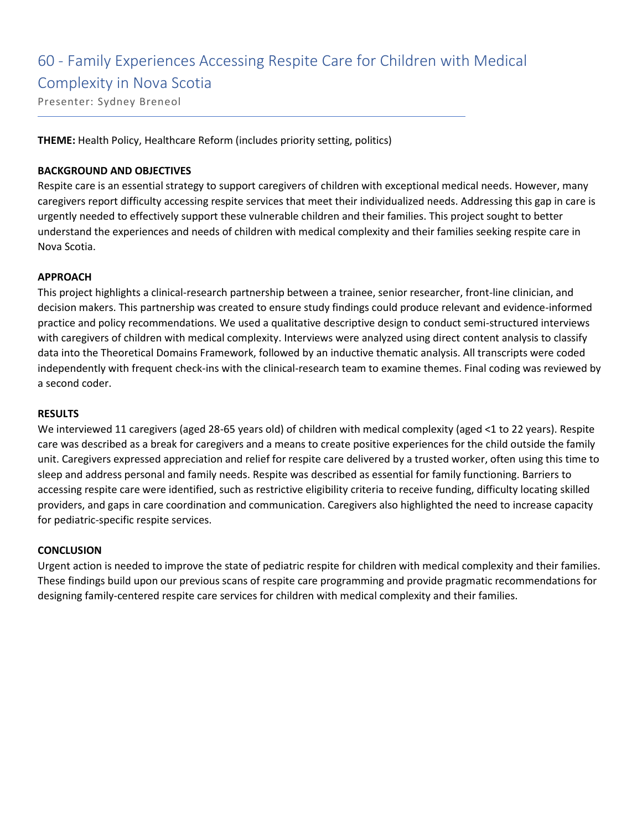### 60 - Family Experiences Accessing Respite Care for Children with Medical

Complexity in Nova Scotia

Presenter: Sydney Breneol

**THEME:** Health Policy, Healthcare Reform (includes priority setting, politics)

### **BACKGROUND AND OBJECTIVES**

Respite care is an essential strategy to support caregivers of children with exceptional medical needs. However, many caregivers report difficulty accessing respite services that meet their individualized needs. Addressing this gap in care is urgently needed to effectively support these vulnerable children and their families. This project sought to better understand the experiences and needs of children with medical complexity and their families seeking respite care in Nova Scotia.

### **APPROACH**

This project highlights a clinical-research partnership between a trainee, senior researcher, front-line clinician, and decision makers. This partnership was created to ensure study findings could produce relevant and evidence-informed practice and policy recommendations. We used a qualitative descriptive design to conduct semi-structured interviews with caregivers of children with medical complexity. Interviews were analyzed using direct content analysis to classify data into the Theoretical Domains Framework, followed by an inductive thematic analysis. All transcripts were coded independently with frequent check-ins with the clinical-research team to examine themes. Final coding was reviewed by a second coder.

### **RESULTS**

We interviewed 11 caregivers (aged 28-65 years old) of children with medical complexity (aged <1 to 22 years). Respite care was described as a break for caregivers and a means to create positive experiences for the child outside the family unit. Caregivers expressed appreciation and relief for respite care delivered by a trusted worker, often using this time to sleep and address personal and family needs. Respite was described as essential for family functioning. Barriers to accessing respite care were identified, such as restrictive eligibility criteria to receive funding, difficulty locating skilled providers, and gaps in care coordination and communication. Caregivers also highlighted the need to increase capacity for pediatric-specific respite services.

### **CONCLUSION**

Urgent action is needed to improve the state of pediatric respite for children with medical complexity and their families. These findings build upon our previous scans of respite care programming and provide pragmatic recommendations for designing family-centered respite care services for children with medical complexity and their families.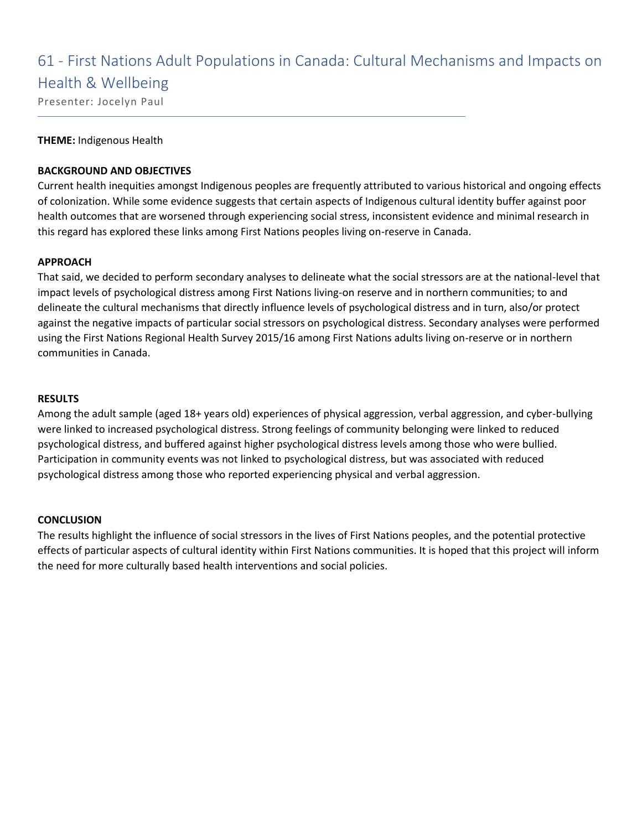### 61 - First Nations Adult Populations in Canada: Cultural Mechanisms and Impacts on Health & Wellbeing

Presenter: Jocelyn Paul

### **THEME:** Indigenous Health

### **BACKGROUND AND OBJECTIVES**

Current health inequities amongst Indigenous peoples are frequently attributed to various historical and ongoing effects of colonization. While some evidence suggests that certain aspects of Indigenous cultural identity buffer against poor health outcomes that are worsened through experiencing social stress, inconsistent evidence and minimal research in this regard has explored these links among First Nations peoples living on-reserve in Canada.

### **APPROACH**

That said, we decided to perform secondary analyses to delineate what the social stressors are at the national-level that impact levels of psychological distress among First Nations living-on reserve and in northern communities; to and delineate the cultural mechanisms that directly influence levels of psychological distress and in turn, also/or protect against the negative impacts of particular social stressors on psychological distress. Secondary analyses were performed using the First Nations Regional Health Survey 2015/16 among First Nations adults living on-reserve or in northern communities in Canada.

### **RESULTS**

Among the adult sample (aged 18+ years old) experiences of physical aggression, verbal aggression, and cyber-bullying were linked to increased psychological distress. Strong feelings of community belonging were linked to reduced psychological distress, and buffered against higher psychological distress levels among those who were bullied. Participation in community events was not linked to psychological distress, but was associated with reduced psychological distress among those who reported experiencing physical and verbal aggression.

### **CONCLUSION**

The results highlight the influence of social stressors in the lives of First Nations peoples, and the potential protective effects of particular aspects of cultural identity within First Nations communities. It is hoped that this project will inform the need for more culturally based health interventions and social policies.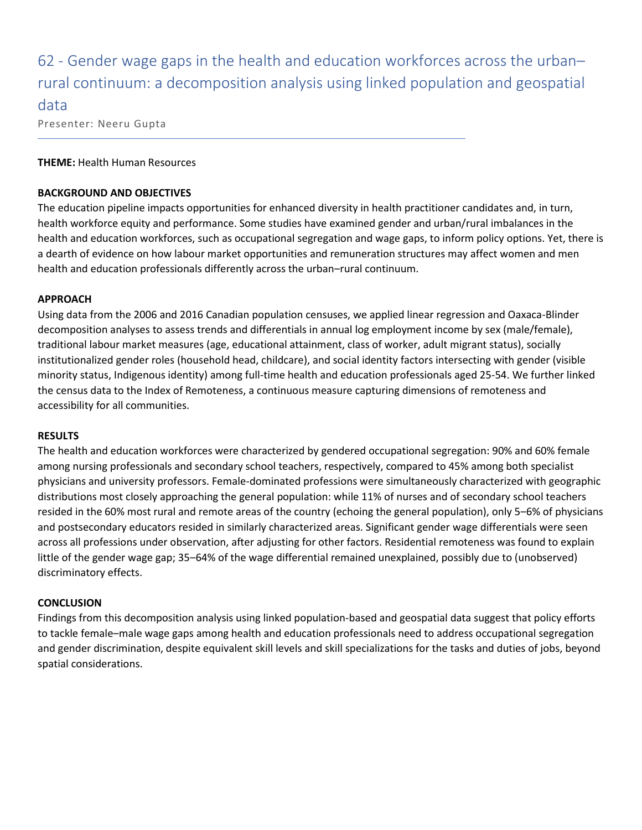62 - Gender wage gaps in the health and education workforces across the urbanrural continuum: a decomposition analysis using linked population and geospatial data Presenter: Neeru Gupta

### **THEME:** Health Human Resources

### **BACKGROUND AND OBJECTIVES**

The education pipeline impacts opportunities for enhanced diversity in health practitioner candidates and, in turn, health workforce equity and performance. Some studies have examined gender and urban/rural imbalances in the health and education workforces, such as occupational segregation and wage gaps, to inform policy options. Yet, there is a dearth of evidence on how labour market opportunities and remuneration structures may affect women and men health and education professionals differently across the urban-rural continuum.

### **APPROACH**

Using data from the 2006 and 2016 Canadian population censuses, we applied linear regression and Oaxaca-Blinder decomposition analyses to assess trends and differentials in annual log employment income by sex (male/female), traditional labour market measures (age, educational attainment, class of worker, adult migrant status), socially institutionalized gender roles (household head, childcare), and social identity factors intersecting with gender (visible minority status, Indigenous identity) among full-time health and education professionals aged 25-54. We further linked the census data to the Index of Remoteness, a continuous measure capturing dimensions of remoteness and accessibility for all communities.

### **RESULTS**

The health and education workforces were characterized by gendered occupational segregation: 90% and 60% female among nursing professionals and secondary school teachers, respectively, compared to 45% among both specialist physicians and university professors. Female-dominated professions were simultaneously characterized with geographic distributions most closely approaching the general population: while 11% of nurses and of secondary school teachers resided in the 60% most rural and remote areas of the country (echoing the general population), only 5–6% of physicians and postsecondary educators resided in similarly characterized areas. Significant gender wage differentials were seen across all professions under observation, after adjusting for other factors. Residential remoteness was found to explain little of the gender wage gap; 35–64% of the wage differential remained unexplained, possibly due to (unobserved) discriminatory effects.

### **CONCLUSION**

Findings from this decomposition analysis using linked population-based and geospatial data suggest that policy efforts to tackle female–male wage gaps among health and education professionals need to address occupational segregation and gender discrimination, despite equivalent skill levels and skill specializations for the tasks and duties of jobs, beyond spatial considerations.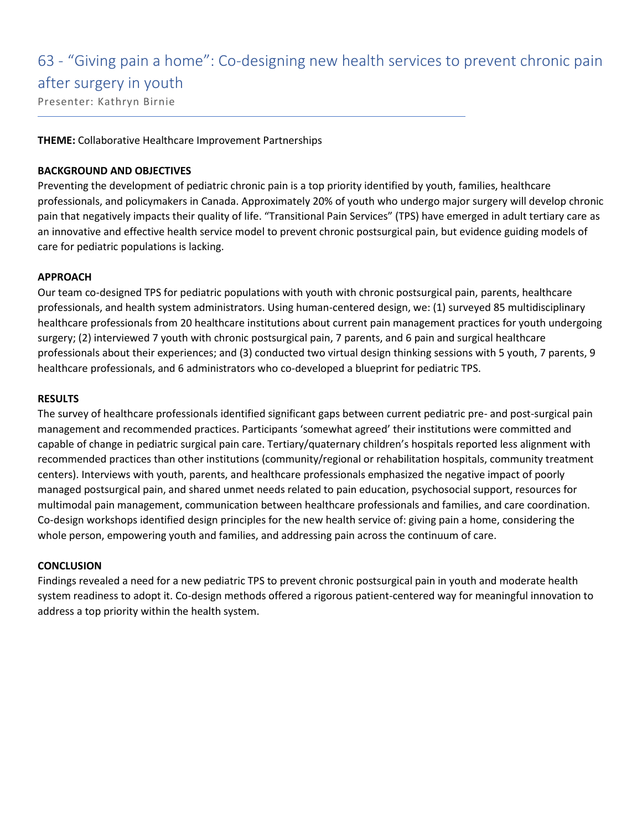# 63 - "Giving pain a home": Co-designing new health services to prevent chronic pain

### after surgery in youth

Presenter: Kathryn Birnie

### **THEME:** Collaborative Healthcare Improvement Partnerships

### **BACKGROUND AND OBJECTIVES**

Preventing the development of pediatric chronic pain is a top priority identified by youth, families, healthcare professionals, and policymakers in Canada. Approximately 20% of youth who undergo major surgery will develop chronic pain that negatively impacts their quality of life. "Transitional Pain Services" (TPS) have emerged in adult tertiary care as an innovative and effective health service model to prevent chronic postsurgical pain, but evidence guiding models of care for pediatric populations is lacking.

### **APPROACH**

Our team co-designed TPS for pediatric populations with youth with chronic postsurgical pain, parents, healthcare professionals, and health system administrators. Using human-centered design, we: (1) surveyed 85 multidisciplinary healthcare professionals from 20 healthcare institutions about current pain management practices for youth undergoing surgery; (2) interviewed 7 youth with chronic postsurgical pain, 7 parents, and 6 pain and surgical healthcare professionals about their experiences; and (3) conducted two virtual design thinking sessions with 5 youth, 7 parents, 9 healthcare professionals, and 6 administrators who co-developed a blueprint for pediatric TPS.

### **RESULTS**

The survey of healthcare professionals identified significant gaps between current pediatric pre- and post-surgical pain management and recommended practices. Participants 'somewhat agreed' their institutions were committed and capable of change in pediatric surgical pain care. Tertiary/quaternary children's hospitals reported less alignment with recommended practices than other institutions (community/regional or rehabilitation hospitals, community treatment centers). Interviews with youth, parents, and healthcare professionals emphasized the negative impact of poorly managed postsurgical pain, and shared unmet needs related to pain education, psychosocial support, resources for multimodal pain management, communication between healthcare professionals and families, and care coordination. Co-design workshops identified design principles for the new health service of: giving pain a home, considering the whole person, empowering youth and families, and addressing pain across the continuum of care.

### **CONCLUSION**

Findings revealed a need for a new pediatric TPS to prevent chronic postsurgical pain in youth and moderate health system readiness to adopt it. Co-design methods offered a rigorous patient-centered way for meaningful innovation to address a top priority within the health system.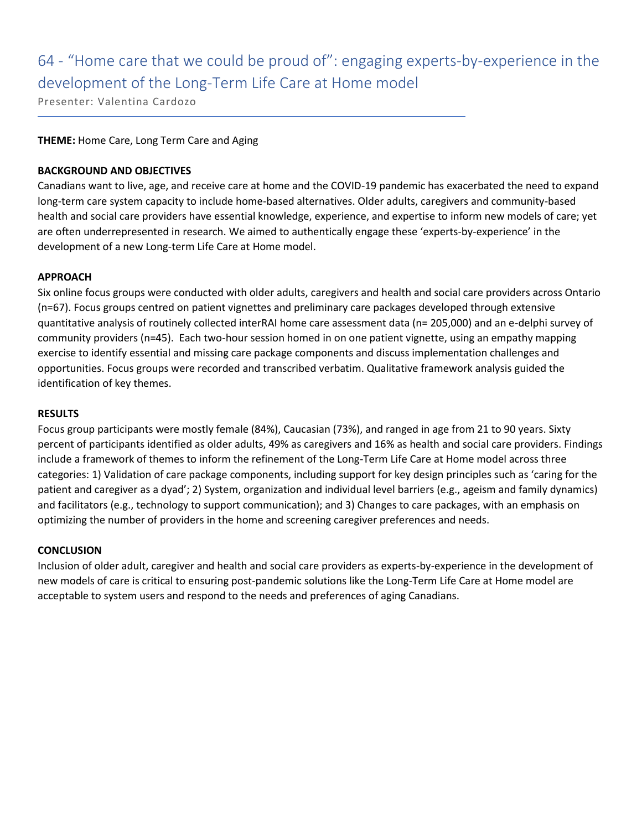# 64 - "Home care that we could be proud of": engaging experts-by-experience in the development of the Long-Term Life Care at Home model

Presenter: Valentina Cardozo

### **THEME:** Home Care, Long Term Care and Aging

### **BACKGROUND AND OBJECTIVES**

Canadians want to live, age, and receive care at home and the COVID-19 pandemic has exacerbated the need to expand long-term care system capacity to include home-based alternatives. Older adults, caregivers and community-based health and social care providers have essential knowledge, experience, and expertise to inform new models of care; yet are often underrepresented in research. We aimed to authentically engage these 'experts-by-experience' in the development of a new Long-term Life Care at Home model.

### **APPROACH**

Six online focus groups were conducted with older adults, caregivers and health and social care providers across Ontario (n=67). Focus groups centred on patient vignettes and preliminary care packages developed through extensive quantitative analysis of routinely collected interRAI home care assessment data (n= 205,000) and an e-delphi survey of community providers (n=45). Each two-hour session homed in on one patient vignette, using an empathy mapping exercise to identify essential and missing care package components and discuss implementation challenges and opportunities. Focus groups were recorded and transcribed verbatim. Qualitative framework analysis guided the identification of key themes.

### **RESULTS**

Focus group participants were mostly female (84%), Caucasian (73%), and ranged in age from 21 to 90 years. Sixty percent of participants identified as older adults, 49% as caregivers and 16% as health and social care providers. Findings include a framework of themes to inform the refinement of the Long-Term Life Care at Home model across three categories: 1) Validation of care package components, including support for key design principles such as 'caring for the patient and caregiver as a dyad'; 2) System, organization and individual level barriers (e.g., ageism and family dynamics) and facilitators (e.g., technology to support communication); and 3) Changes to care packages, with an emphasis on optimizing the number of providers in the home and screening caregiver preferences and needs.

### **CONCLUSION**

Inclusion of older adult, caregiver and health and social care providers as experts-by-experience in the development of new models of care is critical to ensuring post-pandemic solutions like the Long-Term Life Care at Home model are acceptable to system users and respond to the needs and preferences of aging Canadians.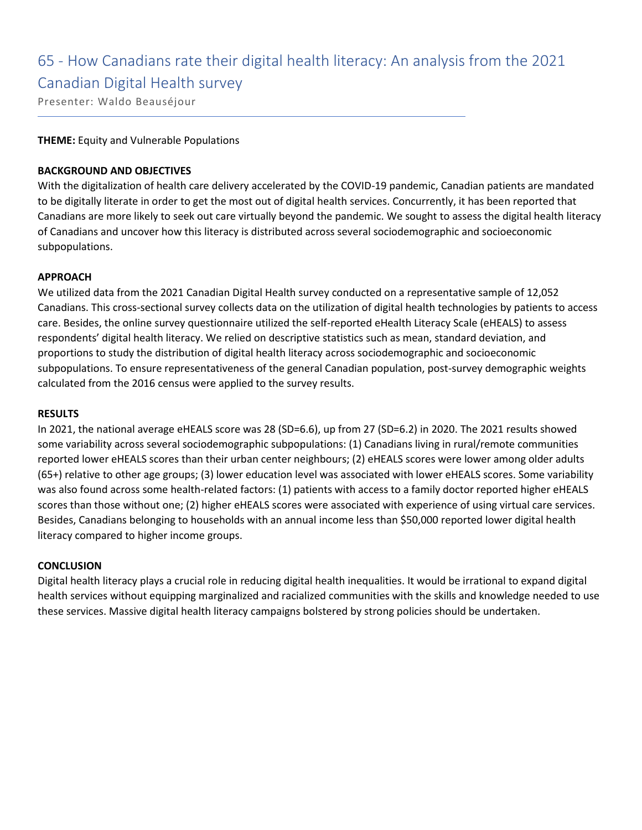### 65 - How Canadians rate their digital health literacy: An analysis from the 2021 Canadian Digital Health survey

Presenter: Waldo Beauséjour

### **THEME:** Equity and Vulnerable Populations

### **BACKGROUND AND OBJECTIVES**

With the digitalization of health care delivery accelerated by the COVID-19 pandemic, Canadian patients are mandated to be digitally literate in order to get the most out of digital health services. Concurrently, it has been reported that Canadians are more likely to seek out care virtually beyond the pandemic. We sought to assess the digital health literacy of Canadians and uncover how this literacy is distributed across several sociodemographic and socioeconomic subpopulations.

### **APPROACH**

We utilized data from the 2021 Canadian Digital Health survey conducted on a representative sample of 12,052 Canadians. This cross-sectional survey collects data on the utilization of digital health technologies by patients to access care. Besides, the online survey questionnaire utilized the self-reported eHealth Literacy Scale (eHEALS) to assess respondents' digital health literacy. We relied on descriptive statistics such as mean, standard deviation, and proportions to study the distribution of digital health literacy across sociodemographic and socioeconomic subpopulations. To ensure representativeness of the general Canadian population, post-survey demographic weights calculated from the 2016 census were applied to the survey results.

#### **RESULTS**

In 2021, the national average eHEALS score was 28 (SD=6.6), up from 27 (SD=6.2) in 2020. The 2021 results showed some variability across several sociodemographic subpopulations: (1) Canadians living in rural/remote communities reported lower eHEALS scores than their urban center neighbours; (2) eHEALS scores were lower among older adults (65+) relative to other age groups; (3) lower education level was associated with lower eHEALS scores. Some variability was also found across some health-related factors: (1) patients with access to a family doctor reported higher eHEALS scores than those without one; (2) higher eHEALS scores were associated with experience of using virtual care services. Besides, Canadians belonging to households with an annual income less than \$50,000 reported lower digital health literacy compared to higher income groups.

### **CONCLUSION**

Digital health literacy plays a crucial role in reducing digital health inequalities. It would be irrational to expand digital health services without equipping marginalized and racialized communities with the skills and knowledge needed to use these services. Massive digital health literacy campaigns bolstered by strong policies should be undertaken.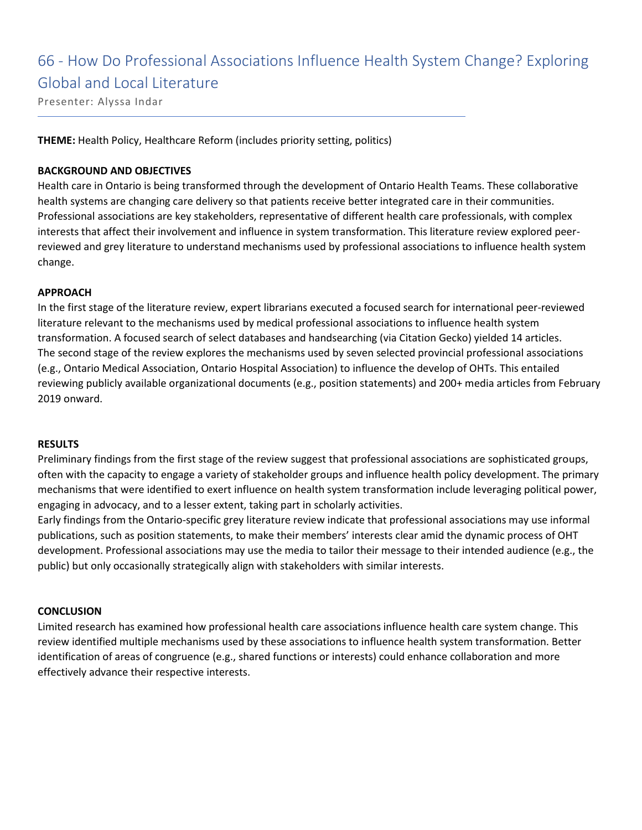66 - How Do Professional Associations Influence Health System Change? Exploring Global and Local Literature

Presenter: Alyssa Indar

**THEME:** Health Policy, Healthcare Reform (includes priority setting, politics)

### **BACKGROUND AND OBJECTIVES**

Health care in Ontario is being transformed through the development of Ontario Health Teams. These collaborative health systems are changing care delivery so that patients receive better integrated care in their communities. Professional associations are key stakeholders, representative of different health care professionals, with complex interests that affect their involvement and influence in system transformation. This literature review explored peerreviewed and grey literature to understand mechanisms used by professional associations to influence health system change.

### **APPROACH**

In the first stage of the literature review, expert librarians executed a focused search for international peer-reviewed literature relevant to the mechanisms used by medical professional associations to influence health system transformation. A focused search of select databases and handsearching (via Citation Gecko) yielded 14 articles. The second stage of the review explores the mechanisms used by seven selected provincial professional associations (e.g., Ontario Medical Association, Ontario Hospital Association) to influence the develop of OHTs. This entailed reviewing publicly available organizational documents (e.g., position statements) and 200+ media articles from February 2019 onward.

### **RESULTS**

Preliminary findings from the first stage of the review suggest that professional associations are sophisticated groups, often with the capacity to engage a variety of stakeholder groups and influence health policy development. The primary mechanisms that were identified to exert influence on health system transformation include leveraging political power, engaging in advocacy, and to a lesser extent, taking part in scholarly activities.

Early findings from the Ontario-specific grey literature review indicate that professional associations may use informal publications, such as position statements, to make their members' interests clear amid the dynamic process of OHT development. Professional associations may use the media to tailor their message to their intended audience (e.g., the public) but only occasionally strategically align with stakeholders with similar interests.

### **CONCLUSION**

Limited research has examined how professional health care associations influence health care system change. This review identified multiple mechanisms used by these associations to influence health system transformation. Better identification of areas of congruence (e.g., shared functions or interests) could enhance collaboration and more effectively advance their respective interests.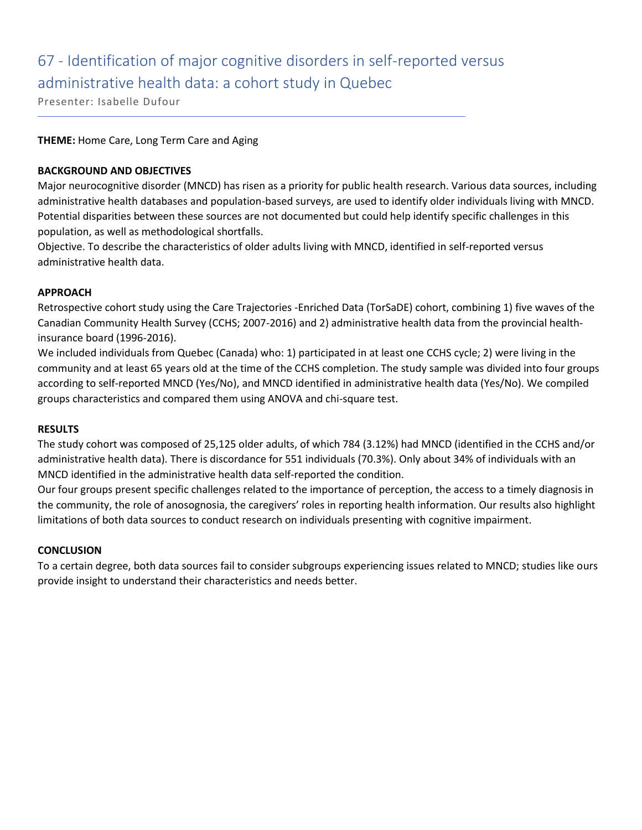### 67 - Identification of major cognitive disorders in self-reported versus administrative health data: a cohort study in Quebec

Presenter: Isabelle Dufour

### **THEME:** Home Care, Long Term Care and Aging

### **BACKGROUND AND OBJECTIVES**

Major neurocognitive disorder (MNCD) has risen as a priority for public health research. Various data sources, including administrative health databases and population-based surveys, are used to identify older individuals living with MNCD. Potential disparities between these sources are not documented but could help identify specific challenges in this population, as well as methodological shortfalls.

Objective. To describe the characteristics of older adults living with MNCD, identified in self-reported versus administrative health data.

### **APPROACH**

Retrospective cohort study using the Care Trajectories -Enriched Data (TorSaDE) cohort, combining 1) five waves of the Canadian Community Health Survey (CCHS; 2007-2016) and 2) administrative health data from the provincial healthinsurance board (1996-2016).

We included individuals from Quebec (Canada) who: 1) participated in at least one CCHS cycle; 2) were living in the community and at least 65 years old at the time of the CCHS completion. The study sample was divided into four groups according to self-reported MNCD (Yes/No), and MNCD identified in administrative health data (Yes/No). We compiled groups characteristics and compared them using ANOVA and chi-square test.

### **RESULTS**

The study cohort was composed of 25,125 older adults, of which 784 (3.12%) had MNCD (identified in the CCHS and/or administrative health data). There is discordance for 551 individuals (70.3%). Only about 34% of individuals with an MNCD identified in the administrative health data self-reported the condition.

Our four groups present specific challenges related to the importance of perception, the access to a timely diagnosis in the community, the role of anosognosia, the caregivers' roles in reporting health information. Our results also highlight limitations of both data sources to conduct research on individuals presenting with cognitive impairment.

### **CONCLUSION**

To a certain degree, both data sources fail to consider subgroups experiencing issues related to MNCD; studies like ours provide insight to understand their characteristics and needs better.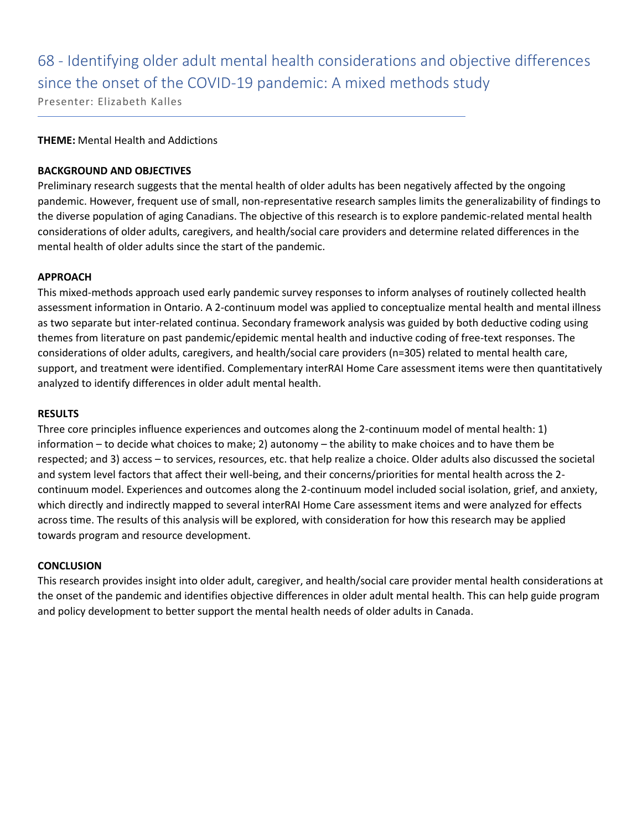# 68 - Identifying older adult mental health considerations and objective differences since the onset of the COVID-19 pandemic: A mixed methods study

Presenter: Elizabeth Kalles

### **THEME:** Mental Health and Addictions

### **BACKGROUND AND OBJECTIVES**

Preliminary research suggests that the mental health of older adults has been negatively affected by the ongoing pandemic. However, frequent use of small, non-representative research samples limits the generalizability of findings to the diverse population of aging Canadians. The objective of this research is to explore pandemic-related mental health considerations of older adults, caregivers, and health/social care providers and determine related differences in the mental health of older adults since the start of the pandemic.

### **APPROACH**

This mixed-methods approach used early pandemic survey responses to inform analyses of routinely collected health assessment information in Ontario. A 2-continuum model was applied to conceptualize mental health and mental illness as two separate but inter-related continua. Secondary framework analysis was guided by both deductive coding using themes from literature on past pandemic/epidemic mental health and inductive coding of free-text responses. The considerations of older adults, caregivers, and health/social care providers (n=305) related to mental health care, support, and treatment were identified. Complementary interRAI Home Care assessment items were then quantitatively analyzed to identify differences in older adult mental health.

### **RESULTS**

Three core principles influence experiences and outcomes along the 2-continuum model of mental health: 1) information – to decide what choices to make; 2) autonomy – the ability to make choices and to have them be respected; and 3) access – to services, resources, etc. that help realize a choice. Older adults also discussed the societal and system level factors that affect their well-being, and their concerns/priorities for mental health across the 2 continuum model. Experiences and outcomes along the 2-continuum model included social isolation, grief, and anxiety, which directly and indirectly mapped to several interRAI Home Care assessment items and were analyzed for effects across time. The results of this analysis will be explored, with consideration for how this research may be applied towards program and resource development.

### **CONCLUSION**

This research provides insight into older adult, caregiver, and health/social care provider mental health considerations at the onset of the pandemic and identifies objective differences in older adult mental health. This can help guide program and policy development to better support the mental health needs of older adults in Canada.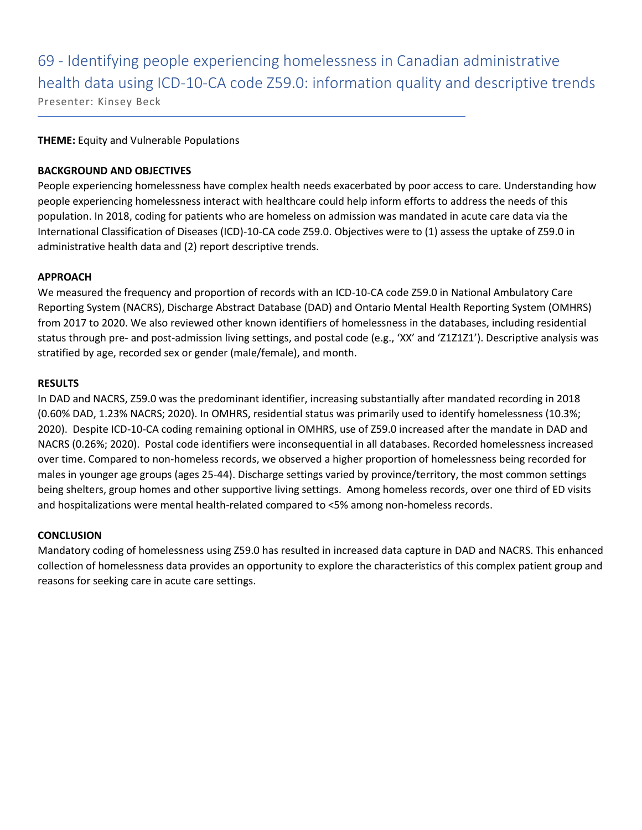69 - Identifying people experiencing homelessness in Canadian administrative health data using ICD-10-CA code Z59.0: information quality and descriptive trends

Presenter: Kinsey Beck

### **THEME:** Equity and Vulnerable Populations

### **BACKGROUND AND OBJECTIVES**

People experiencing homelessness have complex health needs exacerbated by poor access to care. Understanding how people experiencing homelessness interact with healthcare could help inform efforts to address the needs of this population. In 2018, coding for patients who are homeless on admission was mandated in acute care data via the International Classification of Diseases (ICD)-10-CA code Z59.0. Objectives were to (1) assess the uptake of Z59.0 in administrative health data and (2) report descriptive trends.

### **APPROACH**

We measured the frequency and proportion of records with an ICD-10-CA code Z59.0 in National Ambulatory Care Reporting System (NACRS), Discharge Abstract Database (DAD) and Ontario Mental Health Reporting System (OMHRS) from 2017 to 2020. We also reviewed other known identifiers of homelessness in the databases, including residential status through pre- and post-admission living settings, and postal code (e.g., 'XX' and 'Z1Z1Z1'). Descriptive analysis was stratified by age, recorded sex or gender (male/female), and month.

### **RESULTS**

In DAD and NACRS, Z59.0 was the predominant identifier, increasing substantially after mandated recording in 2018 (0.60% DAD, 1.23% NACRS; 2020). In OMHRS, residential status was primarily used to identify homelessness (10.3%; 2020). Despite ICD-10-CA coding remaining optional in OMHRS, use of Z59.0 increased after the mandate in DAD and NACRS (0.26%; 2020). Postal code identifiers were inconsequential in all databases. Recorded homelessness increased over time. Compared to non-homeless records, we observed a higher proportion of homelessness being recorded for males in younger age groups (ages 25-44). Discharge settings varied by province/territory, the most common settings being shelters, group homes and other supportive living settings. Among homeless records, over one third of ED visits and hospitalizations were mental health-related compared to <5% among non-homeless records.

### **CONCLUSION**

Mandatory coding of homelessness using Z59.0 has resulted in increased data capture in DAD and NACRS. This enhanced collection of homelessness data provides an opportunity to explore the characteristics of this complex patient group and reasons for seeking care in acute care settings.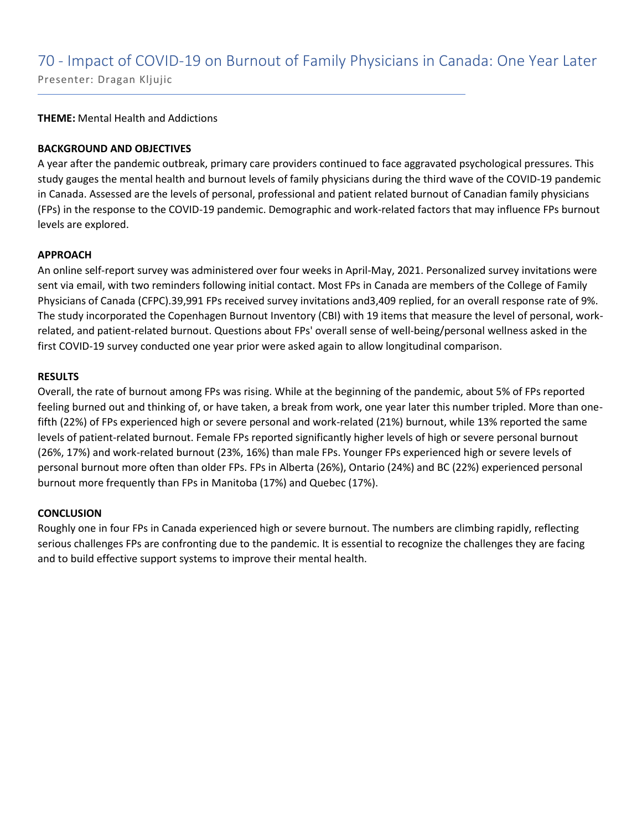**THEME:** Mental Health and Addictions

### **BACKGROUND AND OBJECTIVES**

A year after the pandemic outbreak, primary care providers continued to face aggravated psychological pressures. This study gauges the mental health and burnout levels of family physicians during the third wave of the COVID-19 pandemic in Canada. Assessed are the levels of personal, professional and patient related burnout of Canadian family physicians (FPs) in the response to the COVID-19 pandemic. Demographic and work-related factors that may influence FPs burnout levels are explored.

### **APPROACH**

An online self-report survey was administered over four weeks in April-May, 2021. Personalized survey invitations were sent via email, with two reminders following initial contact. Most FPs in Canada are members of the College of Family Physicians of Canada (CFPC).39,991 FPs received survey invitations and3,409 replied, for an overall response rate of 9%. The study incorporated the Copenhagen Burnout Inventory (CBI) with 19 items that measure the level of personal, workrelated, and patient-related burnout. Questions about FPs' overall sense of well-being/personal wellness asked in the first COVID-19 survey conducted one year prior were asked again to allow longitudinal comparison.

### **RESULTS**

Overall, the rate of burnout among FPs was rising. While at the beginning of the pandemic, about 5% of FPs reported feeling burned out and thinking of, or have taken, a break from work, one year later this number tripled. More than onefifth (22%) of FPs experienced high or severe personal and work-related (21%) burnout, while 13% reported the same levels of patient-related burnout. Female FPs reported significantly higher levels of high or severe personal burnout (26%, 17%) and work-related burnout (23%, 16%) than male FPs. Younger FPs experienced high or severe levels of personal burnout more often than older FPs. FPs in Alberta (26%), Ontario (24%) and BC (22%) experienced personal burnout more frequently than FPs in Manitoba (17%) and Quebec (17%).

### **CONCLUSION**

Roughly one in four FPs in Canada experienced high or severe burnout. The numbers are climbing rapidly, reflecting serious challenges FPs are confronting due to the pandemic. It is essential to recognize the challenges they are facing and to build effective support systems to improve their mental health.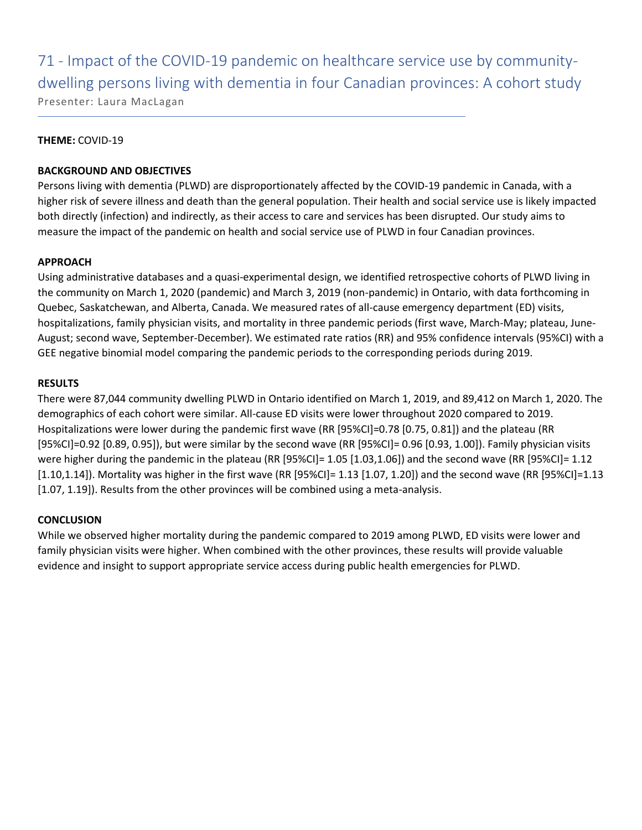71 - Impact of the COVID-19 pandemic on healthcare service use by communitydwelling persons living with dementia in four Canadian provinces: A cohort study Presenter: Laura MacLagan

### **THEME:** COVID-19

### **BACKGROUND AND OBJECTIVES**

Persons living with dementia (PLWD) are disproportionately affected by the COVID-19 pandemic in Canada, with a higher risk of severe illness and death than the general population. Their health and social service use is likely impacted both directly (infection) and indirectly, as their access to care and services has been disrupted. Our study aims to measure the impact of the pandemic on health and social service use of PLWD in four Canadian provinces.

### **APPROACH**

Using administrative databases and a quasi-experimental design, we identified retrospective cohorts of PLWD living in the community on March 1, 2020 (pandemic) and March 3, 2019 (non-pandemic) in Ontario, with data forthcoming in Quebec, Saskatchewan, and Alberta, Canada. We measured rates of all-cause emergency department (ED) visits, hospitalizations, family physician visits, and mortality in three pandemic periods (first wave, March-May; plateau, June-August; second wave, September-December). We estimated rate ratios (RR) and 95% confidence intervals (95%CI) with a GEE negative binomial model comparing the pandemic periods to the corresponding periods during 2019.

### **RESULTS**

There were 87,044 community dwelling PLWD in Ontario identified on March 1, 2019, and 89,412 on March 1, 2020. The demographics of each cohort were similar. All-cause ED visits were lower throughout 2020 compared to 2019. Hospitalizations were lower during the pandemic first wave (RR [95%CI]=0.78 [0.75, 0.81]) and the plateau (RR [95%CI]=0.92 [0.89, 0.95]), but were similar by the second wave (RR [95%CI]= 0.96 [0.93, 1.00]). Family physician visits were higher during the pandemic in the plateau (RR [95%CI]= 1.05 [1.03,1.06]) and the second wave (RR [95%CI]= 1.12 [1.10,1.14]). Mortality was higher in the first wave (RR [95%CI]= 1.13 [1.07, 1.20]) and the second wave (RR [95%CI]=1.13 [1.07, 1.19]). Results from the other provinces will be combined using a meta-analysis.

### **CONCLUSION**

While we observed higher mortality during the pandemic compared to 2019 among PLWD, ED visits were lower and family physician visits were higher. When combined with the other provinces, these results will provide valuable evidence and insight to support appropriate service access during public health emergencies for PLWD.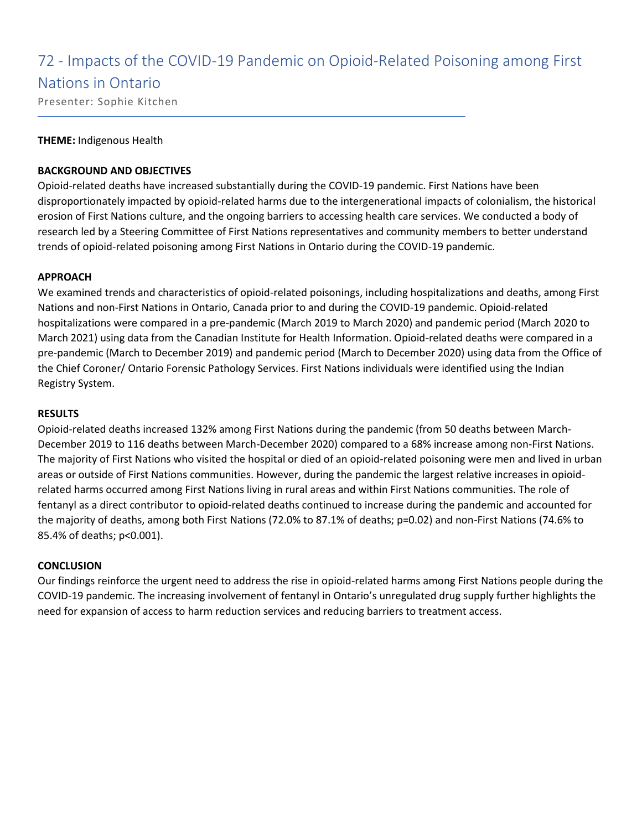### 72 - Impacts of the COVID-19 Pandemic on Opioid-Related Poisoning among First

### Nations in Ontario

Presenter: Sophie Kitchen

### **THEME:** Indigenous Health

### **BACKGROUND AND OBJECTIVES**

Opioid-related deaths have increased substantially during the COVID-19 pandemic. First Nations have been disproportionately impacted by opioid-related harms due to the intergenerational impacts of colonialism, the historical erosion of First Nations culture, and the ongoing barriers to accessing health care services. We conducted a body of research led by a Steering Committee of First Nations representatives and community members to better understand trends of opioid-related poisoning among First Nations in Ontario during the COVID-19 pandemic.

### **APPROACH**

We examined trends and characteristics of opioid-related poisonings, including hospitalizations and deaths, among First Nations and non-First Nations in Ontario, Canada prior to and during the COVID-19 pandemic. Opioid-related hospitalizations were compared in a pre-pandemic (March 2019 to March 2020) and pandemic period (March 2020 to March 2021) using data from the Canadian Institute for Health Information. Opioid-related deaths were compared in a pre-pandemic (March to December 2019) and pandemic period (March to December 2020) using data from the Office of the Chief Coroner/ Ontario Forensic Pathology Services. First Nations individuals were identified using the Indian Registry System.

### **RESULTS**

Opioid-related deaths increased 132% among First Nations during the pandemic (from 50 deaths between March-December 2019 to 116 deaths between March-December 2020) compared to a 68% increase among non-First Nations. The majority of First Nations who visited the hospital or died of an opioid-related poisoning were men and lived in urban areas or outside of First Nations communities. However, during the pandemic the largest relative increases in opioidrelated harms occurred among First Nations living in rural areas and within First Nations communities. The role of fentanyl as a direct contributor to opioid-related deaths continued to increase during the pandemic and accounted for the majority of deaths, among both First Nations (72.0% to 87.1% of deaths; p=0.02) and non-First Nations (74.6% to 85.4% of deaths; p<0.001).

### **CONCLUSION**

Our findings reinforce the urgent need to address the rise in opioid-related harms among First Nations people during the COVID-19 pandemic. The increasing involvement of fentanyl in Ontario's unregulated drug supply further highlights the need for expansion of access to harm reduction services and reducing barriers to treatment access.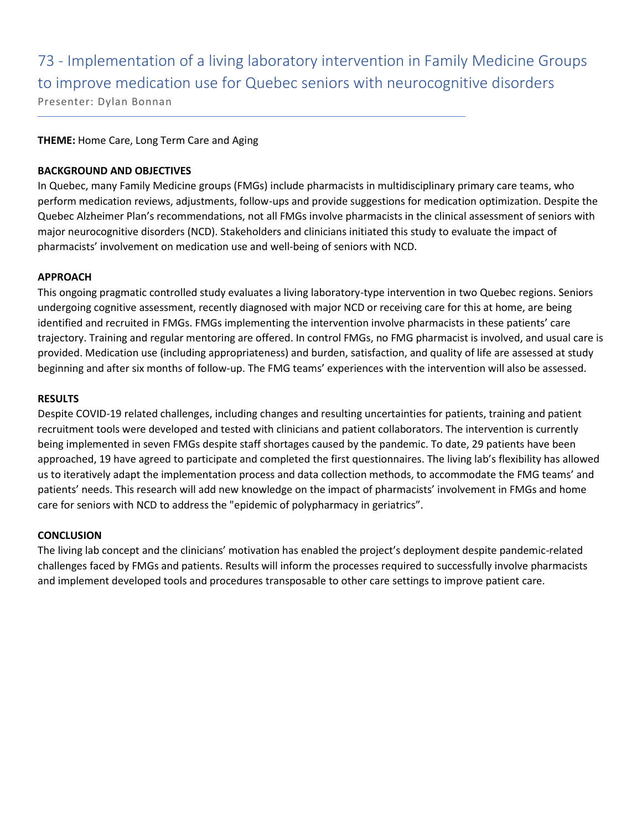# 73 - Implementation of a living laboratory intervention in Family Medicine Groups to improve medication use for Quebec seniors with neurocognitive disorders

Presenter: Dylan Bonnan

### **THEME:** Home Care, Long Term Care and Aging

### **BACKGROUND AND OBJECTIVES**

In Quebec, many Family Medicine groups (FMGs) include pharmacists in multidisciplinary primary care teams, who perform medication reviews, adjustments, follow-ups and provide suggestions for medication optimization. Despite the Quebec Alzheimer Plan's recommendations, not all FMGs involve pharmacists in the clinical assessment of seniors with major neurocognitive disorders (NCD). Stakeholders and clinicians initiated this study to evaluate the impact of pharmacists' involvement on medication use and well-being of seniors with NCD.

### **APPROACH**

This ongoing pragmatic controlled study evaluates a living laboratory-type intervention in two Quebec regions. Seniors undergoing cognitive assessment, recently diagnosed with major NCD or receiving care for this at home, are being identified and recruited in FMGs. FMGs implementing the intervention involve pharmacists in these patients' care trajectory. Training and regular mentoring are offered. In control FMGs, no FMG pharmacist is involved, and usual care is provided. Medication use (including appropriateness) and burden, satisfaction, and quality of life are assessed at study beginning and after six months of follow-up. The FMG teams' experiences with the intervention will also be assessed.

### **RESULTS**

Despite COVID-19 related challenges, including changes and resulting uncertainties for patients, training and patient recruitment tools were developed and tested with clinicians and patient collaborators. The intervention is currently being implemented in seven FMGs despite staff shortages caused by the pandemic. To date, 29 patients have been approached, 19 have agreed to participate and completed the first questionnaires. The living lab's flexibility has allowed us to iteratively adapt the implementation process and data collection methods, to accommodate the FMG teams' and patients' needs. This research will add new knowledge on the impact of pharmacists' involvement in FMGs and home care for seniors with NCD to address the "epidemic of polypharmacy in geriatrics".

### **CONCLUSION**

The living lab concept and the clinicians' motivation has enabled the project's deployment despite pandemic-related challenges faced by FMGs and patients. Results will inform the processes required to successfully involve pharmacists and implement developed tools and procedures transposable to other care settings to improve patient care.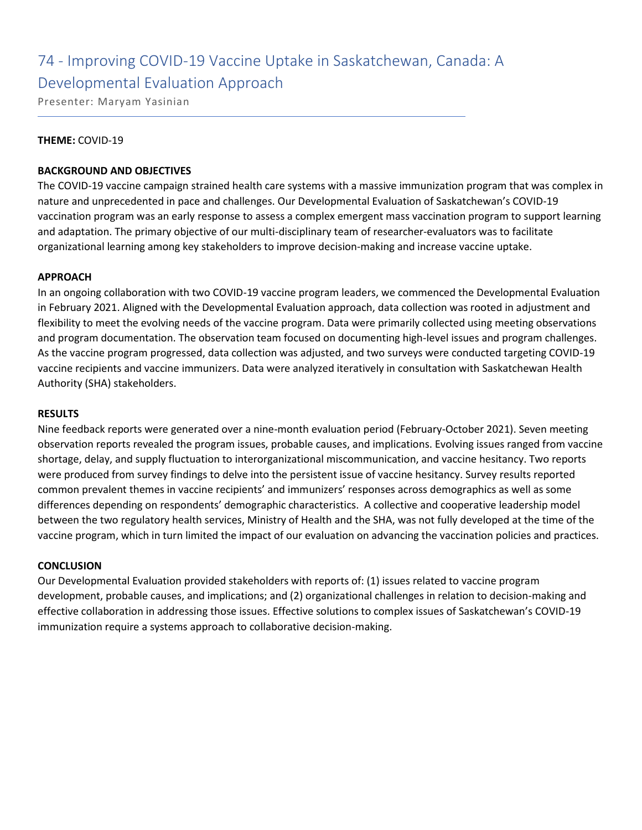### 74 - Improving COVID-19 Vaccine Uptake in Saskatchewan, Canada: A Developmental Evaluation Approach

Presenter: Maryam Yasinian

### **THEME:** COVID-19

### **BACKGROUND AND OBJECTIVES**

The COVID-19 vaccine campaign strained health care systems with a massive immunization program that was complex in nature and unprecedented in pace and challenges. Our Developmental Evaluation of Saskatchewan's COVID-19 vaccination program was an early response to assess a complex emergent mass vaccination program to support learning and adaptation. The primary objective of our multi-disciplinary team of researcher-evaluators was to facilitate organizational learning among key stakeholders to improve decision-making and increase vaccine uptake.

### **APPROACH**

In an ongoing collaboration with two COVID-19 vaccine program leaders, we commenced the Developmental Evaluation in February 2021. Aligned with the Developmental Evaluation approach, data collection was rooted in adjustment and flexibility to meet the evolving needs of the vaccine program. Data were primarily collected using meeting observations and program documentation. The observation team focused on documenting high-level issues and program challenges. As the vaccine program progressed, data collection was adjusted, and two surveys were conducted targeting COVID-19 vaccine recipients and vaccine immunizers. Data were analyzed iteratively in consultation with Saskatchewan Health Authority (SHA) stakeholders.

### **RESULTS**

Nine feedback reports were generated over a nine-month evaluation period (February-October 2021). Seven meeting observation reports revealed the program issues, probable causes, and implications. Evolving issues ranged from vaccine shortage, delay, and supply fluctuation to interorganizational miscommunication, and vaccine hesitancy. Two reports were produced from survey findings to delve into the persistent issue of vaccine hesitancy. Survey results reported common prevalent themes in vaccine recipients' and immunizers' responses across demographics as well as some differences depending on respondents' demographic characteristics. A collective and cooperative leadership model between the two regulatory health services, Ministry of Health and the SHA, was not fully developed at the time of the vaccine program, which in turn limited the impact of our evaluation on advancing the vaccination policies and practices.

### **CONCLUSION**

Our Developmental Evaluation provided stakeholders with reports of: (1) issues related to vaccine program development, probable causes, and implications; and (2) organizational challenges in relation to decision-making and effective collaboration in addressing those issues. Effective solutions to complex issues of Saskatchewan's COVID-19 immunization require a systems approach to collaborative decision-making.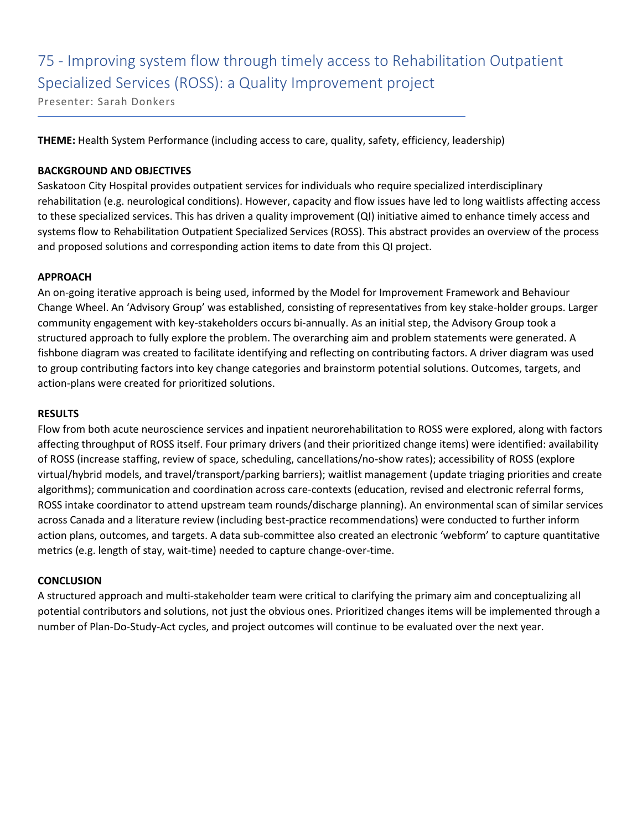# 75 - Improving system flow through timely access to Rehabilitation Outpatient Specialized Services (ROSS): a Quality Improvement project

Presenter: Sarah Donkers

**THEME:** Health System Performance (including access to care, quality, safety, efficiency, leadership)

### **BACKGROUND AND OBJECTIVES**

Saskatoon City Hospital provides outpatient services for individuals who require specialized interdisciplinary rehabilitation (e.g. neurological conditions). However, capacity and flow issues have led to long waitlists affecting access to these specialized services. This has driven a quality improvement (QI) initiative aimed to enhance timely access and systems flow to Rehabilitation Outpatient Specialized Services (ROSS). This abstract provides an overview of the process and proposed solutions and corresponding action items to date from this QI project.

### **APPROACH**

An on-going iterative approach is being used, informed by the Model for Improvement Framework and Behaviour Change Wheel. An 'Advisory Group' was established, consisting of representatives from key stake-holder groups. Larger community engagement with key-stakeholders occurs bi-annually. As an initial step, the Advisory Group took a structured approach to fully explore the problem. The overarching aim and problem statements were generated. A fishbone diagram was created to facilitate identifying and reflecting on contributing factors. A driver diagram was used to group contributing factors into key change categories and brainstorm potential solutions. Outcomes, targets, and action-plans were created for prioritized solutions.

### **RESULTS**

Flow from both acute neuroscience services and inpatient neurorehabilitation to ROSS were explored, along with factors affecting throughput of ROSS itself. Four primary drivers (and their prioritized change items) were identified: availability of ROSS (increase staffing, review of space, scheduling, cancellations/no-show rates); accessibility of ROSS (explore virtual/hybrid models, and travel/transport/parking barriers); waitlist management (update triaging priorities and create algorithms); communication and coordination across care-contexts (education, revised and electronic referral forms, ROSS intake coordinator to attend upstream team rounds/discharge planning). An environmental scan of similar services across Canada and a literature review (including best-practice recommendations) were conducted to further inform action plans, outcomes, and targets. A data sub-committee also created an electronic 'webform' to capture quantitative metrics (e.g. length of stay, wait-time) needed to capture change-over-time.

### **CONCLUSION**

A structured approach and multi-stakeholder team were critical to clarifying the primary aim and conceptualizing all potential contributors and solutions, not just the obvious ones. Prioritized changes items will be implemented through a number of Plan-Do-Study-Act cycles, and project outcomes will continue to be evaluated over the next year.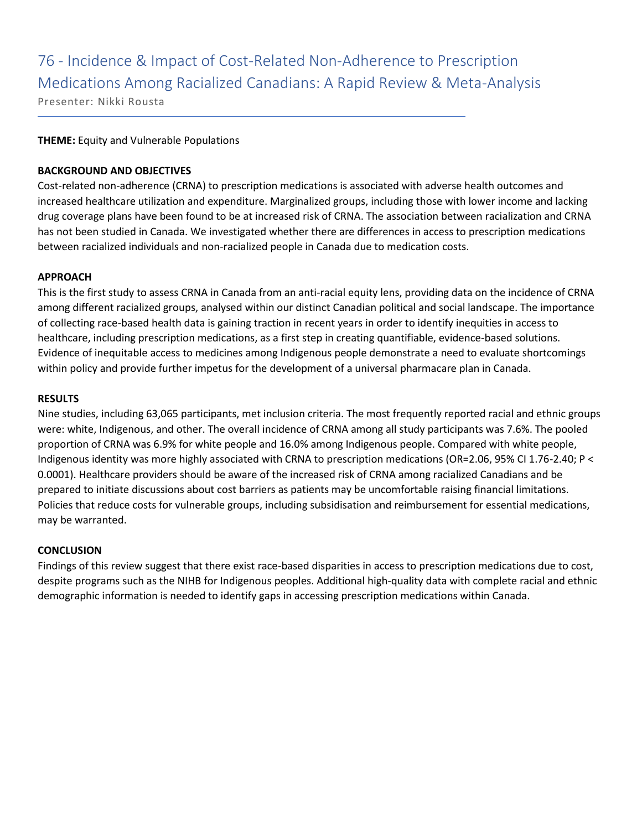# 76 - Incidence & Impact of Cost-Related Non-Adherence to Prescription Medications Among Racialized Canadians: A Rapid Review & Meta-Analysis

Presenter: Nikki Rousta

### **THEME:** Equity and Vulnerable Populations

### **BACKGROUND AND OBJECTIVES**

Cost-related non-adherence (CRNA) to prescription medications is associated with adverse health outcomes and increased healthcare utilization and expenditure. Marginalized groups, including those with lower income and lacking drug coverage plans have been found to be at increased risk of CRNA. The association between racialization and CRNA has not been studied in Canada. We investigated whether there are differences in access to prescription medications between racialized individuals and non-racialized people in Canada due to medication costs.

### **APPROACH**

This is the first study to assess CRNA in Canada from an anti-racial equity lens, providing data on the incidence of CRNA among different racialized groups, analysed within our distinct Canadian political and social landscape. The importance of collecting race-based health data is gaining traction in recent years in order to identify inequities in access to healthcare, including prescription medications, as a first step in creating quantifiable, evidence-based solutions. Evidence of inequitable access to medicines among Indigenous people demonstrate a need to evaluate shortcomings within policy and provide further impetus for the development of a universal pharmacare plan in Canada.

### **RESULTS**

Nine studies, including 63,065 participants, met inclusion criteria. The most frequently reported racial and ethnic groups were: white, Indigenous, and other. The overall incidence of CRNA among all study participants was 7.6%. The pooled proportion of CRNA was 6.9% for white people and 16.0% among Indigenous people. Compared with white people, Indigenous identity was more highly associated with CRNA to prescription medications (OR=2.06, 95% CI 1.76-2.40; P < 0.0001). Healthcare providers should be aware of the increased risk of CRNA among racialized Canadians and be prepared to initiate discussions about cost barriers as patients may be uncomfortable raising financial limitations. Policies that reduce costs for vulnerable groups, including subsidisation and reimbursement for essential medications, may be warranted.

### **CONCLUSION**

Findings of this review suggest that there exist race-based disparities in access to prescription medications due to cost, despite programs such as the NIHB for Indigenous peoples. Additional high-quality data with complete racial and ethnic demographic information is needed to identify gaps in accessing prescription medications within Canada.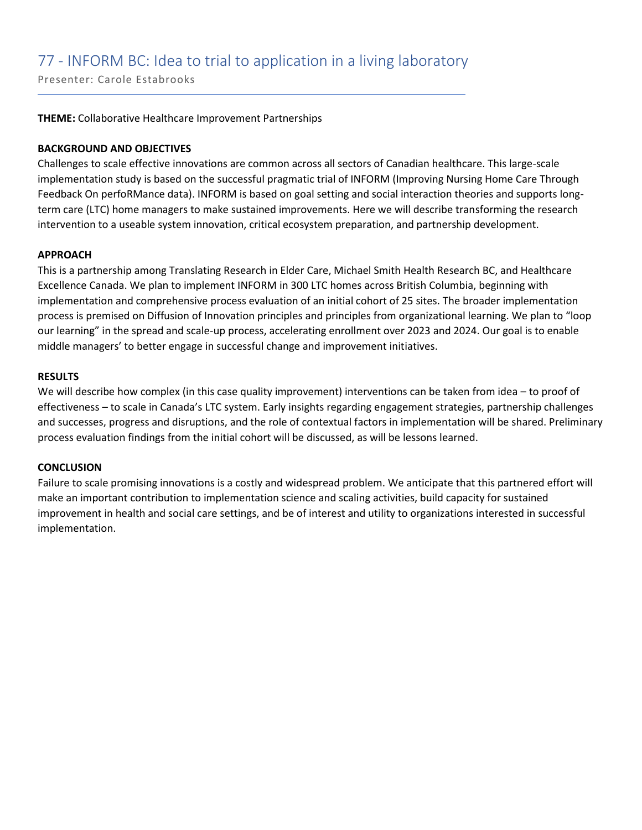Presenter: Carole Estabrooks

#### **THEME:** Collaborative Healthcare Improvement Partnerships

#### **BACKGROUND AND OBJECTIVES**

Challenges to scale effective innovations are common across all sectors of Canadian healthcare. This large-scale implementation study is based on the successful pragmatic trial of INFORM (Improving Nursing Home Care Through Feedback On perfoRMance data). INFORM is based on goal setting and social interaction theories and supports longterm care (LTC) home managers to make sustained improvements. Here we will describe transforming the research intervention to a useable system innovation, critical ecosystem preparation, and partnership development.

#### **APPROACH**

This is a partnership among Translating Research in Elder Care, Michael Smith Health Research BC, and Healthcare Excellence Canada. We plan to implement INFORM in 300 LTC homes across British Columbia, beginning with implementation and comprehensive process evaluation of an initial cohort of 25 sites. The broader implementation process is premised on Diffusion of Innovation principles and principles from organizational learning. We plan to "loop our learning" in the spread and scale-up process, accelerating enrollment over 2023 and 2024. Our goal is to enable middle managers' to better engage in successful change and improvement initiatives.

#### **RESULTS**

We will describe how complex (in this case quality improvement) interventions can be taken from idea – to proof of effectiveness – to scale in Canada's LTC system. Early insights regarding engagement strategies, partnership challenges and successes, progress and disruptions, and the role of contextual factors in implementation will be shared. Preliminary process evaluation findings from the initial cohort will be discussed, as will be lessons learned.

#### **CONCLUSION**

Failure to scale promising innovations is a costly and widespread problem. We anticipate that this partnered effort will make an important contribution to implementation science and scaling activities, build capacity for sustained improvement in health and social care settings, and be of interest and utility to organizations interested in successful implementation.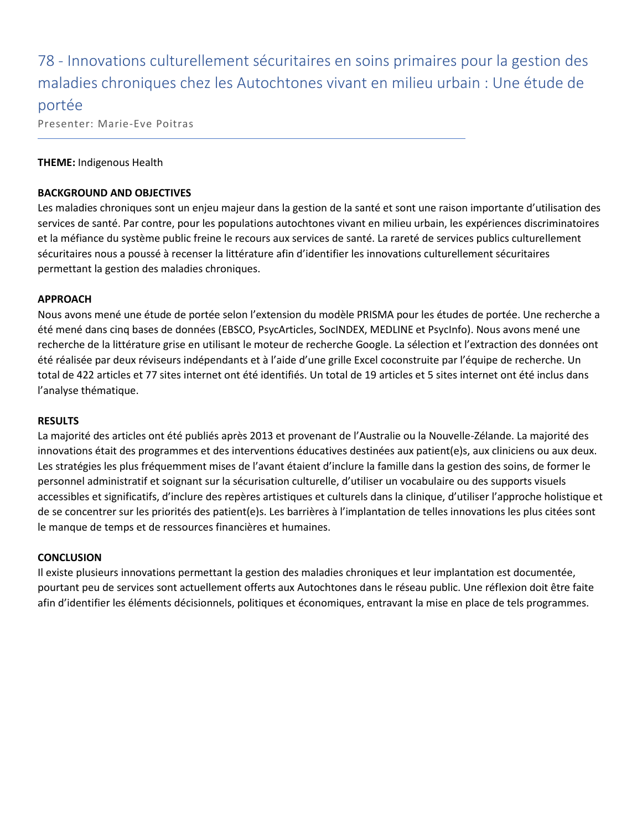78 - Innovations culturellement sécuritaires en soins primaires pour la gestion des maladies chroniques chez les Autochtones vivant en milieu urbain : Une étude de portée

Presenter: Marie-Eve Poitras

#### **THEME:** Indigenous Health

#### **BACKGROUND AND OBJECTIVES**

Les maladies chroniques sont un enjeu majeur dans la gestion de la santé et sont une raison importante d'utilisation des services de santé. Par contre, pour les populations autochtones vivant en milieu urbain, les expériences discriminatoires et la méfiance du système public freine le recours aux services de santé. La rareté de services publics culturellement sécuritaires nous a poussé à recenser la littérature afin d'identifier les innovations culturellement sécuritaires permettant la gestion des maladies chroniques.

#### **APPROACH**

Nous avons mené une étude de portée selon l'extension du modèle PRISMA pour les études de portée. Une recherche a été mené dans cinq bases de données (EBSCO, PsycArticles, SocINDEX, MEDLINE et PsycInfo). Nous avons mené une recherche de la littérature grise en utilisant le moteur de recherche Google. La sélection et l'extraction des données ont été réalisée par deux réviseurs indépendants et à l'aide d'une grille Excel coconstruite par l'équipe de recherche. Un total de 422 articles et 77 sites internet ont été identifiés. Un total de 19 articles et 5 sites internet ont été inclus dans l'analyse thématique.

#### **RESULTS**

La majorité des articles ont été publiés après 2013 et provenant de l'Australie ou la Nouvelle-Zélande. La majorité des innovations était des programmes et des interventions éducatives destinées aux patient(e)s, aux cliniciens ou aux deux. Les stratégies les plus fréquemment mises de l'avant étaient d'inclure la famille dans la gestion des soins, de former le personnel administratif et soignant sur la sécurisation culturelle, d'utiliser un vocabulaire ou des supports visuels accessibles et significatifs, d'inclure des repères artistiques et culturels dans la clinique, d'utiliser l'approche holistique et de se concentrer sur les priorités des patient(e)s. Les barrières à l'implantation de telles innovations les plus citées sont le manque de temps et de ressources financières et humaines.

#### **CONCLUSION**

Il existe plusieurs innovations permettant la gestion des maladies chroniques et leur implantation est documentée, pourtant peu de services sont actuellement offerts aux Autochtones dans le réseau public. Une réflexion doit être faite afin d'identifier les éléments décisionnels, politiques et économiques, entravant la mise en place de tels programmes.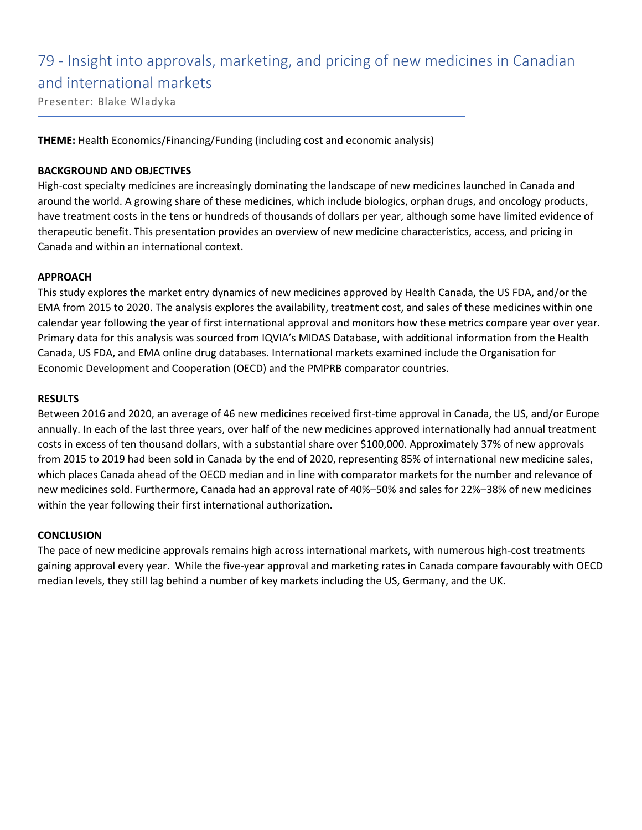## 79 - Insight into approvals, marketing, and pricing of new medicines in Canadian and international markets

Presenter: Blake Wladyka

**THEME:** Health Economics/Financing/Funding (including cost and economic analysis)

#### **BACKGROUND AND OBJECTIVES**

High-cost specialty medicines are increasingly dominating the landscape of new medicines launched in Canada and around the world. A growing share of these medicines, which include biologics, orphan drugs, and oncology products, have treatment costs in the tens or hundreds of thousands of dollars per year, although some have limited evidence of therapeutic benefit. This presentation provides an overview of new medicine characteristics, access, and pricing in Canada and within an international context.

#### **APPROACH**

This study explores the market entry dynamics of new medicines approved by Health Canada, the US FDA, and/or the EMA from 2015 to 2020. The analysis explores the availability, treatment cost, and sales of these medicines within one calendar year following the year of first international approval and monitors how these metrics compare year over year. Primary data for this analysis was sourced from IQVIA's MIDAS Database, with additional information from the Health Canada, US FDA, and EMA online drug databases. International markets examined include the Organisation for Economic Development and Cooperation (OECD) and the PMPRB comparator countries.

#### **RESULTS**

Between 2016 and 2020, an average of 46 new medicines received first-time approval in Canada, the US, and/or Europe annually. In each of the last three years, over half of the new medicines approved internationally had annual treatment costs in excess of ten thousand dollars, with a substantial share over \$100,000. Approximately 37% of new approvals from 2015 to 2019 had been sold in Canada by the end of 2020, representing 85% of international new medicine sales, which places Canada ahead of the OECD median and in line with comparator markets for the number and relevance of new medicines sold. Furthermore, Canada had an approval rate of 40%–50% and sales for 22%–38% of new medicines within the year following their first international authorization.

#### **CONCLUSION**

The pace of new medicine approvals remains high across international markets, with numerous high-cost treatments gaining approval every year. While the five-year approval and marketing rates in Canada compare favourably with OECD median levels, they still lag behind a number of key markets including the US, Germany, and the UK.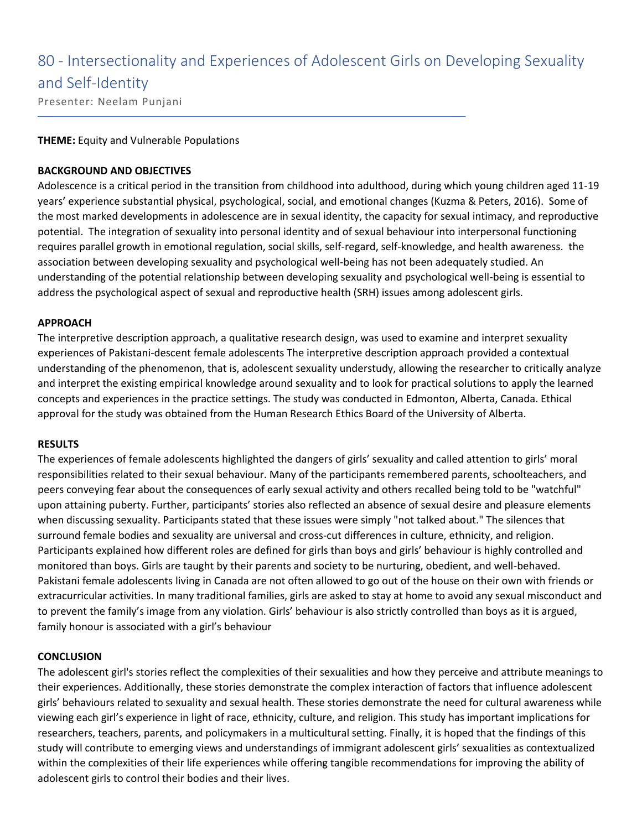# 80 - Intersectionality and Experiences of Adolescent Girls on Developing Sexuality and Self-Identity

Presenter: Neelam Punjani

#### **THEME:** Equity and Vulnerable Populations

#### **BACKGROUND AND OBJECTIVES**

Adolescence is a critical period in the transition from childhood into adulthood, during which young children aged 11-19 years' experience substantial physical, psychological, social, and emotional changes (Kuzma & Peters, 2016). Some of the most marked developments in adolescence are in sexual identity, the capacity for sexual intimacy, and reproductive potential. The integration of sexuality into personal identity and of sexual behaviour into interpersonal functioning requires parallel growth in emotional regulation, social skills, self-regard, self-knowledge, and health awareness. the association between developing sexuality and psychological well-being has not been adequately studied. An understanding of the potential relationship between developing sexuality and psychological well-being is essential to address the psychological aspect of sexual and reproductive health (SRH) issues among adolescent girls.

#### **APPROACH**

The interpretive description approach, a qualitative research design, was used to examine and interpret sexuality experiences of Pakistani-descent female adolescents The interpretive description approach provided a contextual understanding of the phenomenon, that is, adolescent sexuality understudy, allowing the researcher to critically analyze and interpret the existing empirical knowledge around sexuality and to look for practical solutions to apply the learned concepts and experiences in the practice settings. The study was conducted in Edmonton, Alberta, Canada. Ethical approval for the study was obtained from the Human Research Ethics Board of the University of Alberta.

#### **RESULTS**

The experiences of female adolescents highlighted the dangers of girls' sexuality and called attention to girls' moral responsibilities related to their sexual behaviour. Many of the participants remembered parents, schoolteachers, and peers conveying fear about the consequences of early sexual activity and others recalled being told to be "watchful" upon attaining puberty. Further, participants' stories also reflected an absence of sexual desire and pleasure elements when discussing sexuality. Participants stated that these issues were simply "not talked about." The silences that surround female bodies and sexuality are universal and cross-cut differences in culture, ethnicity, and religion. Participants explained how different roles are defined for girls than boys and girls' behaviour is highly controlled and monitored than boys. Girls are taught by their parents and society to be nurturing, obedient, and well-behaved. Pakistani female adolescents living in Canada are not often allowed to go out of the house on their own with friends or extracurricular activities. In many traditional families, girls are asked to stay at home to avoid any sexual misconduct and to prevent the family's image from any violation. Girls' behaviour is also strictly controlled than boys as it is argued, family honour is associated with a girl's behaviour

#### **CONCLUSION**

The adolescent girl's stories reflect the complexities of their sexualities and how they perceive and attribute meanings to their experiences. Additionally, these stories demonstrate the complex interaction of factors that influence adolescent girls' behaviours related to sexuality and sexual health. These stories demonstrate the need for cultural awareness while viewing each girl's experience in light of race, ethnicity, culture, and religion. This study has important implications for researchers, teachers, parents, and policymakers in a multicultural setting. Finally, it is hoped that the findings of this study will contribute to emerging views and understandings of immigrant adolescent girls' sexualities as contextualized within the complexities of their life experiences while offering tangible recommendations for improving the ability of adolescent girls to control their bodies and their lives.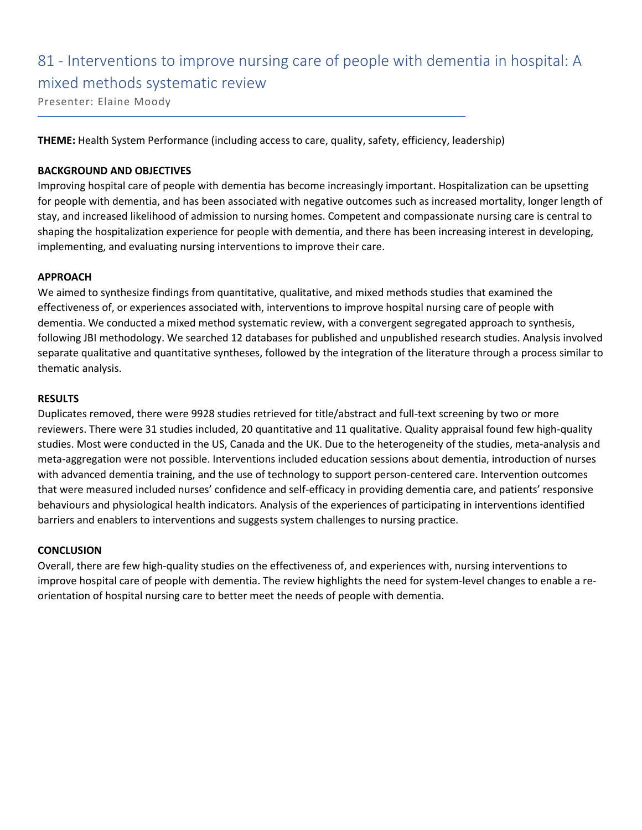# 81 - Interventions to improve nursing care of people with dementia in hospital: A mixed methods systematic review

Presenter: Elaine Moody

**THEME:** Health System Performance (including access to care, quality, safety, efficiency, leadership)

#### **BACKGROUND AND OBJECTIVES**

Improving hospital care of people with dementia has become increasingly important. Hospitalization can be upsetting for people with dementia, and has been associated with negative outcomes such as increased mortality, longer length of stay, and increased likelihood of admission to nursing homes. Competent and compassionate nursing care is central to shaping the hospitalization experience for people with dementia, and there has been increasing interest in developing, implementing, and evaluating nursing interventions to improve their care.

#### **APPROACH**

We aimed to synthesize findings from quantitative, qualitative, and mixed methods studies that examined the effectiveness of, or experiences associated with, interventions to improve hospital nursing care of people with dementia. We conducted a mixed method systematic review, with a convergent segregated approach to synthesis, following JBI methodology. We searched 12 databases for published and unpublished research studies. Analysis involved separate qualitative and quantitative syntheses, followed by the integration of the literature through a process similar to thematic analysis.

#### **RESULTS**

Duplicates removed, there were 9928 studies retrieved for title/abstract and full-text screening by two or more reviewers. There were 31 studies included, 20 quantitative and 11 qualitative. Quality appraisal found few high-quality studies. Most were conducted in the US, Canada and the UK. Due to the heterogeneity of the studies, meta-analysis and meta-aggregation were not possible. Interventions included education sessions about dementia, introduction of nurses with advanced dementia training, and the use of technology to support person-centered care. Intervention outcomes that were measured included nurses' confidence and self-efficacy in providing dementia care, and patients' responsive behaviours and physiological health indicators. Analysis of the experiences of participating in interventions identified barriers and enablers to interventions and suggests system challenges to nursing practice.

#### **CONCLUSION**

Overall, there are few high-quality studies on the effectiveness of, and experiences with, nursing interventions to improve hospital care of people with dementia. The review highlights the need for system-level changes to enable a reorientation of hospital nursing care to better meet the needs of people with dementia.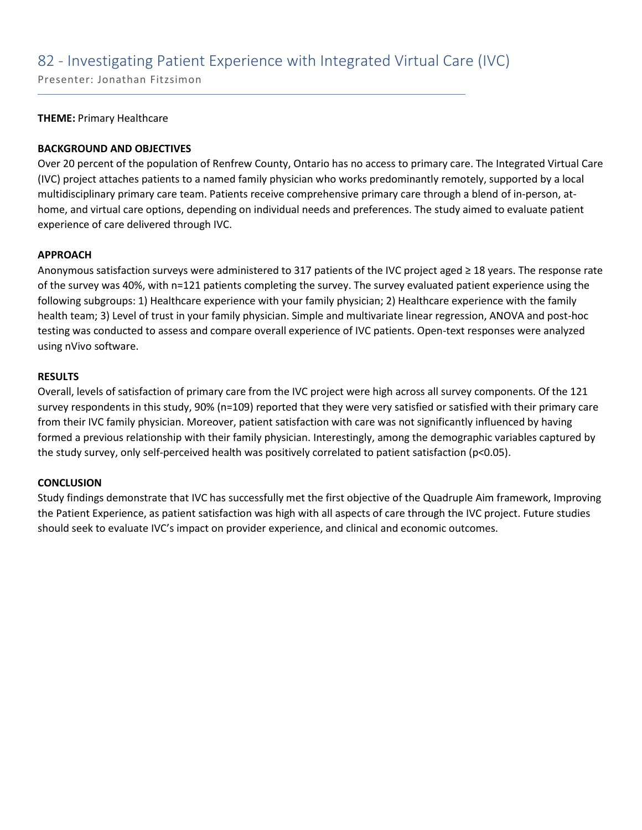### 82 - Investigating Patient Experience with Integrated Virtual Care (IVC)

Presenter: Jonathan Fitzsimon

#### **THEME:** Primary Healthcare

#### **BACKGROUND AND OBJECTIVES**

Over 20 percent of the population of Renfrew County, Ontario has no access to primary care. The Integrated Virtual Care (IVC) project attaches patients to a named family physician who works predominantly remotely, supported by a local multidisciplinary primary care team. Patients receive comprehensive primary care through a blend of in-person, athome, and virtual care options, depending on individual needs and preferences. The study aimed to evaluate patient experience of care delivered through IVC.

#### **APPROACH**

Anonymous satisfaction surveys were administered to 317 patients of the IVC project aged ≥ 18 years. The response rate of the survey was 40%, with n=121 patients completing the survey. The survey evaluated patient experience using the following subgroups: 1) Healthcare experience with your family physician; 2) Healthcare experience with the family health team; 3) Level of trust in your family physician. Simple and multivariate linear regression, ANOVA and post-hoc testing was conducted to assess and compare overall experience of IVC patients. Open-text responses were analyzed using nVivo software.

#### **RESULTS**

Overall, levels of satisfaction of primary care from the IVC project were high across all survey components. Of the 121 survey respondents in this study, 90% (n=109) reported that they were very satisfied or satisfied with their primary care from their IVC family physician. Moreover, patient satisfaction with care was not significantly influenced by having formed a previous relationship with their family physician. Interestingly, among the demographic variables captured by the study survey, only self-perceived health was positively correlated to patient satisfaction (p<0.05).

#### **CONCLUSION**

Study findings demonstrate that IVC has successfully met the first objective of the Quadruple Aim framework, Improving the Patient Experience, as patient satisfaction was high with all aspects of care through the IVC project. Future studies should seek to evaluate IVC's impact on provider experience, and clinical and economic outcomes.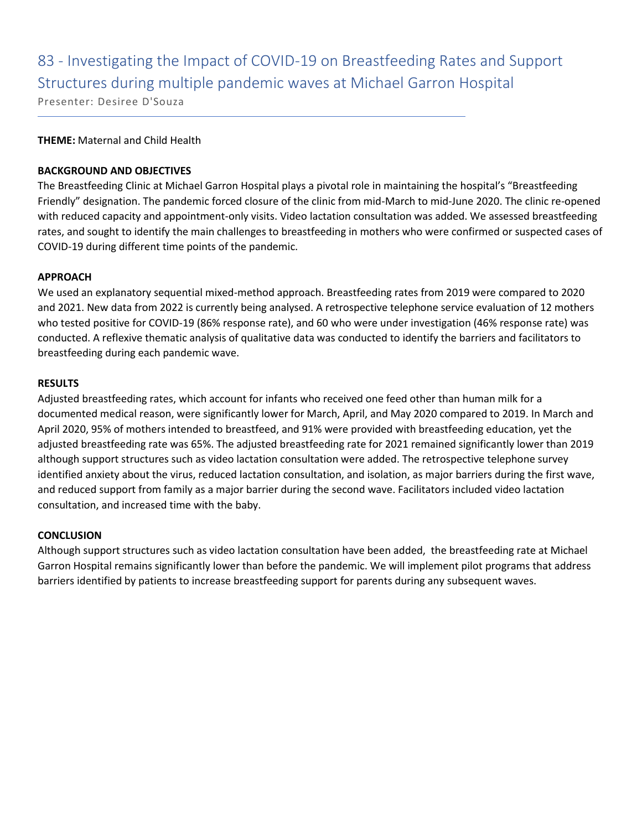# 83 - Investigating the Impact of COVID-19 on Breastfeeding Rates and Support Structures during multiple pandemic waves at Michael Garron Hospital

Presenter: Desiree D'Souza

#### **THEME:** Maternal and Child Health

#### **BACKGROUND AND OBJECTIVES**

The Breastfeeding Clinic at Michael Garron Hospital plays a pivotal role in maintaining the hospital's "Breastfeeding Friendly" designation. The pandemic forced closure of the clinic from mid-March to mid-June 2020. The clinic re-opened with reduced capacity and appointment-only visits. Video lactation consultation was added. We assessed breastfeeding rates, and sought to identify the main challenges to breastfeeding in mothers who were confirmed or suspected cases of COVID-19 during different time points of the pandemic.

#### **APPROACH**

We used an explanatory sequential mixed-method approach. Breastfeeding rates from 2019 were compared to 2020 and 2021. New data from 2022 is currently being analysed. A retrospective telephone service evaluation of 12 mothers who tested positive for COVID-19 (86% response rate), and 60 who were under investigation (46% response rate) was conducted. A reflexive thematic analysis of qualitative data was conducted to identify the barriers and facilitators to breastfeeding during each pandemic wave.

#### **RESULTS**

Adjusted breastfeeding rates, which account for infants who received one feed other than human milk for a documented medical reason, were significantly lower for March, April, and May 2020 compared to 2019. In March and April 2020, 95% of mothers intended to breastfeed, and 91% were provided with breastfeeding education, yet the adjusted breastfeeding rate was 65%. The adjusted breastfeeding rate for 2021 remained significantly lower than 2019 although support structures such as video lactation consultation were added. The retrospective telephone survey identified anxiety about the virus, reduced lactation consultation, and isolation, as major barriers during the first wave, and reduced support from family as a major barrier during the second wave. Facilitators included video lactation consultation, and increased time with the baby.

#### **CONCLUSION**

Although support structures such as video lactation consultation have been added, the breastfeeding rate at Michael Garron Hospital remains significantly lower than before the pandemic. We will implement pilot programs that address barriers identified by patients to increase breastfeeding support for parents during any subsequent waves.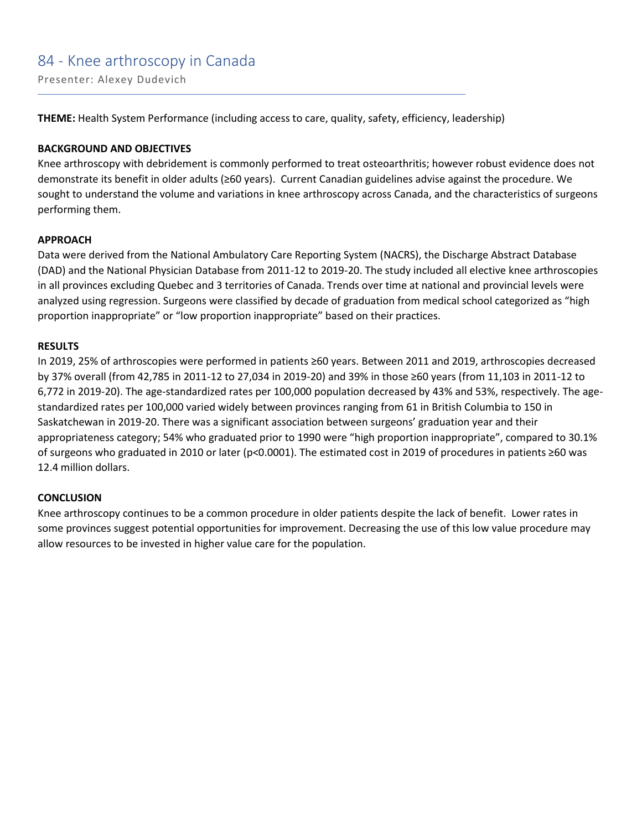### 84 - Knee arthroscopy in Canada

Presenter: Alexey Dudevich

**THEME:** Health System Performance (including access to care, quality, safety, efficiency, leadership)

#### **BACKGROUND AND OBJECTIVES**

Knee arthroscopy with debridement is commonly performed to treat osteoarthritis; however robust evidence does not demonstrate its benefit in older adults (≥60 years). Current Canadian guidelines advise against the procedure. We sought to understand the volume and variations in knee arthroscopy across Canada, and the characteristics of surgeons performing them.

#### **APPROACH**

Data were derived from the National Ambulatory Care Reporting System (NACRS), the Discharge Abstract Database (DAD) and the National Physician Database from 2011-12 to 2019-20. The study included all elective knee arthroscopies in all provinces excluding Quebec and 3 territories of Canada. Trends over time at national and provincial levels were analyzed using regression. Surgeons were classified by decade of graduation from medical school categorized as "high proportion inappropriate" or "low proportion inappropriate" based on their practices.

#### **RESULTS**

In 2019, 25% of arthroscopies were performed in patients ≥60 years. Between 2011 and 2019, arthroscopies decreased by 37% overall (from 42,785 in 2011-12 to 27,034 in 2019-20) and 39% in those ≥60 years (from 11,103 in 2011-12 to 6,772 in 2019-20). The age-standardized rates per 100,000 population decreased by 43% and 53%, respectively. The agestandardized rates per 100,000 varied widely between provinces ranging from 61 in British Columbia to 150 in Saskatchewan in 2019-20. There was a significant association between surgeons' graduation year and their appropriateness category; 54% who graduated prior to 1990 were "high proportion inappropriate", compared to 30.1% of surgeons who graduated in 2010 or later (p<0.0001). The estimated cost in 2019 of procedures in patients ≥60 was 12.4 million dollars.

#### **CONCLUSION**

Knee arthroscopy continues to be a common procedure in older patients despite the lack of benefit. Lower rates in some provinces suggest potential opportunities for improvement. Decreasing the use of this low value procedure may allow resources to be invested in higher value care for the population.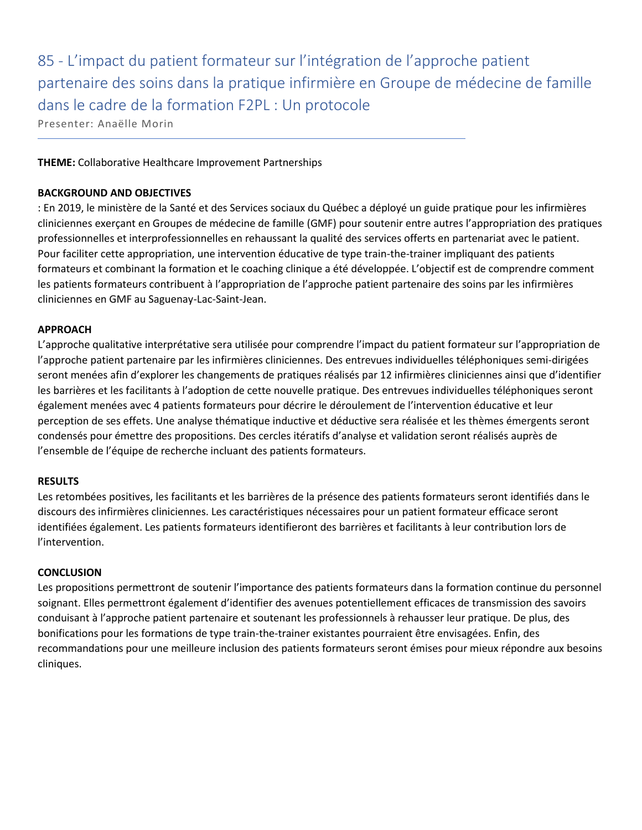85 - L'impact du patient formateur sur l'intégration de l'approche patient partenaire des soins dans la pratique infirmière en Groupe de médecine de famille dans le cadre de la formation F2PL : Un protocole

Presenter: Anaëlle Morin

**THEME:** Collaborative Healthcare Improvement Partnerships

#### **BACKGROUND AND OBJECTIVES**

: En 2019, le ministère de la Santé et des Services sociaux du Québec a déployé un guide pratique pour les infirmières cliniciennes exerçant en Groupes de médecine de famille (GMF) pour soutenir entre autres l'appropriation des pratiques professionnelles et interprofessionnelles en rehaussant la qualité des services offerts en partenariat avec le patient. Pour faciliter cette appropriation, une intervention éducative de type train-the-trainer impliquant des patients formateurs et combinant la formation et le coaching clinique a été développée. L'objectif est de comprendre comment les patients formateurs contribuent à l'appropriation de l'approche patient partenaire des soins par les infirmières cliniciennes en GMF au Saguenay-Lac-Saint-Jean.

#### **APPROACH**

L'approche qualitative interprétative sera utilisée pour comprendre l'impact du patient formateur sur l'appropriation de l'approche patient partenaire par les infirmières cliniciennes. Des entrevues individuelles téléphoniques semi-dirigées seront menées afin d'explorer les changements de pratiques réalisés par 12 infirmières cliniciennes ainsi que d'identifier les barrières et les facilitants à l'adoption de cette nouvelle pratique. Des entrevues individuelles téléphoniques seront également menées avec 4 patients formateurs pour décrire le déroulement de l'intervention éducative et leur perception de ses effets. Une analyse thématique inductive et déductive sera réalisée et les thèmes émergents seront condensés pour émettre des propositions. Des cercles itératifs d'analyse et validation seront réalisés auprès de l'ensemble de l'équipe de recherche incluant des patients formateurs.

#### **RESULTS**

Les retombées positives, les facilitants et les barrières de la présence des patients formateurs seront identifiés dans le discours des infirmières cliniciennes. Les caractéristiques nécessaires pour un patient formateur efficace seront identifiées également. Les patients formateurs identifieront des barrières et facilitants à leur contribution lors de l'intervention.

#### **CONCLUSION**

Les propositions permettront de soutenir l'importance des patients formateurs dans la formation continue du personnel soignant. Elles permettront également d'identifier des avenues potentiellement efficaces de transmission des savoirs conduisant à l'approche patient partenaire et soutenant les professionnels à rehausser leur pratique. De plus, des bonifications pour les formations de type train-the-trainer existantes pourraient être envisagées. Enfin, des recommandations pour une meilleure inclusion des patients formateurs seront émises pour mieux répondre aux besoins cliniques.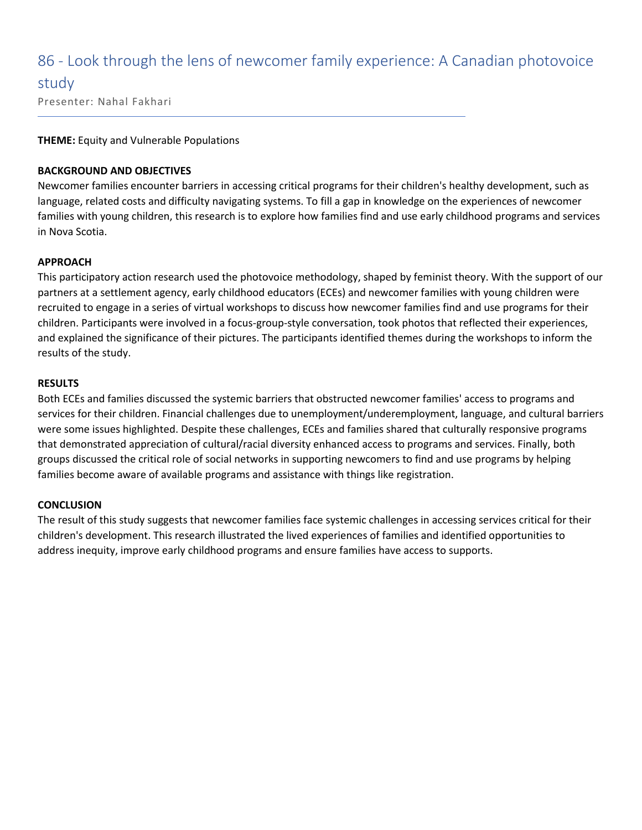# 86 - Look through the lens of newcomer family experience: A Canadian photovoice

study

Presenter: Nahal Fakhari

#### **THEME:** Equity and Vulnerable Populations

#### **BACKGROUND AND OBJECTIVES**

Newcomer families encounter barriers in accessing critical programs for their children's healthy development, such as language, related costs and difficulty navigating systems. To fill a gap in knowledge on the experiences of newcomer families with young children, this research is to explore how families find and use early childhood programs and services in Nova Scotia.

#### **APPROACH**

This participatory action research used the photovoice methodology, shaped by feminist theory. With the support of our partners at a settlement agency, early childhood educators (ECEs) and newcomer families with young children were recruited to engage in a series of virtual workshops to discuss how newcomer families find and use programs for their children. Participants were involved in a focus-group-style conversation, took photos that reflected their experiences, and explained the significance of their pictures. The participants identified themes during the workshops to inform the results of the study.

#### **RESULTS**

Both ECEs and families discussed the systemic barriers that obstructed newcomer families' access to programs and services for their children. Financial challenges due to unemployment/underemployment, language, and cultural barriers were some issues highlighted. Despite these challenges, ECEs and families shared that culturally responsive programs that demonstrated appreciation of cultural/racial diversity enhanced access to programs and services. Finally, both groups discussed the critical role of social networks in supporting newcomers to find and use programs by helping families become aware of available programs and assistance with things like registration.

#### **CONCLUSION**

The result of this study suggests that newcomer families face systemic challenges in accessing services critical for their children's development. This research illustrated the lived experiences of families and identified opportunities to address inequity, improve early childhood programs and ensure families have access to supports.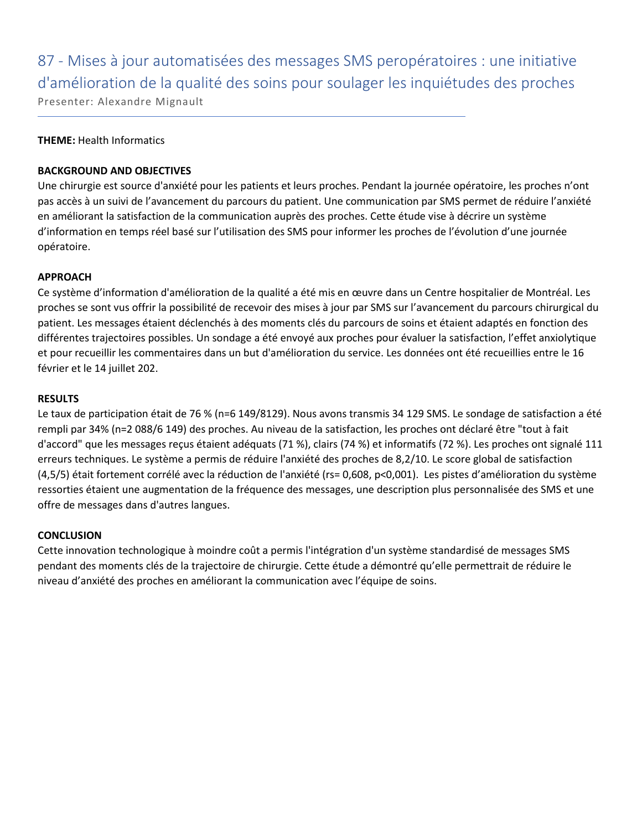87 - Mises à jour automatisées des messages SMS peropératoires : une initiative d'amélioration de la qualité des soins pour soulager les inquiétudes des proches Presenter: Alexandre Mignault

#### **THEME:** Health Informatics

#### **BACKGROUND AND OBJECTIVES**

Une chirurgie est source d'anxiété pour les patients et leurs proches. Pendant la journée opératoire, les proches n'ont pas accès à un suivi de l'avancement du parcours du patient. Une communication par SMS permet de réduire l'anxiété en améliorant la satisfaction de la communication auprès des proches. Cette étude vise à décrire un système d'information en temps réel basé sur l'utilisation des SMS pour informer les proches de l'évolution d'une journée opératoire.

#### **APPROACH**

Ce système d'information d'amélioration de la qualité a été mis en œuvre dans un Centre hospitalier de Montréal. Les proches se sont vus offrir la possibilité de recevoir des mises à jour par SMS sur l'avancement du parcours chirurgical du patient. Les messages étaient déclenchés à des moments clés du parcours de soins et étaient adaptés en fonction des différentes trajectoires possibles. Un sondage a été envoyé aux proches pour évaluer la satisfaction, l'effet anxiolytique et pour recueillir les commentaires dans un but d'amélioration du service. Les données ont été recueillies entre le 16 février et le 14 juillet 202.

#### **RESULTS**

Le taux de participation était de 76 % (n=6 149/8129). Nous avons transmis 34 129 SMS. Le sondage de satisfaction a été rempli par 34% (n=2 088/6 149) des proches. Au niveau de la satisfaction, les proches ont déclaré être "tout à fait d'accord" que les messages reçus étaient adéquats (71 %), clairs (74 %) et informatifs (72 %). Les proches ont signalé 111 erreurs techniques. Le système a permis de réduire l'anxiété des proches de 8,2/10. Le score global de satisfaction (4,5/5) était fortement corrélé avec la réduction de l'anxiété (rs= 0,608, p<0,001). Les pistes d'amélioration du système ressorties étaient une augmentation de la fréquence des messages, une description plus personnalisée des SMS et une offre de messages dans d'autres langues.

#### **CONCLUSION**

Cette innovation technologique à moindre coût a permis l'intégration d'un système standardisé de messages SMS pendant des moments clés de la trajectoire de chirurgie. Cette étude a démontré qu'elle permettrait de réduire le niveau d'anxiété des proches en améliorant la communication avec l'équipe de soins.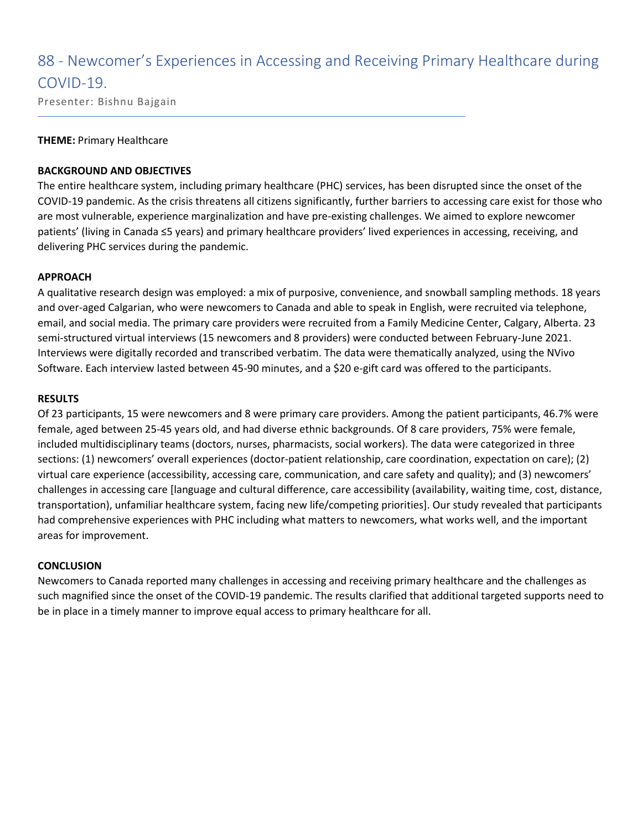## 88 - Newcomer's Experiences in Accessing and Receiving Primary Healthcare during COVID-19.

Presenter: Bishnu Bajgain

#### **THEME:** Primary Healthcare

#### **BACKGROUND AND OBJECTIVES**

The entire healthcare system, including primary healthcare (PHC) services, has been disrupted since the onset of the COVID-19 pandemic. As the crisis threatens all citizens significantly, further barriers to accessing care exist for those who are most vulnerable, experience marginalization and have pre-existing challenges. We aimed to explore newcomer patients' (living in Canada ≤5 years) and primary healthcare providers' lived experiences in accessing, receiving, and delivering PHC services during the pandemic.

#### **APPROACH**

A qualitative research design was employed: a mix of purposive, convenience, and snowball sampling methods. 18 years and over-aged Calgarian, who were newcomers to Canada and able to speak in English, were recruited via telephone, email, and social media. The primary care providers were recruited from a Family Medicine Center, Calgary, Alberta. 23 semi-structured virtual interviews (15 newcomers and 8 providers) were conducted between February-June 2021. Interviews were digitally recorded and transcribed verbatim. The data were thematically analyzed, using the NVivo Software. Each interview lasted between 45-90 minutes, and a \$20 e-gift card was offered to the participants.

#### **RESULTS**

Of 23 participants, 15 were newcomers and 8 were primary care providers. Among the patient participants, 46.7% were female, aged between 25-45 years old, and had diverse ethnic backgrounds. Of 8 care providers, 75% were female, included multidisciplinary teams (doctors, nurses, pharmacists, social workers). The data were categorized in three sections: (1) newcomers' overall experiences (doctor-patient relationship, care coordination, expectation on care); (2) virtual care experience (accessibility, accessing care, communication, and care safety and quality); and (3) newcomers' challenges in accessing care [language and cultural difference, care accessibility (availability, waiting time, cost, distance, transportation), unfamiliar healthcare system, facing new life/competing priorities]. Our study revealed that participants had comprehensive experiences with PHC including what matters to newcomers, what works well, and the important areas for improvement.

#### **CONCLUSION**

Newcomers to Canada reported many challenges in accessing and receiving primary healthcare and the challenges as such magnified since the onset of the COVID-19 pandemic. The results clarified that additional targeted supports need to be in place in a timely manner to improve equal access to primary healthcare for all.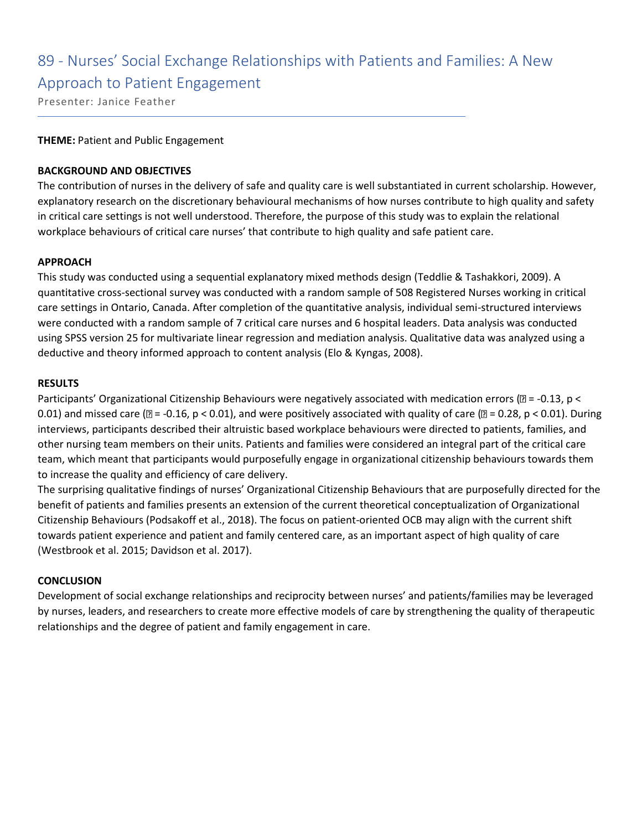## 89 - Nurses' Social Exchange Relationships with Patients and Families: A New Approach to Patient Engagement

Presenter: Janice Feather

#### **THEME:** Patient and Public Engagement

#### **BACKGROUND AND OBJECTIVES**

The contribution of nurses in the delivery of safe and quality care is well substantiated in current scholarship. However, explanatory research on the discretionary behavioural mechanisms of how nurses contribute to high quality and safety in critical care settings is not well understood. Therefore, the purpose of this study was to explain the relational workplace behaviours of critical care nurses' that contribute to high quality and safe patient care.

#### **APPROACH**

This study was conducted using a sequential explanatory mixed methods design (Teddlie & Tashakkori, 2009). A quantitative cross-sectional survey was conducted with a random sample of 508 Registered Nurses working in critical care settings in Ontario, Canada. After completion of the quantitative analysis, individual semi-structured interviews were conducted with a random sample of 7 critical care nurses and 6 hospital leaders. Data analysis was conducted using SPSS version 25 for multivariate linear regression and mediation analysis. Qualitative data was analyzed using a deductive and theory informed approach to content analysis (Elo & Kyngas, 2008).

#### **RESULTS**

Participants' Organizational Citizenship Behaviours were negatively associated with medication errors ( $\mathbb{D} = -0.13$ , p < 0.01) and missed care ( $\mathbb{Z}$  = -0.16, p < 0.01), and were positively associated with quality of care ( $\mathbb{Z}$  = 0.28, p < 0.01). During interviews, participants described their altruistic based workplace behaviours were directed to patients, families, and other nursing team members on their units. Patients and families were considered an integral part of the critical care team, which meant that participants would purposefully engage in organizational citizenship behaviours towards them to increase the quality and efficiency of care delivery.

The surprising qualitative findings of nurses' Organizational Citizenship Behaviours that are purposefully directed for the benefit of patients and families presents an extension of the current theoretical conceptualization of Organizational Citizenship Behaviours (Podsakoff et al., 2018). The focus on patient-oriented OCB may align with the current shift towards patient experience and patient and family centered care, as an important aspect of high quality of care (Westbrook et al. 2015; Davidson et al. 2017).

#### **CONCLUSION**

Development of social exchange relationships and reciprocity between nurses' and patients/families may be leveraged by nurses, leaders, and researchers to create more effective models of care by strengthening the quality of therapeutic relationships and the degree of patient and family engagement in care.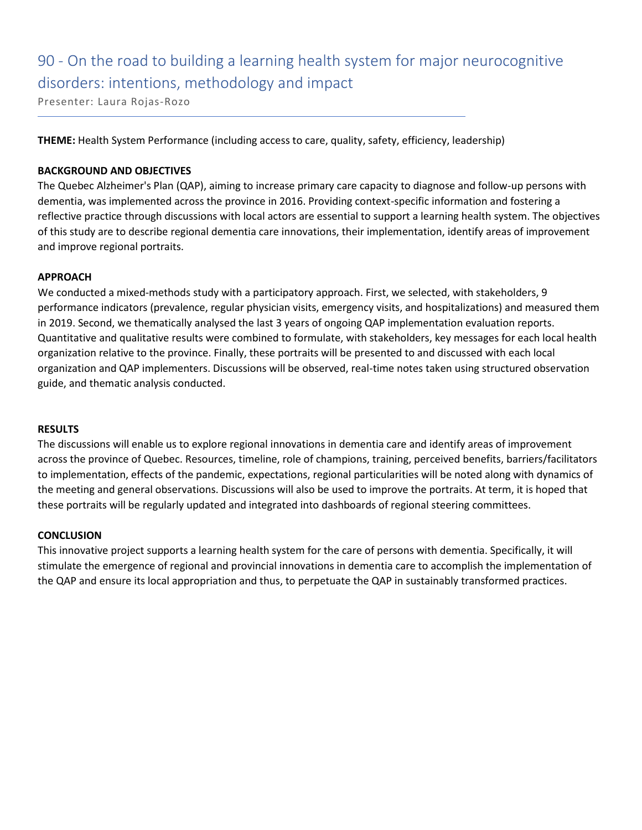# 90 - On the road to building a learning health system for major neurocognitive disorders: intentions, methodology and impact

Presenter: Laura Rojas-Rozo

**THEME:** Health System Performance (including access to care, quality, safety, efficiency, leadership)

#### **BACKGROUND AND OBJECTIVES**

The Quebec Alzheimer's Plan (QAP), aiming to increase primary care capacity to diagnose and follow-up persons with dementia, was implemented across the province in 2016. Providing context-specific information and fostering a reflective practice through discussions with local actors are essential to support a learning health system. The objectives of this study are to describe regional dementia care innovations, their implementation, identify areas of improvement and improve regional portraits.

#### **APPROACH**

We conducted a mixed-methods study with a participatory approach. First, we selected, with stakeholders, 9 performance indicators (prevalence, regular physician visits, emergency visits, and hospitalizations) and measured them in 2019. Second, we thematically analysed the last 3 years of ongoing QAP implementation evaluation reports. Quantitative and qualitative results were combined to formulate, with stakeholders, key messages for each local health organization relative to the province. Finally, these portraits will be presented to and discussed with each local organization and QAP implementers. Discussions will be observed, real-time notes taken using structured observation guide, and thematic analysis conducted.

#### **RESULTS**

The discussions will enable us to explore regional innovations in dementia care and identify areas of improvement across the province of Quebec. Resources, timeline, role of champions, training, perceived benefits, barriers/facilitators to implementation, effects of the pandemic, expectations, regional particularities will be noted along with dynamics of the meeting and general observations. Discussions will also be used to improve the portraits. At term, it is hoped that these portraits will be regularly updated and integrated into dashboards of regional steering committees.

#### **CONCLUSION**

This innovative project supports a learning health system for the care of persons with dementia. Specifically, it will stimulate the emergence of regional and provincial innovations in dementia care to accomplish the implementation of the QAP and ensure its local appropriation and thus, to perpetuate the QAP in sustainably transformed practices.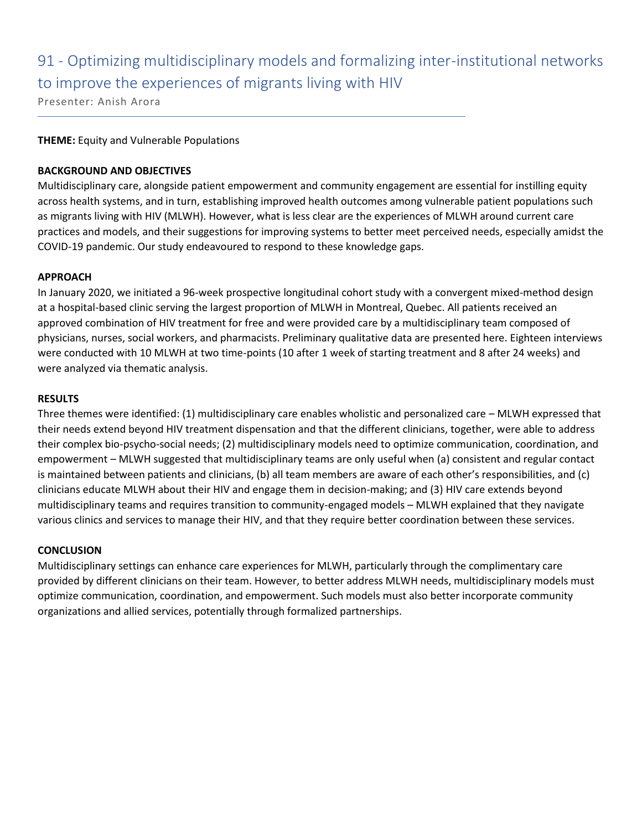## 91 - Optimizing multidisciplinary models and formalizing inter-institutional networks to improve the experiences of migrants living with HIV

Presenter: Anish Arora

#### **THEME:** Equity and Vulnerable Populations

#### **BACKGROUND AND OBJECTIVES**

Multidisciplinary care, alongside patient empowerment and community engagement are essential for instilling equity across health systems, and in turn, establishing improved health outcomes among vulnerable patient populations such as migrants living with HIV (MLWH). However, what is less clear are the experiences of MLWH around current care practices and models, and their suggestions for improving systems to better meet perceived needs, especially amidst the COVID-19 pandemic. Our study endeavoured to respond to these knowledge gaps.

#### **APPROACH**

In January 2020, we initiated a 96-week prospective longitudinal cohort study with a convergent mixed-method design at a hospital-based clinic serving the largest proportion of MLWH in Montreal, Quebec. All patients received an approved combination of HIV treatment for free and were provided care by a multidisciplinary team composed of physicians, nurses, social workers, and pharmacists. Preliminary qualitative data are presented here. Eighteen interviews were conducted with 10 MLWH at two time-points (10 after 1 week of starting treatment and 8 after 24 weeks) and were analyzed via thematic analysis.

#### **RESULTS**

Three themes were identified: (1) multidisciplinary care enables wholistic and personalized care – MLWH expressed that their needs extend beyond HIV treatment dispensation and that the different clinicians, together, were able to address their complex bio-psycho-social needs; (2) multidisciplinary models need to optimize communication, coordination, and empowerment – MLWH suggested that multidisciplinary teams are only useful when (a) consistent and regular contact is maintained between patients and clinicians, (b) all team members are aware of each other's responsibilities, and (c) clinicians educate MLWH about their HIV and engage them in decision-making; and (3) HIV care extends beyond multidisciplinary teams and requires transition to community-engaged models – MLWH explained that they navigate various clinics and services to manage their HIV, and that they require better coordination between these services.

#### **CONCLUSION**

Multidisciplinary settings can enhance care experiences for MLWH, particularly through the complimentary care provided by different clinicians on their team. However, to better address MLWH needs, multidisciplinary models must optimize communication, coordination, and empowerment. Such models must also better incorporate community organizations and allied services, potentially through formalized partnerships.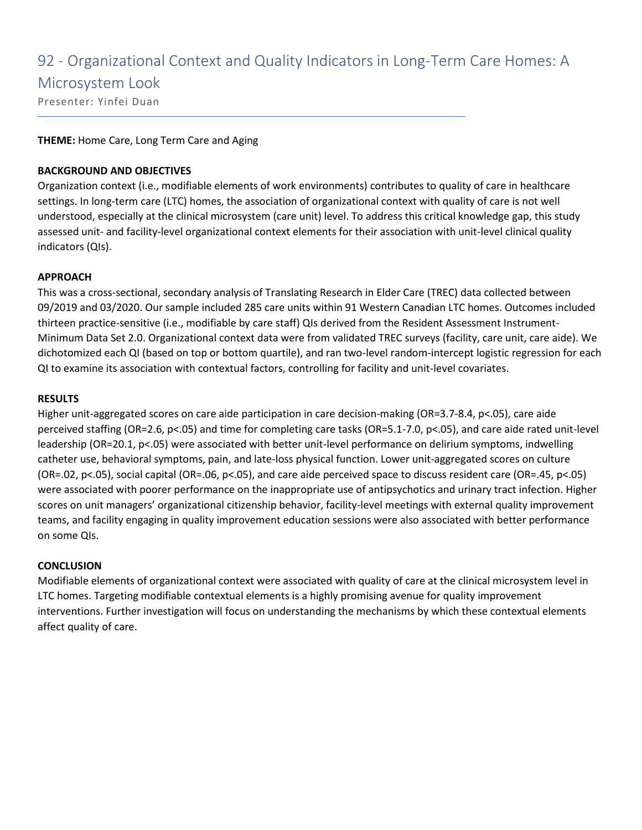### 92 - Organizational Context and Quality Indicators in Long-Term Care Homes: A

### Microsystem Look

Presenter: Yinfei Duan

#### **THEME:** Home Care, Long Term Care and Aging

#### **BACKGROUND AND OBJECTIVES**

Organization context (i.e., modifiable elements of work environments) contributes to quality of care in healthcare settings. In long-term care (LTC) homes, the association of organizational context with quality of care is not well understood, especially at the clinical microsystem (care unit) level. To address this critical knowledge gap, this study assessed unit- and facility-level organizational context elements for their association with unit-level clinical quality indicators (QIs).

#### **APPROACH**

This was a cross-sectional, secondary analysis of Translating Research in Elder Care (TREC) data collected between 09/2019 and 03/2020. Our sample included 285 care units within 91 Western Canadian LTC homes. Outcomes included thirteen practice-sensitive (i.e., modifiable by care staff) QIs derived from the Resident Assessment Instrument-Minimum Data Set 2.0. Organizational context data were from validated TREC surveys (facility, care unit, care aide). We dichotomized each QI (based on top or bottom quartile), and ran two-level random-intercept logistic regression for each QI to examine its association with contextual factors, controlling for facility and unit-level covariates.

#### **RESULTS**

Higher unit-aggregated scores on care aide participation in care decision-making (OR=3.7-8.4, p<.05), care aide perceived staffing (OR=2.6, p<.05) and time for completing care tasks (OR=5.1-7.0, p<.05), and care aide rated unit-level leadership (OR=20.1, p<.05) were associated with better unit-level performance on delirium symptoms, indwelling catheter use, behavioral symptoms, pain, and late-loss physical function. Lower unit-aggregated scores on culture (OR=.02, p<.05), social capital (OR=.06, p<.05), and care aide perceived space to discuss resident care (OR=.45, p<.05) were associated with poorer performance on the inappropriate use of antipsychotics and urinary tract infection. Higher scores on unit managers' organizational citizenship behavior, facility-level meetings with external quality improvement teams, and facility engaging in quality improvement education sessions were also associated with better performance on some QIs.

#### **CONCLUSION**

Modifiable elements of organizational context were associated with quality of care at the clinical microsystem level in LTC homes. Targeting modifiable contextual elements is a highly promising avenue for quality improvement interventions. Further investigation will focus on understanding the mechanisms by which these contextual elements affect quality of care.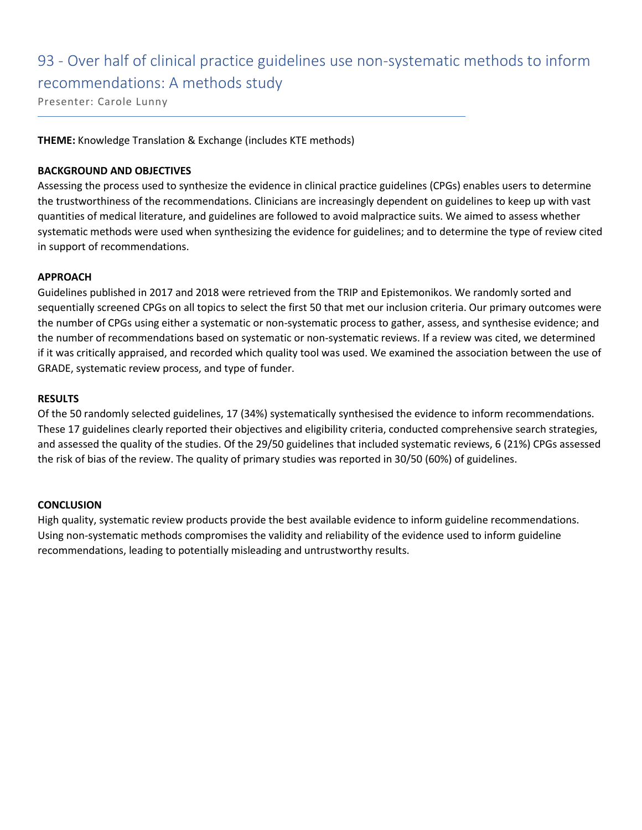### 93 - Over half of clinical practice guidelines use non-systematic methods to inform recommendations: A methods study

Presenter: Carole Lunny

**THEME:** Knowledge Translation & Exchange (includes KTE methods)

#### **BACKGROUND AND OBJECTIVES**

Assessing the process used to synthesize the evidence in clinical practice guidelines (CPGs) enables users to determine the trustworthiness of the recommendations. Clinicians are increasingly dependent on guidelines to keep up with vast quantities of medical literature, and guidelines are followed to avoid malpractice suits. We aimed to assess whether systematic methods were used when synthesizing the evidence for guidelines; and to determine the type of review cited in support of recommendations.

#### **APPROACH**

Guidelines published in 2017 and 2018 were retrieved from the TRIP and Epistemonikos. We randomly sorted and sequentially screened CPGs on all topics to select the first 50 that met our inclusion criteria. Our primary outcomes were the number of CPGs using either a systematic or non-systematic process to gather, assess, and synthesise evidence; and the number of recommendations based on systematic or non-systematic reviews. If a review was cited, we determined if it was critically appraised, and recorded which quality tool was used. We examined the association between the use of GRADE, systematic review process, and type of funder.

#### **RESULTS**

Of the 50 randomly selected guidelines, 17 (34%) systematically synthesised the evidence to inform recommendations. These 17 guidelines clearly reported their objectives and eligibility criteria, conducted comprehensive search strategies, and assessed the quality of the studies. Of the 29/50 guidelines that included systematic reviews, 6 (21%) CPGs assessed the risk of bias of the review. The quality of primary studies was reported in 30/50 (60%) of guidelines.

#### **CONCLUSION**

High quality, systematic review products provide the best available evidence to inform guideline recommendations. Using non-systematic methods compromises the validity and reliability of the evidence used to inform guideline recommendations, leading to potentially misleading and untrustworthy results.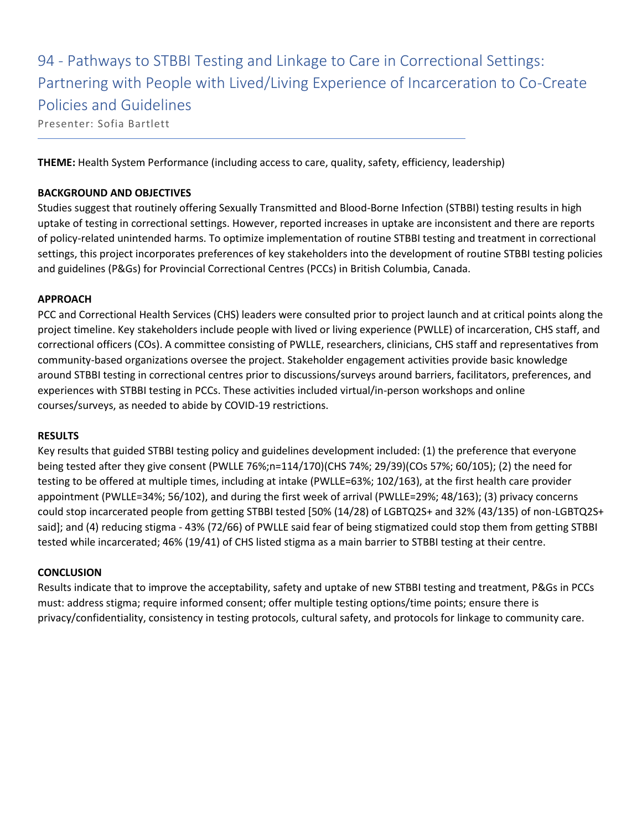94 - Pathways to STBBI Testing and Linkage to Care in Correctional Settings: Partnering with People with Lived/Living Experience of Incarceration to Co-Create Policies and Guidelines Presenter: Sofia Bartlett

**THEME:** Health System Performance (including access to care, quality, safety, efficiency, leadership)

#### **BACKGROUND AND OBJECTIVES**

Studies suggest that routinely offering Sexually Transmitted and Blood-Borne Infection (STBBI) testing results in high uptake of testing in correctional settings. However, reported increases in uptake are inconsistent and there are reports of policy-related unintended harms. To optimize implementation of routine STBBI testing and treatment in correctional settings, this project incorporates preferences of key stakeholders into the development of routine STBBI testing policies and guidelines (P&Gs) for Provincial Correctional Centres (PCCs) in British Columbia, Canada.

#### **APPROACH**

PCC and Correctional Health Services (CHS) leaders were consulted prior to project launch and at critical points along the project timeline. Key stakeholders include people with lived or living experience (PWLLE) of incarceration, CHS staff, and correctional officers (COs). A committee consisting of PWLLE, researchers, clinicians, CHS staff and representatives from community-based organizations oversee the project. Stakeholder engagement activities provide basic knowledge around STBBI testing in correctional centres prior to discussions/surveys around barriers, facilitators, preferences, and experiences with STBBI testing in PCCs. These activities included virtual/in-person workshops and online courses/surveys, as needed to abide by COVID-19 restrictions.

#### **RESULTS**

Key results that guided STBBI testing policy and guidelines development included: (1) the preference that everyone being tested after they give consent (PWLLE 76%;n=114/170)(CHS 74%; 29/39)(COs 57%; 60/105); (2) the need for testing to be offered at multiple times, including at intake (PWLLE=63%; 102/163), at the first health care provider appointment (PWLLE=34%; 56/102), and during the first week of arrival (PWLLE=29%; 48/163); (3) privacy concerns could stop incarcerated people from getting STBBI tested [50% (14/28) of LGBTQ2S+ and 32% (43/135) of non-LGBTQ2S+ said]; and (4) reducing stigma - 43% (72/66) of PWLLE said fear of being stigmatized could stop them from getting STBBI tested while incarcerated; 46% (19/41) of CHS listed stigma as a main barrier to STBBI testing at their centre.

#### **CONCLUSION**

Results indicate that to improve the acceptability, safety and uptake of new STBBI testing and treatment, P&Gs in PCCs must: address stigma; require informed consent; offer multiple testing options/time points; ensure there is privacy/confidentiality, consistency in testing protocols, cultural safety, and protocols for linkage to community care.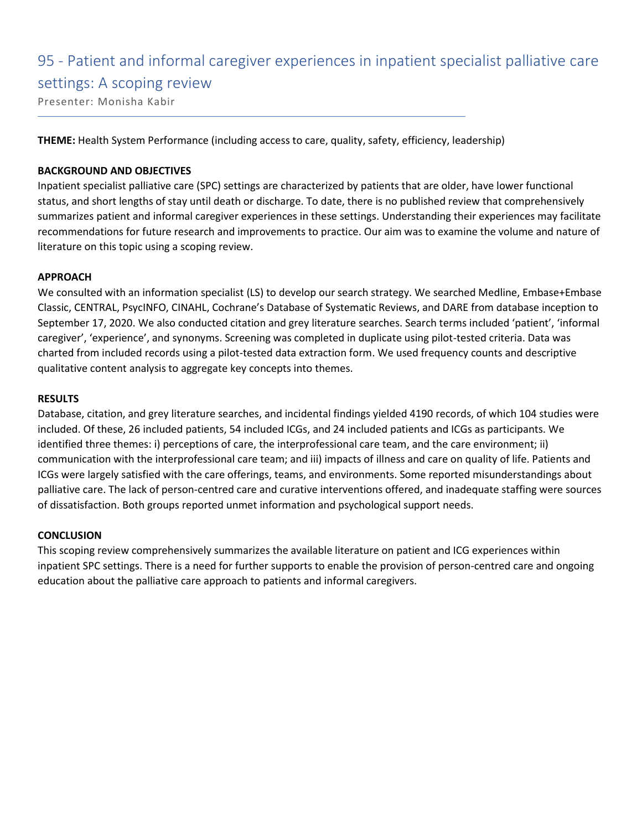### 95 - Patient and informal caregiver experiences in inpatient specialist palliative care settings: A scoping review

Presenter: Monisha Kabir

**THEME:** Health System Performance (including access to care, quality, safety, efficiency, leadership)

#### **BACKGROUND AND OBJECTIVES**

Inpatient specialist palliative care (SPC) settings are characterized by patients that are older, have lower functional status, and short lengths of stay until death or discharge. To date, there is no published review that comprehensively summarizes patient and informal caregiver experiences in these settings. Understanding their experiences may facilitate recommendations for future research and improvements to practice. Our aim was to examine the volume and nature of literature on this topic using a scoping review.

#### **APPROACH**

We consulted with an information specialist (LS) to develop our search strategy. We searched Medline, Embase+Embase Classic, CENTRAL, PsycINFO, CINAHL, Cochrane's Database of Systematic Reviews, and DARE from database inception to September 17, 2020. We also conducted citation and grey literature searches. Search terms included 'patient', 'informal caregiver', 'experience', and synonyms. Screening was completed in duplicate using pilot-tested criteria. Data was charted from included records using a pilot-tested data extraction form. We used frequency counts and descriptive qualitative content analysis to aggregate key concepts into themes.

#### **RESULTS**

Database, citation, and grey literature searches, and incidental findings yielded 4190 records, of which 104 studies were included. Of these, 26 included patients, 54 included ICGs, and 24 included patients and ICGs as participants. We identified three themes: i) perceptions of care, the interprofessional care team, and the care environment; ii) communication with the interprofessional care team; and iii) impacts of illness and care on quality of life. Patients and ICGs were largely satisfied with the care offerings, teams, and environments. Some reported misunderstandings about palliative care. The lack of person-centred care and curative interventions offered, and inadequate staffing were sources of dissatisfaction. Both groups reported unmet information and psychological support needs.

#### **CONCLUSION**

This scoping review comprehensively summarizes the available literature on patient and ICG experiences within inpatient SPC settings. There is a need for further supports to enable the provision of person-centred care and ongoing education about the palliative care approach to patients and informal caregivers.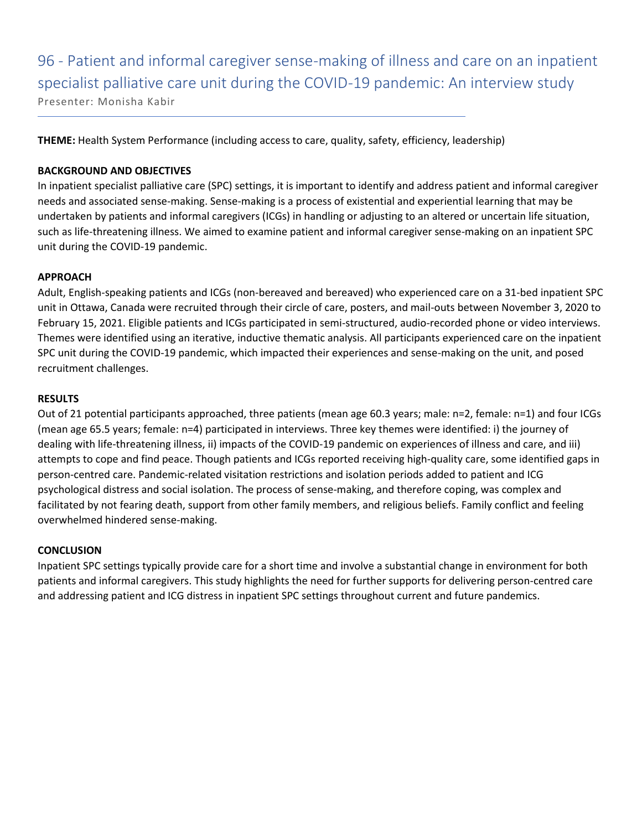96 - Patient and informal caregiver sense-making of illness and care on an inpatient specialist palliative care unit during the COVID-19 pandemic: An interview study Presenter: Monisha Kabir

**THEME:** Health System Performance (including access to care, quality, safety, efficiency, leadership)

#### **BACKGROUND AND OBJECTIVES**

In inpatient specialist palliative care (SPC) settings, it is important to identify and address patient and informal caregiver needs and associated sense-making. Sense-making is a process of existential and experiential learning that may be undertaken by patients and informal caregivers (ICGs) in handling or adjusting to an altered or uncertain life situation, such as life-threatening illness. We aimed to examine patient and informal caregiver sense-making on an inpatient SPC unit during the COVID-19 pandemic.

#### **APPROACH**

Adult, English-speaking patients and ICGs (non-bereaved and bereaved) who experienced care on a 31-bed inpatient SPC unit in Ottawa, Canada were recruited through their circle of care, posters, and mail-outs between November 3, 2020 to February 15, 2021. Eligible patients and ICGs participated in semi-structured, audio-recorded phone or video interviews. Themes were identified using an iterative, inductive thematic analysis. All participants experienced care on the inpatient SPC unit during the COVID-19 pandemic, which impacted their experiences and sense-making on the unit, and posed recruitment challenges.

#### **RESULTS**

Out of 21 potential participants approached, three patients (mean age 60.3 years; male: n=2, female: n=1) and four ICGs (mean age 65.5 years; female: n=4) participated in interviews. Three key themes were identified: i) the journey of dealing with life-threatening illness, ii) impacts of the COVID-19 pandemic on experiences of illness and care, and iii) attempts to cope and find peace. Though patients and ICGs reported receiving high-quality care, some identified gaps in person-centred care. Pandemic-related visitation restrictions and isolation periods added to patient and ICG psychological distress and social isolation. The process of sense-making, and therefore coping, was complex and facilitated by not fearing death, support from other family members, and religious beliefs. Family conflict and feeling overwhelmed hindered sense-making.

#### **CONCLUSION**

Inpatient SPC settings typically provide care for a short time and involve a substantial change in environment for both patients and informal caregivers. This study highlights the need for further supports for delivering person-centred care and addressing patient and ICG distress in inpatient SPC settings throughout current and future pandemics.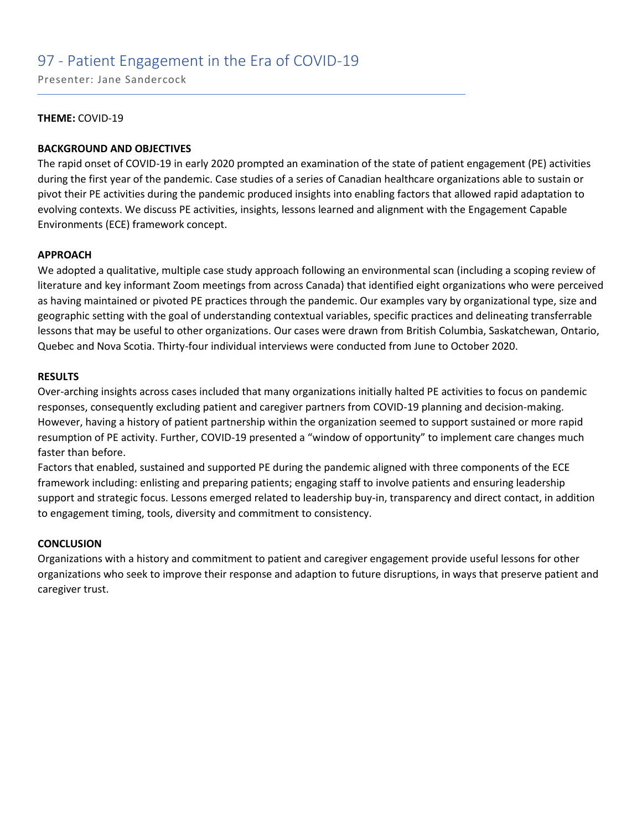### 97 - Patient Engagement in the Era of COVID-19

Presenter: Jane Sandercock

#### **THEME:** COVID-19

#### **BACKGROUND AND OBJECTIVES**

The rapid onset of COVID-19 in early 2020 prompted an examination of the state of patient engagement (PE) activities during the first year of the pandemic. Case studies of a series of Canadian healthcare organizations able to sustain or pivot their PE activities during the pandemic produced insights into enabling factors that allowed rapid adaptation to evolving contexts. We discuss PE activities, insights, lessons learned and alignment with the Engagement Capable Environments (ECE) framework concept.

#### **APPROACH**

We adopted a qualitative, multiple case study approach following an environmental scan (including a scoping review of literature and key informant Zoom meetings from across Canada) that identified eight organizations who were perceived as having maintained or pivoted PE practices through the pandemic. Our examples vary by organizational type, size and geographic setting with the goal of understanding contextual variables, specific practices and delineating transferrable lessons that may be useful to other organizations. Our cases were drawn from British Columbia, Saskatchewan, Ontario, Quebec and Nova Scotia. Thirty-four individual interviews were conducted from June to October 2020.

#### **RESULTS**

Over-arching insights across cases included that many organizations initially halted PE activities to focus on pandemic responses, consequently excluding patient and caregiver partners from COVID-19 planning and decision-making. However, having a history of patient partnership within the organization seemed to support sustained or more rapid resumption of PE activity. Further, COVID-19 presented a "window of opportunity" to implement care changes much faster than before.

Factors that enabled, sustained and supported PE during the pandemic aligned with three components of the ECE framework including: enlisting and preparing patients; engaging staff to involve patients and ensuring leadership support and strategic focus. Lessons emerged related to leadership buy-in, transparency and direct contact, in addition to engagement timing, tools, diversity and commitment to consistency.

#### **CONCLUSION**

Organizations with a history and commitment to patient and caregiver engagement provide useful lessons for other organizations who seek to improve their response and adaption to future disruptions, in ways that preserve patient and caregiver trust.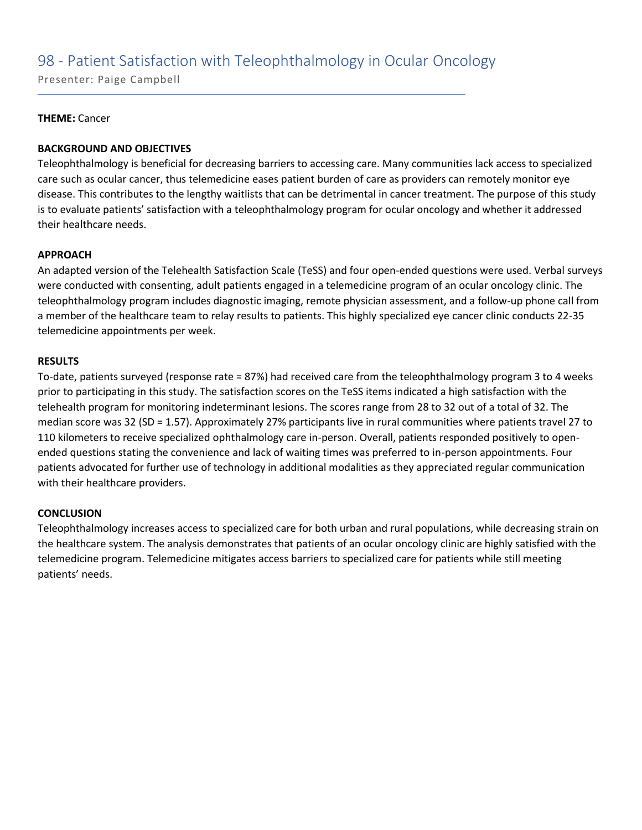### 98 - Patient Satisfaction with Teleophthalmology in Ocular Oncology

Presenter: Paige Campbell

#### **THEME:** Cancer

#### **BACKGROUND AND OBJECTIVES**

Teleophthalmology is beneficial for decreasing barriers to accessing care. Many communities lack access to specialized care such as ocular cancer, thus telemedicine eases patient burden of care as providers can remotely monitor eye disease. This contributes to the lengthy waitlists that can be detrimental in cancer treatment. The purpose of this study is to evaluate patients' satisfaction with a teleophthalmology program for ocular oncology and whether it addressed their healthcare needs.

#### **APPROACH**

An adapted version of the Telehealth Satisfaction Scale (TeSS) and four open-ended questions were used. Verbal surveys were conducted with consenting, adult patients engaged in a telemedicine program of an ocular oncology clinic. The teleophthalmology program includes diagnostic imaging, remote physician assessment, and a follow-up phone call from a member of the healthcare team to relay results to patients. This highly specialized eye cancer clinic conducts 22-35 telemedicine appointments per week.

#### **RESULTS**

To-date, patients surveyed (response rate = 87%) had received care from the teleophthalmology program 3 to 4 weeks prior to participating in this study. The satisfaction scores on the TeSS items indicated a high satisfaction with the telehealth program for monitoring indeterminant lesions. The scores range from 28 to 32 out of a total of 32. The median score was 32 (SD = 1.57). Approximately 27% participants live in rural communities where patients travel 27 to 110 kilometers to receive specialized ophthalmology care in-person. Overall, patients responded positively to openended questions stating the convenience and lack of waiting times was preferred to in-person appointments. Four patients advocated for further use of technology in additional modalities as they appreciated regular communication with their healthcare providers.

#### **CONCLUSION**

Teleophthalmology increases access to specialized care for both urban and rural populations, while decreasing strain on the healthcare system. The analysis demonstrates that patients of an ocular oncology clinic are highly satisfied with the telemedicine program. Telemedicine mitigates access barriers to specialized care for patients while still meeting patients' needs.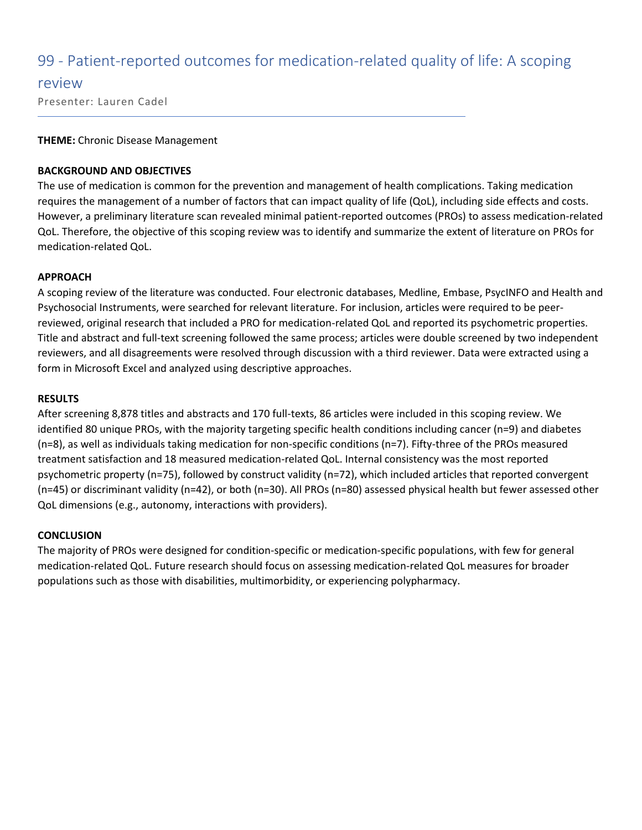### 99 - Patient-reported outcomes for medication-related quality of life: A scoping

#### review

Presenter: Lauren Cadel

#### **THEME:** Chronic Disease Management

#### **BACKGROUND AND OBJECTIVES**

The use of medication is common for the prevention and management of health complications. Taking medication requires the management of a number of factors that can impact quality of life (QoL), including side effects and costs. However, a preliminary literature scan revealed minimal patient-reported outcomes (PROs) to assess medication-related QoL. Therefore, the objective of this scoping review was to identify and summarize the extent of literature on PROs for medication-related QoL.

#### **APPROACH**

A scoping review of the literature was conducted. Four electronic databases, Medline, Embase, PsycINFO and Health and Psychosocial Instruments, were searched for relevant literature. For inclusion, articles were required to be peerreviewed, original research that included a PRO for medication-related QoL and reported its psychometric properties. Title and abstract and full-text screening followed the same process; articles were double screened by two independent reviewers, and all disagreements were resolved through discussion with a third reviewer. Data were extracted using a form in Microsoft Excel and analyzed using descriptive approaches.

#### **RESULTS**

After screening 8,878 titles and abstracts and 170 full-texts, 86 articles were included in this scoping review. We identified 80 unique PROs, with the majority targeting specific health conditions including cancer (n=9) and diabetes (n=8), as well as individuals taking medication for non-specific conditions (n=7). Fifty-three of the PROs measured treatment satisfaction and 18 measured medication-related QoL. Internal consistency was the most reported psychometric property (n=75), followed by construct validity (n=72), which included articles that reported convergent (n=45) or discriminant validity (n=42), or both (n=30). All PROs (n=80) assessed physical health but fewer assessed other QoL dimensions (e.g., autonomy, interactions with providers).

#### **CONCLUSION**

The majority of PROs were designed for condition-specific or medication-specific populations, with few for general medication-related QoL. Future research should focus on assessing medication-related QoL measures for broader populations such as those with disabilities, multimorbidity, or experiencing polypharmacy.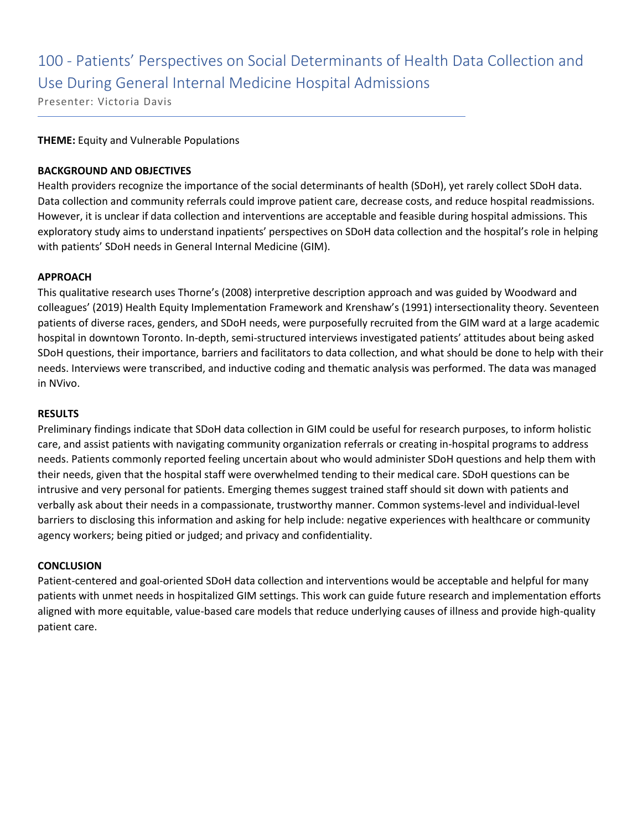## 100 - Patients' Perspectives on Social Determinants of Health Data Collection and Use During General Internal Medicine Hospital Admissions

Presenter: Victoria Davis

#### **THEME:** Equity and Vulnerable Populations

#### **BACKGROUND AND OBJECTIVES**

Health providers recognize the importance of the social determinants of health (SDoH), yet rarely collect SDoH data. Data collection and community referrals could improve patient care, decrease costs, and reduce hospital readmissions. However, it is unclear if data collection and interventions are acceptable and feasible during hospital admissions. This exploratory study aims to understand inpatients' perspectives on SDoH data collection and the hospital's role in helping with patients' SDoH needs in General Internal Medicine (GIM).

#### **APPROACH**

This qualitative research uses Thorne's (2008) interpretive description approach and was guided by Woodward and colleagues' (2019) Health Equity Implementation Framework and Krenshaw's (1991) intersectionality theory. Seventeen patients of diverse races, genders, and SDoH needs, were purposefully recruited from the GIM ward at a large academic hospital in downtown Toronto. In-depth, semi-structured interviews investigated patients' attitudes about being asked SDoH questions, their importance, barriers and facilitators to data collection, and what should be done to help with their needs. Interviews were transcribed, and inductive coding and thematic analysis was performed. The data was managed in NVivo.

#### **RESULTS**

Preliminary findings indicate that SDoH data collection in GIM could be useful for research purposes, to inform holistic care, and assist patients with navigating community organization referrals or creating in-hospital programs to address needs. Patients commonly reported feeling uncertain about who would administer SDoH questions and help them with their needs, given that the hospital staff were overwhelmed tending to their medical care. SDoH questions can be intrusive and very personal for patients. Emerging themes suggest trained staff should sit down with patients and verbally ask about their needs in a compassionate, trustworthy manner. Common systems-level and individual-level barriers to disclosing this information and asking for help include: negative experiences with healthcare or community agency workers; being pitied or judged; and privacy and confidentiality.

#### **CONCLUSION**

Patient-centered and goal-oriented SDoH data collection and interventions would be acceptable and helpful for many patients with unmet needs in hospitalized GIM settings. This work can guide future research and implementation efforts aligned with more equitable, value-based care models that reduce underlying causes of illness and provide high-quality patient care.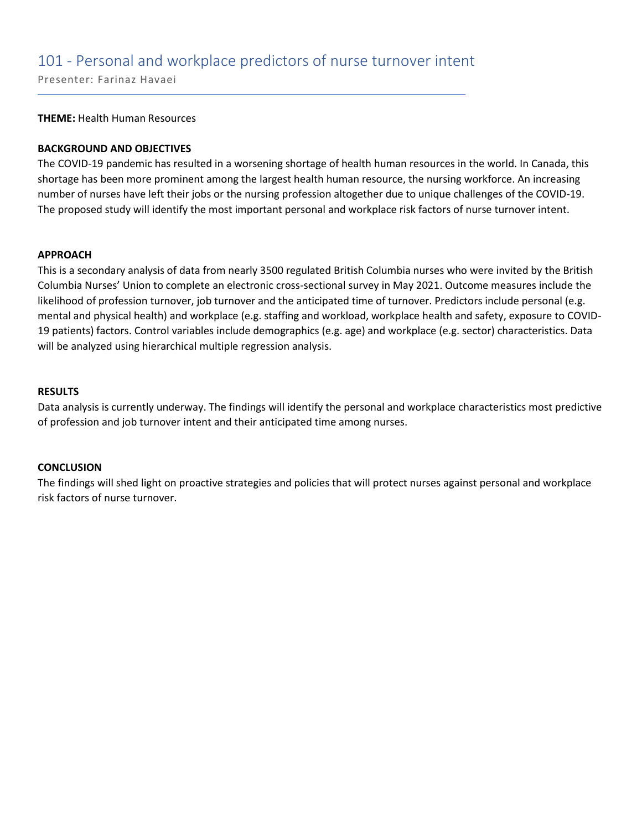### 101 - Personal and workplace predictors of nurse turnover intent

Presenter: Farinaz Havaei

**THEME:** Health Human Resources

#### **BACKGROUND AND OBJECTIVES**

The COVID-19 pandemic has resulted in a worsening shortage of health human resources in the world. In Canada, this shortage has been more prominent among the largest health human resource, the nursing workforce. An increasing number of nurses have left their jobs or the nursing profession altogether due to unique challenges of the COVID-19. The proposed study will identify the most important personal and workplace risk factors of nurse turnover intent.

#### **APPROACH**

This is a secondary analysis of data from nearly 3500 regulated British Columbia nurses who were invited by the British Columbia Nurses' Union to complete an electronic cross-sectional survey in May 2021. Outcome measures include the likelihood of profession turnover, job turnover and the anticipated time of turnover. Predictors include personal (e.g. mental and physical health) and workplace (e.g. staffing and workload, workplace health and safety, exposure to COVID-19 patients) factors. Control variables include demographics (e.g. age) and workplace (e.g. sector) characteristics. Data will be analyzed using hierarchical multiple regression analysis.

#### **RESULTS**

Data analysis is currently underway. The findings will identify the personal and workplace characteristics most predictive of profession and job turnover intent and their anticipated time among nurses.

#### **CONCLUSION**

The findings will shed light on proactive strategies and policies that will protect nurses against personal and workplace risk factors of nurse turnover.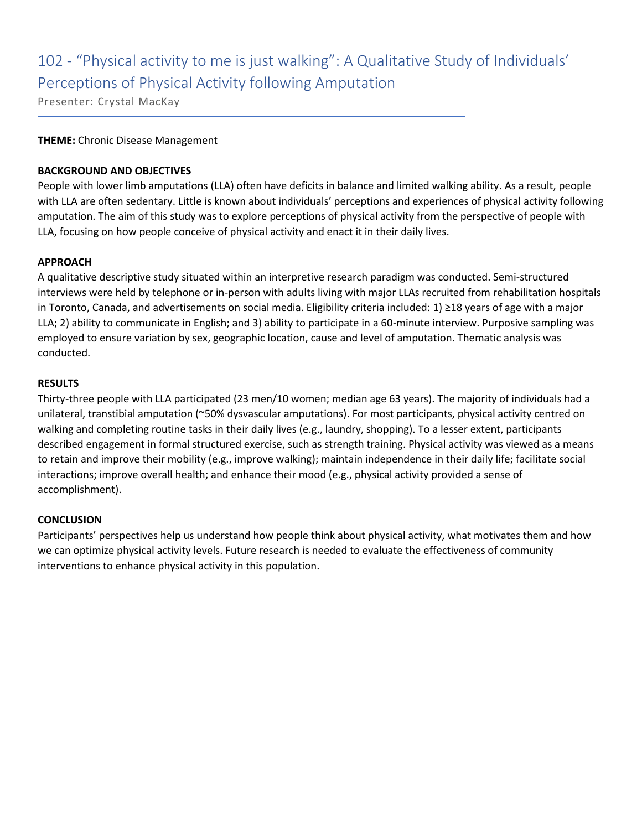## 102 - "Physical activity to me is just walking": A Qualitative Study of Individuals' Perceptions of Physical Activity following Amputation

Presenter: Crystal MacKay

#### **THEME:** Chronic Disease Management

#### **BACKGROUND AND OBJECTIVES**

People with lower limb amputations (LLA) often have deficits in balance and limited walking ability. As a result, people with LLA are often sedentary. Little is known about individuals' perceptions and experiences of physical activity following amputation. The aim of this study was to explore perceptions of physical activity from the perspective of people with LLA, focusing on how people conceive of physical activity and enact it in their daily lives.

#### **APPROACH**

A qualitative descriptive study situated within an interpretive research paradigm was conducted. Semi-structured interviews were held by telephone or in-person with adults living with major LLAs recruited from rehabilitation hospitals in Toronto, Canada, and advertisements on social media. Eligibility criteria included: 1) ≥18 years of age with a major LLA; 2) ability to communicate in English; and 3) ability to participate in a 60-minute interview. Purposive sampling was employed to ensure variation by sex, geographic location, cause and level of amputation. Thematic analysis was conducted.

#### **RESULTS**

Thirty-three people with LLA participated (23 men/10 women; median age 63 years). The majority of individuals had a unilateral, transtibial amputation (~50% dysvascular amputations). For most participants, physical activity centred on walking and completing routine tasks in their daily lives (e.g., laundry, shopping). To a lesser extent, participants described engagement in formal structured exercise, such as strength training. Physical activity was viewed as a means to retain and improve their mobility (e.g., improve walking); maintain independence in their daily life; facilitate social interactions; improve overall health; and enhance their mood (e.g., physical activity provided a sense of accomplishment).

#### **CONCLUSION**

Participants' perspectives help us understand how people think about physical activity, what motivates them and how we can optimize physical activity levels. Future research is needed to evaluate the effectiveness of community interventions to enhance physical activity in this population.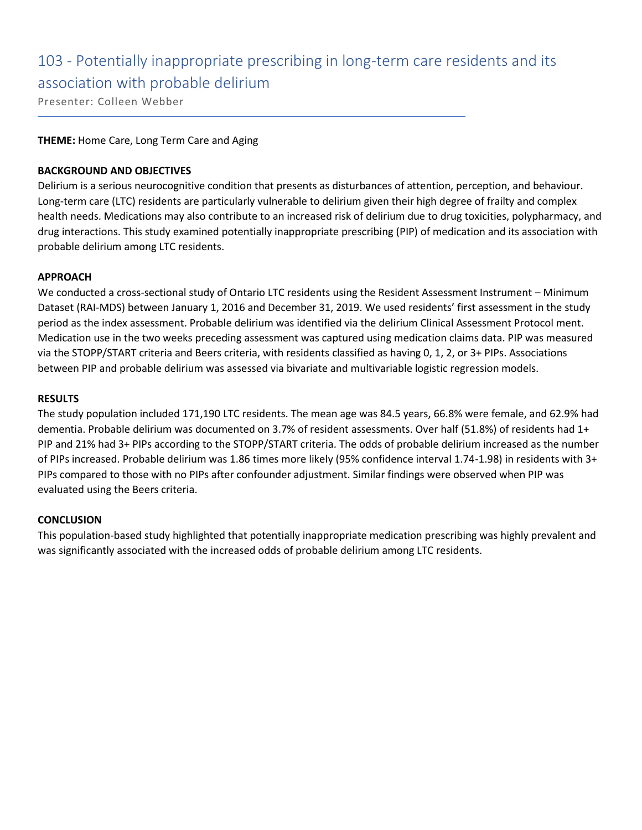### 103 - Potentially inappropriate prescribing in long-term care residents and its association with probable delirium

Presenter: Colleen Webber

#### **THEME:** Home Care, Long Term Care and Aging

#### **BACKGROUND AND OBJECTIVES**

Delirium is a serious neurocognitive condition that presents as disturbances of attention, perception, and behaviour. Long-term care (LTC) residents are particularly vulnerable to delirium given their high degree of frailty and complex health needs. Medications may also contribute to an increased risk of delirium due to drug toxicities, polypharmacy, and drug interactions. This study examined potentially inappropriate prescribing (PIP) of medication and its association with probable delirium among LTC residents.

#### **APPROACH**

We conducted a cross-sectional study of Ontario LTC residents using the Resident Assessment Instrument – Minimum Dataset (RAI-MDS) between January 1, 2016 and December 31, 2019. We used residents' first assessment in the study period as the index assessment. Probable delirium was identified via the delirium Clinical Assessment Protocol ment. Medication use in the two weeks preceding assessment was captured using medication claims data. PIP was measured via the STOPP/START criteria and Beers criteria, with residents classified as having 0, 1, 2, or 3+ PIPs. Associations between PIP and probable delirium was assessed via bivariate and multivariable logistic regression models.

#### **RESULTS**

The study population included 171,190 LTC residents. The mean age was 84.5 years, 66.8% were female, and 62.9% had dementia. Probable delirium was documented on 3.7% of resident assessments. Over half (51.8%) of residents had 1+ PIP and 21% had 3+ PIPs according to the STOPP/START criteria. The odds of probable delirium increased as the number of PIPs increased. Probable delirium was 1.86 times more likely (95% confidence interval 1.74-1.98) in residents with 3+ PIPs compared to those with no PIPs after confounder adjustment. Similar findings were observed when PIP was evaluated using the Beers criteria.

#### **CONCLUSION**

This population-based study highlighted that potentially inappropriate medication prescribing was highly prevalent and was significantly associated with the increased odds of probable delirium among LTC residents.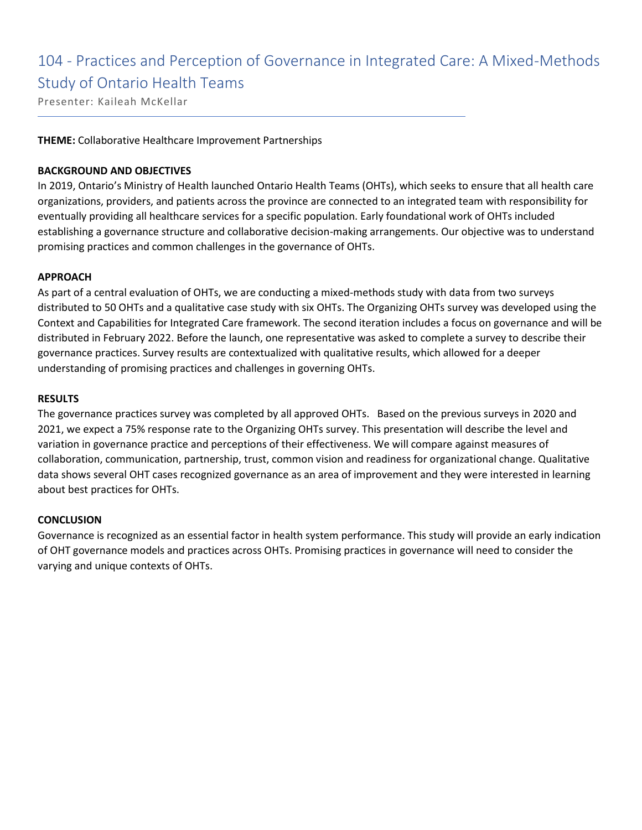## 104 - Practices and Perception of Governance in Integrated Care: A Mixed-Methods Study of Ontario Health Teams

Presenter: Kaileah McKellar

#### **THEME:** Collaborative Healthcare Improvement Partnerships

#### **BACKGROUND AND OBJECTIVES**

In 2019, Ontario's Ministry of Health launched Ontario Health Teams (OHTs), which seeks to ensure that all health care organizations, providers, and patients across the province are connected to an integrated team with responsibility for eventually providing all healthcare services for a specific population. Early foundational work of OHTs included establishing a governance structure and collaborative decision-making arrangements. Our objective was to understand promising practices and common challenges in the governance of OHTs.

#### **APPROACH**

As part of a central evaluation of OHTs, we are conducting a mixed-methods study with data from two surveys distributed to 50 OHTs and a qualitative case study with six OHTs. The Organizing OHTs survey was developed using the Context and Capabilities for Integrated Care framework. The second iteration includes a focus on governance and will be distributed in February 2022. Before the launch, one representative was asked to complete a survey to describe their governance practices. Survey results are contextualized with qualitative results, which allowed for a deeper understanding of promising practices and challenges in governing OHTs.

#### **RESULTS**

The governance practices survey was completed by all approved OHTs. Based on the previous surveys in 2020 and 2021, we expect a 75% response rate to the Organizing OHTs survey. This presentation will describe the level and variation in governance practice and perceptions of their effectiveness. We will compare against measures of collaboration, communication, partnership, trust, common vision and readiness for organizational change. Qualitative data shows several OHT cases recognized governance as an area of improvement and they were interested in learning about best practices for OHTs.

#### **CONCLUSION**

Governance is recognized as an essential factor in health system performance. This study will provide an early indication of OHT governance models and practices across OHTs. Promising practices in governance will need to consider the varying and unique contexts of OHTs.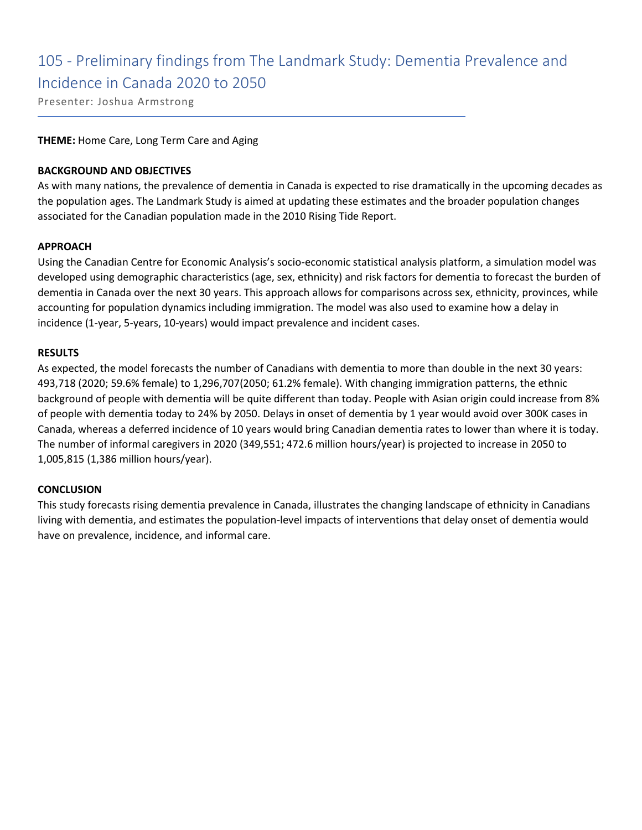### 105 - Preliminary findings from The Landmark Study: Dementia Prevalence and Incidence in Canada 2020 to 2050

Presenter: Joshua Armstrong

#### **THEME:** Home Care, Long Term Care and Aging

#### **BACKGROUND AND OBJECTIVES**

As with many nations, the prevalence of dementia in Canada is expected to rise dramatically in the upcoming decades as the population ages. The Landmark Study is aimed at updating these estimates and the broader population changes associated for the Canadian population made in the 2010 Rising Tide Report.

#### **APPROACH**

Using the Canadian Centre for Economic Analysis's socio-economic statistical analysis platform, a simulation model was developed using demographic characteristics (age, sex, ethnicity) and risk factors for dementia to forecast the burden of dementia in Canada over the next 30 years. This approach allows for comparisons across sex, ethnicity, provinces, while accounting for population dynamics including immigration. The model was also used to examine how a delay in incidence (1-year, 5-years, 10-years) would impact prevalence and incident cases.

#### **RESULTS**

As expected, the model forecasts the number of Canadians with dementia to more than double in the next 30 years: 493,718 (2020; 59.6% female) to 1,296,707(2050; 61.2% female). With changing immigration patterns, the ethnic background of people with dementia will be quite different than today. People with Asian origin could increase from 8% of people with dementia today to 24% by 2050. Delays in onset of dementia by 1 year would avoid over 300K cases in Canada, whereas a deferred incidence of 10 years would bring Canadian dementia rates to lower than where it is today. The number of informal caregivers in 2020 (349,551; 472.6 million hours/year) is projected to increase in 2050 to 1,005,815 (1,386 million hours/year).

#### **CONCLUSION**

This study forecasts rising dementia prevalence in Canada, illustrates the changing landscape of ethnicity in Canadians living with dementia, and estimates the population-level impacts of interventions that delay onset of dementia would have on prevalence, incidence, and informal care.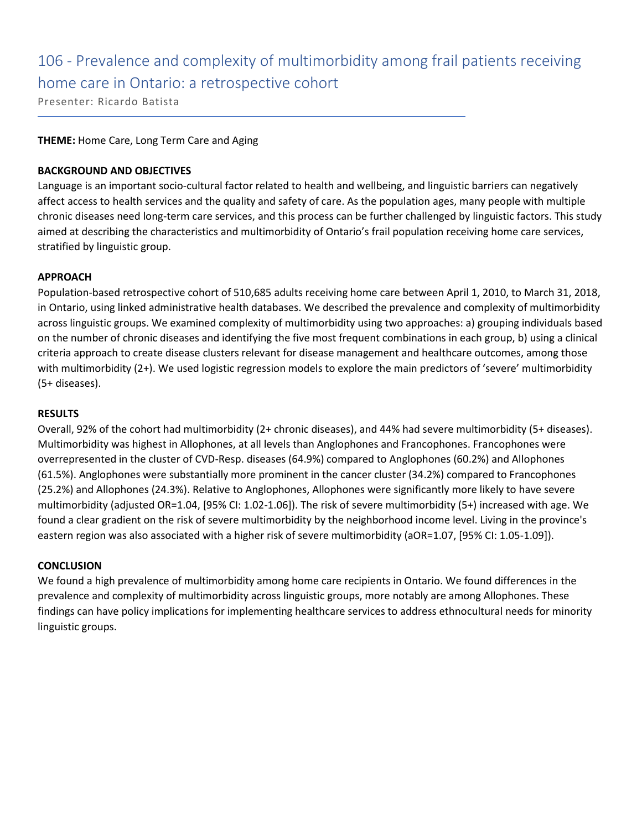## 106 - Prevalence and complexity of multimorbidity among frail patients receiving home care in Ontario: a retrospective cohort

Presenter: Ricardo Batista

#### **THEME:** Home Care, Long Term Care and Aging

#### **BACKGROUND AND OBJECTIVES**

Language is an important socio-cultural factor related to health and wellbeing, and linguistic barriers can negatively affect access to health services and the quality and safety of care. As the population ages, many people with multiple chronic diseases need long-term care services, and this process can be further challenged by linguistic factors. This study aimed at describing the characteristics and multimorbidity of Ontario's frail population receiving home care services, stratified by linguistic group.

#### **APPROACH**

Population-based retrospective cohort of 510,685 adults receiving home care between April 1, 2010, to March 31, 2018, in Ontario, using linked administrative health databases. We described the prevalence and complexity of multimorbidity across linguistic groups. We examined complexity of multimorbidity using two approaches: a) grouping individuals based on the number of chronic diseases and identifying the five most frequent combinations in each group, b) using a clinical criteria approach to create disease clusters relevant for disease management and healthcare outcomes, among those with multimorbidity (2+). We used logistic regression models to explore the main predictors of 'severe' multimorbidity (5+ diseases).

#### **RESULTS**

Overall, 92% of the cohort had multimorbidity (2+ chronic diseases), and 44% had severe multimorbidity (5+ diseases). Multimorbidity was highest in Allophones, at all levels than Anglophones and Francophones. Francophones were overrepresented in the cluster of CVD-Resp. diseases (64.9%) compared to Anglophones (60.2%) and Allophones (61.5%). Anglophones were substantially more prominent in the cancer cluster (34.2%) compared to Francophones (25.2%) and Allophones (24.3%). Relative to Anglophones, Allophones were significantly more likely to have severe multimorbidity (adjusted OR=1.04, [95% CI: 1.02-1.06]). The risk of severe multimorbidity (5+) increased with age. We found a clear gradient on the risk of severe multimorbidity by the neighborhood income level. Living in the province's eastern region was also associated with a higher risk of severe multimorbidity (aOR=1.07, [95% CI: 1.05-1.09]).

#### **CONCLUSION**

We found a high prevalence of multimorbidity among home care recipients in Ontario. We found differences in the prevalence and complexity of multimorbidity across linguistic groups, more notably are among Allophones. These findings can have policy implications for implementing healthcare services to address ethnocultural needs for minority linguistic groups.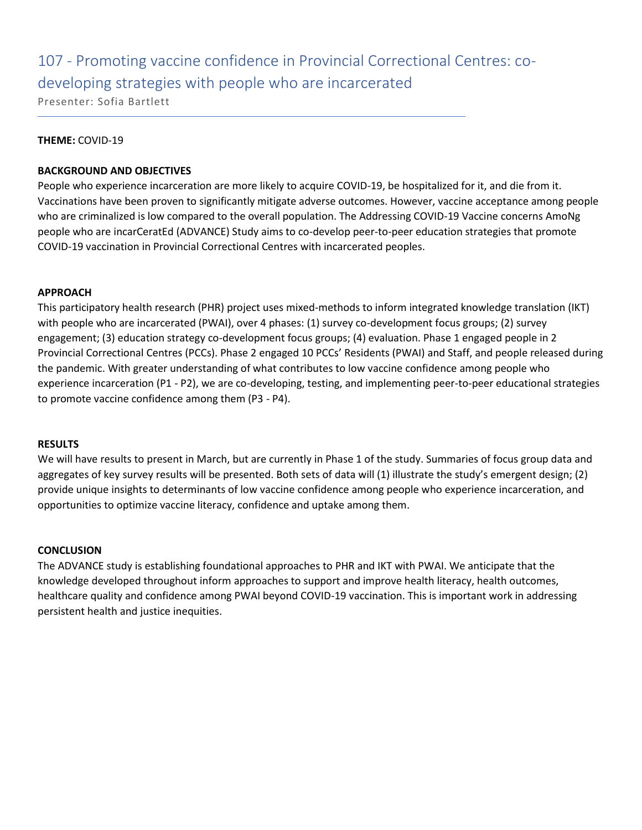# 107 - Promoting vaccine confidence in Provincial Correctional Centres: codeveloping strategies with people who are incarcerated

Presenter: Sofia Bartlett

#### **THEME:** COVID-19

#### **BACKGROUND AND OBJECTIVES**

People who experience incarceration are more likely to acquire COVID-19, be hospitalized for it, and die from it. Vaccinations have been proven to significantly mitigate adverse outcomes. However, vaccine acceptance among people who are criminalized is low compared to the overall population. The Addressing COVID-19 Vaccine concerns AmoNg people who are incarCeratEd (ADVANCE) Study aims to co-develop peer-to-peer education strategies that promote COVID-19 vaccination in Provincial Correctional Centres with incarcerated peoples.

#### **APPROACH**

This participatory health research (PHR) project uses mixed-methods to inform integrated knowledge translation (IKT) with people who are incarcerated (PWAI), over 4 phases: (1) survey co-development focus groups; (2) survey engagement; (3) education strategy co-development focus groups; (4) evaluation. Phase 1 engaged people in 2 Provincial Correctional Centres (PCCs). Phase 2 engaged 10 PCCs' Residents (PWAI) and Staff, and people released during the pandemic. With greater understanding of what contributes to low vaccine confidence among people who experience incarceration (P1 - P2), we are co-developing, testing, and implementing peer-to-peer educational strategies to promote vaccine confidence among them (P3 - P4).

#### **RESULTS**

We will have results to present in March, but are currently in Phase 1 of the study. Summaries of focus group data and aggregates of key survey results will be presented. Both sets of data will (1) illustrate the study's emergent design; (2) provide unique insights to determinants of low vaccine confidence among people who experience incarceration, and opportunities to optimize vaccine literacy, confidence and uptake among them.

#### **CONCLUSION**

The ADVANCE study is establishing foundational approaches to PHR and IKT with PWAI. We anticipate that the knowledge developed throughout inform approaches to support and improve health literacy, health outcomes, healthcare quality and confidence among PWAI beyond COVID-19 vaccination. This is important work in addressing persistent health and justice inequities.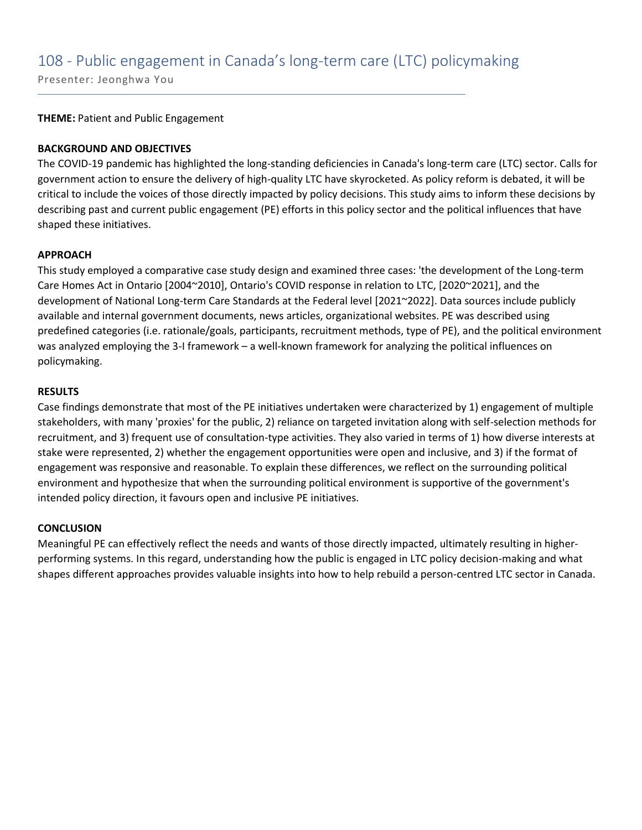### 108 - Public engagement in Canada's long-term care (LTC) policymaking

Presenter: Jeonghwa You

**THEME:** Patient and Public Engagement

#### **BACKGROUND AND OBJECTIVES**

The COVID-19 pandemic has highlighted the long-standing deficiencies in Canada's long-term care (LTC) sector. Calls for government action to ensure the delivery of high-quality LTC have skyrocketed. As policy reform is debated, it will be critical to include the voices of those directly impacted by policy decisions. This study aims to inform these decisions by describing past and current public engagement (PE) efforts in this policy sector and the political influences that have shaped these initiatives.

#### **APPROACH**

This study employed a comparative case study design and examined three cases: 'the development of the Long-term Care Homes Act in Ontario [2004~2010], Ontario's COVID response in relation to LTC, [2020~2021], and the development of National Long-term Care Standards at the Federal level [2021~2022]. Data sources include publicly available and internal government documents, news articles, organizational websites. PE was described using predefined categories (i.e. rationale/goals, participants, recruitment methods, type of PE), and the political environment was analyzed employing the 3-I framework – a well-known framework for analyzing the political influences on policymaking.

#### **RESULTS**

Case findings demonstrate that most of the PE initiatives undertaken were characterized by 1) engagement of multiple stakeholders, with many 'proxies' for the public, 2) reliance on targeted invitation along with self-selection methods for recruitment, and 3) frequent use of consultation-type activities. They also varied in terms of 1) how diverse interests at stake were represented, 2) whether the engagement opportunities were open and inclusive, and 3) if the format of engagement was responsive and reasonable. To explain these differences, we reflect on the surrounding political environment and hypothesize that when the surrounding political environment is supportive of the government's intended policy direction, it favours open and inclusive PE initiatives.

#### **CONCLUSION**

Meaningful PE can effectively reflect the needs and wants of those directly impacted, ultimately resulting in higherperforming systems. In this regard, understanding how the public is engaged in LTC policy decision-making and what shapes different approaches provides valuable insights into how to help rebuild a person-centred LTC sector in Canada.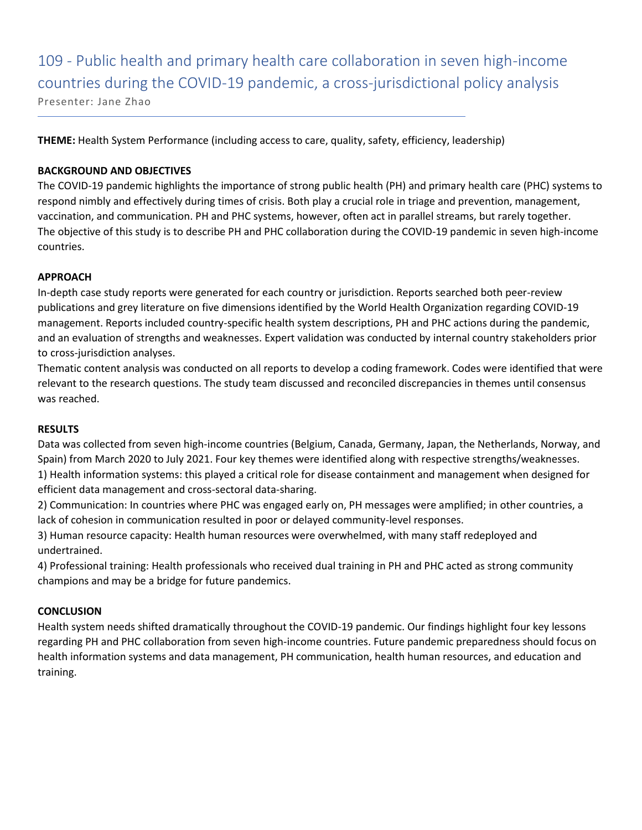109 - Public health and primary health care collaboration in seven high-income countries during the COVID-19 pandemic, a cross-jurisdictional policy analysis Presenter: Jane Zhao

**THEME:** Health System Performance (including access to care, quality, safety, efficiency, leadership)

#### **BACKGROUND AND OBJECTIVES**

The COVID-19 pandemic highlights the importance of strong public health (PH) and primary health care (PHC) systems to respond nimbly and effectively during times of crisis. Both play a crucial role in triage and prevention, management, vaccination, and communication. PH and PHC systems, however, often act in parallel streams, but rarely together. The objective of this study is to describe PH and PHC collaboration during the COVID-19 pandemic in seven high-income countries.

#### **APPROACH**

In-depth case study reports were generated for each country or jurisdiction. Reports searched both peer-review publications and grey literature on five dimensions identified by the World Health Organization regarding COVID-19 management. Reports included country-specific health system descriptions, PH and PHC actions during the pandemic, and an evaluation of strengths and weaknesses. Expert validation was conducted by internal country stakeholders prior to cross-jurisdiction analyses.

Thematic content analysis was conducted on all reports to develop a coding framework. Codes were identified that were relevant to the research questions. The study team discussed and reconciled discrepancies in themes until consensus was reached.

#### **RESULTS**

Data was collected from seven high-income countries (Belgium, Canada, Germany, Japan, the Netherlands, Norway, and Spain) from March 2020 to July 2021. Four key themes were identified along with respective strengths/weaknesses.

1) Health information systems: this played a critical role for disease containment and management when designed for efficient data management and cross-sectoral data-sharing.

2) Communication: In countries where PHC was engaged early on, PH messages were amplified; in other countries, a lack of cohesion in communication resulted in poor or delayed community-level responses.

3) Human resource capacity: Health human resources were overwhelmed, with many staff redeployed and undertrained.

4) Professional training: Health professionals who received dual training in PH and PHC acted as strong community champions and may be a bridge for future pandemics.

#### **CONCLUSION**

Health system needs shifted dramatically throughout the COVID-19 pandemic. Our findings highlight four key lessons regarding PH and PHC collaboration from seven high-income countries. Future pandemic preparedness should focus on health information systems and data management, PH communication, health human resources, and education and training.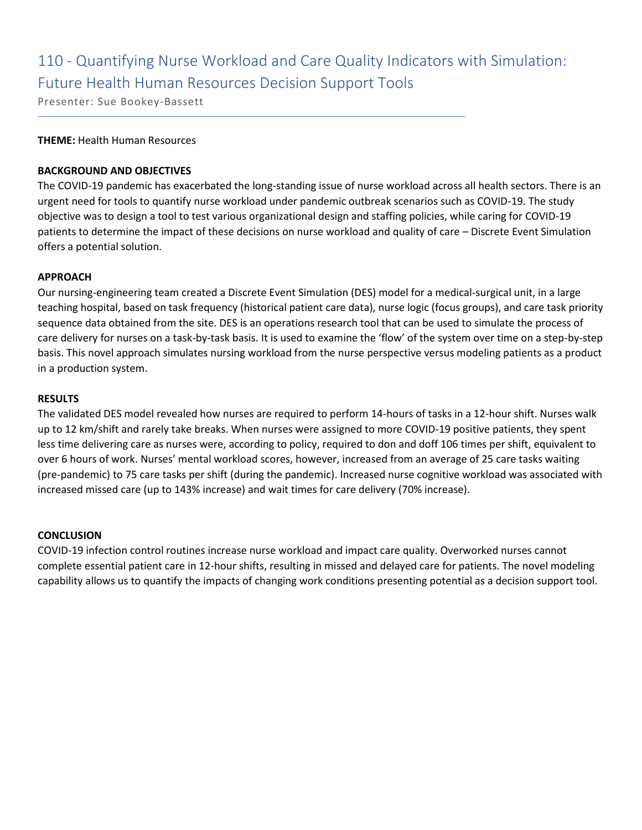## 110 - Quantifying Nurse Workload and Care Quality Indicators with Simulation: Future Health Human Resources Decision Support Tools

Presenter: Sue Bookey-Bassett

#### **THEME:** Health Human Resources

#### **BACKGROUND AND OBJECTIVES**

The COVID-19 pandemic has exacerbated the long-standing issue of nurse workload across all health sectors. There is an urgent need for tools to quantify nurse workload under pandemic outbreak scenarios such as COVID-19. The study objective was to design a tool to test various organizational design and staffing policies, while caring for COVID-19 patients to determine the impact of these decisions on nurse workload and quality of care – Discrete Event Simulation offers a potential solution.

#### **APPROACH**

Our nursing-engineering team created a Discrete Event Simulation (DES) model for a medical-surgical unit, in a large teaching hospital, based on task frequency (historical patient care data), nurse logic (focus groups), and care task priority sequence data obtained from the site. DES is an operations research tool that can be used to simulate the process of care delivery for nurses on a task-by-task basis. It is used to examine the 'flow' of the system over time on a step-by-step basis. This novel approach simulates nursing workload from the nurse perspective versus modeling patients as a product in a production system.

#### **RESULTS**

The validated DES model revealed how nurses are required to perform 14-hours of tasks in a 12-hour shift. Nurses walk up to 12 km/shift and rarely take breaks. When nurses were assigned to more COVID-19 positive patients, they spent less time delivering care as nurses were, according to policy, required to don and doff 106 times per shift, equivalent to over 6 hours of work. Nurses' mental workload scores, however, increased from an average of 25 care tasks waiting (pre-pandemic) to 75 care tasks per shift (during the pandemic). Increased nurse cognitive workload was associated with increased missed care (up to 143% increase) and wait times for care delivery (70% increase).

#### **CONCLUSION**

COVID-19 infection control routines increase nurse workload and impact care quality. Overworked nurses cannot complete essential patient care in 12-hour shifts, resulting in missed and delayed care for patients. The novel modeling capability allows us to quantify the impacts of changing work conditions presenting potential as a decision support tool.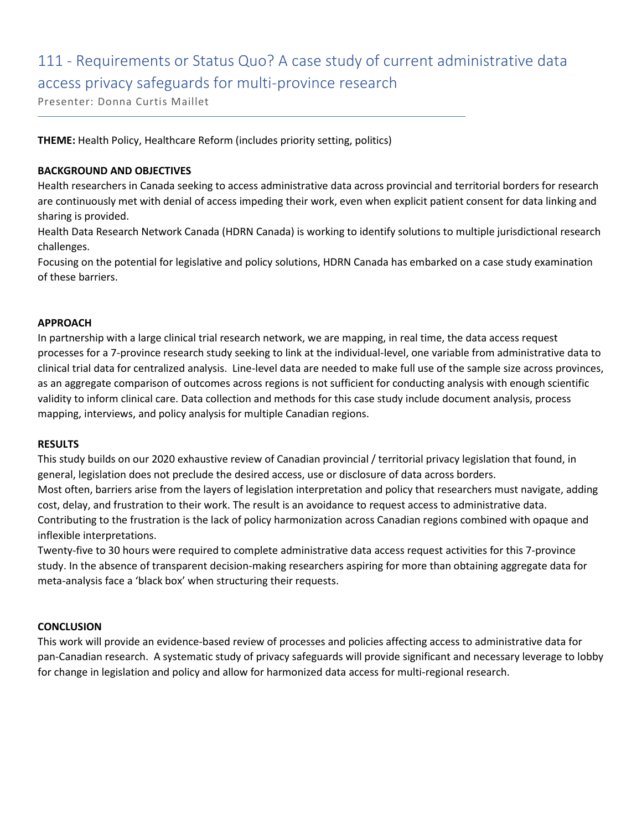# 111 - Requirements or Status Quo? A case study of current administrative data access privacy safeguards for multi-province research

Presenter: Donna Curtis Maillet

**THEME:** Health Policy, Healthcare Reform (includes priority setting, politics)

#### **BACKGROUND AND OBJECTIVES**

Health researchers in Canada seeking to access administrative data across provincial and territorial borders for research are continuously met with denial of access impeding their work, even when explicit patient consent for data linking and sharing is provided.

Health Data Research Network Canada (HDRN Canada) is working to identify solutions to multiple jurisdictional research challenges.

Focusing on the potential for legislative and policy solutions, HDRN Canada has embarked on a case study examination of these barriers.

#### **APPROACH**

In partnership with a large clinical trial research network, we are mapping, in real time, the data access request processes for a 7-province research study seeking to link at the individual-level, one variable from administrative data to clinical trial data for centralized analysis. Line-level data are needed to make full use of the sample size across provinces, as an aggregate comparison of outcomes across regions is not sufficient for conducting analysis with enough scientific validity to inform clinical care. Data collection and methods for this case study include document analysis, process mapping, interviews, and policy analysis for multiple Canadian regions.

#### **RESULTS**

This study builds on our 2020 exhaustive review of Canadian provincial / territorial privacy legislation that found, in general, legislation does not preclude the desired access, use or disclosure of data across borders. Most often, barriers arise from the layers of legislation interpretation and policy that researchers must navigate, adding cost, delay, and frustration to their work. The result is an avoidance to request access to administrative data. Contributing to the frustration is the lack of policy harmonization across Canadian regions combined with opaque and inflexible interpretations.

Twenty-five to 30 hours were required to complete administrative data access request activities for this 7-province study. In the absence of transparent decision-making researchers aspiring for more than obtaining aggregate data for meta-analysis face a 'black box' when structuring their requests.

#### **CONCLUSION**

This work will provide an evidence-based review of processes and policies affecting access to administrative data for pan-Canadian research. A systematic study of privacy safeguards will provide significant and necessary leverage to lobby for change in legislation and policy and allow for harmonized data access for multi-regional research.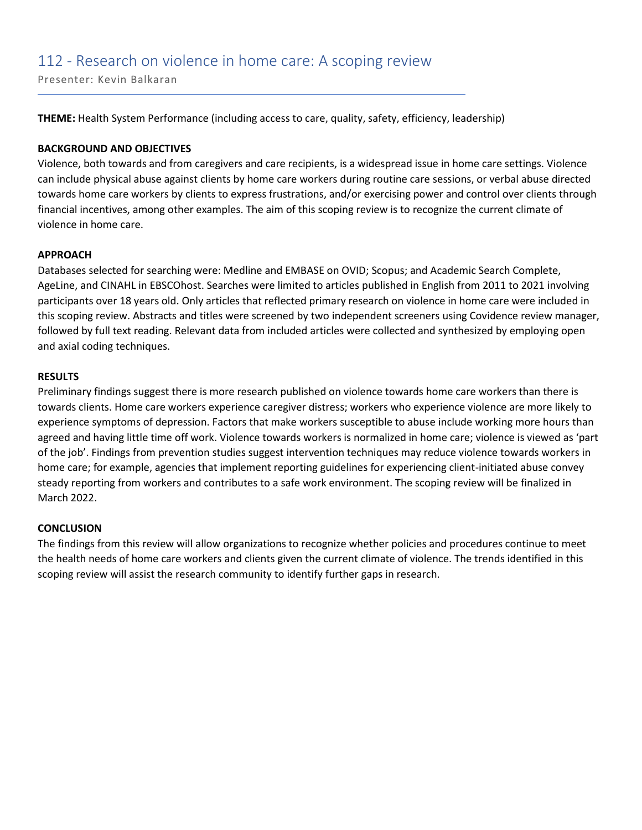### 112 - Research on violence in home care: A scoping review

Presenter: Kevin Balkaran

**THEME:** Health System Performance (including access to care, quality, safety, efficiency, leadership)

#### **BACKGROUND AND OBJECTIVES**

Violence, both towards and from caregivers and care recipients, is a widespread issue in home care settings. Violence can include physical abuse against clients by home care workers during routine care sessions, or verbal abuse directed towards home care workers by clients to express frustrations, and/or exercising power and control over clients through financial incentives, among other examples. The aim of this scoping review is to recognize the current climate of violence in home care.

#### **APPROACH**

Databases selected for searching were: Medline and EMBASE on OVID; Scopus; and Academic Search Complete, AgeLine, and CINAHL in EBSCOhost. Searches were limited to articles published in English from 2011 to 2021 involving participants over 18 years old. Only articles that reflected primary research on violence in home care were included in this scoping review. Abstracts and titles were screened by two independent screeners using Covidence review manager, followed by full text reading. Relevant data from included articles were collected and synthesized by employing open and axial coding techniques.

#### **RESULTS**

Preliminary findings suggest there is more research published on violence towards home care workers than there is towards clients. Home care workers experience caregiver distress; workers who experience violence are more likely to experience symptoms of depression. Factors that make workers susceptible to abuse include working more hours than agreed and having little time off work. Violence towards workers is normalized in home care; violence is viewed as 'part of the job'. Findings from prevention studies suggest intervention techniques may reduce violence towards workers in home care; for example, agencies that implement reporting guidelines for experiencing client-initiated abuse convey steady reporting from workers and contributes to a safe work environment. The scoping review will be finalized in March 2022.

#### **CONCLUSION**

The findings from this review will allow organizations to recognize whether policies and procedures continue to meet the health needs of home care workers and clients given the current climate of violence. The trends identified in this scoping review will assist the research community to identify further gaps in research.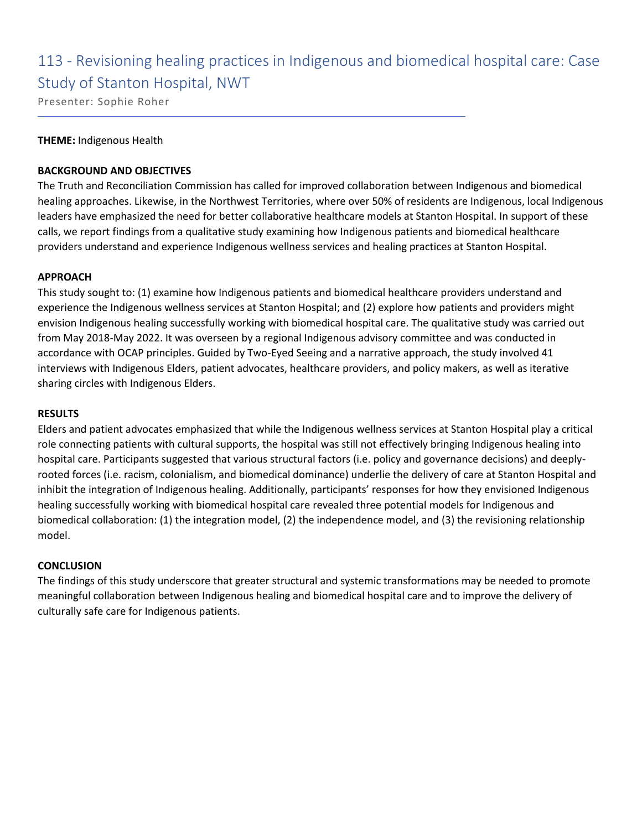### 113 - Revisioning healing practices in Indigenous and biomedical hospital care: Case Study of Stanton Hospital, NWT

Presenter: Sophie Roher

#### **THEME:** Indigenous Health

#### **BACKGROUND AND OBJECTIVES**

The Truth and Reconciliation Commission has called for improved collaboration between Indigenous and biomedical healing approaches. Likewise, in the Northwest Territories, where over 50% of residents are Indigenous, local Indigenous leaders have emphasized the need for better collaborative healthcare models at Stanton Hospital. In support of these calls, we report findings from a qualitative study examining how Indigenous patients and biomedical healthcare providers understand and experience Indigenous wellness services and healing practices at Stanton Hospital.

#### **APPROACH**

This study sought to: (1) examine how Indigenous patients and biomedical healthcare providers understand and experience the Indigenous wellness services at Stanton Hospital; and (2) explore how patients and providers might envision Indigenous healing successfully working with biomedical hospital care. The qualitative study was carried out from May 2018-May 2022. It was overseen by a regional Indigenous advisory committee and was conducted in accordance with OCAP principles. Guided by Two-Eyed Seeing and a narrative approach, the study involved 41 interviews with Indigenous Elders, patient advocates, healthcare providers, and policy makers, as well as iterative sharing circles with Indigenous Elders.

#### **RESULTS**

Elders and patient advocates emphasized that while the Indigenous wellness services at Stanton Hospital play a critical role connecting patients with cultural supports, the hospital was still not effectively bringing Indigenous healing into hospital care. Participants suggested that various structural factors (i.e. policy and governance decisions) and deeplyrooted forces (i.e. racism, colonialism, and biomedical dominance) underlie the delivery of care at Stanton Hospital and inhibit the integration of Indigenous healing. Additionally, participants' responses for how they envisioned Indigenous healing successfully working with biomedical hospital care revealed three potential models for Indigenous and biomedical collaboration: (1) the integration model, (2) the independence model, and (3) the revisioning relationship model.

#### **CONCLUSION**

The findings of this study underscore that greater structural and systemic transformations may be needed to promote meaningful collaboration between Indigenous healing and biomedical hospital care and to improve the delivery of culturally safe care for Indigenous patients.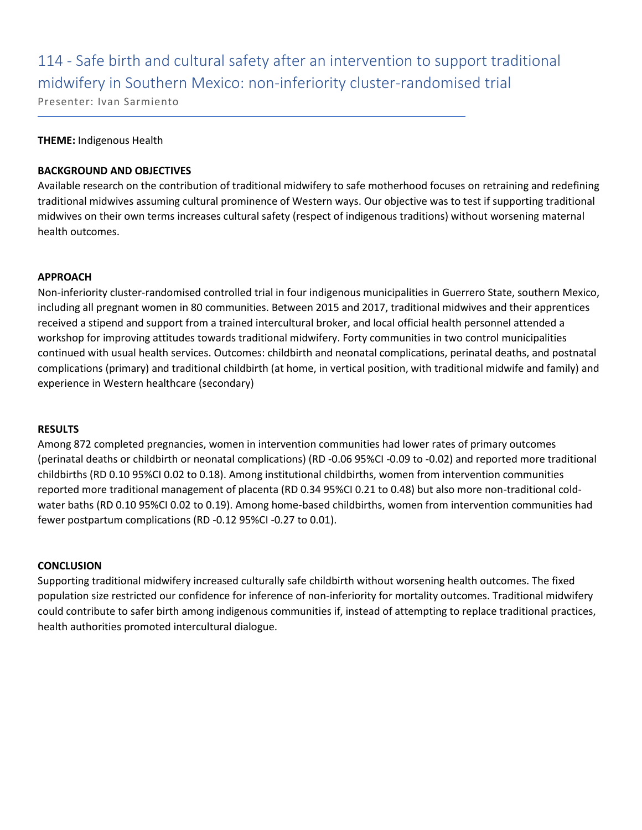# 114 - Safe birth and cultural safety after an intervention to support traditional midwifery in Southern Mexico: non-inferiority cluster-randomised trial

Presenter: Ivan Sarmiento

#### **THEME:** Indigenous Health

#### **BACKGROUND AND OBJECTIVES**

Available research on the contribution of traditional midwifery to safe motherhood focuses on retraining and redefining traditional midwives assuming cultural prominence of Western ways. Our objective was to test if supporting traditional midwives on their own terms increases cultural safety (respect of indigenous traditions) without worsening maternal health outcomes.

#### **APPROACH**

Non-inferiority cluster-randomised controlled trial in four indigenous municipalities in Guerrero State, southern Mexico, including all pregnant women in 80 communities. Between 2015 and 2017, traditional midwives and their apprentices received a stipend and support from a trained intercultural broker, and local official health personnel attended a workshop for improving attitudes towards traditional midwifery. Forty communities in two control municipalities continued with usual health services. Outcomes: childbirth and neonatal complications, perinatal deaths, and postnatal complications (primary) and traditional childbirth (at home, in vertical position, with traditional midwife and family) and experience in Western healthcare (secondary)

#### **RESULTS**

Among 872 completed pregnancies, women in intervention communities had lower rates of primary outcomes (perinatal deaths or childbirth or neonatal complications) (RD -0.06 95%CI -0.09 to -0.02) and reported more traditional childbirths (RD 0.10 95%CI 0.02 to 0.18). Among institutional childbirths, women from intervention communities reported more traditional management of placenta (RD 0.34 95%CI 0.21 to 0.48) but also more non-traditional coldwater baths (RD 0.10 95%CI 0.02 to 0.19). Among home-based childbirths, women from intervention communities had fewer postpartum complications (RD -0.12 95%CI -0.27 to 0.01).

#### **CONCLUSION**

Supporting traditional midwifery increased culturally safe childbirth without worsening health outcomes. The fixed population size restricted our confidence for inference of non-inferiority for mortality outcomes. Traditional midwifery could contribute to safer birth among indigenous communities if, instead of attempting to replace traditional practices, health authorities promoted intercultural dialogue.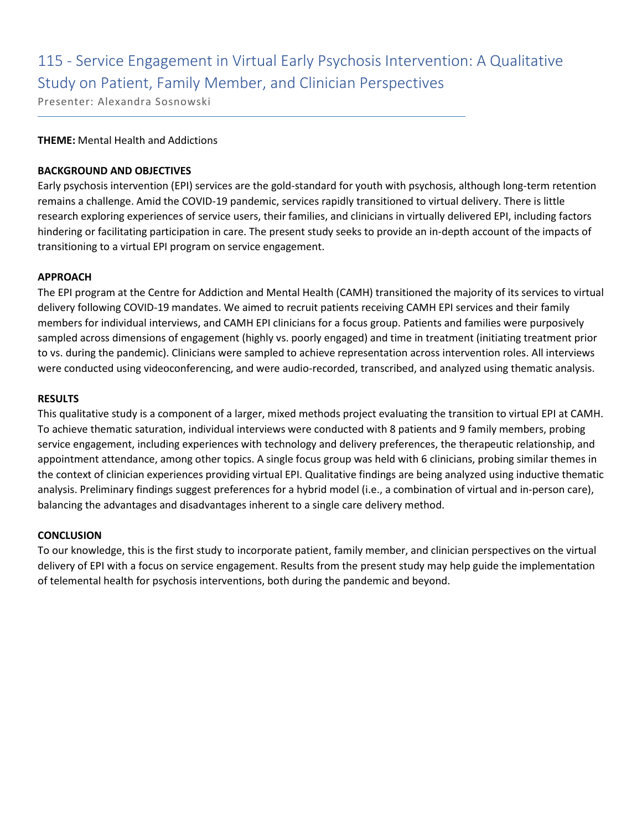# 115 - Service Engagement in Virtual Early Psychosis Intervention: A Qualitative Study on Patient, Family Member, and Clinician Perspectives

Presenter: Alexandra Sosnowski

#### **THEME:** Mental Health and Addictions

#### **BACKGROUND AND OBJECTIVES**

Early psychosis intervention (EPI) services are the gold-standard for youth with psychosis, although long-term retention remains a challenge. Amid the COVID-19 pandemic, services rapidly transitioned to virtual delivery. There is little research exploring experiences of service users, their families, and clinicians in virtually delivered EPI, including factors hindering or facilitating participation in care. The present study seeks to provide an in-depth account of the impacts of transitioning to a virtual EPI program on service engagement.

#### **APPROACH**

The EPI program at the Centre for Addiction and Mental Health (CAMH) transitioned the majority of its services to virtual delivery following COVID-19 mandates. We aimed to recruit patients receiving CAMH EPI services and their family members for individual interviews, and CAMH EPI clinicians for a focus group. Patients and families were purposively sampled across dimensions of engagement (highly vs. poorly engaged) and time in treatment (initiating treatment prior to vs. during the pandemic). Clinicians were sampled to achieve representation across intervention roles. All interviews were conducted using videoconferencing, and were audio-recorded, transcribed, and analyzed using thematic analysis.

#### **RESULTS**

This qualitative study is a component of a larger, mixed methods project evaluating the transition to virtual EPI at CAMH. To achieve thematic saturation, individual interviews were conducted with 8 patients and 9 family members, probing service engagement, including experiences with technology and delivery preferences, the therapeutic relationship, and appointment attendance, among other topics. A single focus group was held with 6 clinicians, probing similar themes in the context of clinician experiences providing virtual EPI. Qualitative findings are being analyzed using inductive thematic analysis. Preliminary findings suggest preferences for a hybrid model (i.e., a combination of virtual and in-person care), balancing the advantages and disadvantages inherent to a single care delivery method.

#### **CONCLUSION**

To our knowledge, this is the first study to incorporate patient, family member, and clinician perspectives on the virtual delivery of EPI with a focus on service engagement. Results from the present study may help guide the implementation of telemental health for psychosis interventions, both during the pandemic and beyond.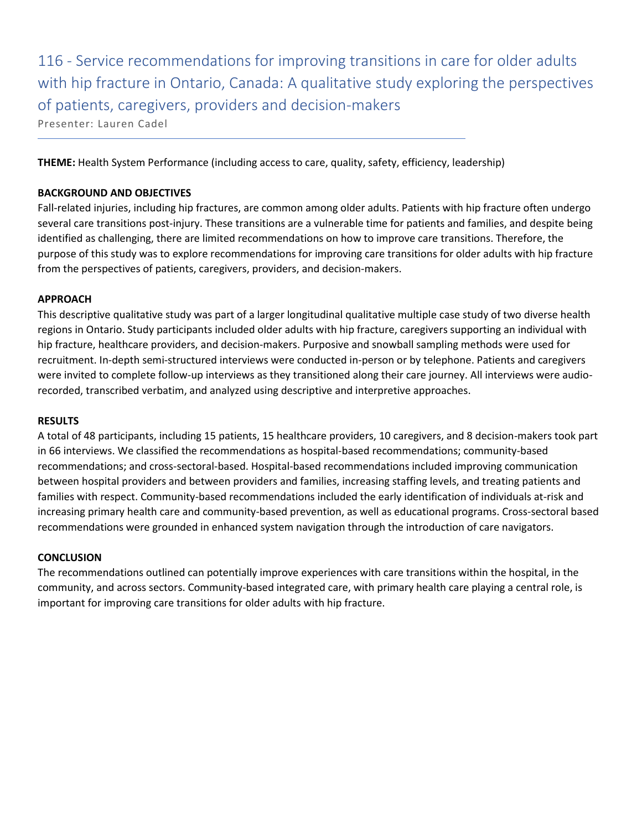116 - Service recommendations for improving transitions in care for older adults with hip fracture in Ontario, Canada: A qualitative study exploring the perspectives of patients, caregivers, providers and decision-makers

Presenter: Lauren Cadel

**THEME:** Health System Performance (including access to care, quality, safety, efficiency, leadership)

#### **BACKGROUND AND OBJECTIVES**

Fall-related injuries, including hip fractures, are common among older adults. Patients with hip fracture often undergo several care transitions post-injury. These transitions are a vulnerable time for patients and families, and despite being identified as challenging, there are limited recommendations on how to improve care transitions. Therefore, the purpose of this study was to explore recommendations for improving care transitions for older adults with hip fracture from the perspectives of patients, caregivers, providers, and decision-makers.

#### **APPROACH**

This descriptive qualitative study was part of a larger longitudinal qualitative multiple case study of two diverse health regions in Ontario. Study participants included older adults with hip fracture, caregivers supporting an individual with hip fracture, healthcare providers, and decision-makers. Purposive and snowball sampling methods were used for recruitment. In-depth semi-structured interviews were conducted in-person or by telephone. Patients and caregivers were invited to complete follow-up interviews as they transitioned along their care journey. All interviews were audiorecorded, transcribed verbatim, and analyzed using descriptive and interpretive approaches.

#### **RESULTS**

A total of 48 participants, including 15 patients, 15 healthcare providers, 10 caregivers, and 8 decision-makers took part in 66 interviews. We classified the recommendations as hospital-based recommendations; community-based recommendations; and cross-sectoral-based. Hospital-based recommendations included improving communication between hospital providers and between providers and families, increasing staffing levels, and treating patients and families with respect. Community-based recommendations included the early identification of individuals at-risk and increasing primary health care and community-based prevention, as well as educational programs. Cross-sectoral based recommendations were grounded in enhanced system navigation through the introduction of care navigators.

#### **CONCLUSION**

The recommendations outlined can potentially improve experiences with care transitions within the hospital, in the community, and across sectors. Community-based integrated care, with primary health care playing a central role, is important for improving care transitions for older adults with hip fracture.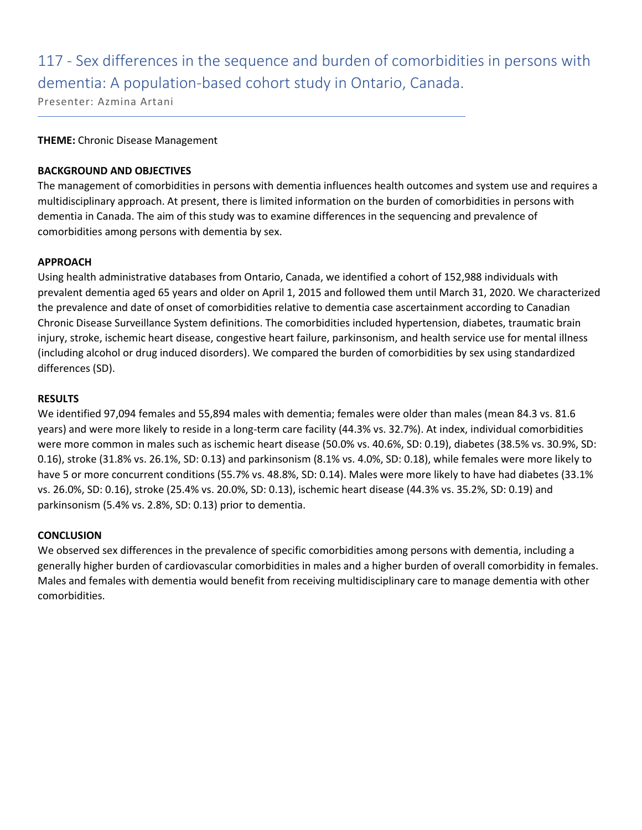# 117 - Sex differences in the sequence and burden of comorbidities in persons with dementia: A population-based cohort study in Ontario, Canada.

Presenter: Azmina Artani

#### **THEME:** Chronic Disease Management

#### **BACKGROUND AND OBJECTIVES**

The management of comorbidities in persons with dementia influences health outcomes and system use and requires a multidisciplinary approach. At present, there is limited information on the burden of comorbidities in persons with dementia in Canada. The aim of this study was to examine differences in the sequencing and prevalence of comorbidities among persons with dementia by sex.

#### **APPROACH**

Using health administrative databases from Ontario, Canada, we identified a cohort of 152,988 individuals with prevalent dementia aged 65 years and older on April 1, 2015 and followed them until March 31, 2020. We characterized the prevalence and date of onset of comorbidities relative to dementia case ascertainment according to Canadian Chronic Disease Surveillance System definitions. The comorbidities included hypertension, diabetes, traumatic brain injury, stroke, ischemic heart disease, congestive heart failure, parkinsonism, and health service use for mental illness (including alcohol or drug induced disorders). We compared the burden of comorbidities by sex using standardized differences (SD).

#### **RESULTS**

We identified 97,094 females and 55,894 males with dementia; females were older than males (mean 84.3 vs. 81.6 years) and were more likely to reside in a long-term care facility (44.3% vs. 32.7%). At index, individual comorbidities were more common in males such as ischemic heart disease (50.0% vs. 40.6%, SD: 0.19), diabetes (38.5% vs. 30.9%, SD: 0.16), stroke (31.8% vs. 26.1%, SD: 0.13) and parkinsonism (8.1% vs. 4.0%, SD: 0.18), while females were more likely to have 5 or more concurrent conditions (55.7% vs. 48.8%, SD: 0.14). Males were more likely to have had diabetes (33.1% vs. 26.0%, SD: 0.16), stroke (25.4% vs. 20.0%, SD: 0.13), ischemic heart disease (44.3% vs. 35.2%, SD: 0.19) and parkinsonism (5.4% vs. 2.8%, SD: 0.13) prior to dementia.

#### **CONCLUSION**

We observed sex differences in the prevalence of specific comorbidities among persons with dementia, including a generally higher burden of cardiovascular comorbidities in males and a higher burden of overall comorbidity in females. Males and females with dementia would benefit from receiving multidisciplinary care to manage dementia with other comorbidities.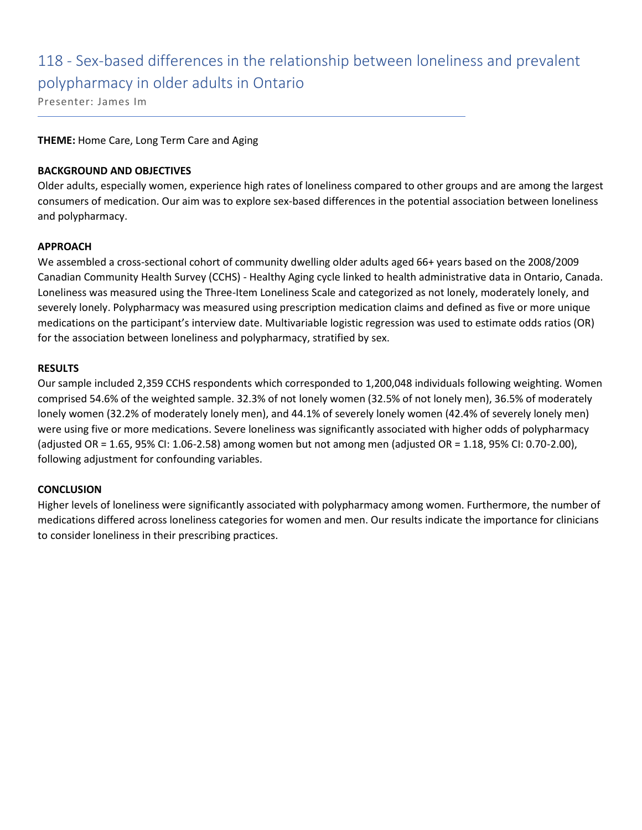# 118 - Sex-based differences in the relationship between loneliness and prevalent polypharmacy in older adults in Ontario

Presenter: James Im

#### **THEME:** Home Care, Long Term Care and Aging

#### **BACKGROUND AND OBJECTIVES**

Older adults, especially women, experience high rates of loneliness compared to other groups and are among the largest consumers of medication. Our aim was to explore sex-based differences in the potential association between loneliness and polypharmacy.

#### **APPROACH**

We assembled a cross-sectional cohort of community dwelling older adults aged 66+ years based on the 2008/2009 Canadian Community Health Survey (CCHS) - Healthy Aging cycle linked to health administrative data in Ontario, Canada. Loneliness was measured using the Three-Item Loneliness Scale and categorized as not lonely, moderately lonely, and severely lonely. Polypharmacy was measured using prescription medication claims and defined as five or more unique medications on the participant's interview date. Multivariable logistic regression was used to estimate odds ratios (OR) for the association between loneliness and polypharmacy, stratified by sex.

#### **RESULTS**

Our sample included 2,359 CCHS respondents which corresponded to 1,200,048 individuals following weighting. Women comprised 54.6% of the weighted sample. 32.3% of not lonely women (32.5% of not lonely men), 36.5% of moderately lonely women (32.2% of moderately lonely men), and 44.1% of severely lonely women (42.4% of severely lonely men) were using five or more medications. Severe loneliness was significantly associated with higher odds of polypharmacy (adjusted OR = 1.65, 95% CI: 1.06-2.58) among women but not among men (adjusted OR = 1.18, 95% CI: 0.70-2.00), following adjustment for confounding variables.

#### **CONCLUSION**

Higher levels of loneliness were significantly associated with polypharmacy among women. Furthermore, the number of medications differed across loneliness categories for women and men. Our results indicate the importance for clinicians to consider loneliness in their prescribing practices.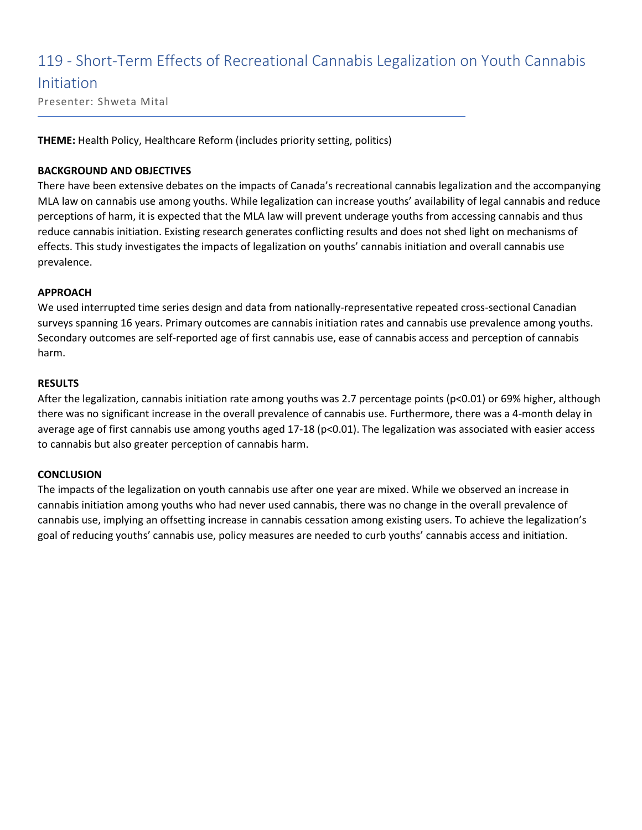### 119 - Short-Term Effects of Recreational Cannabis Legalization on Youth Cannabis

### Initiation

Presenter: Shweta Mital

**THEME:** Health Policy, Healthcare Reform (includes priority setting, politics)

#### **BACKGROUND AND OBJECTIVES**

There have been extensive debates on the impacts of Canada's recreational cannabis legalization and the accompanying MLA law on cannabis use among youths. While legalization can increase youths' availability of legal cannabis and reduce perceptions of harm, it is expected that the MLA law will prevent underage youths from accessing cannabis and thus reduce cannabis initiation. Existing research generates conflicting results and does not shed light on mechanisms of effects. This study investigates the impacts of legalization on youths' cannabis initiation and overall cannabis use prevalence.

#### **APPROACH**

We used interrupted time series design and data from nationally-representative repeated cross-sectional Canadian surveys spanning 16 years. Primary outcomes are cannabis initiation rates and cannabis use prevalence among youths. Secondary outcomes are self-reported age of first cannabis use, ease of cannabis access and perception of cannabis harm.

#### **RESULTS**

After the legalization, cannabis initiation rate among youths was 2.7 percentage points (p<0.01) or 69% higher, although there was no significant increase in the overall prevalence of cannabis use. Furthermore, there was a 4-month delay in average age of first cannabis use among youths aged 17-18 (p<0.01). The legalization was associated with easier access to cannabis but also greater perception of cannabis harm.

#### **CONCLUSION**

The impacts of the legalization on youth cannabis use after one year are mixed. While we observed an increase in cannabis initiation among youths who had never used cannabis, there was no change in the overall prevalence of cannabis use, implying an offsetting increase in cannabis cessation among existing users. To achieve the legalization's goal of reducing youths' cannabis use, policy measures are needed to curb youths' cannabis access and initiation.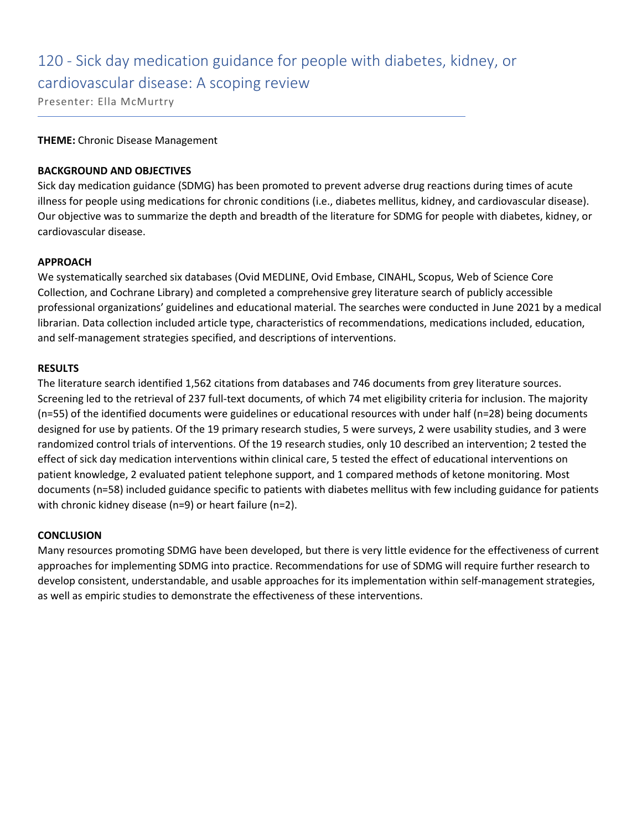# 120 - Sick day medication guidance for people with diabetes, kidney, or

cardiovascular disease: A scoping review

Presenter: Ella McMurtry

#### **THEME:** Chronic Disease Management

#### **BACKGROUND AND OBJECTIVES**

Sick day medication guidance (SDMG) has been promoted to prevent adverse drug reactions during times of acute illness for people using medications for chronic conditions (i.e., diabetes mellitus, kidney, and cardiovascular disease). Our objective was to summarize the depth and breadth of the literature for SDMG for people with diabetes, kidney, or cardiovascular disease.

#### **APPROACH**

We systematically searched six databases (Ovid MEDLINE, Ovid Embase, CINAHL, Scopus, Web of Science Core Collection, and Cochrane Library) and completed a comprehensive grey literature search of publicly accessible professional organizations' guidelines and educational material. The searches were conducted in June 2021 by a medical librarian. Data collection included article type, characteristics of recommendations, medications included, education, and self-management strategies specified, and descriptions of interventions.

#### **RESULTS**

The literature search identified 1,562 citations from databases and 746 documents from grey literature sources. Screening led to the retrieval of 237 full-text documents, of which 74 met eligibility criteria for inclusion. The majority (n=55) of the identified documents were guidelines or educational resources with under half (n=28) being documents designed for use by patients. Of the 19 primary research studies, 5 were surveys, 2 were usability studies, and 3 were randomized control trials of interventions. Of the 19 research studies, only 10 described an intervention; 2 tested the effect of sick day medication interventions within clinical care, 5 tested the effect of educational interventions on patient knowledge, 2 evaluated patient telephone support, and 1 compared methods of ketone monitoring. Most documents (n=58) included guidance specific to patients with diabetes mellitus with few including guidance for patients with chronic kidney disease (n=9) or heart failure (n=2).

#### **CONCLUSION**

Many resources promoting SDMG have been developed, but there is very little evidence for the effectiveness of current approaches for implementing SDMG into practice. Recommendations for use of SDMG will require further research to develop consistent, understandable, and usable approaches for its implementation within self-management strategies, as well as empiric studies to demonstrate the effectiveness of these interventions.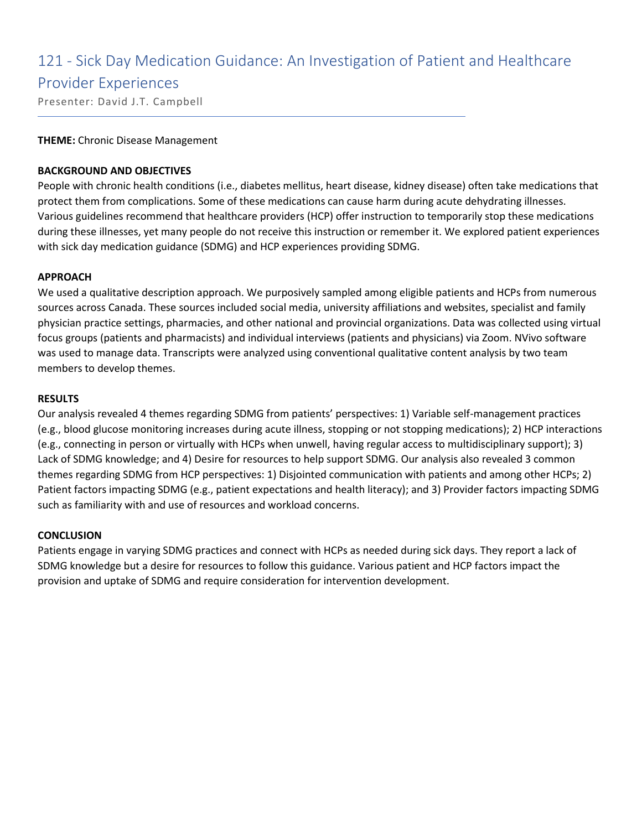### 121 - Sick Day Medication Guidance: An Investigation of Patient and Healthcare

#### Provider Experiences

Presenter: David J.T. Campbell

#### **THEME:** Chronic Disease Management

#### **BACKGROUND AND OBJECTIVES**

People with chronic health conditions (i.e., diabetes mellitus, heart disease, kidney disease) often take medications that protect them from complications. Some of these medications can cause harm during acute dehydrating illnesses. Various guidelines recommend that healthcare providers (HCP) offer instruction to temporarily stop these medications during these illnesses, yet many people do not receive this instruction or remember it. We explored patient experiences with sick day medication guidance (SDMG) and HCP experiences providing SDMG.

#### **APPROACH**

We used a qualitative description approach. We purposively sampled among eligible patients and HCPs from numerous sources across Canada. These sources included social media, university affiliations and websites, specialist and family physician practice settings, pharmacies, and other national and provincial organizations. Data was collected using virtual focus groups (patients and pharmacists) and individual interviews (patients and physicians) via Zoom. NVivo software was used to manage data. Transcripts were analyzed using conventional qualitative content analysis by two team members to develop themes.

#### **RESULTS**

Our analysis revealed 4 themes regarding SDMG from patients' perspectives: 1) Variable self-management practices (e.g., blood glucose monitoring increases during acute illness, stopping or not stopping medications); 2) HCP interactions (e.g., connecting in person or virtually with HCPs when unwell, having regular access to multidisciplinary support); 3) Lack of SDMG knowledge; and 4) Desire for resources to help support SDMG. Our analysis also revealed 3 common themes regarding SDMG from HCP perspectives: 1) Disjointed communication with patients and among other HCPs; 2) Patient factors impacting SDMG (e.g., patient expectations and health literacy); and 3) Provider factors impacting SDMG such as familiarity with and use of resources and workload concerns.

#### **CONCLUSION**

Patients engage in varying SDMG practices and connect with HCPs as needed during sick days. They report a lack of SDMG knowledge but a desire for resources to follow this guidance. Various patient and HCP factors impact the provision and uptake of SDMG and require consideration for intervention development.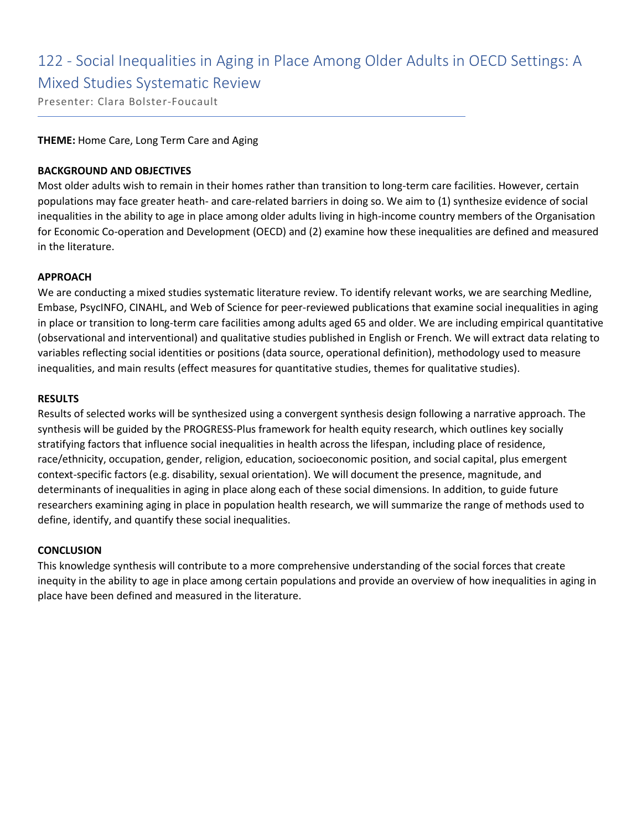### 122 - Social Inequalities in Aging in Place Among Older Adults in OECD Settings: A Mixed Studies Systematic Review

Presenter: Clara Bolster-Foucault

#### **THEME:** Home Care, Long Term Care and Aging

#### **BACKGROUND AND OBJECTIVES**

Most older adults wish to remain in their homes rather than transition to long-term care facilities. However, certain populations may face greater heath- and care-related barriers in doing so. We aim to (1) synthesize evidence of social inequalities in the ability to age in place among older adults living in high-income country members of the Organisation for Economic Co-operation and Development (OECD) and (2) examine how these inequalities are defined and measured in the literature.

#### **APPROACH**

We are conducting a mixed studies systematic literature review. To identify relevant works, we are searching Medline, Embase, PsycINFO, CINAHL, and Web of Science for peer-reviewed publications that examine social inequalities in aging in place or transition to long-term care facilities among adults aged 65 and older. We are including empirical quantitative (observational and interventional) and qualitative studies published in English or French. We will extract data relating to variables reflecting social identities or positions (data source, operational definition), methodology used to measure inequalities, and main results (effect measures for quantitative studies, themes for qualitative studies).

#### **RESULTS**

Results of selected works will be synthesized using a convergent synthesis design following a narrative approach. The synthesis will be guided by the PROGRESS-Plus framework for health equity research, which outlines key socially stratifying factors that influence social inequalities in health across the lifespan, including place of residence, race/ethnicity, occupation, gender, religion, education, socioeconomic position, and social capital, plus emergent context-specific factors (e.g. disability, sexual orientation). We will document the presence, magnitude, and determinants of inequalities in aging in place along each of these social dimensions. In addition, to guide future researchers examining aging in place in population health research, we will summarize the range of methods used to define, identify, and quantify these social inequalities.

#### **CONCLUSION**

This knowledge synthesis will contribute to a more comprehensive understanding of the social forces that create inequity in the ability to age in place among certain populations and provide an overview of how inequalities in aging in place have been defined and measured in the literature.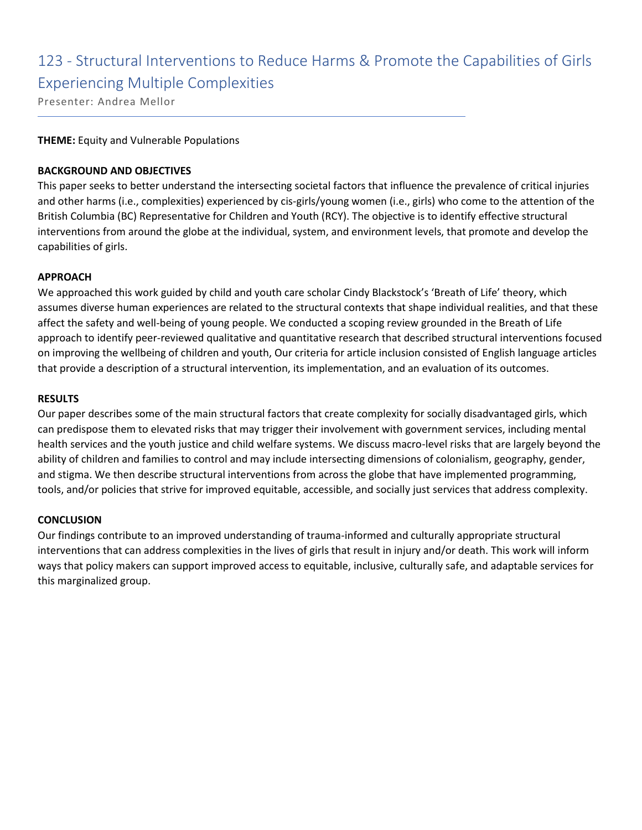## 123 - Structural Interventions to Reduce Harms & Promote the Capabilities of Girls Experiencing Multiple Complexities

Presenter: Andrea Mellor

#### **THEME:** Equity and Vulnerable Populations

#### **BACKGROUND AND OBJECTIVES**

This paper seeks to better understand the intersecting societal factors that influence the prevalence of critical injuries and other harms (i.e., complexities) experienced by cis-girls/young women (i.e., girls) who come to the attention of the British Columbia (BC) Representative for Children and Youth (RCY). The objective is to identify effective structural interventions from around the globe at the individual, system, and environment levels, that promote and develop the capabilities of girls.

#### **APPROACH**

We approached this work guided by child and youth care scholar Cindy Blackstock's 'Breath of Life' theory, which assumes diverse human experiences are related to the structural contexts that shape individual realities, and that these affect the safety and well-being of young people. We conducted a scoping review grounded in the Breath of Life approach to identify peer-reviewed qualitative and quantitative research that described structural interventions focused on improving the wellbeing of children and youth, Our criteria for article inclusion consisted of English language articles that provide a description of a structural intervention, its implementation, and an evaluation of its outcomes.

#### **RESULTS**

Our paper describes some of the main structural factors that create complexity for socially disadvantaged girls, which can predispose them to elevated risks that may trigger their involvement with government services, including mental health services and the youth justice and child welfare systems. We discuss macro-level risks that are largely beyond the ability of children and families to control and may include intersecting dimensions of colonialism, geography, gender, and stigma. We then describe structural interventions from across the globe that have implemented programming, tools, and/or policies that strive for improved equitable, accessible, and socially just services that address complexity.

#### **CONCLUSION**

Our findings contribute to an improved understanding of trauma-informed and culturally appropriate structural interventions that can address complexities in the lives of girls that result in injury and/or death. This work will inform ways that policy makers can support improved access to equitable, inclusive, culturally safe, and adaptable services for this marginalized group.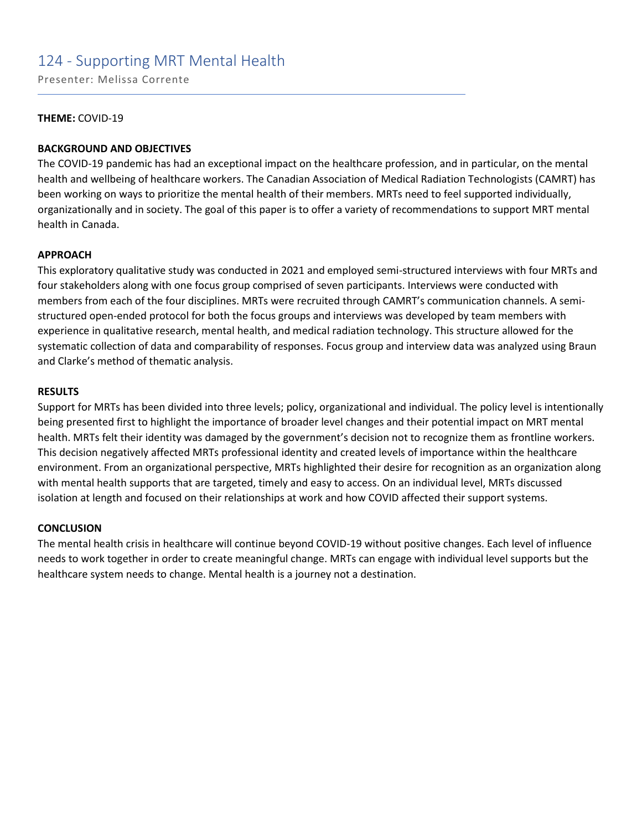### 124 - Supporting MRT Mental Health

Presenter: Melissa Corrente

#### **THEME:** COVID-19

#### **BACKGROUND AND OBJECTIVES**

The COVID-19 pandemic has had an exceptional impact on the healthcare profession, and in particular, on the mental health and wellbeing of healthcare workers. The Canadian Association of Medical Radiation Technologists (CAMRT) has been working on ways to prioritize the mental health of their members. MRTs need to feel supported individually, organizationally and in society. The goal of this paper is to offer a variety of recommendations to support MRT mental health in Canada.

#### **APPROACH**

This exploratory qualitative study was conducted in 2021 and employed semi-structured interviews with four MRTs and four stakeholders along with one focus group comprised of seven participants. Interviews were conducted with members from each of the four disciplines. MRTs were recruited through CAMRT's communication channels. A semistructured open-ended protocol for both the focus groups and interviews was developed by team members with experience in qualitative research, mental health, and medical radiation technology. This structure allowed for the systematic collection of data and comparability of responses. Focus group and interview data was analyzed using Braun and Clarke's method of thematic analysis.

#### **RESULTS**

Support for MRTs has been divided into three levels; policy, organizational and individual. The policy level is intentionally being presented first to highlight the importance of broader level changes and their potential impact on MRT mental health. MRTs felt their identity was damaged by the government's decision not to recognize them as frontline workers. This decision negatively affected MRTs professional identity and created levels of importance within the healthcare environment. From an organizational perspective, MRTs highlighted their desire for recognition as an organization along with mental health supports that are targeted, timely and easy to access. On an individual level, MRTs discussed isolation at length and focused on their relationships at work and how COVID affected their support systems.

#### **CONCLUSION**

The mental health crisis in healthcare will continue beyond COVID-19 without positive changes. Each level of influence needs to work together in order to create meaningful change. MRTs can engage with individual level supports but the healthcare system needs to change. Mental health is a journey not a destination.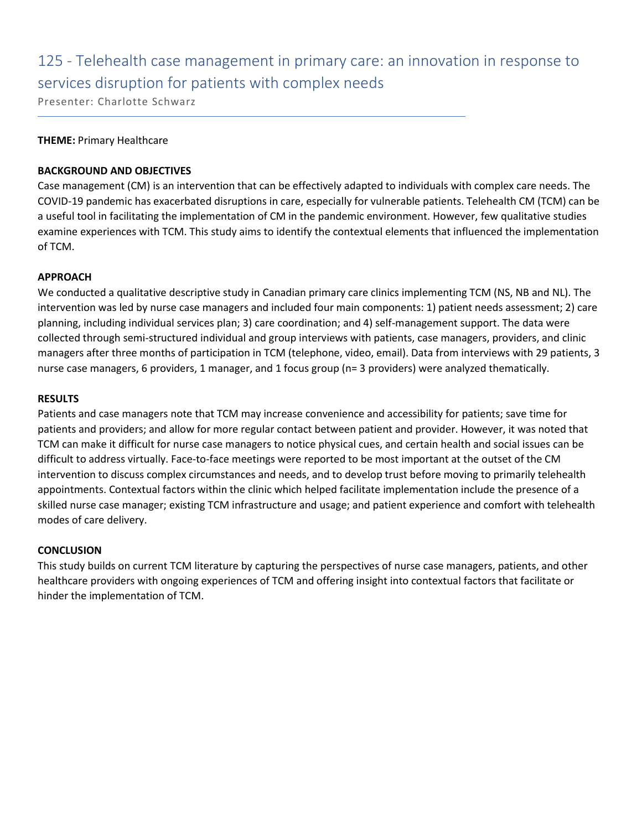# 125 - Telehealth case management in primary care: an innovation in response to services disruption for patients with complex needs

Presenter: Charlotte Schwarz

#### **THEME:** Primary Healthcare

#### **BACKGROUND AND OBJECTIVES**

Case management (CM) is an intervention that can be effectively adapted to individuals with complex care needs. The COVID-19 pandemic has exacerbated disruptions in care, especially for vulnerable patients. Telehealth CM (TCM) can be a useful tool in facilitating the implementation of CM in the pandemic environment. However, few qualitative studies examine experiences with TCM. This study aims to identify the contextual elements that influenced the implementation of TCM.

#### **APPROACH**

We conducted a qualitative descriptive study in Canadian primary care clinics implementing TCM (NS, NB and NL). The intervention was led by nurse case managers and included four main components: 1) patient needs assessment; 2) care planning, including individual services plan; 3) care coordination; and 4) self-management support. The data were collected through semi-structured individual and group interviews with patients, case managers, providers, and clinic managers after three months of participation in TCM (telephone, video, email). Data from interviews with 29 patients, 3 nurse case managers, 6 providers, 1 manager, and 1 focus group (n= 3 providers) were analyzed thematically.

#### **RESULTS**

Patients and case managers note that TCM may increase convenience and accessibility for patients; save time for patients and providers; and allow for more regular contact between patient and provider. However, it was noted that TCM can make it difficult for nurse case managers to notice physical cues, and certain health and social issues can be difficult to address virtually. Face-to-face meetings were reported to be most important at the outset of the CM intervention to discuss complex circumstances and needs, and to develop trust before moving to primarily telehealth appointments. Contextual factors within the clinic which helped facilitate implementation include the presence of a skilled nurse case manager; existing TCM infrastructure and usage; and patient experience and comfort with telehealth modes of care delivery.

#### **CONCLUSION**

This study builds on current TCM literature by capturing the perspectives of nurse case managers, patients, and other healthcare providers with ongoing experiences of TCM and offering insight into contextual factors that facilitate or hinder the implementation of TCM.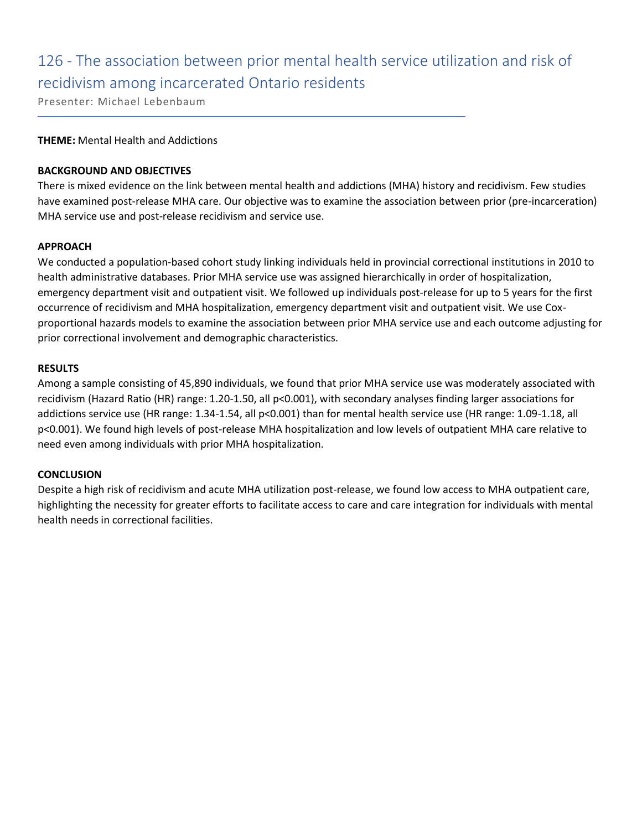## 126 - The association between prior mental health service utilization and risk of recidivism among incarcerated Ontario residents

Presenter: Michael Lebenbaum

#### **THEME:** Mental Health and Addictions

#### **BACKGROUND AND OBJECTIVES**

There is mixed evidence on the link between mental health and addictions (MHA) history and recidivism. Few studies have examined post-release MHA care. Our objective was to examine the association between prior (pre-incarceration) MHA service use and post-release recidivism and service use.

#### **APPROACH**

We conducted a population-based cohort study linking individuals held in provincial correctional institutions in 2010 to health administrative databases. Prior MHA service use was assigned hierarchically in order of hospitalization, emergency department visit and outpatient visit. We followed up individuals post-release for up to 5 years for the first occurrence of recidivism and MHA hospitalization, emergency department visit and outpatient visit. We use Coxproportional hazards models to examine the association between prior MHA service use and each outcome adjusting for prior correctional involvement and demographic characteristics.

#### **RESULTS**

Among a sample consisting of 45,890 individuals, we found that prior MHA service use was moderately associated with recidivism (Hazard Ratio (HR) range: 1.20-1.50, all p<0.001), with secondary analyses finding larger associations for addictions service use (HR range: 1.34-1.54, all p<0.001) than for mental health service use (HR range: 1.09-1.18, all p<0.001). We found high levels of post-release MHA hospitalization and low levels of outpatient MHA care relative to need even among individuals with prior MHA hospitalization.

#### **CONCLUSION**

Despite a high risk of recidivism and acute MHA utilization post-release, we found low access to MHA outpatient care, highlighting the necessity for greater efforts to facilitate access to care and care integration for individuals with mental health needs in correctional facilities.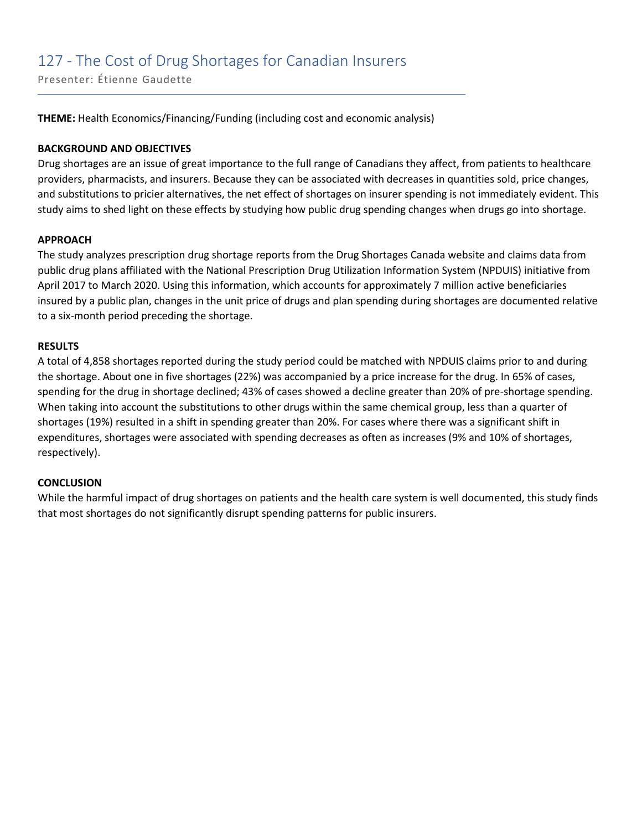Presenter: Étienne Gaudette

**THEME:** Health Economics/Financing/Funding (including cost and economic analysis)

#### **BACKGROUND AND OBJECTIVES**

Drug shortages are an issue of great importance to the full range of Canadians they affect, from patients to healthcare providers, pharmacists, and insurers. Because they can be associated with decreases in quantities sold, price changes, and substitutions to pricier alternatives, the net effect of shortages on insurer spending is not immediately evident. This study aims to shed light on these effects by studying how public drug spending changes when drugs go into shortage.

#### **APPROACH**

The study analyzes prescription drug shortage reports from the Drug Shortages Canada website and claims data from public drug plans affiliated with the National Prescription Drug Utilization Information System (NPDUIS) initiative from April 2017 to March 2020. Using this information, which accounts for approximately 7 million active beneficiaries insured by a public plan, changes in the unit price of drugs and plan spending during shortages are documented relative to a six-month period preceding the shortage.

#### **RESULTS**

A total of 4,858 shortages reported during the study period could be matched with NPDUIS claims prior to and during the shortage. About one in five shortages (22%) was accompanied by a price increase for the drug. In 65% of cases, spending for the drug in shortage declined; 43% of cases showed a decline greater than 20% of pre-shortage spending. When taking into account the substitutions to other drugs within the same chemical group, less than a quarter of shortages (19%) resulted in a shift in spending greater than 20%. For cases where there was a significant shift in expenditures, shortages were associated with spending decreases as often as increases (9% and 10% of shortages, respectively).

#### **CONCLUSION**

While the harmful impact of drug shortages on patients and the health care system is well documented, this study finds that most shortages do not significantly disrupt spending patterns for public insurers.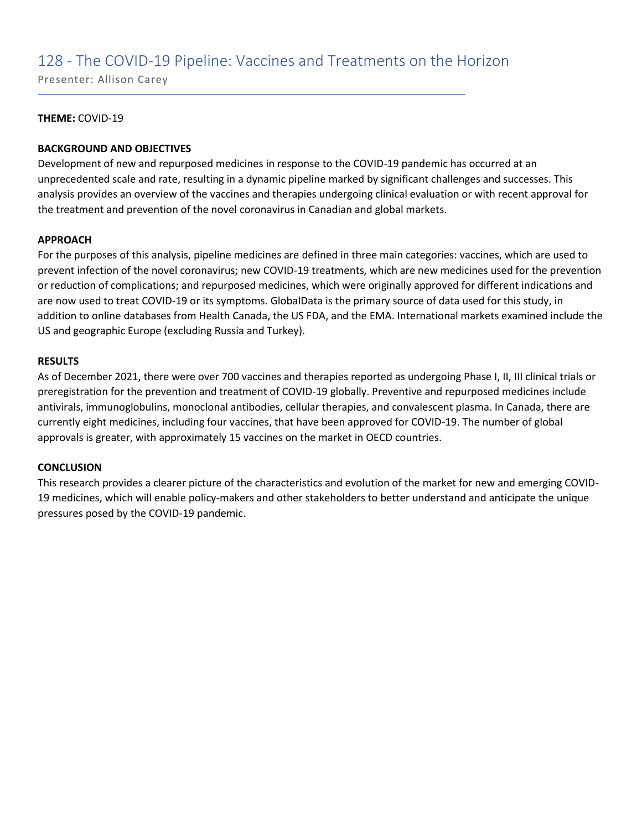### 128 - The COVID-19 Pipeline: Vaccines and Treatments on the Horizon

Presenter: Allison Carey

#### **THEME:** COVID-19

#### **BACKGROUND AND OBJECTIVES**

Development of new and repurposed medicines in response to the COVID-19 pandemic has occurred at an unprecedented scale and rate, resulting in a dynamic pipeline marked by significant challenges and successes. This analysis provides an overview of the vaccines and therapies undergoing clinical evaluation or with recent approval for the treatment and prevention of the novel coronavirus in Canadian and global markets.

#### **APPROACH**

For the purposes of this analysis, pipeline medicines are defined in three main categories: vaccines, which are used to prevent infection of the novel coronavirus; new COVID-19 treatments, which are new medicines used for the prevention or reduction of complications; and repurposed medicines, which were originally approved for different indications and are now used to treat COVID-19 or its symptoms. GlobalData is the primary source of data used for this study, in addition to online databases from Health Canada, the US FDA, and the EMA. International markets examined include the US and geographic Europe (excluding Russia and Turkey).

#### **RESULTS**

As of December 2021, there were over 700 vaccines and therapies reported as undergoing Phase I, II, III clinical trials or preregistration for the prevention and treatment of COVID-19 globally. Preventive and repurposed medicines include antivirals, immunoglobulins, monoclonal antibodies, cellular therapies, and convalescent plasma. In Canada, there are currently eight medicines, including four vaccines, that have been approved for COVID-19. The number of global approvals is greater, with approximately 15 vaccines on the market in OECD countries.

#### **CONCLUSION**

This research provides a clearer picture of the characteristics and evolution of the market for new and emerging COVID-19 medicines, which will enable policy-makers and other stakeholders to better understand and anticipate the unique pressures posed by the COVID-19 pandemic.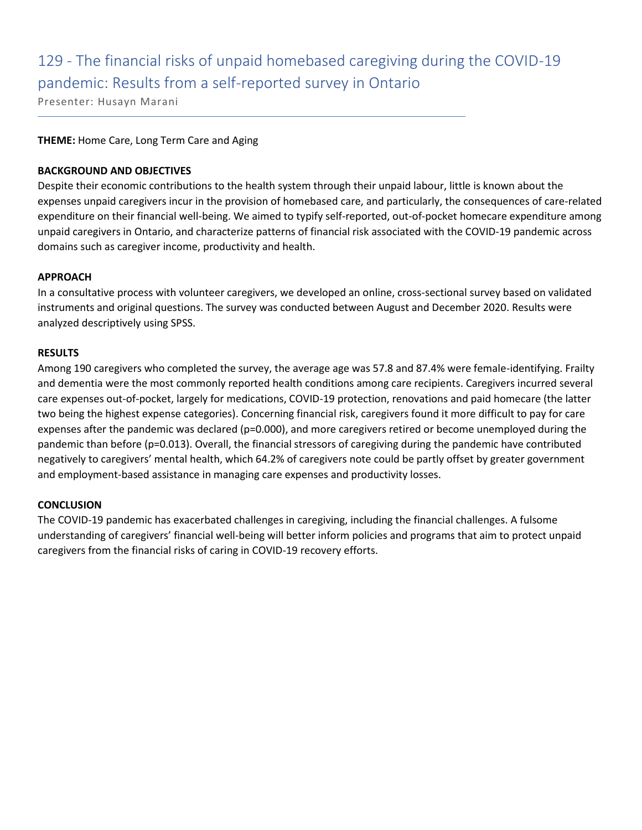# 129 - The financial risks of unpaid homebased caregiving during the COVID-19 pandemic: Results from a self-reported survey in Ontario

Presenter: Husayn Marani

#### **THEME:** Home Care, Long Term Care and Aging

#### **BACKGROUND AND OBJECTIVES**

Despite their economic contributions to the health system through their unpaid labour, little is known about the expenses unpaid caregivers incur in the provision of homebased care, and particularly, the consequences of care-related expenditure on their financial well-being. We aimed to typify self-reported, out-of-pocket homecare expenditure among unpaid caregivers in Ontario, and characterize patterns of financial risk associated with the COVID-19 pandemic across domains such as caregiver income, productivity and health.

#### **APPROACH**

In a consultative process with volunteer caregivers, we developed an online, cross-sectional survey based on validated instruments and original questions. The survey was conducted between August and December 2020. Results were analyzed descriptively using SPSS.

#### **RESULTS**

Among 190 caregivers who completed the survey, the average age was 57.8 and 87.4% were female-identifying. Frailty and dementia were the most commonly reported health conditions among care recipients. Caregivers incurred several care expenses out-of-pocket, largely for medications, COVID-19 protection, renovations and paid homecare (the latter two being the highest expense categories). Concerning financial risk, caregivers found it more difficult to pay for care expenses after the pandemic was declared (p=0.000), and more caregivers retired or become unemployed during the pandemic than before (p=0.013). Overall, the financial stressors of caregiving during the pandemic have contributed negatively to caregivers' mental health, which 64.2% of caregivers note could be partly offset by greater government and employment-based assistance in managing care expenses and productivity losses.

#### **CONCLUSION**

The COVID-19 pandemic has exacerbated challenges in caregiving, including the financial challenges. A fulsome understanding of caregivers' financial well-being will better inform policies and programs that aim to protect unpaid caregivers from the financial risks of caring in COVID-19 recovery efforts.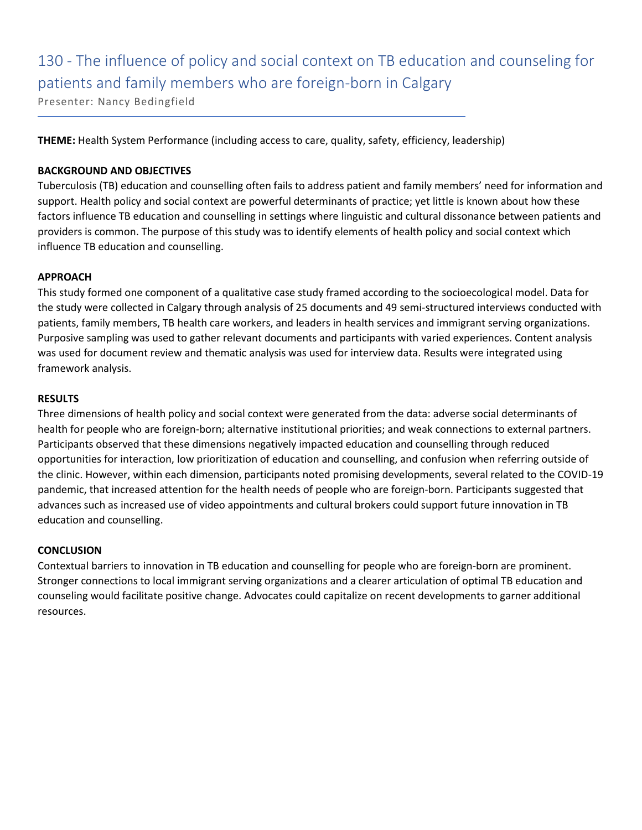# 130 - The influence of policy and social context on TB education and counseling for patients and family members who are foreign-born in Calgary

Presenter: Nancy Bedingfield

**THEME:** Health System Performance (including access to care, quality, safety, efficiency, leadership)

#### **BACKGROUND AND OBJECTIVES**

Tuberculosis (TB) education and counselling often fails to address patient and family members' need for information and support. Health policy and social context are powerful determinants of practice; yet little is known about how these factors influence TB education and counselling in settings where linguistic and cultural dissonance between patients and providers is common. The purpose of this study was to identify elements of health policy and social context which influence TB education and counselling.

#### **APPROACH**

This study formed one component of a qualitative case study framed according to the socioecological model. Data for the study were collected in Calgary through analysis of 25 documents and 49 semi-structured interviews conducted with patients, family members, TB health care workers, and leaders in health services and immigrant serving organizations. Purposive sampling was used to gather relevant documents and participants with varied experiences. Content analysis was used for document review and thematic analysis was used for interview data. Results were integrated using framework analysis.

#### **RESULTS**

Three dimensions of health policy and social context were generated from the data: adverse social determinants of health for people who are foreign-born; alternative institutional priorities; and weak connections to external partners. Participants observed that these dimensions negatively impacted education and counselling through reduced opportunities for interaction, low prioritization of education and counselling, and confusion when referring outside of the clinic. However, within each dimension, participants noted promising developments, several related to the COVID-19 pandemic, that increased attention for the health needs of people who are foreign-born. Participants suggested that advances such as increased use of video appointments and cultural brokers could support future innovation in TB education and counselling.

#### **CONCLUSION**

Contextual barriers to innovation in TB education and counselling for people who are foreign-born are prominent. Stronger connections to local immigrant serving organizations and a clearer articulation of optimal TB education and counseling would facilitate positive change. Advocates could capitalize on recent developments to garner additional resources.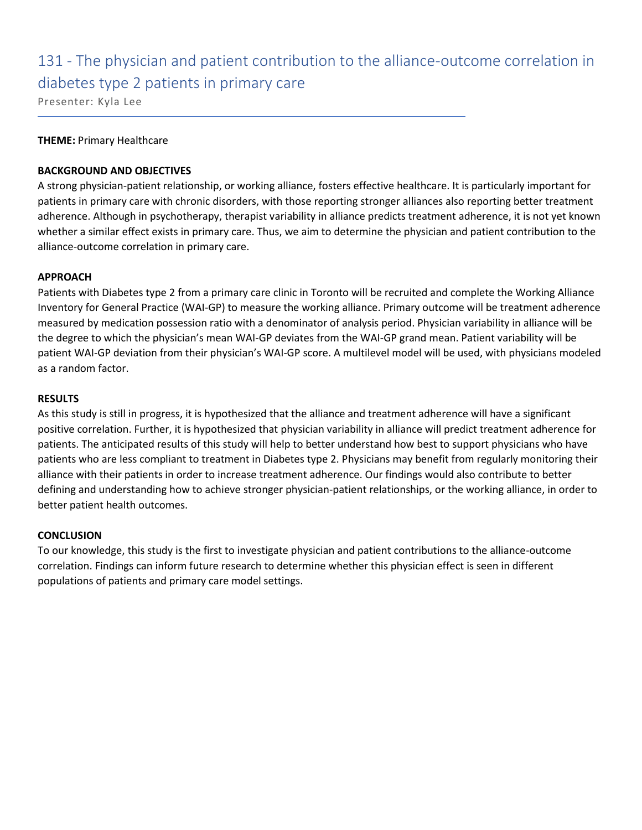### 131 - The physician and patient contribution to the alliance-outcome correlation in diabetes type 2 patients in primary care

Presenter: Kyla Lee

#### **THEME:** Primary Healthcare

#### **BACKGROUND AND OBJECTIVES**

A strong physician-patient relationship, or working alliance, fosters effective healthcare. It is particularly important for patients in primary care with chronic disorders, with those reporting stronger alliances also reporting better treatment adherence. Although in psychotherapy, therapist variability in alliance predicts treatment adherence, it is not yet known whether a similar effect exists in primary care. Thus, we aim to determine the physician and patient contribution to the alliance-outcome correlation in primary care.

#### **APPROACH**

Patients with Diabetes type 2 from a primary care clinic in Toronto will be recruited and complete the Working Alliance Inventory for General Practice (WAI-GP) to measure the working alliance. Primary outcome will be treatment adherence measured by medication possession ratio with a denominator of analysis period. Physician variability in alliance will be the degree to which the physician's mean WAI-GP deviates from the WAI-GP grand mean. Patient variability will be patient WAI-GP deviation from their physician's WAI-GP score. A multilevel model will be used, with physicians modeled as a random factor.

#### **RESULTS**

As this study is still in progress, it is hypothesized that the alliance and treatment adherence will have a significant positive correlation. Further, it is hypothesized that physician variability in alliance will predict treatment adherence for patients. The anticipated results of this study will help to better understand how best to support physicians who have patients who are less compliant to treatment in Diabetes type 2. Physicians may benefit from regularly monitoring their alliance with their patients in order to increase treatment adherence. Our findings would also contribute to better defining and understanding how to achieve stronger physician-patient relationships, or the working alliance, in order to better patient health outcomes.

#### **CONCLUSION**

To our knowledge, this study is the first to investigate physician and patient contributions to the alliance-outcome correlation. Findings can inform future research to determine whether this physician effect is seen in different populations of patients and primary care model settings.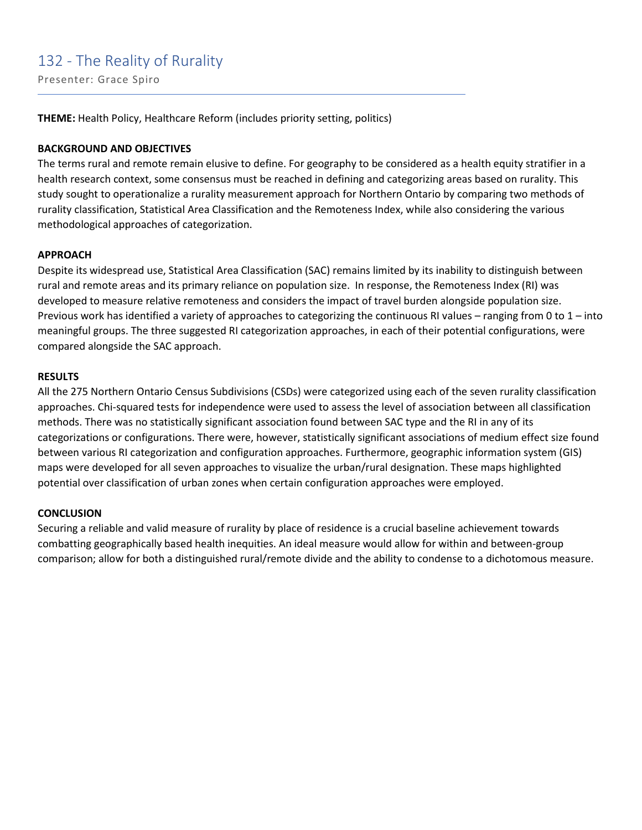### 132 - The Reality of Rurality

Presenter: Grace Spiro

**THEME:** Health Policy, Healthcare Reform (includes priority setting, politics)

#### **BACKGROUND AND OBJECTIVES**

The terms rural and remote remain elusive to define. For geography to be considered as a health equity stratifier in a health research context, some consensus must be reached in defining and categorizing areas based on rurality. This study sought to operationalize a rurality measurement approach for Northern Ontario by comparing two methods of rurality classification, Statistical Area Classification and the Remoteness Index, while also considering the various methodological approaches of categorization.

#### **APPROACH**

Despite its widespread use, Statistical Area Classification (SAC) remains limited by its inability to distinguish between rural and remote areas and its primary reliance on population size. In response, the Remoteness Index (RI) was developed to measure relative remoteness and considers the impact of travel burden alongside population size. Previous work has identified a variety of approaches to categorizing the continuous RI values – ranging from 0 to 1 – into meaningful groups. The three suggested RI categorization approaches, in each of their potential configurations, were compared alongside the SAC approach.

#### **RESULTS**

All the 275 Northern Ontario Census Subdivisions (CSDs) were categorized using each of the seven rurality classification approaches. Chi-squared tests for independence were used to assess the level of association between all classification methods. There was no statistically significant association found between SAC type and the RI in any of its categorizations or configurations. There were, however, statistically significant associations of medium effect size found between various RI categorization and configuration approaches. Furthermore, geographic information system (GIS) maps were developed for all seven approaches to visualize the urban/rural designation. These maps highlighted potential over classification of urban zones when certain configuration approaches were employed.

#### **CONCLUSION**

Securing a reliable and valid measure of rurality by place of residence is a crucial baseline achievement towards combatting geographically based health inequities. An ideal measure would allow for within and between-group comparison; allow for both a distinguished rural/remote divide and the ability to condense to a dichotomous measure.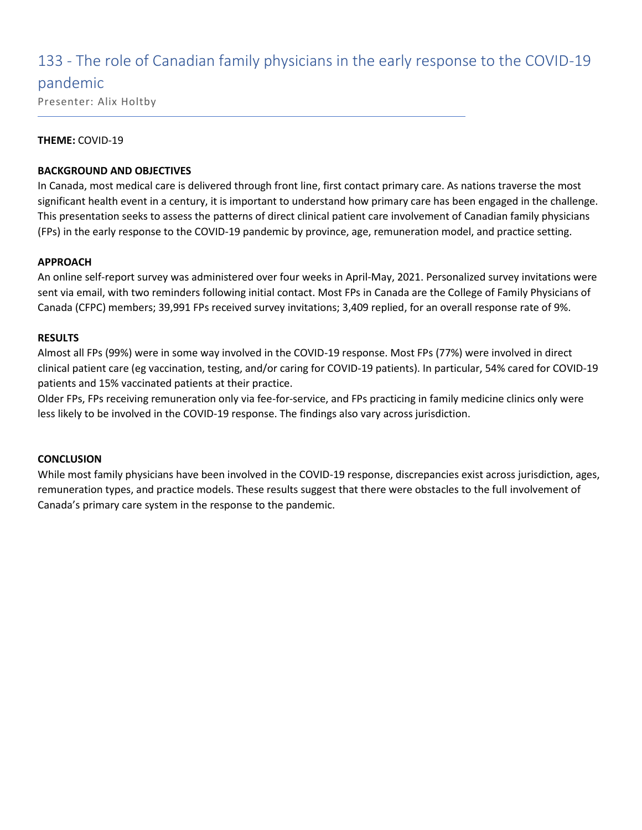### 133 - The role of Canadian family physicians in the early response to the COVID-19

### pandemic

Presenter: Alix Holtby

#### **THEME:** COVID-19

#### **BACKGROUND AND OBJECTIVES**

In Canada, most medical care is delivered through front line, first contact primary care. As nations traverse the most significant health event in a century, it is important to understand how primary care has been engaged in the challenge. This presentation seeks to assess the patterns of direct clinical patient care involvement of Canadian family physicians (FPs) in the early response to the COVID-19 pandemic by province, age, remuneration model, and practice setting.

#### **APPROACH**

An online self-report survey was administered over four weeks in April-May, 2021. Personalized survey invitations were sent via email, with two reminders following initial contact. Most FPs in Canada are the College of Family Physicians of Canada (CFPC) members; 39,991 FPs received survey invitations; 3,409 replied, for an overall response rate of 9%.

#### **RESULTS**

Almost all FPs (99%) were in some way involved in the COVID-19 response. Most FPs (77%) were involved in direct clinical patient care (eg vaccination, testing, and/or caring for COVID-19 patients). In particular, 54% cared for COVID-19 patients and 15% vaccinated patients at their practice.

Older FPs, FPs receiving remuneration only via fee-for-service, and FPs practicing in family medicine clinics only were less likely to be involved in the COVID-19 response. The findings also vary across jurisdiction.

#### **CONCLUSION**

While most family physicians have been involved in the COVID-19 response, discrepancies exist across jurisdiction, ages, remuneration types, and practice models. These results suggest that there were obstacles to the full involvement of Canada's primary care system in the response to the pandemic.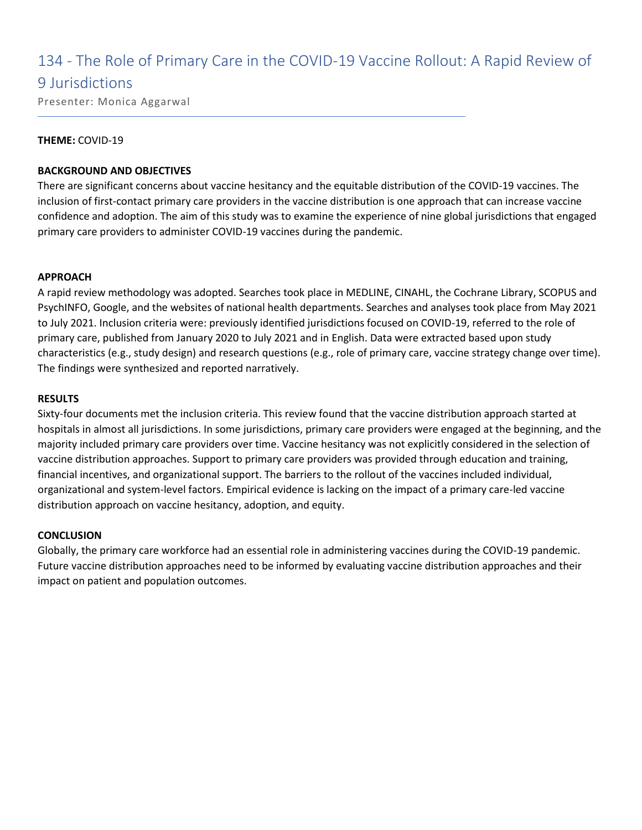# 134 - The Role of Primary Care in the COVID-19 Vaccine Rollout: A Rapid Review of

### 9 Jurisdictions

Presenter: Monica Aggarwal

#### **THEME:** COVID-19

#### **BACKGROUND AND OBJECTIVES**

There are significant concerns about vaccine hesitancy and the equitable distribution of the COVID-19 vaccines. The inclusion of first-contact primary care providers in the vaccine distribution is one approach that can increase vaccine confidence and adoption. The aim of this study was to examine the experience of nine global jurisdictions that engaged primary care providers to administer COVID-19 vaccines during the pandemic.

#### **APPROACH**

A rapid review methodology was adopted. Searches took place in MEDLINE, CINAHL, the Cochrane Library, SCOPUS and PsychINFO, Google, and the websites of national health departments. Searches and analyses took place from May 2021 to July 2021. Inclusion criteria were: previously identified jurisdictions focused on COVID-19, referred to the role of primary care, published from January 2020 to July 2021 and in English. Data were extracted based upon study characteristics (e.g., study design) and research questions (e.g., role of primary care, vaccine strategy change over time). The findings were synthesized and reported narratively.

#### **RESULTS**

Sixty-four documents met the inclusion criteria. This review found that the vaccine distribution approach started at hospitals in almost all jurisdictions. In some jurisdictions, primary care providers were engaged at the beginning, and the majority included primary care providers over time. Vaccine hesitancy was not explicitly considered in the selection of vaccine distribution approaches. Support to primary care providers was provided through education and training, financial incentives, and organizational support. The barriers to the rollout of the vaccines included individual, organizational and system-level factors. Empirical evidence is lacking on the impact of a primary care-led vaccine distribution approach on vaccine hesitancy, adoption, and equity.

#### **CONCLUSION**

Globally, the primary care workforce had an essential role in administering vaccines during the COVID-19 pandemic. Future vaccine distribution approaches need to be informed by evaluating vaccine distribution approaches and their impact on patient and population outcomes.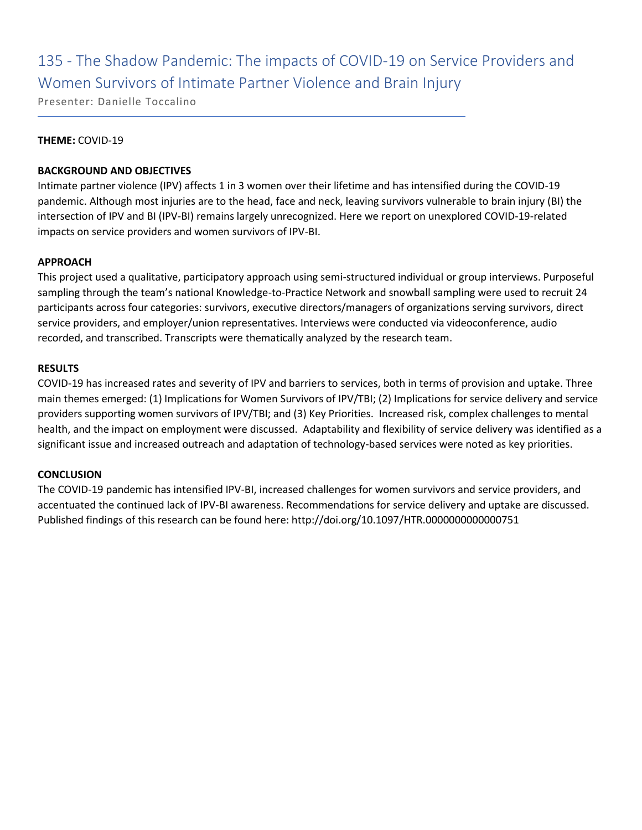# 135 - The Shadow Pandemic: The impacts of COVID-19 on Service Providers and Women Survivors of Intimate Partner Violence and Brain Injury

Presenter: Danielle Toccalino

#### **THEME:** COVID-19

#### **BACKGROUND AND OBJECTIVES**

Intimate partner violence (IPV) affects 1 in 3 women over their lifetime and has intensified during the COVID-19 pandemic. Although most injuries are to the head, face and neck, leaving survivors vulnerable to brain injury (BI) the intersection of IPV and BI (IPV-BI) remains largely unrecognized. Here we report on unexplored COVID-19-related impacts on service providers and women survivors of IPV-BI.

#### **APPROACH**

This project used a qualitative, participatory approach using semi-structured individual or group interviews. Purposeful sampling through the team's national Knowledge-to-Practice Network and snowball sampling were used to recruit 24 participants across four categories: survivors, executive directors/managers of organizations serving survivors, direct service providers, and employer/union representatives. Interviews were conducted via videoconference, audio recorded, and transcribed. Transcripts were thematically analyzed by the research team.

#### **RESULTS**

COVID-19 has increased rates and severity of IPV and barriers to services, both in terms of provision and uptake. Three main themes emerged: (1) Implications for Women Survivors of IPV/TBI; (2) Implications for service delivery and service providers supporting women survivors of IPV/TBI; and (3) Key Priorities. Increased risk, complex challenges to mental health, and the impact on employment were discussed. Adaptability and flexibility of service delivery was identified as a significant issue and increased outreach and adaptation of technology-based services were noted as key priorities.

#### **CONCLUSION**

The COVID-19 pandemic has intensified IPV-BI, increased challenges for women survivors and service providers, and accentuated the continued lack of IPV-BI awareness. Recommendations for service delivery and uptake are discussed. Published findings of this research can be found here: http://doi.org/10.1097/HTR.0000000000000751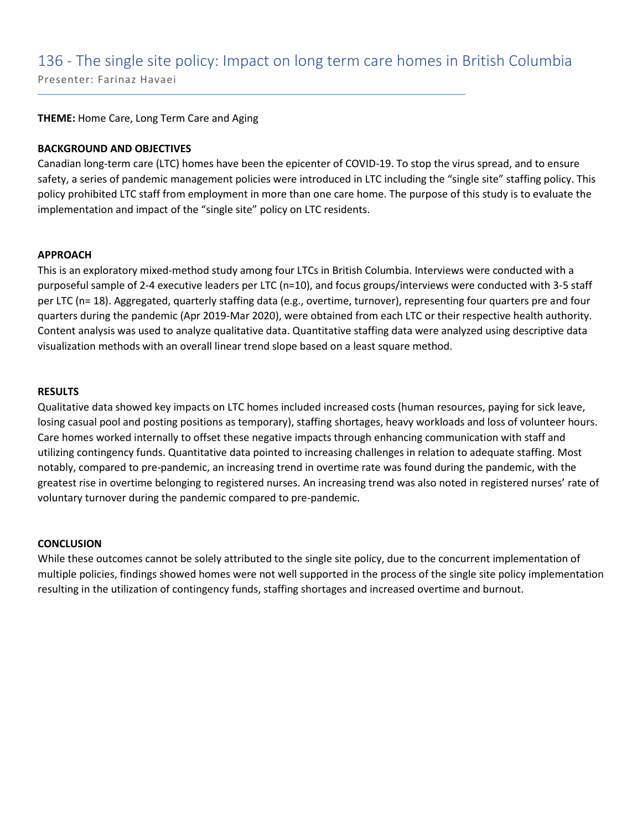# 136 - The single site policy: Impact on long term care homes in British Columbia

Presenter: Farinaz Havaei

**THEME:** Home Care, Long Term Care and Aging

#### **BACKGROUND AND OBJECTIVES**

Canadian long-term care (LTC) homes have been the epicenter of COVID-19. To stop the virus spread, and to ensure safety, a series of pandemic management policies were introduced in LTC including the "single site" staffing policy. This policy prohibited LTC staff from employment in more than one care home. The purpose of this study is to evaluate the implementation and impact of the "single site" policy on LTC residents.

#### **APPROACH**

This is an exploratory mixed-method study among four LTCs in British Columbia. Interviews were conducted with a purposeful sample of 2-4 executive leaders per LTC (n=10), and focus groups/interviews were conducted with 3-5 staff per LTC (n= 18). Aggregated, quarterly staffing data (e.g., overtime, turnover), representing four quarters pre and four quarters during the pandemic (Apr 2019-Mar 2020), were obtained from each LTC or their respective health authority. Content analysis was used to analyze qualitative data. Quantitative staffing data were analyzed using descriptive data visualization methods with an overall linear trend slope based on a least square method.

#### **RESULTS**

Qualitative data showed key impacts on LTC homes included increased costs (human resources, paying for sick leave, losing casual pool and posting positions as temporary), staffing shortages, heavy workloads and loss of volunteer hours. Care homes worked internally to offset these negative impacts through enhancing communication with staff and utilizing contingency funds. Quantitative data pointed to increasing challenges in relation to adequate staffing. Most notably, compared to pre-pandemic, an increasing trend in overtime rate was found during the pandemic, with the greatest rise in overtime belonging to registered nurses. An increasing trend was also noted in registered nurses' rate of voluntary turnover during the pandemic compared to pre-pandemic.

#### **CONCLUSION**

While these outcomes cannot be solely attributed to the single site policy, due to the concurrent implementation of multiple policies, findings showed homes were not well supported in the process of the single site policy implementation resulting in the utilization of contingency funds, staffing shortages and increased overtime and burnout.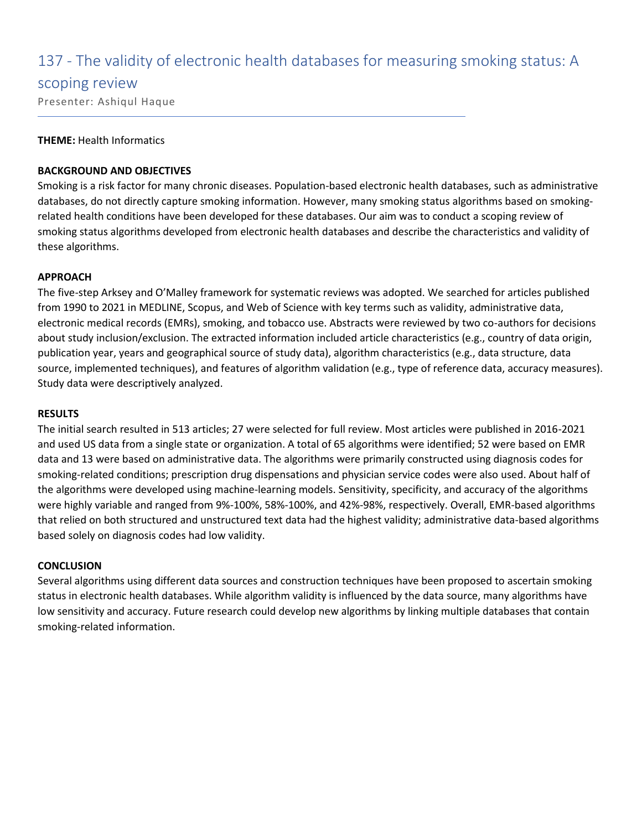### 137 - The validity of electronic health databases for measuring smoking status: A

#### scoping review

Presenter: Ashiqul Haque

#### **THEME:** Health Informatics

#### **BACKGROUND AND OBJECTIVES**

Smoking is a risk factor for many chronic diseases. Population-based electronic health databases, such as administrative databases, do not directly capture smoking information. However, many smoking status algorithms based on smokingrelated health conditions have been developed for these databases. Our aim was to conduct a scoping review of smoking status algorithms developed from electronic health databases and describe the characteristics and validity of these algorithms.

#### **APPROACH**

The five-step Arksey and O'Malley framework for systematic reviews was adopted. We searched for articles published from 1990 to 2021 in MEDLINE, Scopus, and Web of Science with key terms such as validity, administrative data, electronic medical records (EMRs), smoking, and tobacco use. Abstracts were reviewed by two co-authors for decisions about study inclusion/exclusion. The extracted information included article characteristics (e.g., country of data origin, publication year, years and geographical source of study data), algorithm characteristics (e.g., data structure, data source, implemented techniques), and features of algorithm validation (e.g., type of reference data, accuracy measures). Study data were descriptively analyzed.

#### **RESULTS**

The initial search resulted in 513 articles; 27 were selected for full review. Most articles were published in 2016-2021 and used US data from a single state or organization. A total of 65 algorithms were identified; 52 were based on EMR data and 13 were based on administrative data. The algorithms were primarily constructed using diagnosis codes for smoking-related conditions; prescription drug dispensations and physician service codes were also used. About half of the algorithms were developed using machine-learning models. Sensitivity, specificity, and accuracy of the algorithms were highly variable and ranged from 9%-100%, 58%-100%, and 42%-98%, respectively. Overall, EMR-based algorithms that relied on both structured and unstructured text data had the highest validity; administrative data-based algorithms based solely on diagnosis codes had low validity.

#### **CONCLUSION**

Several algorithms using different data sources and construction techniques have been proposed to ascertain smoking status in electronic health databases. While algorithm validity is influenced by the data source, many algorithms have low sensitivity and accuracy. Future research could develop new algorithms by linking multiple databases that contain smoking-related information.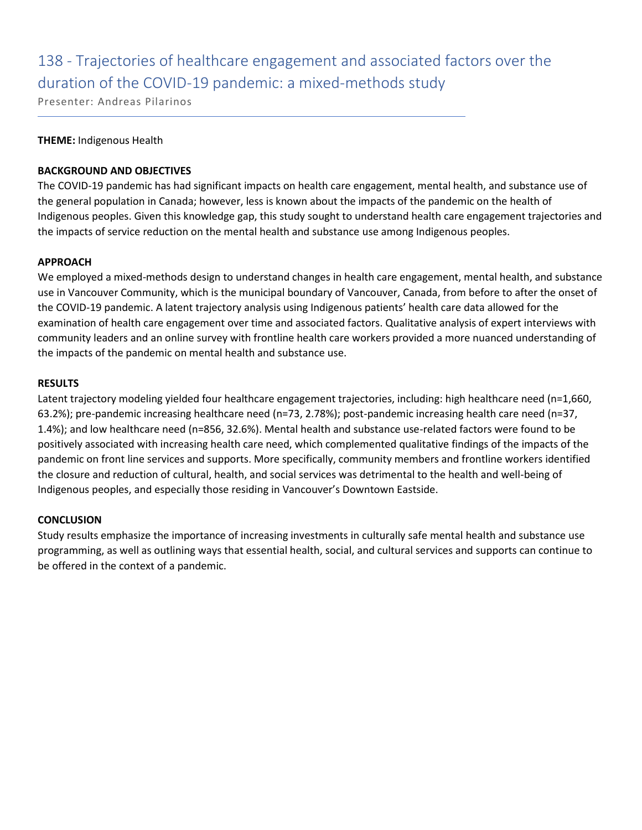# 138 - Trajectories of healthcare engagement and associated factors over the duration of the COVID-19 pandemic: a mixed-methods study

Presenter: Andreas Pilarinos

#### **THEME:** Indigenous Health

#### **BACKGROUND AND OBJECTIVES**

The COVID-19 pandemic has had significant impacts on health care engagement, mental health, and substance use of the general population in Canada; however, less is known about the impacts of the pandemic on the health of Indigenous peoples. Given this knowledge gap, this study sought to understand health care engagement trajectories and the impacts of service reduction on the mental health and substance use among Indigenous peoples.

#### **APPROACH**

We employed a mixed-methods design to understand changes in health care engagement, mental health, and substance use in Vancouver Community, which is the municipal boundary of Vancouver, Canada, from before to after the onset of the COVID-19 pandemic. A latent trajectory analysis using Indigenous patients' health care data allowed for the examination of health care engagement over time and associated factors. Qualitative analysis of expert interviews with community leaders and an online survey with frontline health care workers provided a more nuanced understanding of the impacts of the pandemic on mental health and substance use.

#### **RESULTS**

Latent trajectory modeling yielded four healthcare engagement trajectories, including: high healthcare need (n=1,660, 63.2%); pre-pandemic increasing healthcare need (n=73, 2.78%); post-pandemic increasing health care need (n=37, 1.4%); and low healthcare need (n=856, 32.6%). Mental health and substance use-related factors were found to be positively associated with increasing health care need, which complemented qualitative findings of the impacts of the pandemic on front line services and supports. More specifically, community members and frontline workers identified the closure and reduction of cultural, health, and social services was detrimental to the health and well-being of Indigenous peoples, and especially those residing in Vancouver's Downtown Eastside.

#### **CONCLUSION**

Study results emphasize the importance of increasing investments in culturally safe mental health and substance use programming, as well as outlining ways that essential health, social, and cultural services and supports can continue to be offered in the context of a pandemic.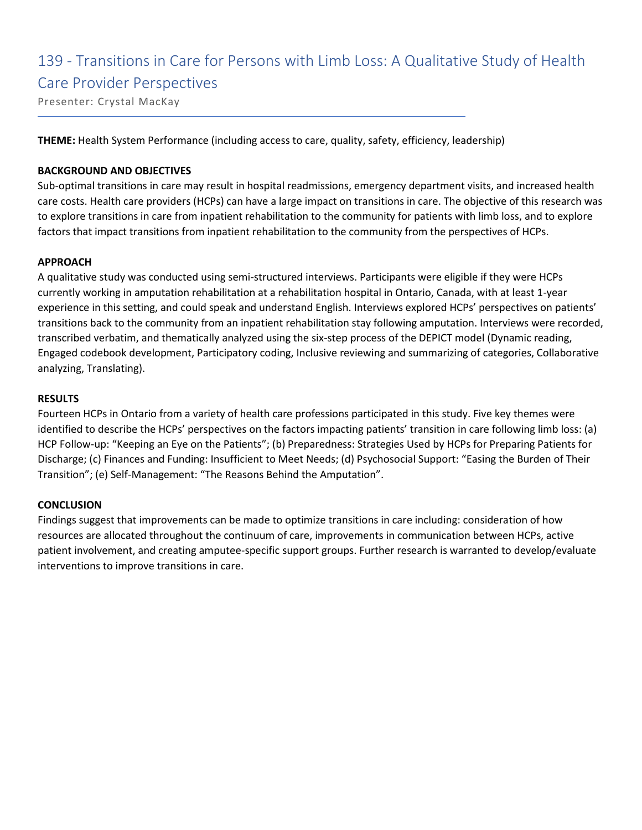### 139 - Transitions in Care for Persons with Limb Loss: A Qualitative Study of Health Care Provider Perspectives

Presenter: Crystal MacKay

**THEME:** Health System Performance (including access to care, quality, safety, efficiency, leadership)

#### **BACKGROUND AND OBJECTIVES**

Sub-optimal transitions in care may result in hospital readmissions, emergency department visits, and increased health care costs. Health care providers (HCPs) can have a large impact on transitions in care. The objective of this research was to explore transitions in care from inpatient rehabilitation to the community for patients with limb loss, and to explore factors that impact transitions from inpatient rehabilitation to the community from the perspectives of HCPs.

#### **APPROACH**

A qualitative study was conducted using semi-structured interviews. Participants were eligible if they were HCPs currently working in amputation rehabilitation at a rehabilitation hospital in Ontario, Canada, with at least 1-year experience in this setting, and could speak and understand English. Interviews explored HCPs' perspectives on patients' transitions back to the community from an inpatient rehabilitation stay following amputation. Interviews were recorded, transcribed verbatim, and thematically analyzed using the six-step process of the DEPICT model (Dynamic reading, Engaged codebook development, Participatory coding, Inclusive reviewing and summarizing of categories, Collaborative analyzing, Translating).

#### **RESULTS**

Fourteen HCPs in Ontario from a variety of health care professions participated in this study. Five key themes were identified to describe the HCPs' perspectives on the factors impacting patients' transition in care following limb loss: (a) HCP Follow-up: "Keeping an Eye on the Patients"; (b) Preparedness: Strategies Used by HCPs for Preparing Patients for Discharge; (c) Finances and Funding: Insufficient to Meet Needs; (d) Psychosocial Support: "Easing the Burden of Their Transition"; (e) Self-Management: "The Reasons Behind the Amputation".

#### **CONCLUSION**

Findings suggest that improvements can be made to optimize transitions in care including: consideration of how resources are allocated throughout the continuum of care, improvements in communication between HCPs, active patient involvement, and creating amputee-specific support groups. Further research is warranted to develop/evaluate interventions to improve transitions in care.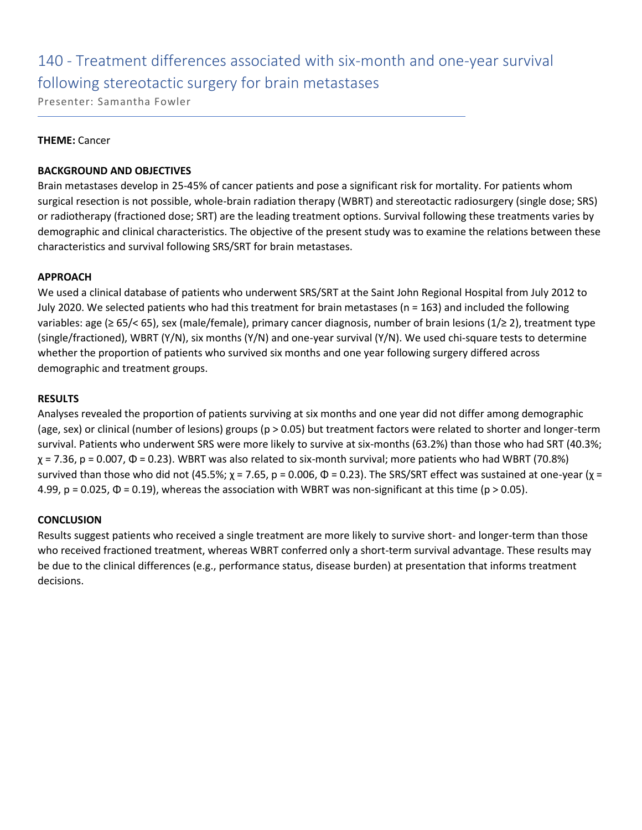# 140 - Treatment differences associated with six-month and one-year survival following stereotactic surgery for brain metastases

Presenter: Samantha Fowler

#### **THEME:** Cancer

#### **BACKGROUND AND OBJECTIVES**

Brain metastases develop in 25-45% of cancer patients and pose a significant risk for mortality. For patients whom surgical resection is not possible, whole-brain radiation therapy (WBRT) and stereotactic radiosurgery (single dose; SRS) or radiotherapy (fractioned dose; SRT) are the leading treatment options. Survival following these treatments varies by demographic and clinical characteristics. The objective of the present study was to examine the relations between these characteristics and survival following SRS/SRT for brain metastases.

#### **APPROACH**

We used a clinical database of patients who underwent SRS/SRT at the Saint John Regional Hospital from July 2012 to July 2020. We selected patients who had this treatment for brain metastases (n = 163) and included the following variables: age (≥ 65/< 65), sex (male/female), primary cancer diagnosis, number of brain lesions (1/≥ 2), treatment type (single/fractioned), WBRT (Y/N), six months (Y/N) and one-year survival (Y/N). We used chi-square tests to determine whether the proportion of patients who survived six months and one year following surgery differed across demographic and treatment groups.

#### **RESULTS**

Analyses revealed the proportion of patients surviving at six months and one year did not differ among demographic (age, sex) or clinical (number of lesions) groups (p > 0.05) but treatment factors were related to shorter and longer-term survival. Patients who underwent SRS were more likely to survive at six-months (63.2%) than those who had SRT (40.3%;  $\chi$  = 7.36, p = 0.007,  $\Phi$  = 0.23). WBRT was also related to six-month survival; more patients who had WBRT (70.8%) survived than those who did not (45.5%;  $\chi$  = 7.65, p = 0.006, Φ = 0.23). The SRS/SRT effect was sustained at one-year ( $\chi$  = 4.99, p = 0.025,  $\Phi$  = 0.19), whereas the association with WBRT was non-significant at this time (p > 0.05).

#### **CONCLUSION**

Results suggest patients who received a single treatment are more likely to survive short- and longer-term than those who received fractioned treatment, whereas WBRT conferred only a short-term survival advantage. These results may be due to the clinical differences (e.g., performance status, disease burden) at presentation that informs treatment decisions.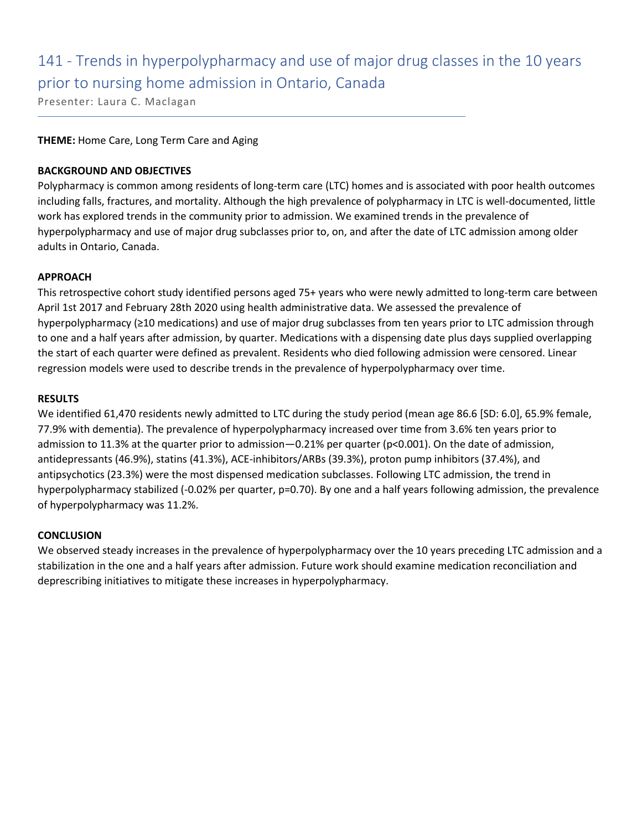# 141 - Trends in hyperpolypharmacy and use of major drug classes in the 10 years prior to nursing home admission in Ontario, Canada

Presenter: Laura C. Maclagan

#### **THEME:** Home Care, Long Term Care and Aging

#### **BACKGROUND AND OBJECTIVES**

Polypharmacy is common among residents of long-term care (LTC) homes and is associated with poor health outcomes including falls, fractures, and mortality. Although the high prevalence of polypharmacy in LTC is well-documented, little work has explored trends in the community prior to admission. We examined trends in the prevalence of hyperpolypharmacy and use of major drug subclasses prior to, on, and after the date of LTC admission among older adults in Ontario, Canada.

#### **APPROACH**

This retrospective cohort study identified persons aged 75+ years who were newly admitted to long-term care between April 1st 2017 and February 28th 2020 using health administrative data. We assessed the prevalence of hyperpolypharmacy (≥10 medications) and use of major drug subclasses from ten years prior to LTC admission through to one and a half years after admission, by quarter. Medications with a dispensing date plus days supplied overlapping the start of each quarter were defined as prevalent. Residents who died following admission were censored. Linear regression models were used to describe trends in the prevalence of hyperpolypharmacy over time.

#### **RESULTS**

We identified 61,470 residents newly admitted to LTC during the study period (mean age 86.6 [SD: 6.0], 65.9% female, 77.9% with dementia). The prevalence of hyperpolypharmacy increased over time from 3.6% ten years prior to admission to 11.3% at the quarter prior to admission—0.21% per quarter (p<0.001). On the date of admission, antidepressants (46.9%), statins (41.3%), ACE-inhibitors/ARBs (39.3%), proton pump inhibitors (37.4%), and antipsychotics (23.3%) were the most dispensed medication subclasses. Following LTC admission, the trend in hyperpolypharmacy stabilized (-0.02% per quarter, p=0.70). By one and a half years following admission, the prevalence of hyperpolypharmacy was 11.2%.

#### **CONCLUSION**

We observed steady increases in the prevalence of hyperpolypharmacy over the 10 years preceding LTC admission and a stabilization in the one and a half years after admission. Future work should examine medication reconciliation and deprescribing initiatives to mitigate these increases in hyperpolypharmacy.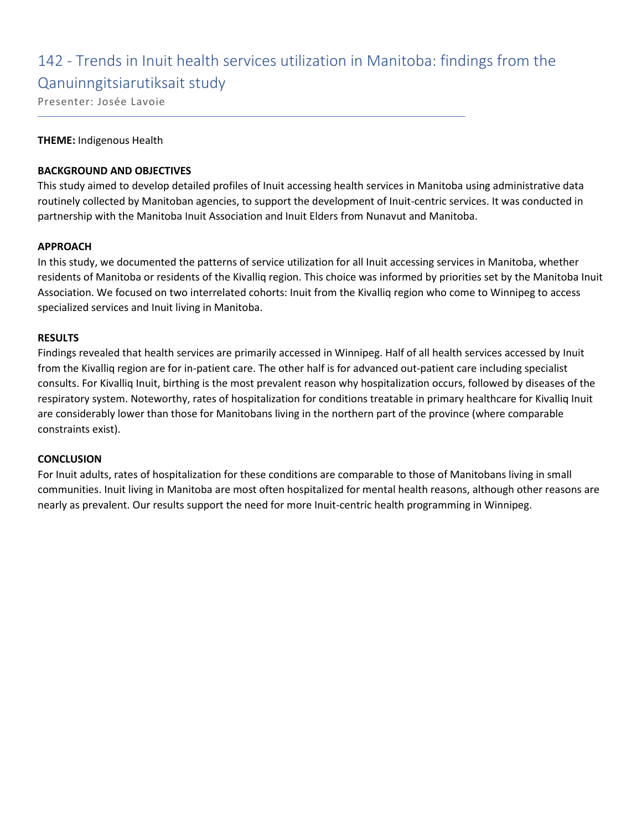# 142 - Trends in Inuit health services utilization in Manitoba: findings from the

### Qanuinngitsiarutiksait study

Presenter: Josée Lavoie

#### **THEME:** Indigenous Health

#### **BACKGROUND AND OBJECTIVES**

This study aimed to develop detailed profiles of Inuit accessing health services in Manitoba using administrative data routinely collected by Manitoban agencies, to support the development of Inuit-centric services. It was conducted in partnership with the Manitoba Inuit Association and Inuit Elders from Nunavut and Manitoba.

#### **APPROACH**

In this study, we documented the patterns of service utilization for all Inuit accessing services in Manitoba, whether residents of Manitoba or residents of the Kivalliq region. This choice was informed by priorities set by the Manitoba Inuit Association. We focused on two interrelated cohorts: Inuit from the Kivalliq region who come to Winnipeg to access specialized services and Inuit living in Manitoba.

#### **RESULTS**

Findings revealed that health services are primarily accessed in Winnipeg. Half of all health services accessed by Inuit from the Kivalliq region are for in-patient care. The other half is for advanced out-patient care including specialist consults. For Kivalliq Inuit, birthing is the most prevalent reason why hospitalization occurs, followed by diseases of the respiratory system. Noteworthy, rates of hospitalization for conditions treatable in primary healthcare for Kivalliq Inuit are considerably lower than those for Manitobans living in the northern part of the province (where comparable constraints exist).

#### **CONCLUSION**

For Inuit adults, rates of hospitalization for these conditions are comparable to those of Manitobans living in small communities. Inuit living in Manitoba are most often hospitalized for mental health reasons, although other reasons are nearly as prevalent. Our results support the need for more Inuit-centric health programming in Winnipeg.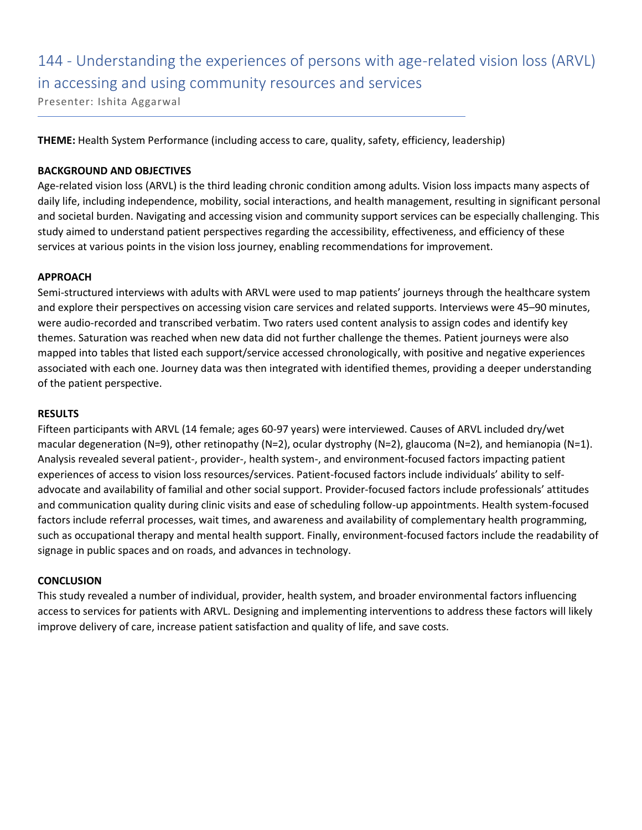# 144 - Understanding the experiences of persons with age-related vision loss (ARVL) in accessing and using community resources and services

Presenter: Ishita Aggarwal

**THEME:** Health System Performance (including access to care, quality, safety, efficiency, leadership)

#### **BACKGROUND AND OBJECTIVES**

Age-related vision loss (ARVL) is the third leading chronic condition among adults. Vision loss impacts many aspects of daily life, including independence, mobility, social interactions, and health management, resulting in significant personal and societal burden. Navigating and accessing vision and community support services can be especially challenging. This study aimed to understand patient perspectives regarding the accessibility, effectiveness, and efficiency of these services at various points in the vision loss journey, enabling recommendations for improvement.

#### **APPROACH**

Semi-structured interviews with adults with ARVL were used to map patients' journeys through the healthcare system and explore their perspectives on accessing vision care services and related supports. Interviews were 45–90 minutes, were audio-recorded and transcribed verbatim. Two raters used content analysis to assign codes and identify key themes. Saturation was reached when new data did not further challenge the themes. Patient journeys were also mapped into tables that listed each support/service accessed chronologically, with positive and negative experiences associated with each one. Journey data was then integrated with identified themes, providing a deeper understanding of the patient perspective.

#### **RESULTS**

Fifteen participants with ARVL (14 female; ages 60-97 years) were interviewed. Causes of ARVL included dry/wet macular degeneration (N=9), other retinopathy (N=2), ocular dystrophy (N=2), glaucoma (N=2), and hemianopia (N=1). Analysis revealed several patient-, provider-, health system-, and environment-focused factors impacting patient experiences of access to vision loss resources/services. Patient-focused factors include individuals' ability to selfadvocate and availability of familial and other social support. Provider-focused factors include professionals' attitudes and communication quality during clinic visits and ease of scheduling follow-up appointments. Health system-focused factors include referral processes, wait times, and awareness and availability of complementary health programming, such as occupational therapy and mental health support. Finally, environment-focused factors include the readability of signage in public spaces and on roads, and advances in technology.

#### **CONCLUSION**

This study revealed a number of individual, provider, health system, and broader environmental factors influencing access to services for patients with ARVL. Designing and implementing interventions to address these factors will likely improve delivery of care, increase patient satisfaction and quality of life, and save costs.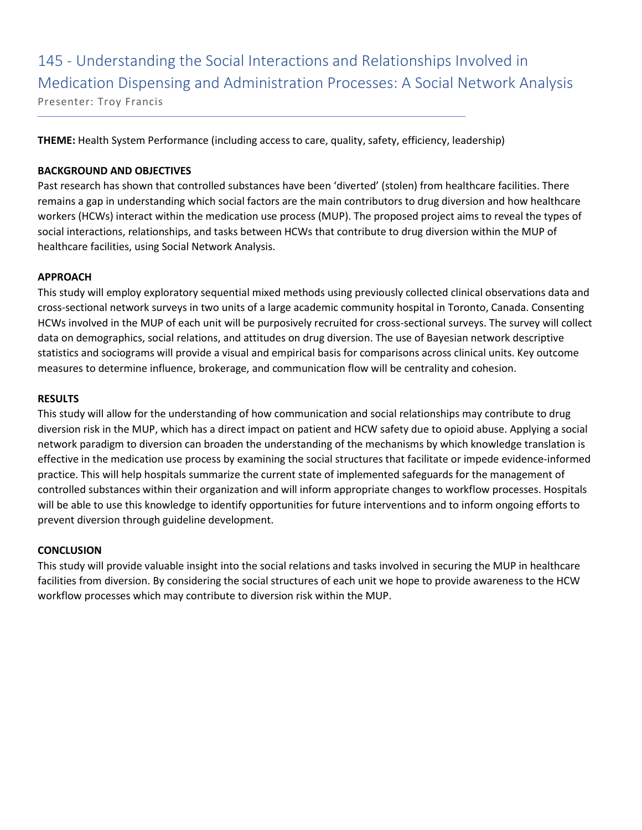### 145 - Understanding the Social Interactions and Relationships Involved in Medication Dispensing and Administration Processes: A Social Network Analysis Presenter: Troy Francis

**THEME:** Health System Performance (including access to care, quality, safety, efficiency, leadership)

#### **BACKGROUND AND OBJECTIVES**

Past research has shown that controlled substances have been 'diverted' (stolen) from healthcare facilities. There remains a gap in understanding which social factors are the main contributors to drug diversion and how healthcare workers (HCWs) interact within the medication use process (MUP). The proposed project aims to reveal the types of social interactions, relationships, and tasks between HCWs that contribute to drug diversion within the MUP of healthcare facilities, using Social Network Analysis.

#### **APPROACH**

This study will employ exploratory sequential mixed methods using previously collected clinical observations data and cross-sectional network surveys in two units of a large academic community hospital in Toronto, Canada. Consenting HCWs involved in the MUP of each unit will be purposively recruited for cross-sectional surveys. The survey will collect data on demographics, social relations, and attitudes on drug diversion. The use of Bayesian network descriptive statistics and sociograms will provide a visual and empirical basis for comparisons across clinical units. Key outcome measures to determine influence, brokerage, and communication flow will be centrality and cohesion.

#### **RESULTS**

This study will allow for the understanding of how communication and social relationships may contribute to drug diversion risk in the MUP, which has a direct impact on patient and HCW safety due to opioid abuse. Applying a social network paradigm to diversion can broaden the understanding of the mechanisms by which knowledge translation is effective in the medication use process by examining the social structures that facilitate or impede evidence-informed practice. This will help hospitals summarize the current state of implemented safeguards for the management of controlled substances within their organization and will inform appropriate changes to workflow processes. Hospitals will be able to use this knowledge to identify opportunities for future interventions and to inform ongoing efforts to prevent diversion through guideline development.

#### **CONCLUSION**

This study will provide valuable insight into the social relations and tasks involved in securing the MUP in healthcare facilities from diversion. By considering the social structures of each unit we hope to provide awareness to the HCW workflow processes which may contribute to diversion risk within the MUP.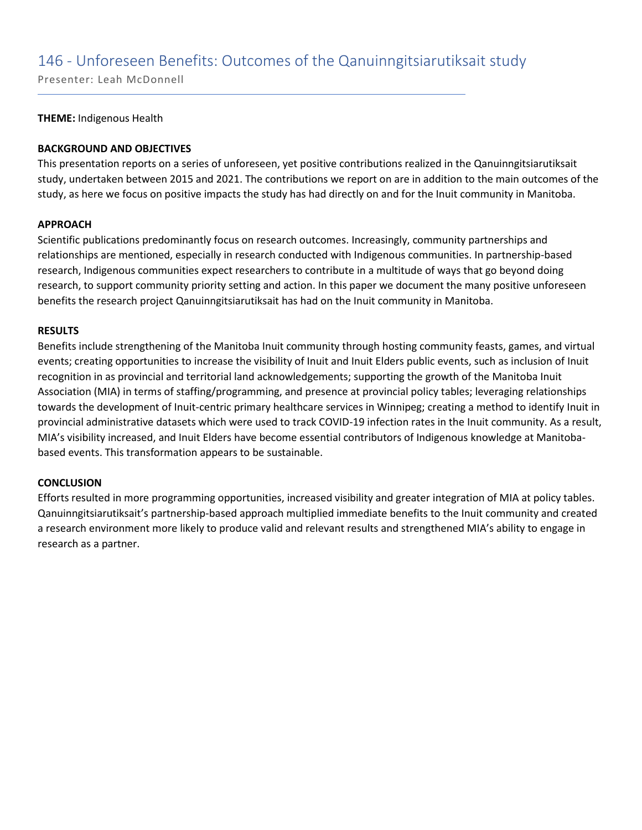### 146 - Unforeseen Benefits: Outcomes of the Qanuinngitsiarutiksait study

Presenter: Leah McDonnell

#### **THEME:** Indigenous Health

#### **BACKGROUND AND OBJECTIVES**

This presentation reports on a series of unforeseen, yet positive contributions realized in the Qanuinngitsiarutiksait study, undertaken between 2015 and 2021. The contributions we report on are in addition to the main outcomes of the study, as here we focus on positive impacts the study has had directly on and for the Inuit community in Manitoba.

#### **APPROACH**

Scientific publications predominantly focus on research outcomes. Increasingly, community partnerships and relationships are mentioned, especially in research conducted with Indigenous communities. In partnership-based research, Indigenous communities expect researchers to contribute in a multitude of ways that go beyond doing research, to support community priority setting and action. In this paper we document the many positive unforeseen benefits the research project Qanuinngitsiarutiksait has had on the Inuit community in Manitoba.

#### **RESULTS**

Benefits include strengthening of the Manitoba Inuit community through hosting community feasts, games, and virtual events; creating opportunities to increase the visibility of Inuit and Inuit Elders public events, such as inclusion of Inuit recognition in as provincial and territorial land acknowledgements; supporting the growth of the Manitoba Inuit Association (MIA) in terms of staffing/programming, and presence at provincial policy tables; leveraging relationships towards the development of Inuit-centric primary healthcare services in Winnipeg; creating a method to identify Inuit in provincial administrative datasets which were used to track COVID-19 infection rates in the Inuit community. As a result, MIA's visibility increased, and Inuit Elders have become essential contributors of Indigenous knowledge at Manitobabased events. This transformation appears to be sustainable.

#### **CONCLUSION**

Efforts resulted in more programming opportunities, increased visibility and greater integration of MIA at policy tables. Qanuinngitsiarutiksait's partnership-based approach multiplied immediate benefits to the Inuit community and created a research environment more likely to produce valid and relevant results and strengthened MIA's ability to engage in research as a partner.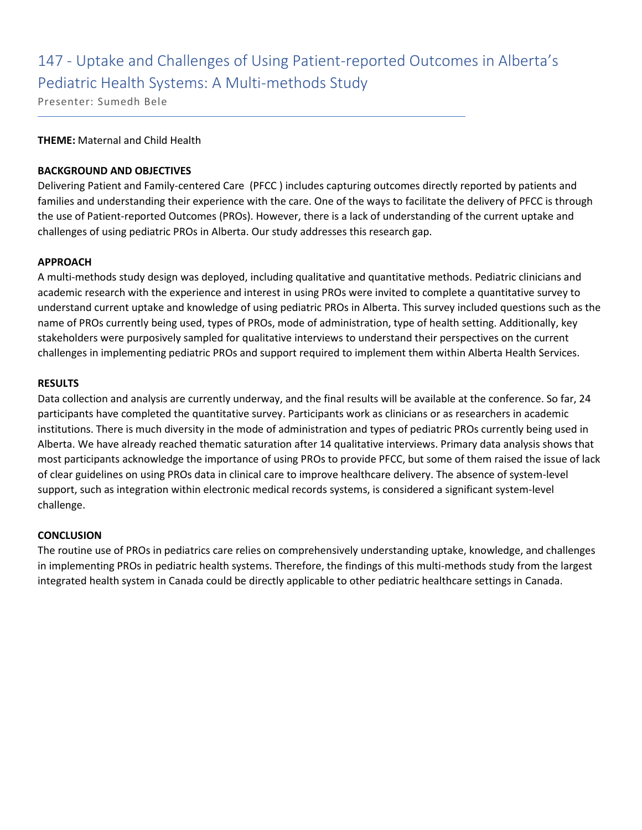# 147 - Uptake and Challenges of Using Patient-reported Outcomes in Alberta's Pediatric Health Systems: A Multi-methods Study

Presenter: Sumedh Bele

#### **THEME:** Maternal and Child Health

#### **BACKGROUND AND OBJECTIVES**

Delivering Patient and Family-centered Care (PFCC ) includes capturing outcomes directly reported by patients and families and understanding their experience with the care. One of the ways to facilitate the delivery of PFCC is through the use of Patient-reported Outcomes (PROs). However, there is a lack of understanding of the current uptake and challenges of using pediatric PROs in Alberta. Our study addresses this research gap.

#### **APPROACH**

A multi-methods study design was deployed, including qualitative and quantitative methods. Pediatric clinicians and academic research with the experience and interest in using PROs were invited to complete a quantitative survey to understand current uptake and knowledge of using pediatric PROs in Alberta. This survey included questions such as the name of PROs currently being used, types of PROs, mode of administration, type of health setting. Additionally, key stakeholders were purposively sampled for qualitative interviews to understand their perspectives on the current challenges in implementing pediatric PROs and support required to implement them within Alberta Health Services.

#### **RESULTS**

Data collection and analysis are currently underway, and the final results will be available at the conference. So far, 24 participants have completed the quantitative survey. Participants work as clinicians or as researchers in academic institutions. There is much diversity in the mode of administration and types of pediatric PROs currently being used in Alberta. We have already reached thematic saturation after 14 qualitative interviews. Primary data analysis shows that most participants acknowledge the importance of using PROs to provide PFCC, but some of them raised the issue of lack of clear guidelines on using PROs data in clinical care to improve healthcare delivery. The absence of system-level support, such as integration within electronic medical records systems, is considered a significant system-level challenge.

#### **CONCLUSION**

The routine use of PROs in pediatrics care relies on comprehensively understanding uptake, knowledge, and challenges in implementing PROs in pediatric health systems. Therefore, the findings of this multi-methods study from the largest integrated health system in Canada could be directly applicable to other pediatric healthcare settings in Canada.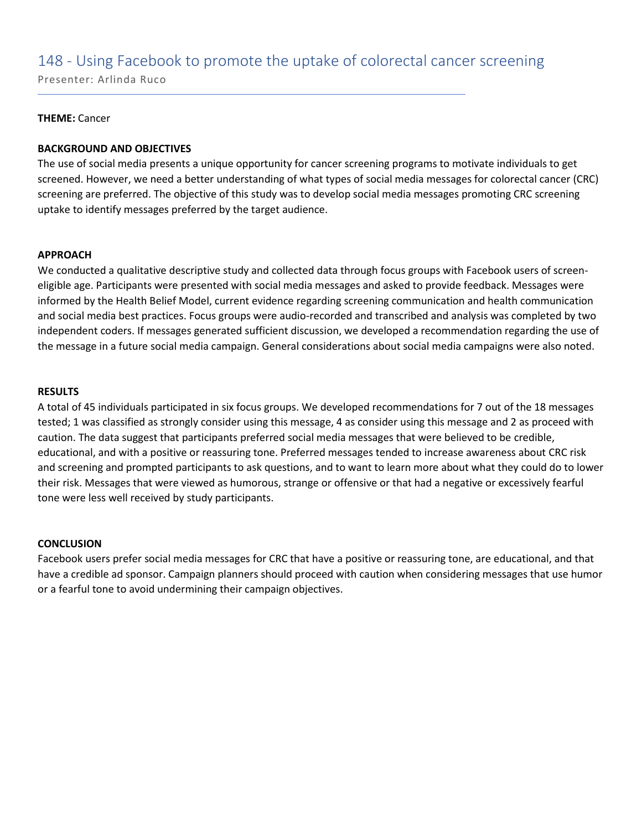### 148 - Using Facebook to promote the uptake of colorectal cancer screening

Presenter: Arlinda Ruco

#### **THEME:** Cancer

#### **BACKGROUND AND OBJECTIVES**

The use of social media presents a unique opportunity for cancer screening programs to motivate individuals to get screened. However, we need a better understanding of what types of social media messages for colorectal cancer (CRC) screening are preferred. The objective of this study was to develop social media messages promoting CRC screening uptake to identify messages preferred by the target audience.

#### **APPROACH**

We conducted a qualitative descriptive study and collected data through focus groups with Facebook users of screeneligible age. Participants were presented with social media messages and asked to provide feedback. Messages were informed by the Health Belief Model, current evidence regarding screening communication and health communication and social media best practices. Focus groups were audio-recorded and transcribed and analysis was completed by two independent coders. If messages generated sufficient discussion, we developed a recommendation regarding the use of the message in a future social media campaign. General considerations about social media campaigns were also noted.

#### **RESULTS**

A total of 45 individuals participated in six focus groups. We developed recommendations for 7 out of the 18 messages tested; 1 was classified as strongly consider using this message, 4 as consider using this message and 2 as proceed with caution. The data suggest that participants preferred social media messages that were believed to be credible, educational, and with a positive or reassuring tone. Preferred messages tended to increase awareness about CRC risk and screening and prompted participants to ask questions, and to want to learn more about what they could do to lower their risk. Messages that were viewed as humorous, strange or offensive or that had a negative or excessively fearful tone were less well received by study participants.

#### **CONCLUSION**

Facebook users prefer social media messages for CRC that have a positive or reassuring tone, are educational, and that have a credible ad sponsor. Campaign planners should proceed with caution when considering messages that use humor or a fearful tone to avoid undermining their campaign objectives.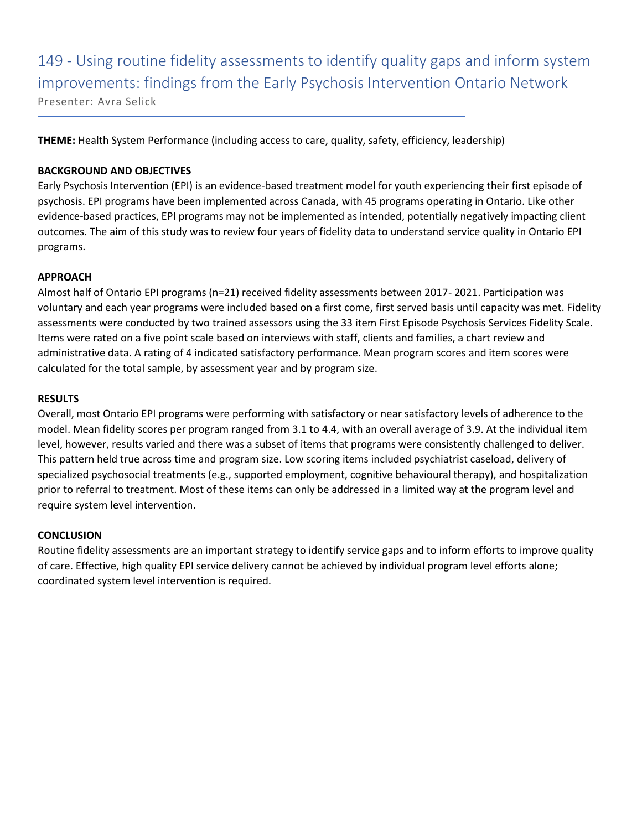149 - Using routine fidelity assessments to identify quality gaps and inform system improvements: findings from the Early Psychosis Intervention Ontario Network Presenter: Avra Selick

**THEME:** Health System Performance (including access to care, quality, safety, efficiency, leadership)

#### **BACKGROUND AND OBJECTIVES**

Early Psychosis Intervention (EPI) is an evidence-based treatment model for youth experiencing their first episode of psychosis. EPI programs have been implemented across Canada, with 45 programs operating in Ontario. Like other evidence-based practices, EPI programs may not be implemented as intended, potentially negatively impacting client outcomes. The aim of this study was to review four years of fidelity data to understand service quality in Ontario EPI programs.

#### **APPROACH**

Almost half of Ontario EPI programs (n=21) received fidelity assessments between 2017- 2021. Participation was voluntary and each year programs were included based on a first come, first served basis until capacity was met. Fidelity assessments were conducted by two trained assessors using the 33 item First Episode Psychosis Services Fidelity Scale. Items were rated on a five point scale based on interviews with staff, clients and families, a chart review and administrative data. A rating of 4 indicated satisfactory performance. Mean program scores and item scores were calculated for the total sample, by assessment year and by program size.

#### **RESULTS**

Overall, most Ontario EPI programs were performing with satisfactory or near satisfactory levels of adherence to the model. Mean fidelity scores per program ranged from 3.1 to 4.4, with an overall average of 3.9. At the individual item level, however, results varied and there was a subset of items that programs were consistently challenged to deliver. This pattern held true across time and program size. Low scoring items included psychiatrist caseload, delivery of specialized psychosocial treatments (e.g., supported employment, cognitive behavioural therapy), and hospitalization prior to referral to treatment. Most of these items can only be addressed in a limited way at the program level and require system level intervention.

#### **CONCLUSION**

Routine fidelity assessments are an important strategy to identify service gaps and to inform efforts to improve quality of care. Effective, high quality EPI service delivery cannot be achieved by individual program level efforts alone; coordinated system level intervention is required.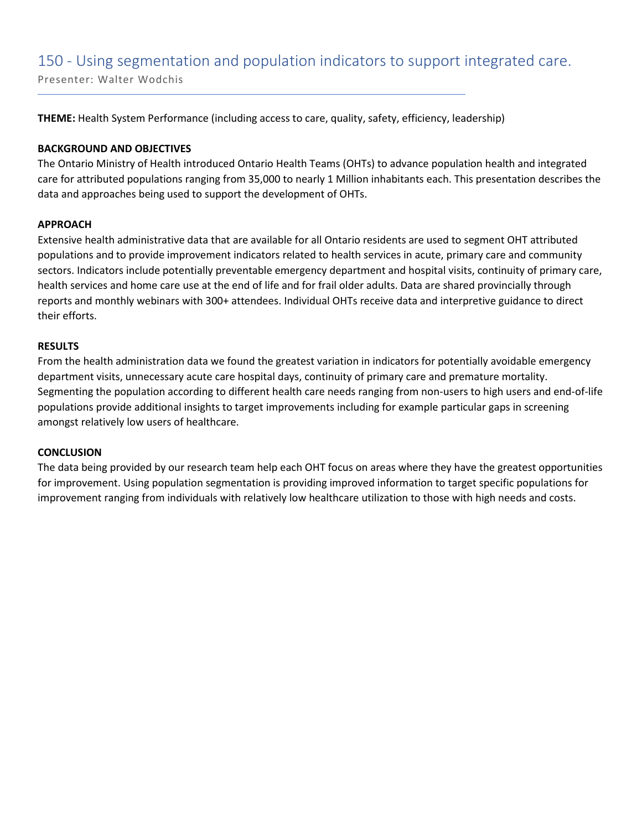### 150 - Using segmentation and population indicators to support integrated care.

Presenter: Walter Wodchis

**THEME:** Health System Performance (including access to care, quality, safety, efficiency, leadership)

#### **BACKGROUND AND OBJECTIVES**

The Ontario Ministry of Health introduced Ontario Health Teams (OHTs) to advance population health and integrated care for attributed populations ranging from 35,000 to nearly 1 Million inhabitants each. This presentation describes the data and approaches being used to support the development of OHTs.

#### **APPROACH**

Extensive health administrative data that are available for all Ontario residents are used to segment OHT attributed populations and to provide improvement indicators related to health services in acute, primary care and community sectors. Indicators include potentially preventable emergency department and hospital visits, continuity of primary care, health services and home care use at the end of life and for frail older adults. Data are shared provincially through reports and monthly webinars with 300+ attendees. Individual OHTs receive data and interpretive guidance to direct their efforts.

#### **RESULTS**

From the health administration data we found the greatest variation in indicators for potentially avoidable emergency department visits, unnecessary acute care hospital days, continuity of primary care and premature mortality. Segmenting the population according to different health care needs ranging from non-users to high users and end-of-life populations provide additional insights to target improvements including for example particular gaps in screening amongst relatively low users of healthcare.

#### **CONCLUSION**

The data being provided by our research team help each OHT focus on areas where they have the greatest opportunities for improvement. Using population segmentation is providing improved information to target specific populations for improvement ranging from individuals with relatively low healthcare utilization to those with high needs and costs.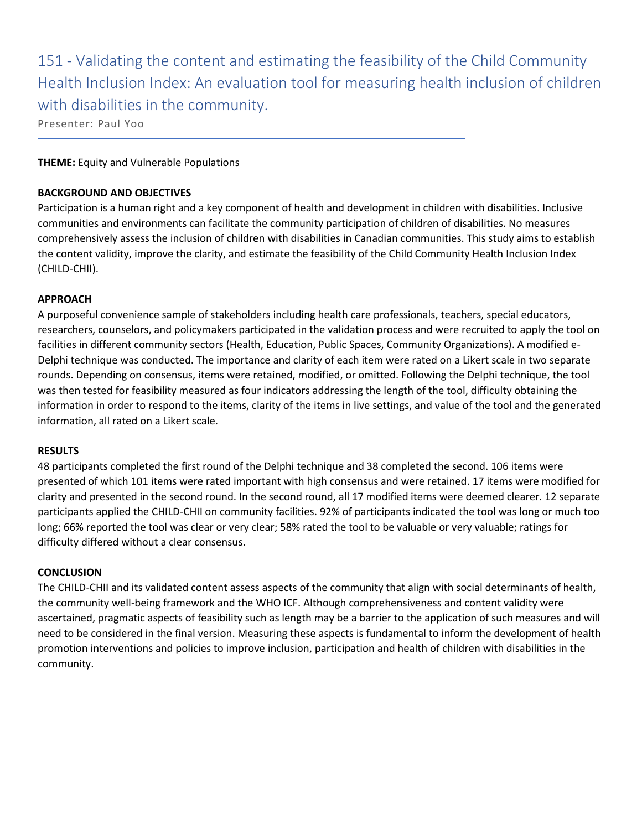151 - Validating the content and estimating the feasibility of the Child Community Health Inclusion Index: An evaluation tool for measuring health inclusion of children with disabilities in the community.

Presenter: Paul Yoo

#### **THEME:** Equity and Vulnerable Populations

#### **BACKGROUND AND OBJECTIVES**

Participation is a human right and a key component of health and development in children with disabilities. Inclusive communities and environments can facilitate the community participation of children of disabilities. No measures comprehensively assess the inclusion of children with disabilities in Canadian communities. This study aims to establish the content validity, improve the clarity, and estimate the feasibility of the Child Community Health Inclusion Index (CHILD-CHII).

#### **APPROACH**

A purposeful convenience sample of stakeholders including health care professionals, teachers, special educators, researchers, counselors, and policymakers participated in the validation process and were recruited to apply the tool on facilities in different community sectors (Health, Education, Public Spaces, Community Organizations). A modified e-Delphi technique was conducted. The importance and clarity of each item were rated on a Likert scale in two separate rounds. Depending on consensus, items were retained, modified, or omitted. Following the Delphi technique, the tool was then tested for feasibility measured as four indicators addressing the length of the tool, difficulty obtaining the information in order to respond to the items, clarity of the items in live settings, and value of the tool and the generated information, all rated on a Likert scale.

#### **RESULTS**

48 participants completed the first round of the Delphi technique and 38 completed the second. 106 items were presented of which 101 items were rated important with high consensus and were retained. 17 items were modified for clarity and presented in the second round. In the second round, all 17 modified items were deemed clearer. 12 separate participants applied the CHILD-CHII on community facilities. 92% of participants indicated the tool was long or much too long; 66% reported the tool was clear or very clear; 58% rated the tool to be valuable or very valuable; ratings for difficulty differed without a clear consensus.

#### **CONCLUSION**

The CHILD-CHII and its validated content assess aspects of the community that align with social determinants of health, the community well-being framework and the WHO ICF. Although comprehensiveness and content validity were ascertained, pragmatic aspects of feasibility such as length may be a barrier to the application of such measures and will need to be considered in the final version. Measuring these aspects is fundamental to inform the development of health promotion interventions and policies to improve inclusion, participation and health of children with disabilities in the community.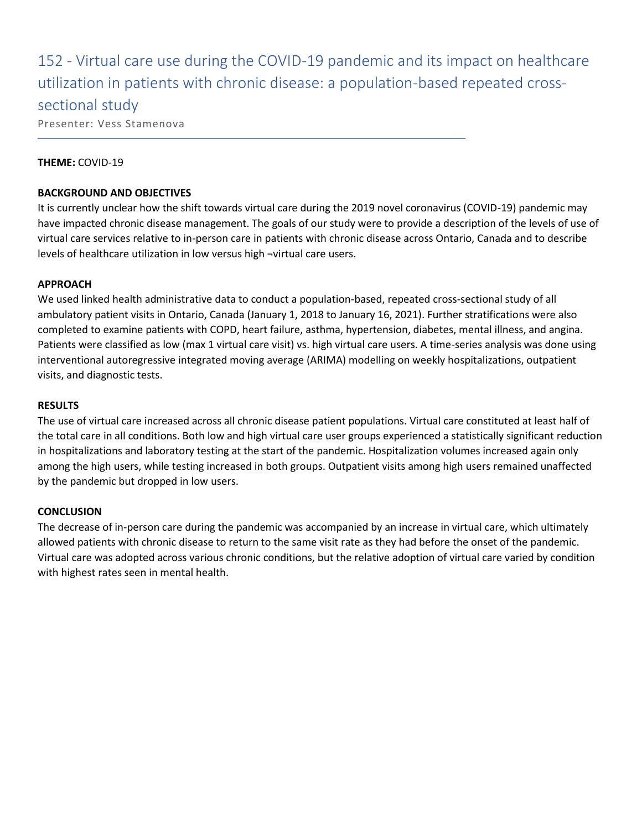152 - Virtual care use during the COVID-19 pandemic and its impact on healthcare utilization in patients with chronic disease: a population-based repeated crosssectional study

Presenter: Vess Stamenova

#### **THEME:** COVID-19

#### **BACKGROUND AND OBJECTIVES**

It is currently unclear how the shift towards virtual care during the 2019 novel coronavirus (COVID-19) pandemic may have impacted chronic disease management. The goals of our study were to provide a description of the levels of use of virtual care services relative to in-person care in patients with chronic disease across Ontario, Canada and to describe levels of healthcare utilization in low versus high ¬virtual care users.

#### **APPROACH**

We used linked health administrative data to conduct a population-based, repeated cross-sectional study of all ambulatory patient visits in Ontario, Canada (January 1, 2018 to January 16, 2021). Further stratifications were also completed to examine patients with COPD, heart failure, asthma, hypertension, diabetes, mental illness, and angina. Patients were classified as low (max 1 virtual care visit) vs. high virtual care users. A time-series analysis was done using interventional autoregressive integrated moving average (ARIMA) modelling on weekly hospitalizations, outpatient visits, and diagnostic tests.

#### **RESULTS**

The use of virtual care increased across all chronic disease patient populations. Virtual care constituted at least half of the total care in all conditions. Both low and high virtual care user groups experienced a statistically significant reduction in hospitalizations and laboratory testing at the start of the pandemic. Hospitalization volumes increased again only among the high users, while testing increased in both groups. Outpatient visits among high users remained unaffected by the pandemic but dropped in low users.

#### **CONCLUSION**

The decrease of in-person care during the pandemic was accompanied by an increase in virtual care, which ultimately allowed patients with chronic disease to return to the same visit rate as they had before the onset of the pandemic. Virtual care was adopted across various chronic conditions, but the relative adoption of virtual care varied by condition with highest rates seen in mental health.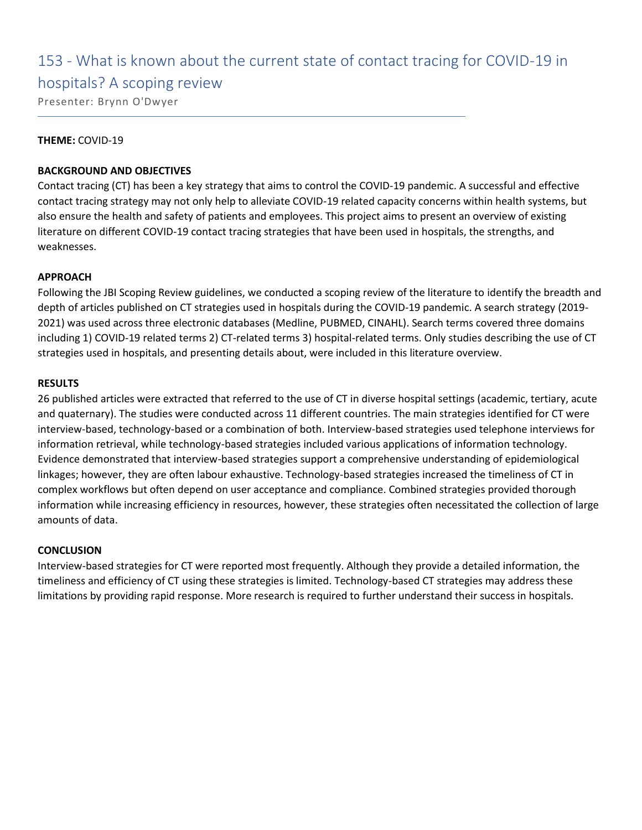# 153 - What is known about the current state of contact tracing for COVID-19 in

### hospitals? A scoping review

Presenter: Brynn O'Dwyer

#### **THEME:** COVID-19

#### **BACKGROUND AND OBJECTIVES**

Contact tracing (CT) has been a key strategy that aims to control the COVID-19 pandemic. A successful and effective contact tracing strategy may not only help to alleviate COVID-19 related capacity concerns within health systems, but also ensure the health and safety of patients and employees. This project aims to present an overview of existing literature on different COVID-19 contact tracing strategies that have been used in hospitals, the strengths, and weaknesses.

#### **APPROACH**

Following the JBI Scoping Review guidelines, we conducted a scoping review of the literature to identify the breadth and depth of articles published on CT strategies used in hospitals during the COVID-19 pandemic. A search strategy (2019- 2021) was used across three electronic databases (Medline, PUBMED, CINAHL). Search terms covered three domains including 1) COVID-19 related terms 2) CT-related terms 3) hospital-related terms. Only studies describing the use of CT strategies used in hospitals, and presenting details about, were included in this literature overview.

#### **RESULTS**

26 published articles were extracted that referred to the use of CT in diverse hospital settings (academic, tertiary, acute and quaternary). The studies were conducted across 11 different countries. The main strategies identified for CT were interview-based, technology-based or a combination of both. Interview-based strategies used telephone interviews for information retrieval, while technology-based strategies included various applications of information technology. Evidence demonstrated that interview-based strategies support a comprehensive understanding of epidemiological linkages; however, they are often labour exhaustive. Technology-based strategies increased the timeliness of CT in complex workflows but often depend on user acceptance and compliance. Combined strategies provided thorough information while increasing efficiency in resources, however, these strategies often necessitated the collection of large amounts of data.

#### **CONCLUSION**

Interview-based strategies for CT were reported most frequently. Although they provide a detailed information, the timeliness and efficiency of CT using these strategies is limited. Technology-based CT strategies may address these limitations by providing rapid response. More research is required to further understand their success in hospitals.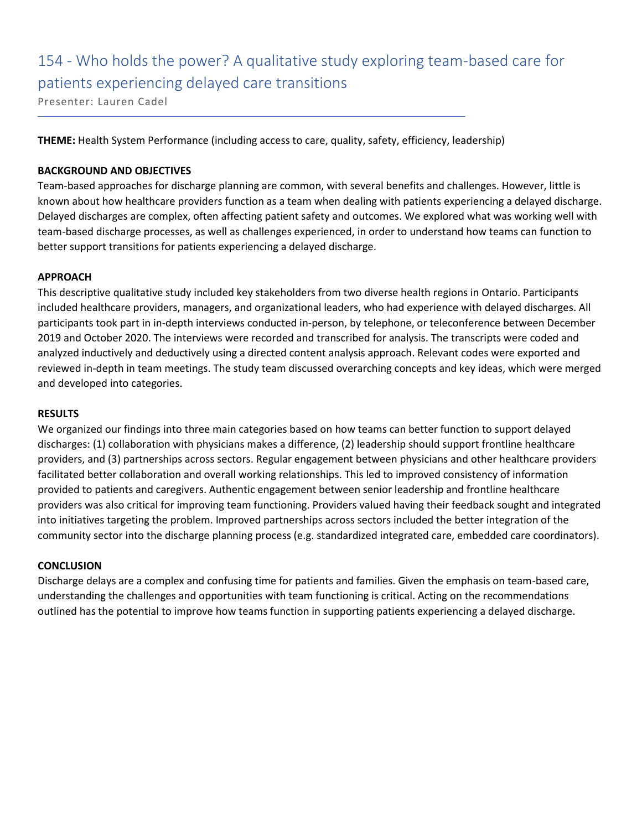# 154 - Who holds the power? A qualitative study exploring team-based care for patients experiencing delayed care transitions

Presenter: Lauren Cadel

**THEME:** Health System Performance (including access to care, quality, safety, efficiency, leadership)

#### **BACKGROUND AND OBJECTIVES**

Team-based approaches for discharge planning are common, with several benefits and challenges. However, little is known about how healthcare providers function as a team when dealing with patients experiencing a delayed discharge. Delayed discharges are complex, often affecting patient safety and outcomes. We explored what was working well with team-based discharge processes, as well as challenges experienced, in order to understand how teams can function to better support transitions for patients experiencing a delayed discharge.

#### **APPROACH**

This descriptive qualitative study included key stakeholders from two diverse health regions in Ontario. Participants included healthcare providers, managers, and organizational leaders, who had experience with delayed discharges. All participants took part in in-depth interviews conducted in-person, by telephone, or teleconference between December 2019 and October 2020. The interviews were recorded and transcribed for analysis. The transcripts were coded and analyzed inductively and deductively using a directed content analysis approach. Relevant codes were exported and reviewed in-depth in team meetings. The study team discussed overarching concepts and key ideas, which were merged and developed into categories.

#### **RESULTS**

We organized our findings into three main categories based on how teams can better function to support delayed discharges: (1) collaboration with physicians makes a difference, (2) leadership should support frontline healthcare providers, and (3) partnerships across sectors. Regular engagement between physicians and other healthcare providers facilitated better collaboration and overall working relationships. This led to improved consistency of information provided to patients and caregivers. Authentic engagement between senior leadership and frontline healthcare providers was also critical for improving team functioning. Providers valued having their feedback sought and integrated into initiatives targeting the problem. Improved partnerships across sectors included the better integration of the community sector into the discharge planning process (e.g. standardized integrated care, embedded care coordinators).

#### **CONCLUSION**

Discharge delays are a complex and confusing time for patients and families. Given the emphasis on team-based care, understanding the challenges and opportunities with team functioning is critical. Acting on the recommendations outlined has the potential to improve how teams function in supporting patients experiencing a delayed discharge.